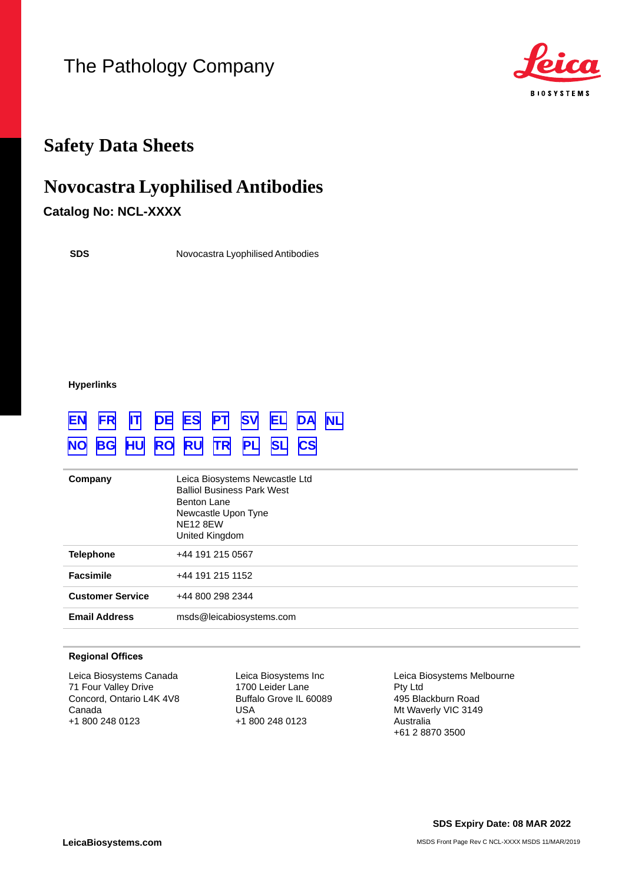# The Pathology Company



# **Safety Data Sheets**

# **Novocastra Lyophilised Antibodies**

## **Catalog No: NCL-XXXX**

**SDS**

Novocastra Lyophilised Antibodies

**Hyperlinks**

# **[EN](#page-1-0) [FR](#page-9-0) [IT](#page-18-0) [DE](#page-27-0) [ES](#page-36-0) [PT](#page-45-0) [SV](#page-54-0) [EL](#page-62-0) [DA](#page-71-0) [NL](#page-79-0) [NO](#page-88-0) [BG](#page-96-0) [HU](#page-105-0) [RO](#page-113-0) [RU](#page-122-0) [TR](#page-131-0) [PL](#page-139-0) [SL](#page-148-0) [CS](#page-156-0)**

| Company                 | Leica Biosystems Newcastle Ltd<br><b>Balliol Business Park West</b><br>Benton Lane<br>Newcastle Upon Tyne<br><b>NE12 8EW</b><br>United Kingdom |
|-------------------------|------------------------------------------------------------------------------------------------------------------------------------------------|
| <b>Telephone</b>        | +44 191 215 0567                                                                                                                               |
| <b>Facsimile</b>        | +44 191 215 1152                                                                                                                               |
| <b>Customer Service</b> | +44 800 298 2344                                                                                                                               |
| <b>Email Address</b>    | msds@leicabiosystems.com                                                                                                                       |

#### **Regional Offices**

Leica Biosystems Canada 71 Four Valley Drive Concord, Ontario L4K 4V8 Canada +1 800 248 0123

Leica Biosystems Inc 1700 Leider Lane Buffalo Grove IL 60089 USA +1 800 248 0123

Leica Biosystems Melbourne Pty Ltd 495 Blackburn Road Mt Waverly VIC 3149 Australia +61 2 8870 3500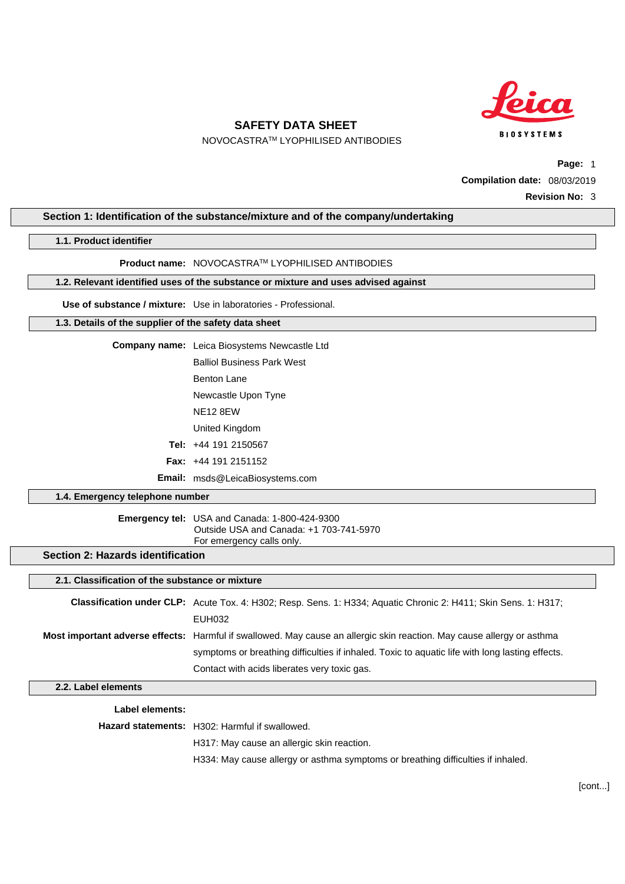

NOVOCASTRATM LYOPHILISED ANTIBODIES

**Page:** 1 **Compilation date:** 08/03/2019 **Revision No:** 3

#### <span id="page-1-0"></span>**Section 1: Identification of the substance/mixture and of the company/undertaking**

#### **1.1. Product identifier**

#### **Product name:** NOVOCASTRATM LYOPHILISED ANTIBODIES

#### **1.2. Relevant identified uses of the substance or mixture and uses advised against**

#### **Use of substance / mixture:** Use in laboratories - Professional.

#### **1.3. Details of the supplier of the safety data sheet**

## **Company name:** Leica Biosystems Newcastle Ltd Balliol Business Park West Benton Lane Newcastle Upon Tyne NE12 8EW United Kingdom **Tel:** +44 191 2150567 **Fax:** +44 191 2151152

**Email:** msds@LeicaBiosystems.com

#### **1.4. Emergency telephone number**

#### **Emergency tel:** USA and Canada: 1-800-424-9300 Outside USA and Canada: +1 703-741-5970 For emergency calls only.

## **Section 2: Hazards identification**

#### **2.1. Classification of the substance or mixture**

| <b>Classification under CLP:</b> Acute Tox. 4: H302; Resp. Sens. 1: H334; Aquatic Chronic 2: H411; Skin Sens. 1: H317; |
|------------------------------------------------------------------------------------------------------------------------|
| EUH032                                                                                                                 |
| Most important adverse effects: Harmful if swallowed. May cause an allergic skin reaction. May cause allergy or asthma |
| symptoms or breathing difficulties if inhaled. Toxic to aguatic life with long lasting effects.                        |
| Contact with acids liberates very toxic gas.                                                                           |

#### **2.2. Label elements**

**Label elements:**

**Hazard statements:** H302: Harmful if swallowed.

H317: May cause an allergic skin reaction.

H334: May cause allergy or asthma symptoms or breathing difficulties if inhaled.

[cont...]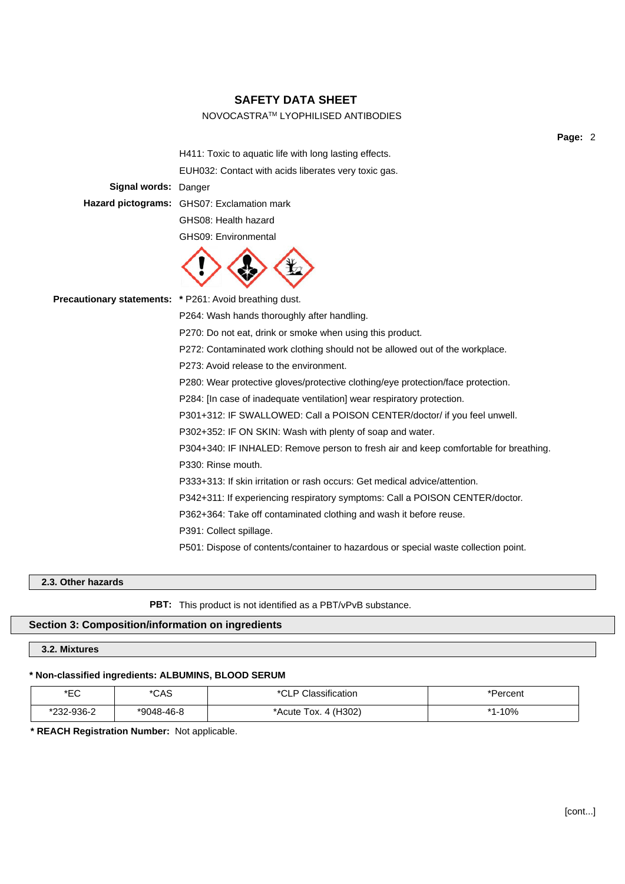#### NOVOCASTRATM LYOPHILISED ANTIBODIES

H411: Toxic to aquatic life with long lasting effects. EUH032: Contact with acids liberates very toxic gas. **Signal words:** Danger **Hazard pictograms:** GHS07: Exclamation mark GHS08: Health hazard GHS09: Environmental



**Precautionary statements: \*** P261: Avoid breathing dust. P264: Wash hands thoroughly after handling. P270: Do not eat, drink or smoke when using this product. P272: Contaminated work clothing should not be allowed out of the workplace. P273: Avoid release to the environment. P280: Wear protective gloves/protective clothing/eye protection/face protection. P284: [In case of inadequate ventilation] wear respiratory protection. P301+312: IF SWALLOWED: Call a POISON CENTER/doctor/ if you feel unwell. P302+352: IF ON SKIN: Wash with plenty of soap and water. P304+340: IF INHALED: Remove person to fresh air and keep comfortable for breathing. P330: Rinse mouth. P333+313: If skin irritation or rash occurs: Get medical advice/attention. P342+311: If experiencing respiratory symptoms: Call a POISON CENTER/doctor. P362+364: Take off contaminated clothing and wash it before reuse. P391: Collect spillage. P501: Dispose of contents/container to hazardous or special waste collection point.

#### **2.3. Other hazards**

**PBT:** This product is not identified as a PBT/vPvB substance.

### **Section 3: Composition/information on ingredients**

## **3.2. Mixtures**

#### **\* Non-classified ingredients: ALBUMINS, BLOOD SERUM**

| *EC        | *CAS       | lassification        | *Percent |
|------------|------------|----------------------|----------|
| *232-936-2 | *9048-46-8 | *Acute Tox. 4 (H302) | *1-10%   |

**\* REACH Registration Number:** Not applicable.

**Page:** 2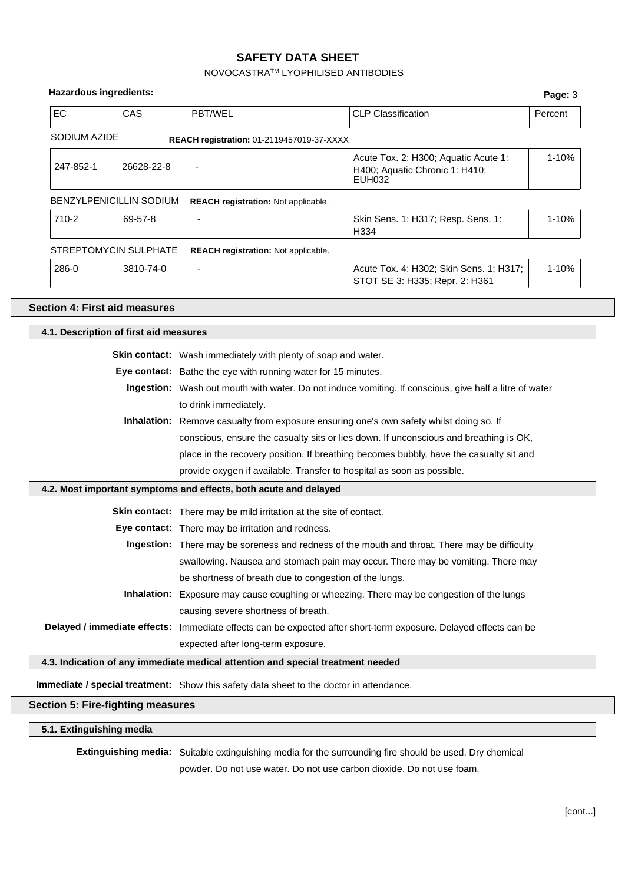## NOVOCASTRATM LYOPHILISED ANTIBODIES

| <b>Hazardous ingredients:</b>            |                                                                                                                      |                                                                                         | Page: 3 |  |  |
|------------------------------------------|----------------------------------------------------------------------------------------------------------------------|-----------------------------------------------------------------------------------------|---------|--|--|
| EC<br>CAS                                | PBT/WEL<br><b>CLP Classification</b>                                                                                 |                                                                                         |         |  |  |
| SODIUM AZIDE                             | REACH registration: 01-2119457019-37-XXXX                                                                            |                                                                                         |         |  |  |
| 247-852-1                                | Acute Tox. 2: H300; Aquatic Acute 1:<br>1-10%<br>26628-22-8<br>÷,<br>H400; Aquatic Chronic 1: H410;<br><b>EUH032</b> |                                                                                         |         |  |  |
| <b>BENZYLPENICILLIN SODIUM</b>           | REACH registration: Not applicable.                                                                                  |                                                                                         |         |  |  |
| 710-2<br>69-57-8                         |                                                                                                                      | Skin Sens. 1: H317; Resp. Sens. 1:<br>H334                                              | 1-10%   |  |  |
| STREPTOMYCIN SULPHATE                    | REACH registration: Not applicable.                                                                                  |                                                                                         |         |  |  |
| 286-0<br>3810-74-0                       |                                                                                                                      | Acute Tox. 4: H302; Skin Sens. 1: H317;<br>STOT SE 3: H335; Repr. 2: H361               | 1-10%   |  |  |
| <b>Section 4: First aid measures</b>     |                                                                                                                      |                                                                                         |         |  |  |
| 4.1. Description of first aid measures   |                                                                                                                      |                                                                                         |         |  |  |
|                                          | <b>Skin contact:</b> Wash immediately with plenty of soap and water.                                                 |                                                                                         |         |  |  |
|                                          | Eye contact: Bathe the eye with running water for 15 minutes.                                                        |                                                                                         |         |  |  |
|                                          | Ingestion: Wash out mouth with water. Do not induce vomiting. If conscious, give half a litre of water               |                                                                                         |         |  |  |
|                                          | to drink immediately.                                                                                                |                                                                                         |         |  |  |
|                                          |                                                                                                                      | Inhalation: Remove casualty from exposure ensuring one's own safety whilst doing so. If |         |  |  |
|                                          |                                                                                                                      | conscious, ensure the casualty sits or lies down. If unconscious and breathing is OK,   |         |  |  |
|                                          |                                                                                                                      | place in the recovery position. If breathing becomes bubbly, have the casualty sit and  |         |  |  |
|                                          | provide oxygen if available. Transfer to hospital as soon as possible.                                               |                                                                                         |         |  |  |
|                                          | 4.2. Most important symptoms and effects, both acute and delayed                                                     |                                                                                         |         |  |  |
|                                          | Skin contact: There may be mild irritation at the site of contact.                                                   |                                                                                         |         |  |  |
|                                          | Eye contact: There may be irritation and redness.                                                                    |                                                                                         |         |  |  |
|                                          | Ingestion: There may be soreness and redness of the mouth and throat. There may be difficulty                        |                                                                                         |         |  |  |
|                                          |                                                                                                                      | swallowing. Nausea and stomach pain may occur. There may be vomiting. There may         |         |  |  |
|                                          | be shortness of breath due to congestion of the lungs.                                                               |                                                                                         |         |  |  |
|                                          | Inhalation: Exposure may cause coughing or wheezing. There may be congestion of the lungs                            |                                                                                         |         |  |  |
|                                          | causing severe shortness of breath.                                                                                  |                                                                                         |         |  |  |
|                                          | Delayed / immediate effects: Immediate effects can be expected after short-term exposure. Delayed effects can be     |                                                                                         |         |  |  |
|                                          | expected after long-term exposure.                                                                                   |                                                                                         |         |  |  |
|                                          | 4.3. Indication of any immediate medical attention and special treatment needed                                      |                                                                                         |         |  |  |
|                                          | Immediate / special treatment: Show this safety data sheet to the doctor in attendance.                              |                                                                                         |         |  |  |
| <b>Section 5: Fire-fighting measures</b> |                                                                                                                      |                                                                                         |         |  |  |

**5.1. Extinguishing media**

**Extinguishing media:** Suitable extinguishing media for the surrounding fire should be used. Dry chemical powder. Do not use water. Do not use carbon dioxide. Do not use foam.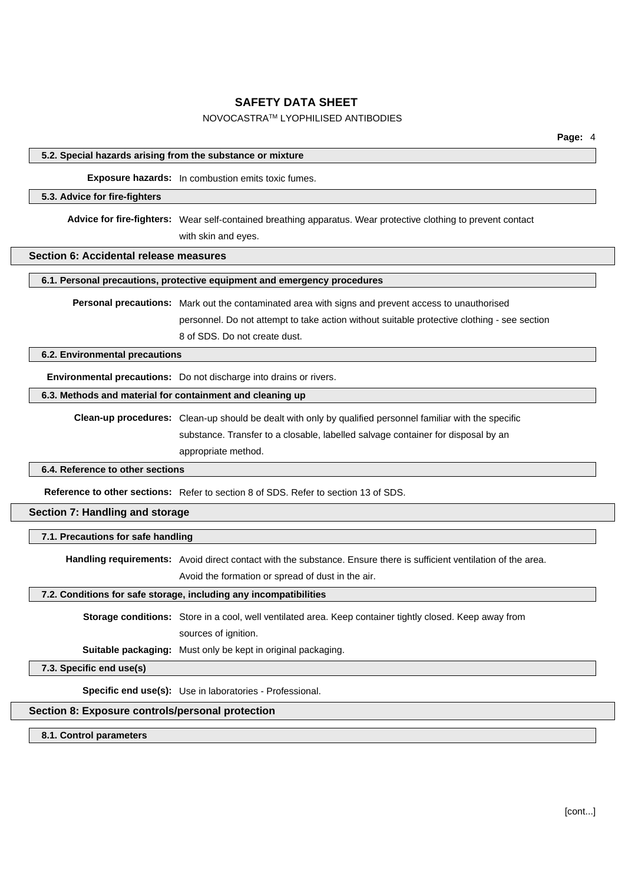#### NOVOCASTRATM LYOPHILISED ANTIBODIES

|                                                            |                                                                                                                | Page: 4 |  |
|------------------------------------------------------------|----------------------------------------------------------------------------------------------------------------|---------|--|
| 5.2. Special hazards arising from the substance or mixture |                                                                                                                |         |  |
|                                                            | <b>Exposure hazards:</b> In combustion emits toxic fumes.                                                      |         |  |
| 5.3. Advice for fire-fighters                              |                                                                                                                |         |  |
|                                                            | Advice for fire-fighters: Wear self-contained breathing apparatus. Wear protective clothing to prevent contact |         |  |
|                                                            | with skin and eyes.                                                                                            |         |  |
| Section 6: Accidental release measures                     |                                                                                                                |         |  |
|                                                            | 6.1. Personal precautions, protective equipment and emergency procedures                                       |         |  |
|                                                            | <b>Personal precautions:</b> Mark out the contaminated area with signs and prevent access to unauthorised      |         |  |
|                                                            | personnel. Do not attempt to take action without suitable protective clothing - see section                    |         |  |
|                                                            | 8 of SDS. Do not create dust.                                                                                  |         |  |
| 6.2. Environmental precautions                             |                                                                                                                |         |  |
|                                                            | Environmental precautions: Do not discharge into drains or rivers.                                             |         |  |
| 6.3. Methods and material for containment and cleaning up  |                                                                                                                |         |  |
|                                                            | Clean-up procedures: Clean-up should be dealt with only by qualified personnel familiar with the specific      |         |  |
|                                                            | substance. Transfer to a closable, labelled salvage container for disposal by an                               |         |  |
|                                                            | appropriate method.                                                                                            |         |  |
| 6.4. Reference to other sections                           |                                                                                                                |         |  |
|                                                            | Reference to other sections: Refer to section 8 of SDS. Refer to section 13 of SDS.                            |         |  |
| Section 7: Handling and storage                            |                                                                                                                |         |  |
| 7.1. Precautions for safe handling                         |                                                                                                                |         |  |
|                                                            |                                                                                                                |         |  |

**Handling requirements:** Avoid direct contact with the substance. Ensure there is sufficient ventilation of the area.

Avoid the formation or spread of dust in the air.

### **7.2. Conditions for safe storage, including any incompatibilities**

**Storage conditions:** Store in a cool, well ventilated area. Keep container tightly closed. Keep away from sources of ignition.

**Suitable packaging:** Must only be kept in original packaging.

**7.3. Specific end use(s)**

**Specific end use(s):** Use in laboratories - Professional.

## **Section 8: Exposure controls/personal protection**

**8.1. Control parameters**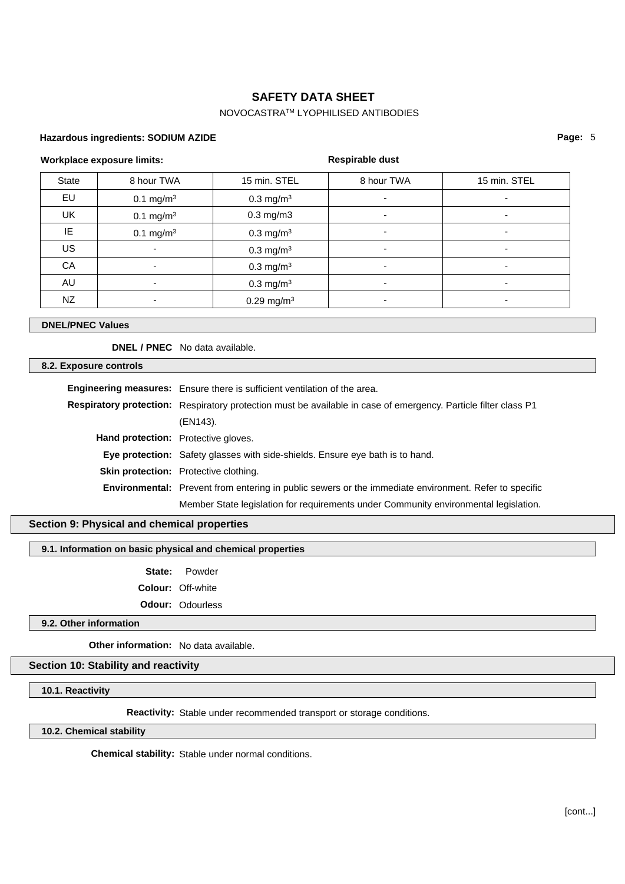## NOVOCASTRATM LYOPHILISED ANTIBODIES

#### **Hazardous ingredients: SODIUM AZIDE**

#### **Workplace exposure limits:**

### **Respirable dust**

| State     | 8 hour TWA               | 15 min. STEL             | 8 hour TWA | 15 min. STEL             |
|-----------|--------------------------|--------------------------|------------|--------------------------|
| EU        | $0.1 \text{ mg/m}^3$     | $0.3 \text{ mg/m}^3$     |            | $\overline{\phantom{a}}$ |
| <b>UK</b> | $0.1 \text{ mg/m}^3$     | $0.3$ mg/m $3$           | ۰          | $\overline{\phantom{a}}$ |
| IE        | $0.1 \text{ mg/m}^3$     | $0.3 \text{ mg/m}^3$     | ۰          | $\overline{\phantom{a}}$ |
| US        | ٠                        | $0.3 \text{ mg/m}^3$     | ۰          | ۰                        |
| CA        | $\overline{\phantom{0}}$ | $0.3 \text{ mg/m}^3$     | ۰          | $\overline{\phantom{0}}$ |
| AU        | ۰                        | $0.3 \text{ mg/m}^3$     | ۰          | ۰                        |
| NZ        |                          | $0.29$ mg/m <sup>3</sup> |            |                          |

#### **DNEL/PNEC Values**

**DNEL / PNEC** No data available.

**8.2. Exposure controls**

|                                            | Engineering measures: Ensure there is sufficient ventilation of the area.                                              |  |
|--------------------------------------------|------------------------------------------------------------------------------------------------------------------------|--|
|                                            | <b>Respiratory protection:</b> Respiratory protection must be available in case of emergency. Particle filter class P1 |  |
|                                            | (EN143).                                                                                                               |  |
| <b>Hand protection:</b> Protective gloves. |                                                                                                                        |  |
|                                            | <b>Eye protection:</b> Safety glasses with side-shields. Ensure eye bath is to hand.                                   |  |
|                                            | <b>Skin protection:</b> Protective clothing.                                                                           |  |
|                                            | <b>Environmental:</b> Prevent from entering in public sewers or the immediate environment. Refer to specific           |  |
|                                            | Member State legislation for requirements under Community environmental legislation.                                   |  |

## **Section 9: Physical and chemical properties**

**9.1. Information on basic physical and chemical properties**

**State:** Powder **Colour:** Off-white **Odour:** Odourless

**9.2. Other information**

**Other information:** No data available.

## **Section 10: Stability and reactivity**

**10.1. Reactivity**

**Reactivity:** Stable under recommended transport or storage conditions.

**10.2. Chemical stability**

**Chemical stability:** Stable under normal conditions.

**Page:** 5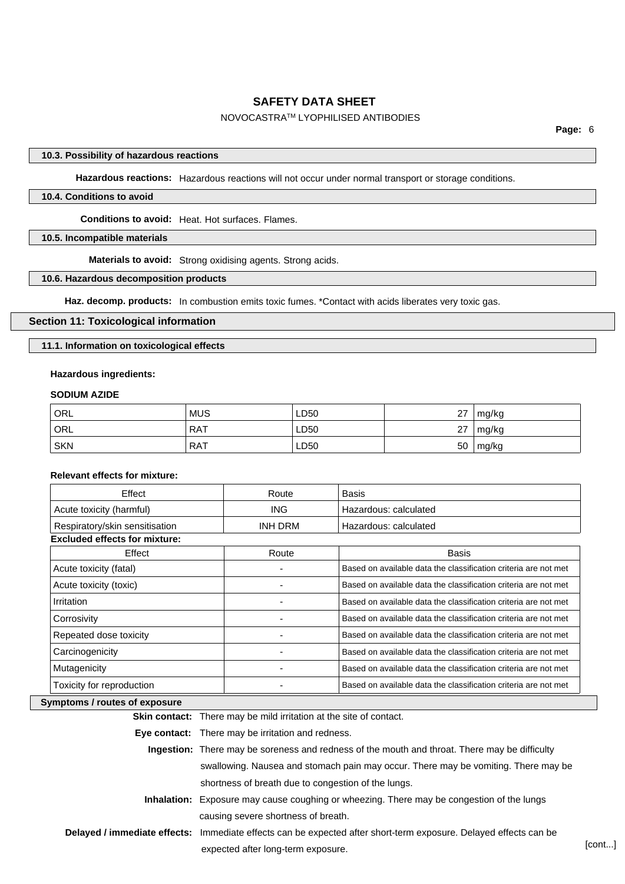#### NOVOCASTRATM LYOPHILISED ANTIBODIES

#### **10.3. Possibility of hazardous reactions**

**Hazardous reactions:** Hazardous reactions will not occur under normal transport or storage conditions.

## **10.4. Conditions to avoid**

**Conditions to avoid:** Heat. Hot surfaces. Flames.

## **10.5. Incompatible materials**

**Materials to avoid:** Strong oxidising agents. Strong acids.

#### **10.6. Hazardous decomposition products**

**Haz. decomp. products:** In combustion emits toxic fumes. \*Contact with acids liberates very toxic gas.

#### **Section 11: Toxicological information**

**11.1. Information on toxicological effects**

#### **Hazardous ingredients:**

#### **SODIUM AZIDE**

| <b>ORL</b> | <b>MUS</b> | LD50 | 27 | mg/kg |
|------------|------------|------|----|-------|
| ORL        | RAT        | LD50 | 27 | mg/kg |
| <b>SKN</b> | <b>RAT</b> | LD50 | 50 | mg/kg |

#### **Relevant effects for mixture:**

| Effect                               | Route          | <b>Basis</b>                                                    |
|--------------------------------------|----------------|-----------------------------------------------------------------|
| Acute toxicity (harmful)             | ING.           | Hazardous: calculated                                           |
| Respiratory/skin sensitisation       | <b>INH DRM</b> | Hazardous: calculated                                           |
| <b>Excluded effects for mixture:</b> |                |                                                                 |
| Effect                               | Route          | <b>Basis</b>                                                    |
| Acute toxicity (fatal)               |                | Based on available data the classification criteria are not met |
| Acute toxicity (toxic)               |                | Based on available data the classification criteria are not met |
| Irritation                           |                | Based on available data the classification criteria are not met |
| Corrosivity                          |                | Based on available data the classification criteria are not met |
| Repeated dose toxicity               |                | Based on available data the classification criteria are not met |
| Carcinogenicity                      |                | Based on available data the classification criteria are not met |
| Mutagenicity                         |                | Based on available data the classification criteria are not met |
| Toxicity for reproduction            |                | Based on available data the classification criteria are not met |

#### **Symptoms / routes of exposure**

**Skin contact:** There may be mild irritation at the site of contact.

**Eye contact:** There may be irritation and redness.

| Ingestion: There may be soreness and redness of the mouth and throat. There may be difficulty                    |
|------------------------------------------------------------------------------------------------------------------|
| swallowing. Nausea and stomach pain may occur. There may be vomiting. There may be                               |
| shortness of breath due to congestion of the lungs.                                                              |
| <b>Inhalation:</b> Exposure may cause coughing or wheezing. There may be congestion of the lungs                 |
| causing severe shortness of breath.                                                                              |
| Delayed / immediate effects: Immediate effects can be expected after short-term exposure. Delayed effects can be |
| expected after long-term exposure.                                                                               |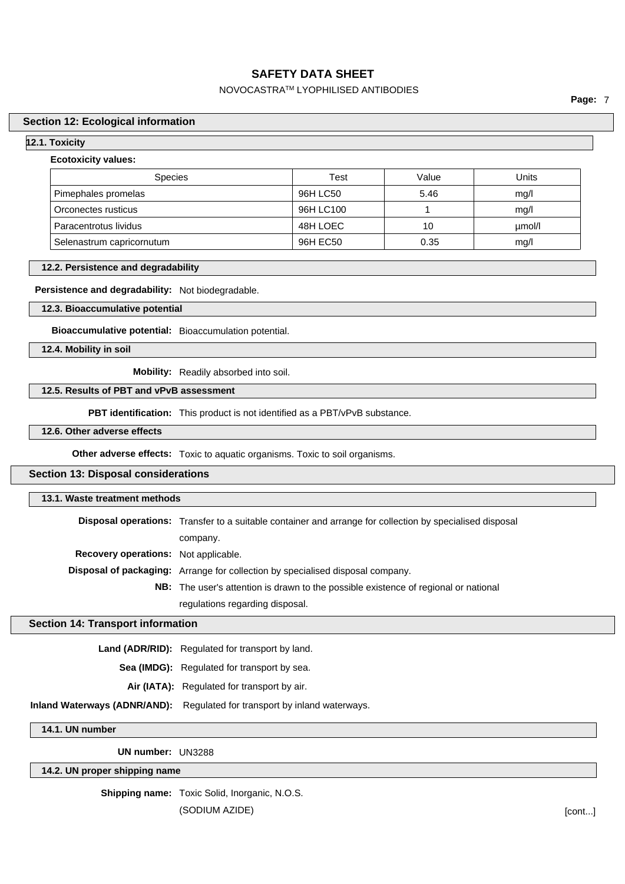## NOVOCASTRATM LYOPHILISED ANTIBODIES

**Page:** 7

#### **Section 12: Ecological information**

#### **12.1. Toxicity**

#### **Ecotoxicity values:**

| <b>Species</b>            | Test      | Value | Units  |
|---------------------------|-----------|-------|--------|
| Pimephales promelas       | 96H LC50  | 5.46  | mg/l   |
| Orconectes rusticus       | 96H LC100 |       | mq/l   |
| Paracentrotus lividus     | 48H LOEC  | 10    | umol/l |
| Selenastrum capricornutum | 96H EC50  | 0.35  | mg/l   |

#### **12.2. Persistence and degradability**

#### **Persistence and degradability:** Not biodegradable.

#### **12.3. Bioaccumulative potential**

**Bioaccumulative potential:** Bioaccumulation potential.

**12.4. Mobility in soil**

**Mobility:** Readily absorbed into soil.

### **12.5. Results of PBT and vPvB assessment**

**PBT identification:** This product is not identified as a PBT/vPvB substance.

## **12.6. Other adverse effects**

**Other adverse effects:** Toxic to aquatic organisms. Toxic to soil organisms.

#### **Section 13: Disposal considerations**

| 13.1. Waste treatment methods               |                                                                                                                 |  |  |
|---------------------------------------------|-----------------------------------------------------------------------------------------------------------------|--|--|
|                                             | <b>Disposal operations:</b> Transfer to a suitable container and arrange for collection by specialised disposal |  |  |
|                                             | company.                                                                                                        |  |  |
| <b>Recovery operations:</b> Not applicable. |                                                                                                                 |  |  |
|                                             | <b>Disposal of packaging:</b> Arrange for collection by specialised disposal company.                           |  |  |
|                                             | <b>NB:</b> The user's attention is drawn to the possible existence of regional or national                      |  |  |
|                                             | regulations regarding disposal.                                                                                 |  |  |
|                                             | ction 14: Transport information                                                                                 |  |  |

#### **Section**

Land (ADR/RID): Regulated for transport by land.

**Sea (IMDG):** Regulated for transport by sea.

- **Air (IATA):** Regulated for transport by air.
- **Inland Waterways (ADNR/AND):** Regulated for transport by inland waterways.

**14.1. UN number**

**UN number:** UN3288

**14.2. UN proper shipping name**

**Shipping name:** Toxic Solid, Inorganic, N.O.S.

(SODIUM AZIDE) [cont...]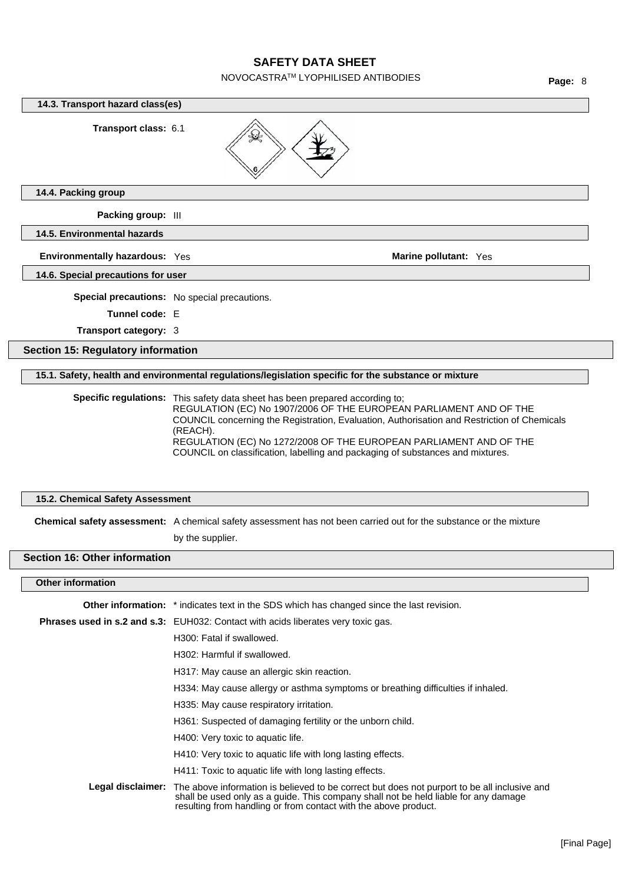NOVOCASTRATM LYOPHILISED ANTIBODIES

**14.4. Packing group Packing group:** III **14.5. Environmental hazards Environmentally hazardous:** Yes **Marine pollutant:** Yes **Marine pollutant:** Yes **14.6. Special precautions for user Special precautions:** No special precautions. **Tunnel code:** E **Transport category:** 3 **Section 15: Regulatory information 15.1. Safety, health and environmental regulations/legislation specific for the substance or mixture Specific regulations:** This safety data sheet has been prepared according to; **15.2. Chemical Safety Assessment Chemical safety assessment:** A chemical safety assessment has not been carried out for the substance or the mixture by the supplier. **Section 16: Other information Other information Other information:** \* indicates text in the SDS which has changed since the last revision. **Phrases used in s.2 and s.3:** EUH032: Contact with acids liberates very toxic gas. H300: Fatal if swallowed. H302: Harmful if swallowed. H317: May cause an allergic skin reaction. H334: May cause allergy or asthma symptoms or breathing difficulties if inhaled. H335: May cause respiratory irritation. H361: Suspected of damaging fertility or the unborn child. H400: Very toxic to aquatic life. H410: Very toxic to aquatic life with long lasting effects. H411: Toxic to aquatic life with long lasting effects. **Legal disclaimer:** The above information is believed to be correct but does not purport to be all inclusive and shall be used only as a guide. This company shall not be held liable for any damage resulting from handling or from contact with the above product. **14.3. Transport hazard class(es) Transport class:** 6.1 REGULATION (EC) No 1907/2006 OF THE EUROPEAN PARLIAMENT AND OF THE COUNCIL concerning the Registration, Evaluation, Authorisation and Restriction of Chemicals (REACH). REGULATION (EC) No 1272/2008 OF THE EUROPEAN PARLIAMENT AND OF THE COUNCIL on classification, labelling and packaging of substances and mixtures.

**Page:** 8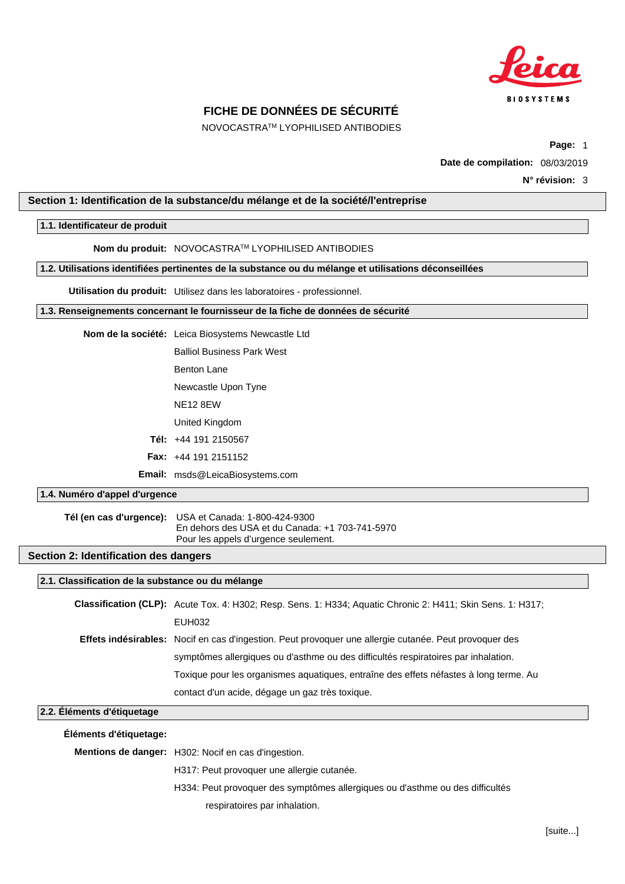

NOVOCASTRATM LYOPHILISED ANTIBODIES

**Page:** 1

**Date de compilation:** 08/03/2019

#### <span id="page-9-0"></span>**Section 1: Identification de la substance/du mélange et de la société/l'entreprise**

#### **1.1. Identificateur de produit**

**Nom du produit:** NOVOCASTRATM LYOPHILISED ANTIBODIES

**1.2. Utilisations identifiées pertinentes de la substance ou du mélange et utilisations déconseillées**

**Utilisation du produit:** Utilisez dans les laboratoires - professionnel.

**1.3. Renseignements concernant le fournisseur de la fiche de données de sécurité**

Balliol Business Park West

- Benton Lane
- Newcastle Upon Tyne
- NE12 8EW
- United Kingdom
- **Tél:** +44 191 2150567
- **Fax:** +44 191 2151152

**Email:** msds@LeicaBiosystems.com

### **1.4. Numéro d'appel d'urgence**

**Tél (en cas d'urgence):** USA et Canada: 1-800-424-9300 En dehors des USA et du Canada: +1 703-741-5970 Pour les appels d'urgence seulement.

#### **Section 2: Identification des dangers**

#### **2.1. Classification de la substance ou du mélange**

| Classification (CLP): Acute Tox. 4: H302; Resp. Sens. 1: H334; Aquatic Chronic 2: H411; Skin Sens. 1: H317;   |
|---------------------------------------------------------------------------------------------------------------|
| EUH032                                                                                                        |
| <b>Effets indésirables:</b> Nocif en cas d'ingestion. Peut provoquer une allergie cutanée. Peut provoquer des |
| symptômes allergiques ou d'asthme ou des difficultés respiratoires par inhalation.                            |
| Toxique pour les organismes aquatiques, entraîne des effets néfastes à long terme. Au                         |
| contact d'un acide, dégage un gaz très toxique.                                                               |

#### **2.2. Éléments d'étiquetage**

| Eléments d'étiquetage: |                                                                               |
|------------------------|-------------------------------------------------------------------------------|
|                        | Mentions de danger: H302: Nocif en cas d'ingestion.                           |
|                        | H317: Peut provoquer une allergie cutanée.                                    |
|                        | H334: Peut provoquer des symptômes allergiques ou d'asthme ou des difficultés |
|                        | respiratoires par inhalation.                                                 |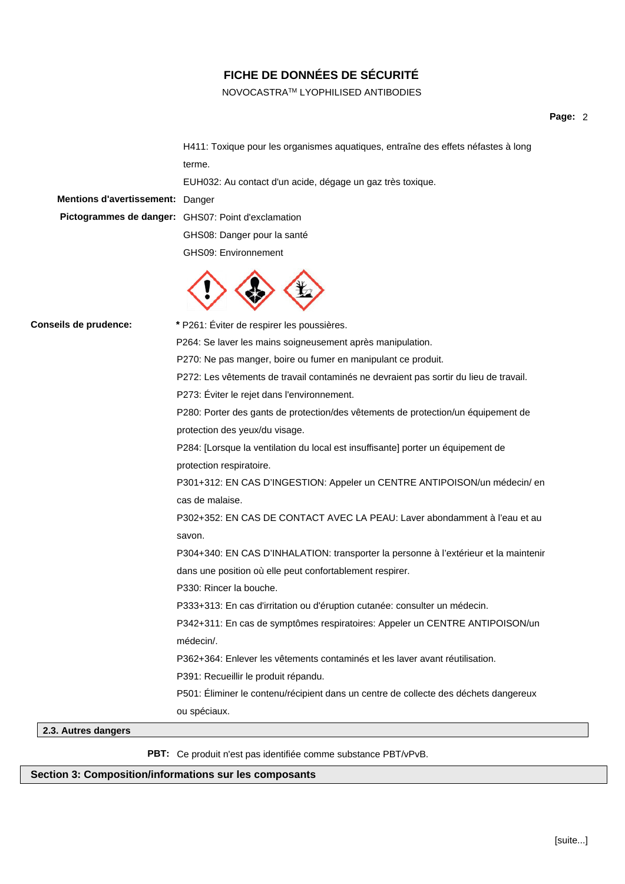## NOVOCASTRATM LYOPHILISED ANTIBODIES

## **Page:** 2

| Mentions d'avertissement: Danger | H411: Toxique pour les organismes aquatiques, entraîne des effets néfastes à long<br>terme.<br>EUH032: Au contact d'un acide, dégage un gaz très toxique.<br>Pictogrammes de danger: GHS07: Point d'exclamation<br>GHS08: Danger pour la santé<br>GHS09: Environnement |
|----------------------------------|------------------------------------------------------------------------------------------------------------------------------------------------------------------------------------------------------------------------------------------------------------------------|
| Conseils de prudence:            | * P261: Éviter de respirer les poussières.                                                                                                                                                                                                                             |
|                                  | P264: Se laver les mains soigneusement après manipulation.                                                                                                                                                                                                             |
|                                  | P270: Ne pas manger, boire ou fumer en manipulant ce produit.                                                                                                                                                                                                          |
|                                  | P272: Les vêtements de travail contaminés ne devraient pas sortir du lieu de travail.                                                                                                                                                                                  |
|                                  | P273: Éviter le rejet dans l'environnement.                                                                                                                                                                                                                            |
|                                  | P280: Porter des gants de protection/des vêtements de protection/un équipement de                                                                                                                                                                                      |
|                                  | protection des yeux/du visage.                                                                                                                                                                                                                                         |
|                                  | P284: [Lorsque la ventilation du local est insuffisante] porter un équipement de                                                                                                                                                                                       |
|                                  | protection respiratoire.                                                                                                                                                                                                                                               |
|                                  | P301+312: EN CAS D'INGESTION: Appeler un CENTRE ANTIPOISON/un médecin/ en<br>cas de malaise.                                                                                                                                                                           |
|                                  | P302+352: EN CAS DE CONTACT AVEC LA PEAU: Laver abondamment à l'eau et au                                                                                                                                                                                              |
|                                  | savon.                                                                                                                                                                                                                                                                 |
|                                  | P304+340: EN CAS D'INHALATION: transporter la personne à l'extérieur et la maintenir                                                                                                                                                                                   |
|                                  | dans une position où elle peut confortablement respirer.                                                                                                                                                                                                               |
|                                  | P330: Rincer la bouche.                                                                                                                                                                                                                                                |
|                                  | P333+313: En cas d'irritation ou d'éruption cutanée: consulter un médecin.                                                                                                                                                                                             |
|                                  | P342+311: En cas de symptômes respiratoires: Appeler un CENTRE ANTIPOISON/un                                                                                                                                                                                           |
|                                  | médecin/.                                                                                                                                                                                                                                                              |
|                                  | P362+364; Enlever les vêtements contaminés et les laver avant réutilisation.                                                                                                                                                                                           |
|                                  | P391: Recueillir le produit répandu.                                                                                                                                                                                                                                   |
|                                  | P501: Éliminer le contenu/récipient dans un centre de collecte des déchets dangereux                                                                                                                                                                                   |
|                                  | ou spéciaux.                                                                                                                                                                                                                                                           |

## **2.3. Autres dangers**

**PBT:** Ce produit n'est pas identifiée comme substance PBT/vPvB.

## **Section 3: Composition/informations sur les composants**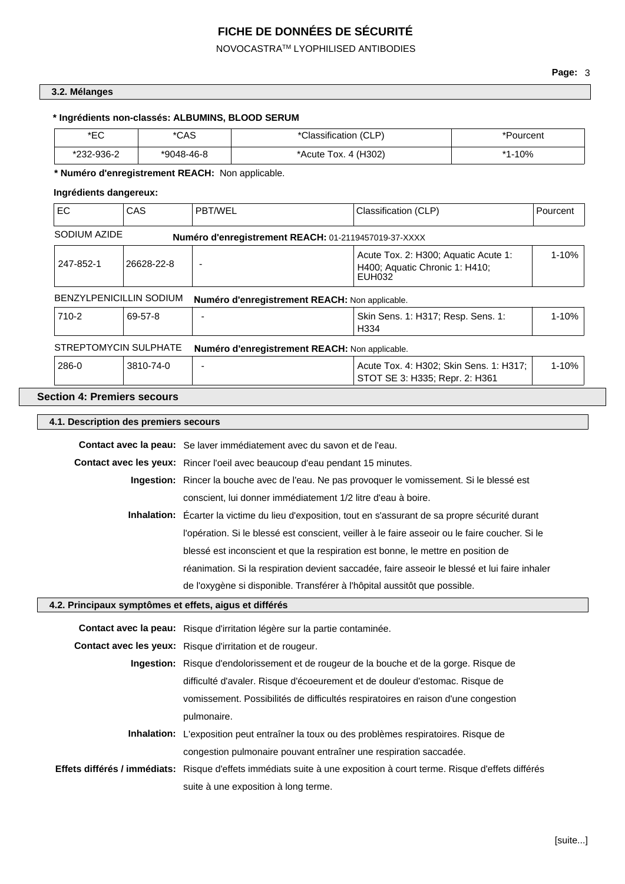NOVOCASTRATM LYOPHILISED ANTIBODIES

## **3.2. Mélanges**

## **\* Ingrédients non-classés: ALBUMINS, BLOOD SERUM**

| ∗⊏∩<br>└   | *CAS         | *Classification (CLP) | 'Pourcent      |
|------------|--------------|-----------------------|----------------|
| *232-936-2 | $*9048-46-8$ | *Acute Tox. 4 (H302)  | $.10\%$<br>* 4 |

## **\* Numéro d'enregistrement REACH:** Non applicable.

## **Ingrédients dangereux:**

| EC                                                                                                   | CAS       | PBT/WEL                                                                                   | Classification (CLP)                                                                                                  | Pourcent  |  |
|------------------------------------------------------------------------------------------------------|-----------|-------------------------------------------------------------------------------------------|-----------------------------------------------------------------------------------------------------------------------|-----------|--|
| SODIUM AZIDE                                                                                         |           | Numéro d'enregistrement REACH: 01-2119457019-37-XXXX                                      |                                                                                                                       |           |  |
| 247-852-1<br>26628-22-8                                                                              |           | Acute Tox. 2: H300; Aquatic Acute 1:<br>H400; Aquatic Chronic 1: H410;<br>EUH032          |                                                                                                                       | $1 - 10%$ |  |
| BENZYLPENICILLIN SODIUM                                                                              |           | Numéro d'enregistrement REACH: Non applicable.                                            |                                                                                                                       |           |  |
| 710-2                                                                                                | 69-57-8   | ÷,                                                                                        | Skin Sens. 1: H317; Resp. Sens. 1:<br>H334                                                                            | 1-10%     |  |
| STREPTOMYCIN SULPHATE                                                                                |           | Numéro d'enregistrement REACH: Non applicable.                                            |                                                                                                                       |           |  |
| 286-0                                                                                                | 3810-74-0 |                                                                                           | Acute Tox. 4: H302; Skin Sens. 1: H317;<br>STOT SE 3: H335; Repr. 2: H361                                             | 1-10%     |  |
| <b>Section 4: Premiers secours</b>                                                                   |           |                                                                                           |                                                                                                                       |           |  |
| 4.1. Description des premiers secours                                                                |           |                                                                                           |                                                                                                                       |           |  |
|                                                                                                      |           | Contact avec la peau: Se laver immédiatement avec du savon et de l'eau.                   |                                                                                                                       |           |  |
|                                                                                                      |           | Contact avec les yeux: Rincer l'oeil avec beaucoup d'eau pendant 15 minutes.              |                                                                                                                       |           |  |
| Ingestion: Rincer la bouche avec de l'eau. Ne pas provoquer le vomissement. Si le blessé est         |           |                                                                                           |                                                                                                                       |           |  |
| conscient, lui donner immédiatement 1/2 litre d'eau à boire.                                         |           |                                                                                           |                                                                                                                       |           |  |
| Inhalation: Écarter la victime du lieu d'exposition, tout en s'assurant de sa propre sécurité durant |           |                                                                                           |                                                                                                                       |           |  |
| l'opération. Si le blessé est conscient, veiller à le faire asseoir ou le faire coucher. Si le       |           |                                                                                           |                                                                                                                       |           |  |
| blessé est inconscient et que la respiration est bonne, le mettre en position de                     |           |                                                                                           |                                                                                                                       |           |  |
|                                                                                                      |           |                                                                                           | réanimation. Si la respiration devient saccadée, faire asseoir le blessé et lui faire inhaler                         |           |  |
|                                                                                                      |           | de l'oxygène si disponible. Transférer à l'hôpital aussitôt que possible.                 |                                                                                                                       |           |  |
|                                                                                                      |           | 4.2. Principaux symptômes et effets, aigus et différés                                    |                                                                                                                       |           |  |
|                                                                                                      |           | Contact avec la peau: Risque d'irritation légère sur la partie contaminée.                |                                                                                                                       |           |  |
|                                                                                                      |           | Contact avec les yeux: Risque d'irritation et de rougeur.                                 |                                                                                                                       |           |  |
| Ingestion: Risque d'endolorissement et de rougeur de la bouche et de la gorge. Risque de             |           |                                                                                           |                                                                                                                       |           |  |
| difficulté d'avaler. Risque d'écoeurement et de douleur d'estomac. Risque de                         |           |                                                                                           |                                                                                                                       |           |  |
| vomissement. Possibilités de difficultés respiratoires en raison d'une congestion                    |           |                                                                                           |                                                                                                                       |           |  |
| pulmonaire.                                                                                          |           |                                                                                           |                                                                                                                       |           |  |
|                                                                                                      |           | Inhalation: L'exposition peut entraîner la toux ou des problèmes respiratoires. Risque de |                                                                                                                       |           |  |
|                                                                                                      |           | congestion pulmonaire pouvant entraîner une respiration saccadée.                         |                                                                                                                       |           |  |
|                                                                                                      |           |                                                                                           | Effets différés / immédiats: Risque d'effets immédiats suite à une exposition à court terme. Risque d'effets différés |           |  |
|                                                                                                      |           | suite à une exposition à long terme.                                                      |                                                                                                                       |           |  |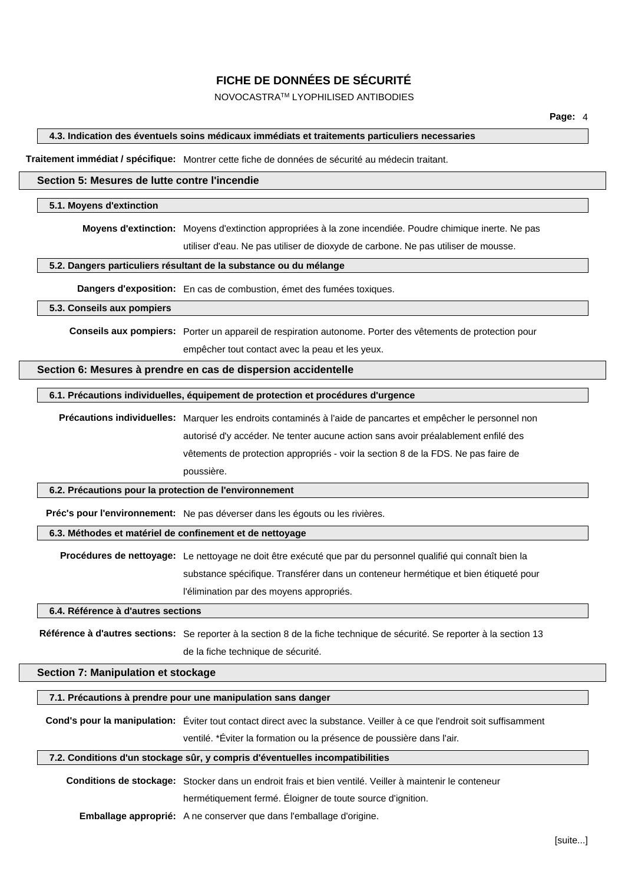NOVOCASTRATM LYOPHILISED ANTIBODIES

#### **4.3. Indication des éventuels soins médicaux immédiats et traitements particuliers necessaries**

**Traitement immédiat / spécifique:** Montrer cette fiche de données de sécurité au médecin traitant.

#### **Section 5: Mesures de lutte contre l'incendie**

#### **5.1. Moyens d'extinction**

**Moyens d'extinction:** Moyens d'extinction appropriées à la zone incendiée. Poudre chimique inerte. Ne pas

utiliser d'eau. Ne pas utiliser de dioxyde de carbone. Ne pas utiliser de mousse.

#### **5.2. Dangers particuliers résultant de la substance ou du mélange**

**Dangers d'exposition:** En cas de combustion, émet des fumées toxiques.

#### **5.3. Conseils aux pompiers**

**Conseils aux pompiers:** Porter un appareil de respiration autonome. Porter des vêtements de protection pour empêcher tout contact avec la peau et les yeux.

#### **Section 6: Mesures à prendre en cas de dispersion accidentelle**

#### **6.1. Précautions individuelles, équipement de protection et procédures d'urgence**

**Précautions individuelles:** Marquer les endroits contaminés à l'aide de pancartes et empêcher le personnel non autorisé d'y accéder. Ne tenter aucune action sans avoir préalablement enfilé des vêtements de protection appropriés - voir la section 8 de la FDS. Ne pas faire de poussière.

#### **6.2. Précautions pour la protection de l'environnement**

**Préc's pour l'environnement:** Ne pas déverser dans les égouts ou les rivières.

#### **6.3. Méthodes et matériel de confinement et de nettoyage**

**Procédures de nettoyage:** Le nettoyage ne doit être exécuté que par du personnel qualifié qui connaît bien la substance spécifique. Transférer dans un conteneur hermétique et bien étiqueté pour l'élimination par des moyens appropriés.

#### **6.4. Référence à d'autres sections**

**Référence à d'autres sections:** Se reporter à la section 8 de la fiche technique de sécurité. Se reporter à la section 13 de la fiche technique de sécurité.

#### **Section 7: Manipulation et stockage**

#### **7.1. Précautions à prendre pour une manipulation sans danger**

**Cond's pour la manipulation:** Éviter tout contact direct avec la substance. Veiller à ce que l'endroit soit suffisamment ventilé. \*Éviter la formation ou la présence de poussière dans l'air.

#### **7.2. Conditions d'un stockage sûr, y compris d'éventuelles incompatibilities**

**Conditions de stockage:** Stocker dans un endroit frais et bien ventilé. Veiller à maintenir le conteneur

hermétiquement fermé. Éloigner de toute source d'ignition.

**Emballage approprié:** A ne conserver que dans l'emballage d'origine.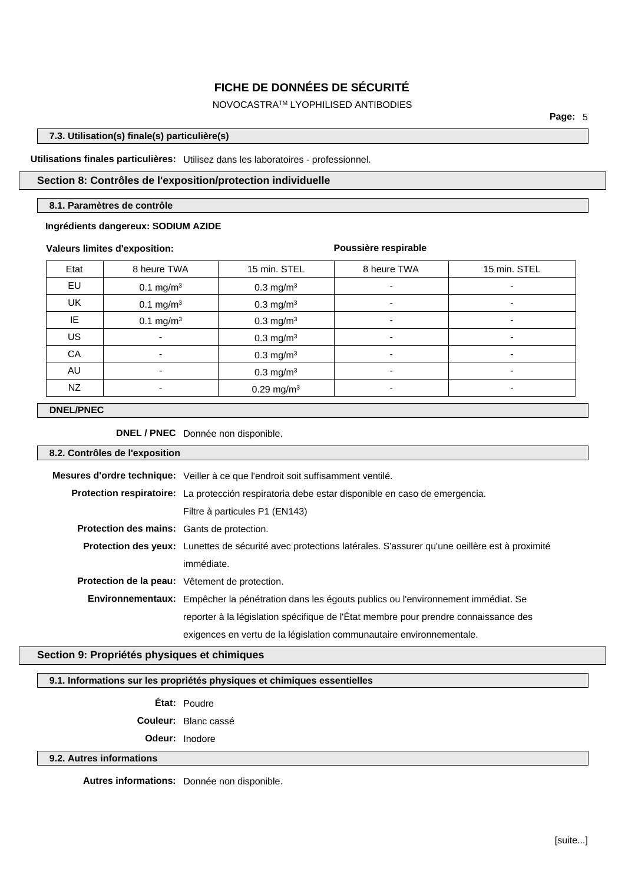## NOVOCASTRATM LYOPHILISED ANTIBODIES

**Page:** 5

## **7.3. Utilisation(s) finale(s) particulière(s)**

#### **Utilisations finales particulières:** Utilisez dans les laboratoires - professionnel.

## **Section 8: Contrôles de l'exposition/protection individuelle**

#### **8.1. Paramètres de contrôle**

#### **Ingrédients dangereux: SODIUM AZIDE**

#### **Valeurs limites d'exposition:**

#### **Poussière respirable**

| Etat | 8 heure TWA              | 15 min. STEL             | 8 heure TWA              | 15 min. STEL                 |
|------|--------------------------|--------------------------|--------------------------|------------------------------|
| EU   | $0.1 \text{ mg/m}^3$     | $0.3 \text{ mg/m}^3$     | -                        | $\overline{\phantom{0}}$     |
| UK   | $0.1 \text{ mg/m}^3$     | $0.3 \text{ mg/m}^3$     | $\overline{\phantom{a}}$ | $\qquad \qquad \blacksquare$ |
| IE   | $0.1 \text{ mg/m}^3$     | $0.3$ mg/m <sup>3</sup>  | $\overline{\phantom{0}}$ | $\overline{\phantom{0}}$     |
| US   | $\overline{\phantom{a}}$ | $0.3$ mg/m <sup>3</sup>  | $\blacksquare$           | $\overline{\phantom{0}}$     |
| CA   | $\overline{\phantom{0}}$ | $0.3 \text{ mg/m}^3$     |                          | ۰                            |
| AU   | ۰                        | $0.3 \text{ mg/m}^3$     |                          | $\overline{\phantom{0}}$     |
| NZ   |                          | $0.29$ mg/m <sup>3</sup> |                          |                              |

#### **DNEL/PNEC**

**DNEL / PNEC** Donnée non disponible.

#### **8.2. Contrôles de l'exposition**

|                                            | Mesures d'ordre technique: Veiller à ce que l'endroit soit suffisamment ventilé.                                       |  |  |  |
|--------------------------------------------|------------------------------------------------------------------------------------------------------------------------|--|--|--|
|                                            | Protection respiratoire: La protección respiratoria debe estar disponible en caso de emergencia.                       |  |  |  |
|                                            | Filtre à particules P1 (EN143)                                                                                         |  |  |  |
| Protection des mains: Gants de protection. |                                                                                                                        |  |  |  |
|                                            | <b>Protection des yeux:</b> Lunettes de sécurité avec protections latérales. S'assurer qu'une oeillère est à proximité |  |  |  |
|                                            | immédiate.                                                                                                             |  |  |  |
|                                            | Protection de la peau: Vêtement de protection.                                                                         |  |  |  |
|                                            | Environnementaux: Empêcher la pénétration dans les égouts publics ou l'environnement immédiat. Se                      |  |  |  |
|                                            | reporter à la législation spécifique de l'État membre pour prendre connaissance des                                    |  |  |  |
|                                            | exigences en vertu de la législation communautaire environnementale.                                                   |  |  |  |

## **Section 9: Propriétés physiques et chimiques**

#### **9.1. Informations sur les propriétés physiques et chimiques essentielles**

**État:** Poudre

**Couleur:** Blanc cassé

**Odeur:** Inodore

### **9.2. Autres informations**

**Autres informations:** Donnée non disponible.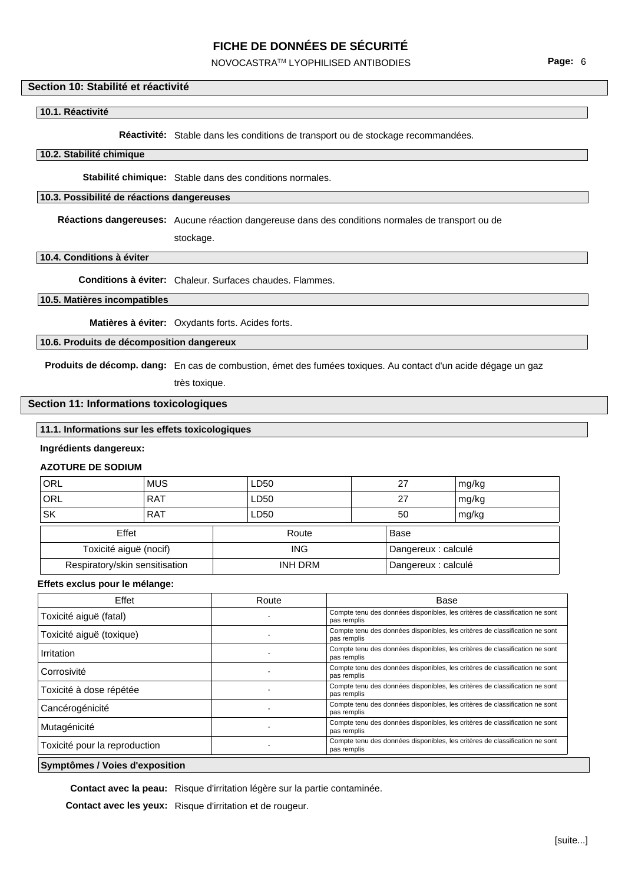## NOVOCASTRATM LYOPHILISED ANTIBODIES

#### **Section 10: Stabilité et réactivité**

#### **10.1. Réactivité**

**Réactivité:** Stable dans les conditions de transport ou de stockage recommandées.

#### **10.2. Stabilité chimique**

**Stabilité chimique:** Stable dans des conditions normales.

#### **10.3. Possibilité de réactions dangereuses**

**Réactions dangereuses:** Aucune réaction dangereuse dans des conditions normales de transport ou de

stockage.

#### **10.4. Conditions à éviter**

**Conditions à éviter:** Chaleur. Surfaces chaudes. Flammes.

## **10.5. Matières incompatibles**

**Matières à éviter:** Oxydants forts. Acides forts.

#### **10.6. Produits de décomposition dangereux**

**Produits de décomp. dang:** En cas de combustion, émet des fumées toxiques. Au contact d'un acide dégage un gaz

très toxique.

### **Section 11: Informations toxicologiques**

### **11.1. Informations sur les effets toxicologiques**

#### **Ingrédients dangereux:**

### **AZOTURE DE SODIUM**

| ORL                            | <b>MUS</b> |                | LD50                |    | 27                  | mg/kg |
|--------------------------------|------------|----------------|---------------------|----|---------------------|-------|
| ORL                            | <b>RAT</b> |                | LD50                |    | 27                  | mg/kg |
| <b>SK</b>                      | <b>RAT</b> |                | LD50                | 50 |                     | mg/kg |
| Effet                          |            | Route          |                     |    | Base                |       |
| Toxicité aiguë (nocif)         |            |                | <b>ING</b>          |    | Dangereux : calculé |       |
| Respiratory/skin sensitisation |            | <b>INH DRM</b> | Dangereux : calculé |    |                     |       |

#### **Effets exclus pour le mélange:**

| Effet                         | Route | Base                                                                                       |
|-------------------------------|-------|--------------------------------------------------------------------------------------------|
| Toxicité aiguë (fatal)        |       | Compte tenu des données disponibles, les critères de classification ne sont<br>pas remplis |
| Toxicité aiguë (toxique)      |       | Compte tenu des données disponibles, les critères de classification ne sont<br>pas remplis |
| Irritation                    |       | Compte tenu des données disponibles, les critères de classification ne sont<br>pas remplis |
| Corrosivité                   |       | Compte tenu des données disponibles, les critères de classification ne sont<br>pas remplis |
| Toxicité à dose répétée       |       | Compte tenu des données disponibles, les critères de classification ne sont<br>pas remplis |
| Cancérogénicité               |       | Compte tenu des données disponibles, les critères de classification ne sont<br>pas remplis |
| Mutagénicité                  |       | Compte tenu des données disponibles, les critères de classification ne sont<br>pas remplis |
| Toxicité pour la reproduction |       | Compte tenu des données disponibles, les critères de classification ne sont<br>pas remplis |

#### **Symptômes / Voies d'exposition**

**Contact avec la peau:** Risque d'irritation légère sur la partie contaminée.

**Contact avec les yeux:** Risque d'irritation et de rougeur.

**Page:** 6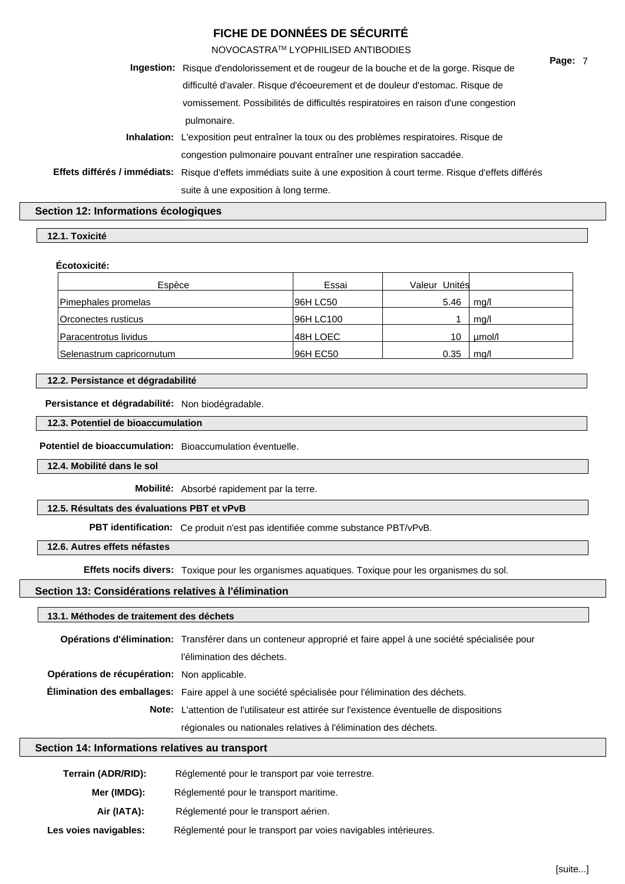NOVOCASTRATM LYOPHILISED ANTIBODIES

| Ingestion: Risque d'endolorissement et de rougeur de la bouche et de la gorge. Risque de                              | Page: 7 |  |
|-----------------------------------------------------------------------------------------------------------------------|---------|--|
| difficulté d'avaler. Risque d'écoeurement et de douleur d'estomac. Risque de                                          |         |  |
| vomissement. Possibilités de difficultés respiratoires en raison d'une congestion                                     |         |  |
| pulmonaire.                                                                                                           |         |  |
| <b>Inhalation:</b> L'exposition peut entraîner la toux ou des problèmes respiratoires. Risque de                      |         |  |
| congestion pulmonaire pouvant entraîner une respiration saccadée.                                                     |         |  |
| Effets différés / immédiats: Risque d'effets immédiats suite à une exposition à court terme. Risque d'effets différés |         |  |
| suite à une exposition à long terme.                                                                                  |         |  |
|                                                                                                                       |         |  |

#### **Section 12: Informations écologiques**

## **12.1. Toxicité**

#### **Écotoxicité:**

| Espèce                    | Essai     | Valeur Unités |        |
|---------------------------|-----------|---------------|--------|
| Pimephales promelas       | 96H LC50  | 5.46          | mq/l   |
| Orconectes rusticus       | 96H LC100 |               | mq/l   |
| Paracentrotus lividus     | 48H LOEC  | 10            | umol/l |
| Selenastrum capricornutum | 96H EC50  | 0.35          | ma/l   |

#### **12.2. Persistance et dégradabilité**

**Persistance et dégradabilité:** Non biodégradable.

#### **12.3. Potentiel de bioaccumulation**

**Potentiel de bioaccumulation:** Bioaccumulation éventuelle.

**12.4. Mobilité dans le sol**

**Mobilité:** Absorbé rapidement par la terre.

#### **12.5. Résultats des évaluations PBT et vPvB**

**PBT identification:** Ce produit n'est pas identifiée comme substance PBT/vPvB.

#### **12.6. Autres effets néfastes**

**Effets nocifs divers:** Toxique pour les organismes aquatiques. Toxique pour les organismes du sol.

#### **Section 13: Considérations relatives à l'élimination**

## **13.1. Méthodes de traitement des déchets**

|                                             | Opérations d'élimination: Transférer dans un conteneur approprié et faire appel à une société spécialisée pour |  |  |
|---------------------------------------------|----------------------------------------------------------------------------------------------------------------|--|--|
|                                             | l'élimination des déchets.                                                                                     |  |  |
| Opérations de récupération: Non applicable. |                                                                                                                |  |  |
|                                             | Élimination des emballages: Faire appel à une société spécialisée pour l'élimination des déchets.              |  |  |
|                                             | Note: L'attention de l'utilisateur est attirée sur l'existence éventuelle de dispositions                      |  |  |
|                                             | régionales ou nationales relatives à l'élimination des déchets.                                                |  |  |

#### **Section 14: Informations relatives au transport**

| Terrain (ADR/RID):    | Réglementé pour le transport par voie terrestre.               |  |
|-----------------------|----------------------------------------------------------------|--|
| Mer (IMDG):           | Réglementé pour le transport maritime.                         |  |
| Air (IATA):           | Réglementé pour le transport aérien.                           |  |
| Les voies navigables: | Réglementé pour le transport par voies navigables intérieures. |  |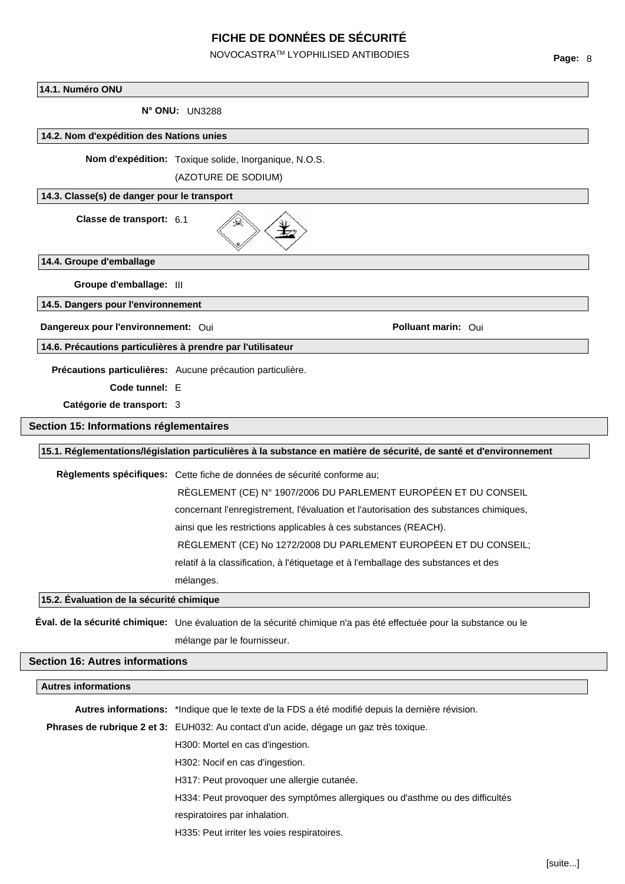NOVOCASTRATM LYOPHILISED ANTIBODIES

#### **14.1. Numéro ONU**

**N° ONU:** UN3288

#### **14.2. Nom d'expédition des Nations unies**

**Nom d'expédition:** Toxique solide, Inorganique, N.O.S.

(AZOTURE DE SODIUM)

#### **14.3. Classe(s) de danger pour le transport**

**Classe de transport:** 6.1



**14.4. Groupe d'emballage**

**Groupe d'emballage:** III

**14.5. Dangers pour l'environnement**

**Dangereux pour l'environnement:** Oui **Polluant marin:** Oui

**14.6. Précautions particulières à prendre par l'utilisateur**

**Précautions particulières:** Aucune précaution particulière.

**Code tunnel:** E

**Catégorie de transport:** 3

#### **Section 15: Informations réglementaires**

#### **15.1. Réglementations/législation particulières à la substance en matière de sécurité, de santé et d'environnement**

**Règlements spécifiques:** Cette fiche de données de sécurité conforme au;

RÈGLEMENT (CE) N° 1907/2006 DU PARLEMENT EUROPÉEN ET DU CONSEIL concernant l'enregistrement, l'évaluation et l'autorisation des substances chimiques, ainsi que les restrictions applicables à ces substances (REACH). RÈGLEMENT (CE) No 1272/2008 DU PARLEMENT EUROPÉEN ET DU CONSEIL; relatif à la classification, à l'étiquetage et à l'emballage des substances et des mélanges.

**15.2. Évaluation de la sécurité chimique**

**Éval. de la sécurité chimique:** Une évaluation de la sécurité chimique n'a pas été effectuée pour la substance ou le mélange par le fournisseur.

## **Section 16: Autres informations**

| <b>Autres informations</b> |                                                                                                 |  |
|----------------------------|-------------------------------------------------------------------------------------------------|--|
|                            | Autres informations: *Indique que le texte de la FDS a été modifié depuis la dernière révision. |  |
|                            | Phrases de rubrique 2 et 3: EUH032: Au contact d'un acide, dégage un gaz très toxique.          |  |
|                            | H <sub>300</sub> : Mortel en cas d'ingestion.                                                   |  |
|                            | H <sub>302</sub> : Nocif en cas d'ingestion.                                                    |  |
|                            | H317: Peut provoquer une allergie cutanée.                                                      |  |
|                            | H334: Peut provoquer des symptômes allergiques ou d'asthme ou des difficultés                   |  |
|                            | respiratoires par inhalation.                                                                   |  |
|                            | H335: Peut irriter les voies respiratoires.                                                     |  |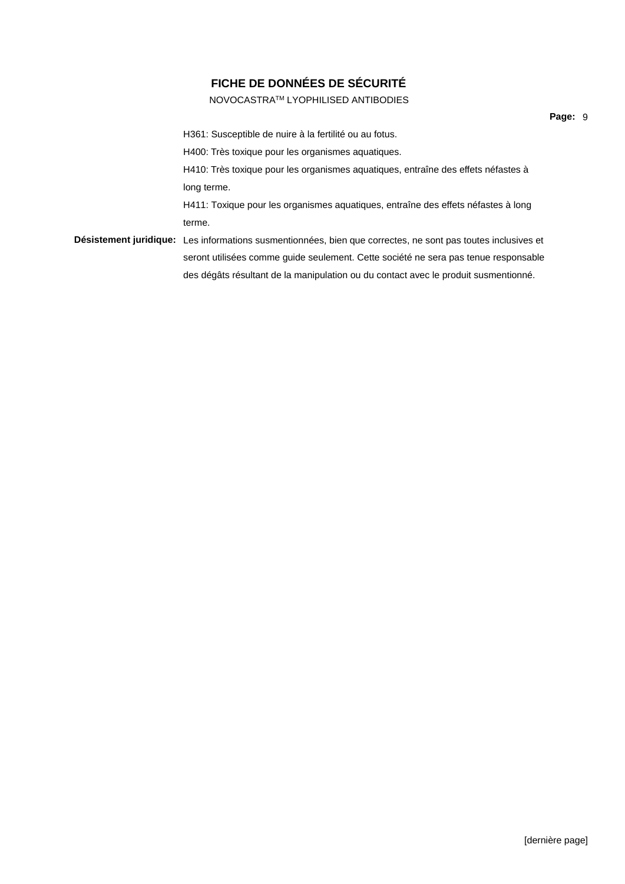NOVOCASTRATM LYOPHILISED ANTIBODIES

H361: Susceptible de nuire à la fertilité ou au fotus. H400: Très toxique pour les organismes aquatiques. H410: Très toxique pour les organismes aquatiques, entraîne des effets néfastes à long terme. H411: Toxique pour les organismes aquatiques, entraîne des effets néfastes à long terme. **Désistement juridique:** Les informations susmentionnées, bien que correctes, ne sont pas toutes inclusives et seront utilisées comme guide seulement. Cette société ne sera pas tenue responsable des dégâts résultant de la manipulation ou du contact avec le produit susmentionné.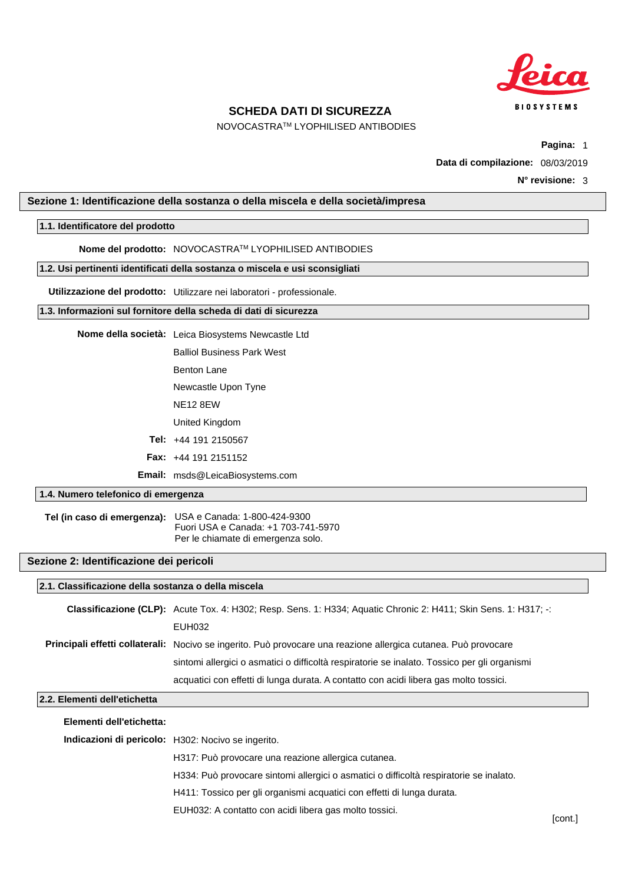

NOVOCASTRATM LYOPHILISED ANTIBODIES

**Pagina:** 1

**Data di compilazione:** 08/03/2019

### <span id="page-18-0"></span>**Sezione 1: Identificazione della sostanza o della miscela e della società/impresa**

#### **1.1. Identificatore del prodotto**

**Nome del prodotto:** NOVOCASTRATM LYOPHILISED ANTIBODIES

#### **1.2. Usi pertinenti identificati della sostanza o miscela e usi sconsigliati**

**Utilizzazione del prodotto:** Utilizzare nei laboratori - professionale.

#### **1.3. Informazioni sul fornitore della scheda di dati di sicurezza**

Balliol Business Park West

- Benton Lane
- Newcastle Upon Tyne
- NE12 8EW
- United Kingdom
- **Tel:** +44 191 2150567
- **Fax:** +44 191 2151152

**Email:** msds@LeicaBiosystems.com

## **1.4. Numero telefonico di emergenza**

**Tel (in caso di emergenza):** USA e Canada: 1-800-424-9300 Fuori USA e Canada: +1 703-741-5970 Per le chiamate di emergenza solo.

### **Sezione 2: Identificazione dei pericoli**

| 2.1. Classificazione della sostanza o della miscela |                                                                                                                 |  |
|-----------------------------------------------------|-----------------------------------------------------------------------------------------------------------------|--|
|                                                     | Classificazione (CLP): Acute Tox. 4: H302; Resp. Sens. 1: H334; Aquatic Chronic 2: H411; Skin Sens. 1: H317; -: |  |
|                                                     | EUH032                                                                                                          |  |
|                                                     | Principali effetti collaterali: Nocivo se ingerito. Può provocare una reazione allergica cutanea. Può provocare |  |
|                                                     | sintomi allergici o asmatici o difficoltà respiratorie se inalato. Tossico per gli organismi                    |  |
|                                                     | acquatici con effetti di lunga durata. A contatto con acidi libera gas molto tossici.                           |  |
| 2.2. Elementi dell'etichetta                        |                                                                                                                 |  |
|                                                     |                                                                                                                 |  |

|                                                           | Elementi dell'etichetta: |                                                                                        |
|-----------------------------------------------------------|--------------------------|----------------------------------------------------------------------------------------|
| <b>Indicazioni di pericolo:</b> H302: Nocivo se ingerito. |                          |                                                                                        |
|                                                           |                          | H317: Può provocare una reazione allergica cutanea.                                    |
|                                                           |                          | H334: Può provocare sintomi allergici o asmatici o difficoltà respiratorie se inalato. |
|                                                           |                          | H411: Tossico per gli organismi acquatici con effetti di lunga durata.                 |
|                                                           |                          | EUH032: A contatto con acidi libera gas molto tossici.                                 |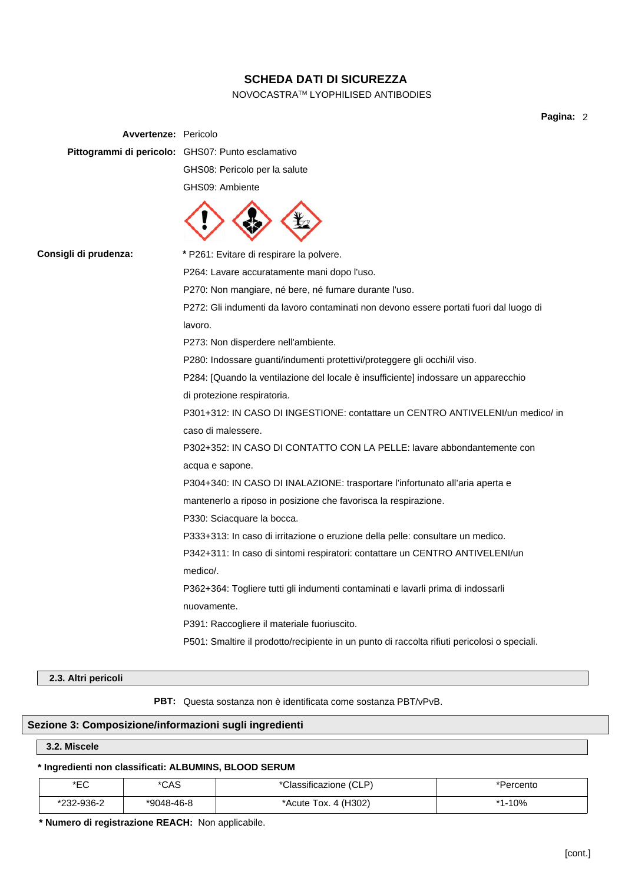## NOVOCASTRATM LYOPHILISED ANTIBODIES

**Pagina:** 2

| <b>Avvertenze: Pericolo</b> |                                                                                              |  |
|-----------------------------|----------------------------------------------------------------------------------------------|--|
|                             | Pittogrammi di pericolo: GHS07: Punto esclamativo                                            |  |
|                             | GHS08: Pericolo per la salute                                                                |  |
|                             | GHS09: Ambiente                                                                              |  |
|                             |                                                                                              |  |
| Consigli di prudenza:       | * P261: Evitare di respirare la polvere.                                                     |  |
|                             | P264: Lavare accuratamente mani dopo l'uso.                                                  |  |
|                             | P270: Non mangiare, né bere, né fumare durante l'uso.                                        |  |
|                             | P272: Gli indumenti da lavoro contaminati non devono essere portati fuori dal luogo di       |  |
|                             | lavoro.                                                                                      |  |
|                             | P273: Non disperdere nell'ambiente.                                                          |  |
|                             | P280: Indossare guanti/indumenti protettivi/proteggere gli occhi/il viso.                    |  |
|                             | P284: [Quando la ventilazione del locale è insufficiente] indossare un apparecchio           |  |
|                             | di protezione respiratoria.                                                                  |  |
|                             | P301+312: IN CASO DI INGESTIONE: contattare un CENTRO ANTIVELENI/un medico/ in               |  |
|                             | caso di malessere.                                                                           |  |
|                             | P302+352: IN CASO DI CONTATTO CON LA PELLE: lavare abbondantemente con                       |  |
|                             | acqua e sapone.                                                                              |  |
|                             | P304+340: IN CASO DI INALAZIONE: trasportare l'infortunato all'aria aperta e                 |  |
|                             | mantenerlo a riposo in posizione che favorisca la respirazione.                              |  |
|                             | P330: Sciacquare la bocca.                                                                   |  |
|                             | P333+313: In caso di irritazione o eruzione della pelle: consultare un medico.               |  |
|                             | P342+311: In caso di sintomi respiratori: contattare un CENTRO ANTIVELENI/un                 |  |
|                             | medico/.                                                                                     |  |
|                             | P362+364: Togliere tutti gli indumenti contaminati e lavarli prima di indossarli             |  |
|                             | nuovamente.                                                                                  |  |
|                             | P391: Raccogliere il materiale fuoriuscito.                                                  |  |
|                             | P501: Smaltire il prodotto/recipiente in un punto di raccolta rifiuti pericolosi o speciali. |  |
|                             |                                                                                              |  |

## **2.3. Altri pericoli**

**PBT:** Questa sostanza non è identificata come sostanza PBT/vPvB.

## **Sezione 3: Composizione/informazioni sugli ingredienti**

### **3.2. Miscele**

## **\* Ingredienti non classificati: ALBUMINS, BLOOD SERUM**

| ∗⊏∩<br>∟ບ  | *CAS         | *Classificazione (CLP) | Percento     |
|------------|--------------|------------------------|--------------|
| *232-936-2 | $*9048-46-8$ | *Acute Tox. 4 (H302)   | .10%<br>$*4$ |

**\* Numero di registrazione REACH:** Non applicabile.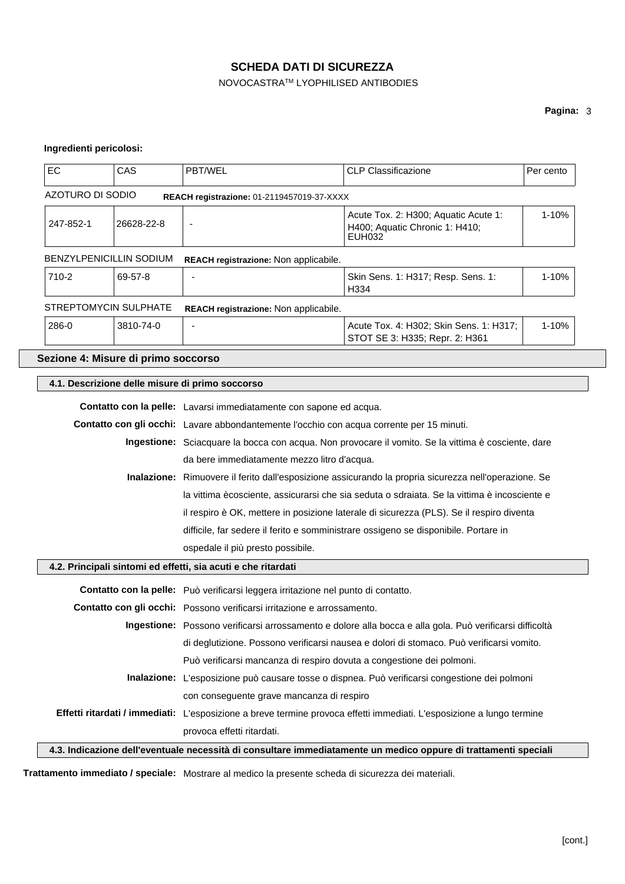## NOVOCASTRATM LYOPHILISED ANTIBODIES

## **Pagina:** 3

## **Ingredienti pericolosi:**

| EC                                                                                                       | CAS        | PBT/WEL                                                                                                               | <b>CLP Classificazione</b>                                                                                      | Per cento |  |
|----------------------------------------------------------------------------------------------------------|------------|-----------------------------------------------------------------------------------------------------------------------|-----------------------------------------------------------------------------------------------------------------|-----------|--|
| <b>AZOTURO DI SODIO</b><br>REACH registrazione: 01-2119457019-37-XXXX                                    |            |                                                                                                                       |                                                                                                                 |           |  |
| 247-852-1                                                                                                | 26628-22-8 | Acute Tox. 2: H300; Aquatic Acute 1:<br>$\overline{\phantom{a}}$<br>H400; Aquatic Chronic 1: H410;<br>EUH032          |                                                                                                                 | $1 - 10%$ |  |
| BENZYLPENICILLIN SODIUM                                                                                  |            | REACH registrazione: Non applicabile.                                                                                 |                                                                                                                 |           |  |
| 710-2                                                                                                    | 69-57-8    |                                                                                                                       | Skin Sens. 1: H317; Resp. Sens. 1:<br>H334                                                                      | 1-10%     |  |
| STREPTOMYCIN SULPHATE                                                                                    |            | REACH registrazione: Non applicabile.                                                                                 |                                                                                                                 |           |  |
| 286-0                                                                                                    | 3810-74-0  |                                                                                                                       | Acute Tox. 4: H302; Skin Sens. 1: H317;<br>STOT SE 3: H335; Repr. 2: H361                                       | 1-10%     |  |
| Sezione 4: Misure di primo soccorso                                                                      |            |                                                                                                                       |                                                                                                                 |           |  |
|                                                                                                          |            | 4.1. Descrizione delle misure di primo soccorso                                                                       |                                                                                                                 |           |  |
|                                                                                                          |            | Contatto con la pelle: Lavarsi immediatamente con sapone ed acqua.                                                    |                                                                                                                 |           |  |
|                                                                                                          |            | Contatto con gli occhi: Lavare abbondantemente l'occhio con acqua corrente per 15 minuti.                             |                                                                                                                 |           |  |
|                                                                                                          |            | Ingestione: Sciacquare la bocca con acqua. Non provocare il vomito. Se la vittima è cosciente, dare                   |                                                                                                                 |           |  |
|                                                                                                          |            | da bere immediatamente mezzo litro d'acqua.                                                                           |                                                                                                                 |           |  |
|                                                                                                          |            | Inalazione: Rimuovere il ferito dall'esposizione assicurando la propria sicurezza nell'operazione. Se                 |                                                                                                                 |           |  |
|                                                                                                          |            | la vittima ècosciente, assicurarsi che sia seduta o sdraiata. Se la vittima è incosciente e                           |                                                                                                                 |           |  |
|                                                                                                          |            | il respiro è OK, mettere in posizione laterale di sicurezza (PLS). Se il respiro diventa                              |                                                                                                                 |           |  |
|                                                                                                          |            | difficile, far sedere il ferito e somministrare ossigeno se disponibile. Portare in                                   |                                                                                                                 |           |  |
| ospedale il più presto possibile.                                                                        |            |                                                                                                                       |                                                                                                                 |           |  |
|                                                                                                          |            | 4.2. Principali sintomi ed effetti, sia acuti e che ritardati                                                         |                                                                                                                 |           |  |
|                                                                                                          |            | Contatto con la pelle: Può verificarsi leggera irritazione nel punto di contatto.                                     |                                                                                                                 |           |  |
|                                                                                                          |            | Contatto con gli occhi: Possono verificarsi irritazione e arrossamento.                                               |                                                                                                                 |           |  |
| Ingestione: Possono verificarsi arrossamento e dolore alla bocca e alla gola. Può verificarsi difficoltà |            |                                                                                                                       |                                                                                                                 |           |  |
| di deglutizione. Possono verificarsi nausea e dolori di stomaco. Può verificarsi vomito.                 |            |                                                                                                                       |                                                                                                                 |           |  |
|                                                                                                          |            | Può verificarsi mancanza di respiro dovuta a congestione dei polmoni.                                                 |                                                                                                                 |           |  |
|                                                                                                          |            | Inalazione: L'esposizione può causare tosse o dispnea. Può verificarsi congestione dei polmoni                        |                                                                                                                 |           |  |
|                                                                                                          |            | con conseguente grave mancanza di respiro                                                                             |                                                                                                                 |           |  |
|                                                                                                          |            | Effetti ritardati / immediati: L'esposizione a breve termine provoca effetti immediati. L'esposizione a lungo termine |                                                                                                                 |           |  |
|                                                                                                          |            | provoca effetti ritardati.                                                                                            |                                                                                                                 |           |  |
|                                                                                                          |            |                                                                                                                       | 4.3. Indicazione dell'eventuale necessità di consultare immediatamente un medico oppure di trattamenti speciali |           |  |

**Trattamento immediato / speciale:** Mostrare al medico la presente scheda di sicurezza dei materiali.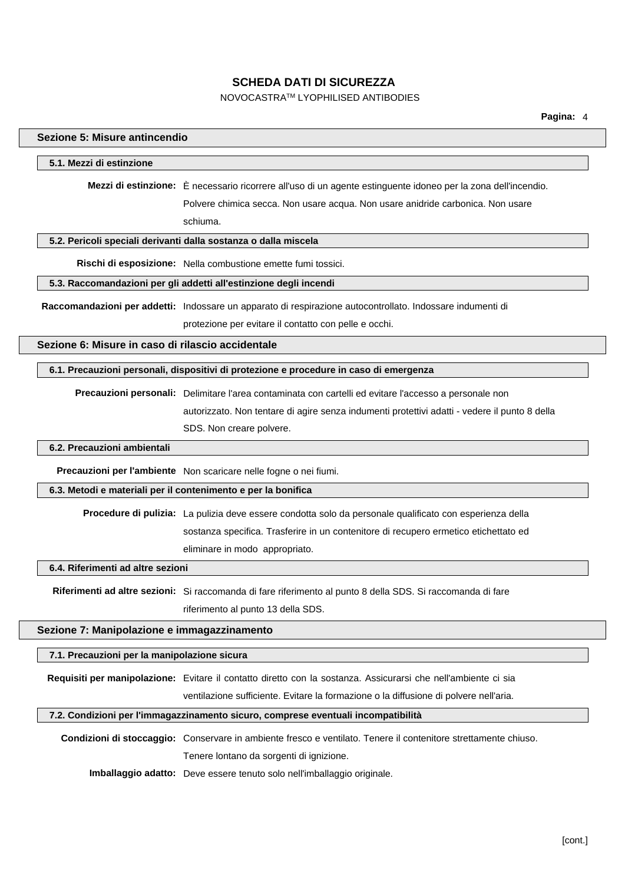## NOVOCASTRATM LYOPHILISED ANTIBODIES

| Sezione 5: Misure antincendio                     |                                                                                                                 |
|---------------------------------------------------|-----------------------------------------------------------------------------------------------------------------|
| 5.1. Mezzi di estinzione                          |                                                                                                                 |
|                                                   | Mezzi di estinzione: È necessario ricorrere all'uso di un agente estinguente idoneo per la zona dell'incendio.  |
|                                                   | Polvere chimica secca. Non usare acqua. Non usare anidride carbonica. Non usare                                 |
|                                                   | schiuma.                                                                                                        |
|                                                   | 5.2. Pericoli speciali derivanti dalla sostanza o dalla miscela                                                 |
|                                                   | Rischi di esposizione: Nella combustione emette fumi tossici.                                                   |
|                                                   | 5.3. Raccomandazioni per gli addetti all'estinzione degli incendi                                               |
|                                                   | Raccomandazioni per addetti: Indossare un apparato di respirazione autocontrollato. Indossare indumenti di      |
|                                                   | protezione per evitare il contatto con pelle e occhi.                                                           |
| Sezione 6: Misure in caso di rilascio accidentale |                                                                                                                 |
|                                                   | 6.1. Precauzioni personali, dispositivi di protezione e procedure in caso di emergenza                          |
|                                                   | Precauzioni personali: Delimitare l'area contaminata con cartelli ed evitare l'accesso a personale non          |
|                                                   | autorizzato. Non tentare di agire senza indumenti protettivi adatti - vedere il punto 8 della                   |
|                                                   | SDS. Non creare polvere.                                                                                        |
| 6.2. Precauzioni ambientali                       |                                                                                                                 |
|                                                   | Precauzioni per l'ambiente Non scaricare nelle fogne o nei fiumi.                                               |
|                                                   | 6.3. Metodi e materiali per il contenimento e per la bonifica                                                   |
|                                                   | Procedure di pulizia: La pulizia deve essere condotta solo da personale qualificato con esperienza della        |
|                                                   | sostanza specifica. Trasferire in un contenitore di recupero ermetico etichettato ed                            |
|                                                   | eliminare in modo appropriato.                                                                                  |
| 6.4. Riferimenti ad altre sezioni                 |                                                                                                                 |
|                                                   | Riferimenti ad altre sezioni: Si raccomanda di fare riferimento al punto 8 della SDS. Si raccomanda di fare     |
|                                                   | riferimento al punto 13 della SDS.                                                                              |
| Sezione 7: Manipolazione e immagazzinamento       |                                                                                                                 |
| 7.1. Precauzioni per la manipolazione sicura      |                                                                                                                 |
|                                                   | Requisiti per manipolazione: Evitare il contatto diretto con la sostanza. Assicurarsi che nell'ambiente ci sia  |
|                                                   | ventilazione sufficiente. Evitare la formazione o la diffusione di polvere nell'aria.                           |
|                                                   | 7.2. Condizioni per l'immagazzinamento sicuro, comprese eventuali incompatibilità                               |
|                                                   | Condizioni di stoccaggio: Conservare in ambiente fresco e ventilato. Tenere il contenitore strettamente chiuso. |
|                                                   | Tenere lontano da sorgenti di ignizione.                                                                        |
|                                                   | Imballaggio adatto: Deve essere tenuto solo nell'imballaggio originale.                                         |
|                                                   |                                                                                                                 |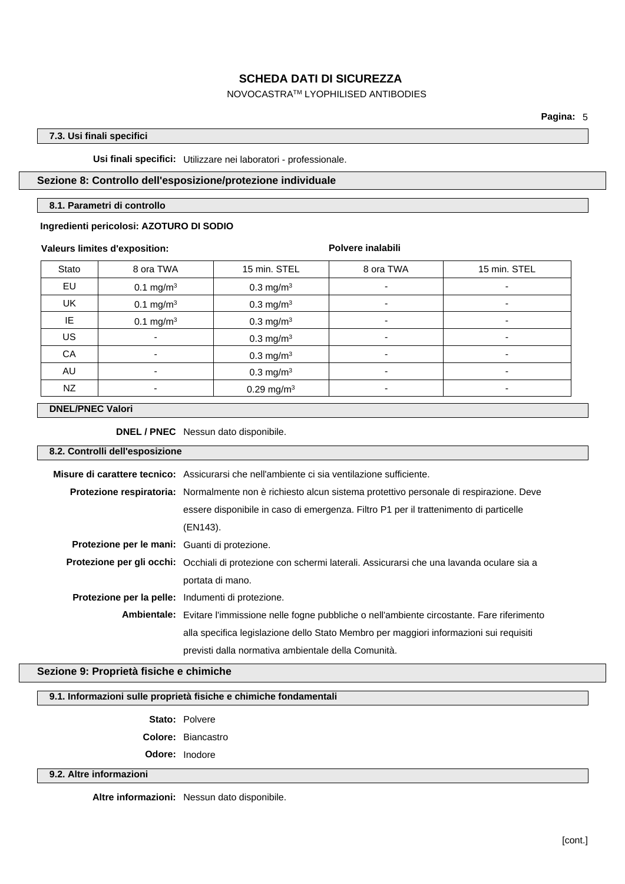### NOVOCASTRATM LYOPHILISED ANTIBODIES

**Pagina:** 5

## **7.3. Usi finali specifici**

**Usi finali specifici:** Utilizzare nei laboratori - professionale.

## **Sezione 8: Controllo dell'esposizione/protezione individuale**

#### **8.1. Parametri di controllo**

#### **Ingredienti pericolosi: AZOTURO DI SODIO**

#### **Valeurs limites d'exposition:**

**Polvere inalabili**

| Stato     | 8 ora TWA                | 15 min. STEL             | 8 ora TWA | 15 min. STEL |
|-----------|--------------------------|--------------------------|-----------|--------------|
| EU        | 0.1 mg/m <sup>3</sup>    | 0.3 mg/m <sup>3</sup>    |           |              |
| UK        | 0.1 mg/m <sup>3</sup>    | $0.3 \text{ mg/m}^3$     | ۰         | -            |
| IE        | 0.1 mg/m <sup>3</sup>    | $0.3 \text{ mg/m}^3$     | ۰         |              |
| <b>US</b> | $\overline{\phantom{0}}$ | 0.3 mg/m <sup>3</sup>    | ۰         | ۰            |
| CA        |                          | $0.3 \text{ mg/m}^3$     | ۰         |              |
| AU        |                          | $0.3 \text{ mg/m}^3$     | ۰         | ۰            |
| NZ        |                          | $0.29$ mg/m <sup>3</sup> | -         |              |

### **DNEL/PNEC Valori**

**DNEL / PNEC** Nessun dato disponibile.

#### **8.2. Controlli dell'esposizione**

|                                                          | <b>Misure di carattere tecnico:</b> Assicurarsi che nell'ambiente ci sia ventilazione sufficiente.                      |  |  |
|----------------------------------------------------------|-------------------------------------------------------------------------------------------------------------------------|--|--|
|                                                          | Protezione respiratoria: Normalmente non è richiesto alcun sistema protettivo personale di respirazione. Deve           |  |  |
|                                                          | essere disponibile in caso di emergenza. Filtro P1 per il trattenimento di particelle                                   |  |  |
|                                                          | (EN143).                                                                                                                |  |  |
| Protezione per le mani: Guanti di protezione.            |                                                                                                                         |  |  |
|                                                          | <b>Protezione per gli occhi:</b> Occhiali di protezione con schermi laterali. Assicurarsi che una lavanda oculare sia a |  |  |
|                                                          | portata di mano.                                                                                                        |  |  |
| <b>Protezione per la pelle:</b> Indumenti di protezione. |                                                                                                                         |  |  |
|                                                          | <b>Ambientale:</b> Evitare l'immissione nelle fogne pubbliche o nell'ambiente circostante. Fare riferimento             |  |  |
|                                                          | alla specifica legislazione dello Stato Membro per maggiori informazioni sui requisiti                                  |  |  |
|                                                          | previsti dalla normativa ambientale della Comunità.                                                                     |  |  |

## **Sezione 9: Proprietà fisiche e chimiche**

## **9.1. Informazioni sulle proprietà fisiche e chimiche fondamentali**

**Stato:** Polvere **Colore:** Biancastro

**Odore:** Inodore

## **9.2. Altre informazioni**

**Altre informazioni:** Nessun dato disponibile.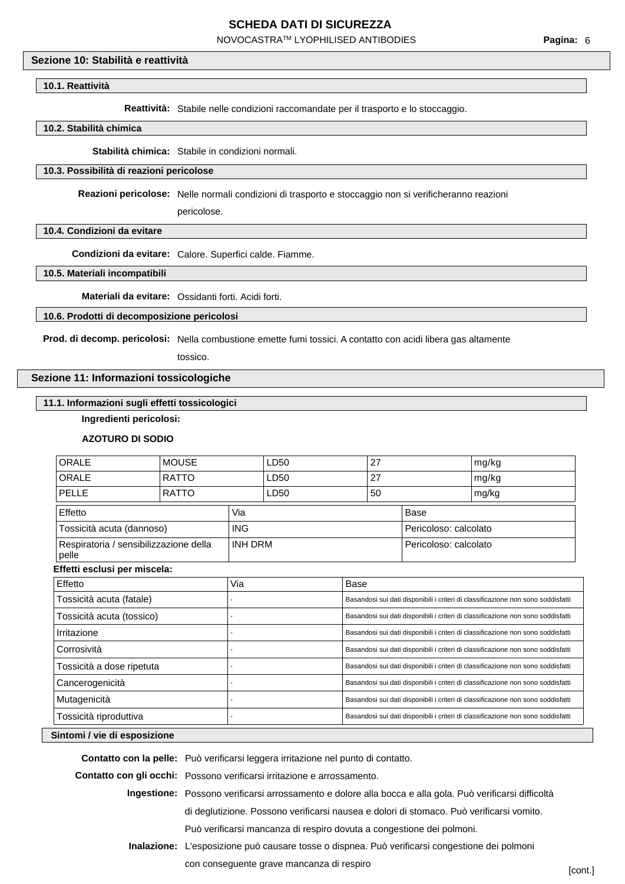NOVOCASTRATM LYOPHILISED ANTIBODIES

## **Sezione 10: Stabilità e reattività**

#### **10.1. Reattività**

**Reattività:** Stabile nelle condizioni raccomandate per il trasporto e lo stoccaggio.

#### **10.2. Stabilità chimica**

**Stabilità chimica:** Stabile in condizioni normali.

#### **10.3. Possibilità di reazioni pericolose**

**Reazioni pericolose:** Nelle normali condizioni di trasporto e stoccaggio non si verificheranno reazioni

pericolose.

#### **10.4. Condizioni da evitare**

**Condizioni da evitare:** Calore. Superfici calde. Fiamme.

#### **10.5. Materiali incompatibili**

**Materiali da evitare:** Ossidanti forti. Acidi forti.

#### **10.6. Prodotti di decomposizione pericolosi**

**Prod. di decomp. pericolosi:** Nella combustione emette fumi tossici. A contatto con acidi libera gas altamente

tossico.

## **Sezione 11: Informazioni tossicologiche**

## **11.1. Informazioni sugli effetti tossicologici**

**Ingredienti pericolosi:**

#### **AZOTURO DI SODIO**

| ORALE                                           | <b>MOUSE</b> |                | LD50 |                                                                                  | 27                                                                               |                       | mg/kg                                                                            |
|-------------------------------------------------|--------------|----------------|------|----------------------------------------------------------------------------------|----------------------------------------------------------------------------------|-----------------------|----------------------------------------------------------------------------------|
| <b>ORALE</b>                                    | <b>RATTO</b> |                | LD50 | 27                                                                               |                                                                                  |                       | mg/kg                                                                            |
| <b>PELLE</b>                                    | <b>RATTO</b> |                | LD50 |                                                                                  | 50                                                                               |                       | mg/kg                                                                            |
| Effetto                                         |              | Via            |      |                                                                                  |                                                                                  | Base                  |                                                                                  |
| Tossicità acuta (dannoso)                       |              | <b>ING</b>     |      |                                                                                  |                                                                                  | Pericoloso: calcolato |                                                                                  |
| Respiratoria / sensibilizzazione della<br>pelle |              | <b>INH DRM</b> |      |                                                                                  |                                                                                  | Pericoloso: calcolato |                                                                                  |
| Effetti esclusi per miscela:                    |              |                |      |                                                                                  |                                                                                  |                       |                                                                                  |
| Effetto                                         |              | Via            |      | Base                                                                             |                                                                                  |                       |                                                                                  |
| Tossicità acuta (fatale)                        |              |                |      |                                                                                  | Basandosi sui dati disponibili i criteri di classificazione non sono soddisfatti |                       |                                                                                  |
| Tossicità acuta (tossico)                       |              |                |      |                                                                                  | Basandosi sui dati disponibili i criteri di classificazione non sono soddisfatti |                       |                                                                                  |
| Irritazione                                     |              |                |      | Basandosi sui dati disponibili i criteri di classificazione non sono soddisfatti |                                                                                  |                       |                                                                                  |
| Corrosività                                     |              |                |      | Basandosi sui dati disponibili i criteri di classificazione non sono soddisfatti |                                                                                  |                       |                                                                                  |
| Tossicità a dose ripetuta                       |              |                |      | Basandosi sui dati disponibili i criteri di classificazione non sono soddisfatti |                                                                                  |                       |                                                                                  |
| Cancerogenicità                                 |              |                |      | Basandosi sui dati disponibili i criteri di classificazione non sono soddisfatti |                                                                                  |                       |                                                                                  |
| Mutagenicità                                    |              |                |      | Basandosi sui dati disponibili i criteri di classificazione non sono soddisfatti |                                                                                  |                       |                                                                                  |
| Tossicità riproduttiva                          |              |                |      |                                                                                  |                                                                                  |                       | Basandosi sui dati disponibili i criteri di classificazione non sono soddisfatti |
| Sintomi / vie di esposizione                    |              |                |      |                                                                                  |                                                                                  |                       |                                                                                  |

| Contatto con la pelle: Può verificarsi leggera irritazione nel punto di contatto.                        |         |
|----------------------------------------------------------------------------------------------------------|---------|
| <b>Contatto con gli occhi:</b> Possono verificarsi irritazione e arrossamento.                           |         |
| Ingestione: Possono verificarsi arrossamento e dolore alla bocca e alla gola. Può verificarsi difficoltà |         |
| di deglutizione. Possono verificarsi nausea e dolori di stomaco. Può verificarsi vomito.                 |         |
| Può verificarsi mancanza di respiro dovuta a congestione dei polmoni.                                    |         |
| Inalazione: L'esposizione può causare tosse o dispnea. Può verificarsi congestione dei polmoni           |         |
| con conseguente grave mancanza di respiro                                                                | [cont.] |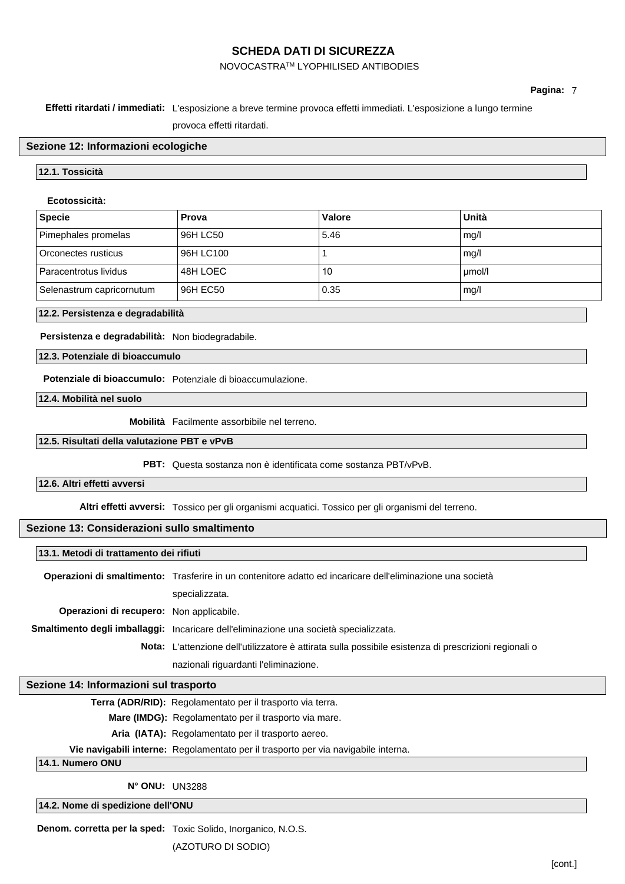## NOVOCASTRATM LYOPHILISED ANTIBODIES

### **Effetti ritardati / immediati:** L'esposizione a breve termine provoca effetti immediati. L'esposizione a lungo termine

provoca effetti ritardati.

#### **Sezione 12: Informazioni ecologiche**

#### **12.1. Tossicità**

#### **Ecotossicità:**

| Specie                    | Prova     | Valore | Unità  |
|---------------------------|-----------|--------|--------|
| Pimephales promelas       | 96H LC50  | 5.46   | mq/l   |
| Orconectes rusticus       | 96H LC100 |        | mg/l   |
| Paracentrotus lividus     | 48H LOEC  | 10     | umol/l |
| Selenastrum capricornutum | 96H EC50  | 0.35   | mg/l   |

#### **12.2. Persistenza e degradabilità**

**Persistenza e degradabilità:** Non biodegradabile.

**12.3. Potenziale di bioaccumulo**

**Potenziale di bioaccumulo:** Potenziale di bioaccumulazione.

**12.4. Mobilità nel suolo**

**Mobilità** Facilmente assorbibile nel terreno.

#### **12.5. Risultati della valutazione PBT e vPvB**

**PBT:** Questa sostanza non è identificata come sostanza PBT/vPvB.

#### **12.6. Altri effetti avversi**

**Altri effetti avversi:** Tossico per gli organismi acquatici. Tossico per gli organismi del terreno.

#### **Sezione 13: Considerazioni sullo smaltimento**

#### **13.1. Metodi di trattamento dei rifiuti**

**Operazioni di smaltimento:** Trasferire in un contenitore adatto ed incaricare dell'eliminazione una società specializzata. **Operazioni di recupero:** Non applicabile. **Smaltimento degli imballaggi:** Incaricare dell'eliminazione una società specializzata. **Nota:** L'attenzione dell'utilizzatore è attirata sulla possibile esistenza di prescrizioni regionali o nazionali riguardanti l'eliminazione.

#### **Sezione 14: Informazioni sul trasporto**

**Terra (ADR/RID):** Regolamentato per il trasporto via terra.

**Mare (IMDG):** Regolamentato per il trasporto via mare.

**Aria (IATA):** Regolamentato per il trasporto aereo.

**Vie navigabili interne:** Regolamentato per il trasporto per via navigabile interna.

**14.1. Numero ONU**

**N° ONU:** UN3288

#### **14.2. Nome di spedizione dell'ONU**

**Denom. corretta per la sped:** Toxic Solido, Inorganico, N.O.S.

(AZOTURO DI SODIO)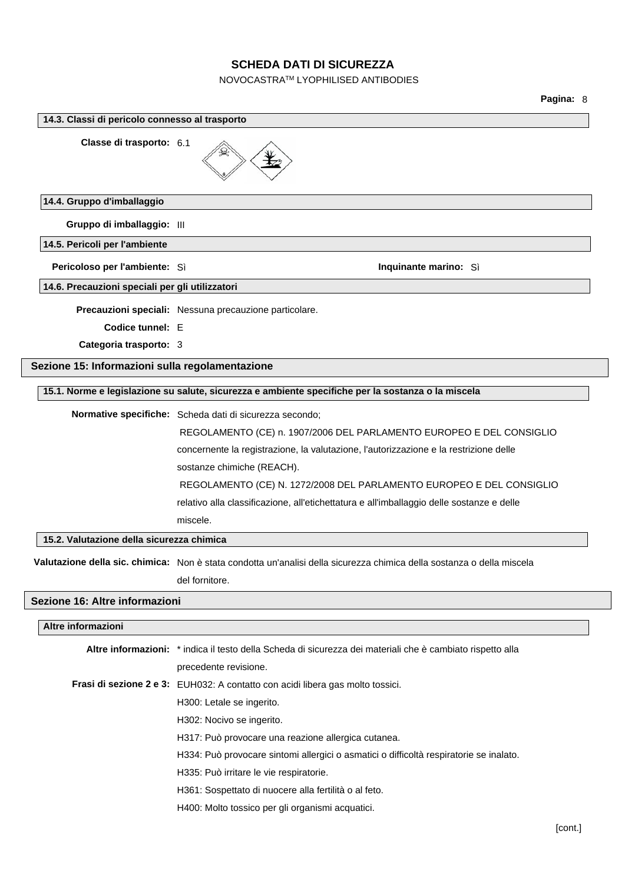## NOVOCASTRATM LYOPHILISED ANTIBODIES

## **Pagina:** 8

| 14.3. Classi di pericolo connesso al trasporto  |                                                                                                                        |  |  |  |
|-------------------------------------------------|------------------------------------------------------------------------------------------------------------------------|--|--|--|
| Classe di trasporto: 6.1                        |                                                                                                                        |  |  |  |
| 14.4. Gruppo d'imballaggio                      |                                                                                                                        |  |  |  |
| Gruppo di imballaggio: III                      |                                                                                                                        |  |  |  |
| 14.5. Pericoli per l'ambiente                   |                                                                                                                        |  |  |  |
| Pericoloso per l'ambiente: Sì                   | Inquinante marino: Sì                                                                                                  |  |  |  |
| 14.6. Precauzioni speciali per gli utilizzatori |                                                                                                                        |  |  |  |
|                                                 | Precauzioni speciali: Nessuna precauzione particolare.                                                                 |  |  |  |
| Codice tunnel: E                                |                                                                                                                        |  |  |  |
| Categoria trasporto: 3                          |                                                                                                                        |  |  |  |
| Sezione 15: Informazioni sulla regolamentazione |                                                                                                                        |  |  |  |
|                                                 | 15.1. Norme e legislazione su salute, sicurezza e ambiente specifiche per la sostanza o la miscela                     |  |  |  |
|                                                 | Normative specifiche: Scheda dati di sicurezza secondo;                                                                |  |  |  |
|                                                 | REGOLAMENTO (CE) n. 1907/2006 DEL PARLAMENTO EUROPEO E DEL CONSIGLIO                                                   |  |  |  |
|                                                 | concernente la registrazione, la valutazione, l'autorizzazione e la restrizione delle                                  |  |  |  |
|                                                 | sostanze chimiche (REACH).                                                                                             |  |  |  |
|                                                 | REGOLAMENTO (CE) N. 1272/2008 DEL PARLAMENTO EUROPEO E DEL CONSIGLIO                                                   |  |  |  |
|                                                 | relativo alla classificazione, all'etichettatura e all'imballaggio delle sostanze e delle                              |  |  |  |
|                                                 | miscele.                                                                                                               |  |  |  |
| 15.2. Valutazione della sicurezza chimica       |                                                                                                                        |  |  |  |
|                                                 | Valutazione della sic. chimica: Non è stata condotta un'analisi della sicurezza chimica della sostanza o della miscela |  |  |  |
|                                                 | del fornitore.                                                                                                         |  |  |  |
| Sezione 16: Altre informazioni                  |                                                                                                                        |  |  |  |
| Altre informazioni                              |                                                                                                                        |  |  |  |
|                                                 |                                                                                                                        |  |  |  |
|                                                 | Altre informazioni: * indica il testo della Scheda di sicurezza dei materiali che è cambiato rispetto alla             |  |  |  |
|                                                 | precedente revisione.<br>Frasi di sezione 2 e 3: EUH032: A contatto con acidi libera gas molto tossici.                |  |  |  |
|                                                 | H300: Letale se ingerito.                                                                                              |  |  |  |
|                                                 | H302: Nocivo se ingerito.                                                                                              |  |  |  |
|                                                 | H317: Può provocare una reazione allergica cutanea.                                                                    |  |  |  |
|                                                 | H334: Può provocare sintomi allergici o asmatici o difficoltà respiratorie se inalato.                                 |  |  |  |
|                                                 | H335: Può irritare le vie respiratorie.                                                                                |  |  |  |
|                                                 | H361: Sospettato di nuocere alla fertilità o al feto.                                                                  |  |  |  |
|                                                 | H400: Molto tossico per gli organismi acquatici.                                                                       |  |  |  |
|                                                 |                                                                                                                        |  |  |  |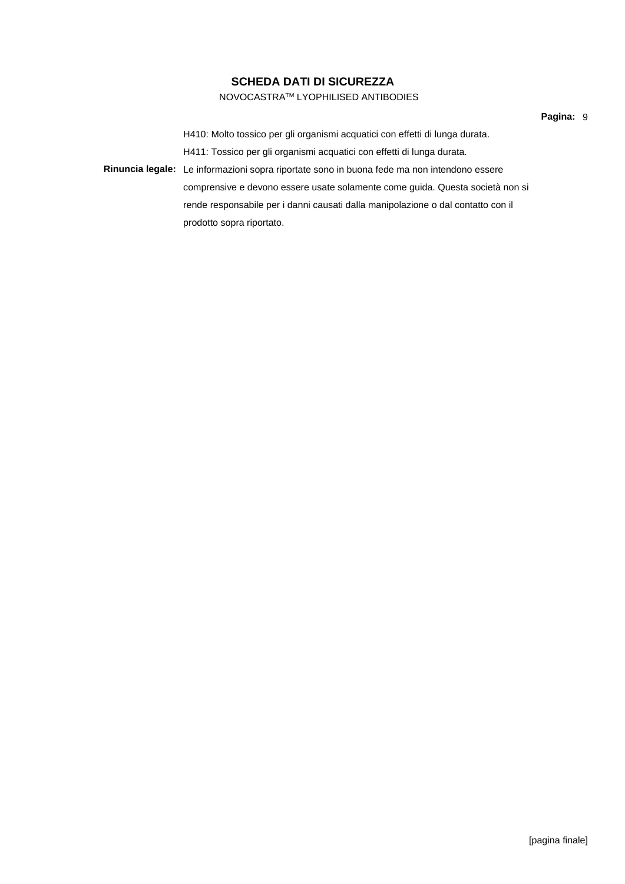### NOVOCASTRATM LYOPHILISED ANTIBODIES

**Pagina:** 9

H410: Molto tossico per gli organismi acquatici con effetti di lunga durata. H411: Tossico per gli organismi acquatici con effetti di lunga durata. **Rinuncia legale:** Le informazioni sopra riportate sono in buona fede ma non intendono essere comprensive e devono essere usate solamente come guida. Questa società non si rende responsabile per i danni causati dalla manipolazione o dal contatto con il

prodotto sopra riportato.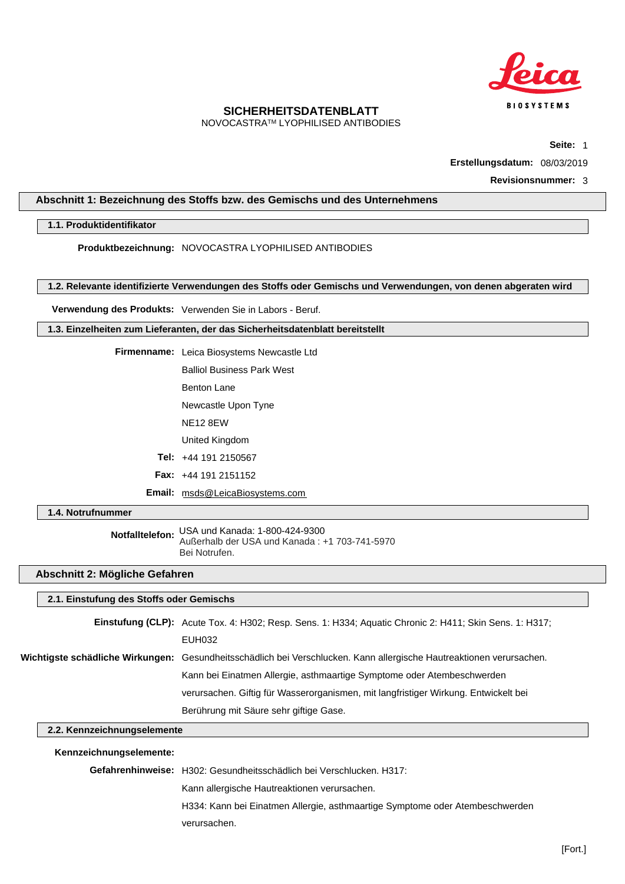

NOVOCASTRATM LYOPHILISED ANTIBODIES

**Seite:** 1

**Erstellungsdatum:** 08/03/2019

**Revisionsnummer:** 3

#### <span id="page-27-0"></span>**Abschnitt 1: Bezeichnung des Stoffs bzw. des Gemischs und des Unternehmens**

### **1.1. Produktidentifikator**

**Produktbezeichnung:** NOVOCASTRA LYOPHILISED ANTIBODIES

#### **1.2. Relevante identifizierte Verwendungen des Stoffs oder Gemischs und Verwendungen, von denen abgeraten wird**

**Verwendung des Produkts:** Verwenden Sie in Labors - Beruf.

**1.3. Einzelheiten zum Lieferanten, der das Sicherheitsdatenblatt bereitstellt**

| <b>Firmenname:</b> Leica Biosystems Newcastle Ltd |
|---------------------------------------------------|
| <b>Balliol Business Park West</b>                 |
| Benton Lane                                       |
|                                                   |

Newcastle Upon Tyne

NE12 8EW

United Kingdom

**Tel:** +44 191 2150567

**Fax:** +44 191 2151152

**Email:** msds@LeicaBiosystems.com

**1.4. Notrufnummer**

**Notfalltelefon:** USA und Kanada: 1-800-424-9300 Außerhalb der USA und Kanada : +1 703-741-5970 Bei Notrufen.

#### **Abschnitt 2: Mögliche Gefahren**

#### **2.1. Einstufung des Stoffs oder Gemischs**

**Einstufung (CLP):** Acute Tox. 4: H302; Resp. Sens. 1: H334; Aquatic Chronic 2: H411; Skin Sens. 1: H317; EUH032 **Wichtigste schädliche Wirkungen:** Gesundheitsschädlich bei Verschlucken. Kann allergische Hautreaktionen verursachen. Kann bei Einatmen Allergie, asthmaartige Symptome oder Atembeschwerden verursachen. Giftig für Wasserorganismen, mit langfristiger Wirkung. Entwickelt bei Berührung mit Säure sehr giftige Gase.

## **2.2. Kennzeichnungselemente**

**Kennzeichnungselemente:**

**Gefahrenhinweise:** H302: Gesundheitsschädlich bei Verschlucken. H317:

Kann allergische Hautreaktionen verursachen.

H334: Kann bei Einatmen Allergie, asthmaartige Symptome oder Atembeschwerden

verursachen.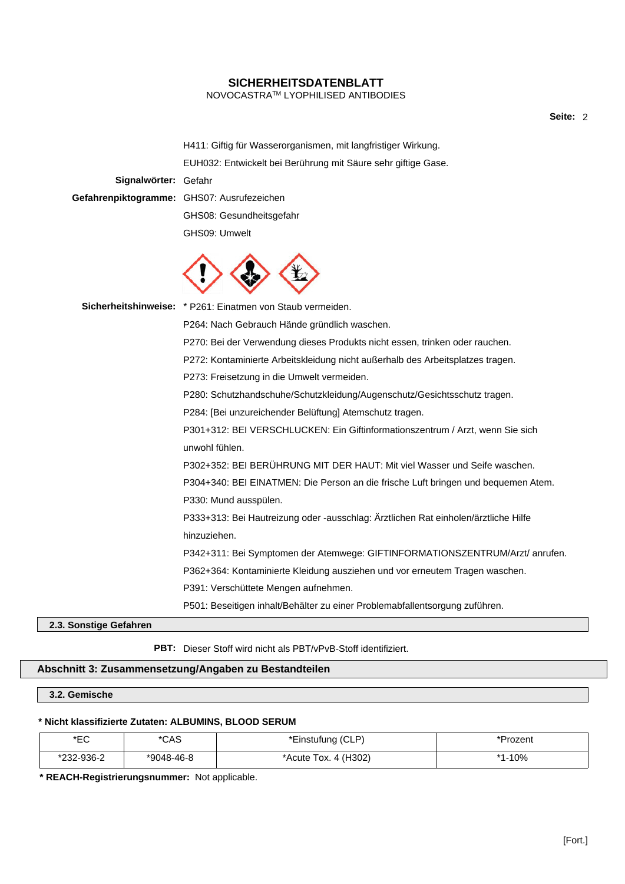NOVOCASTRATM LYOPHILISED ANTIBODIES

**Seite:** 2

H411: Giftig für Wasserorganismen, mit langfristiger Wirkung. EUH032: Entwickelt bei Berührung mit Säure sehr giftige Gase. **Signalwörter:** Gefahr **Gefahrenpiktogramme:** GHS07: Ausrufezeichen

GHS08: Gesundheitsgefahr GHS09: Umwelt



**Sicherheitshinweise:** \* P261: Einatmen von Staub vermeiden.

P264: Nach Gebrauch Hände gründlich waschen.

P270: Bei der Verwendung dieses Produkts nicht essen, trinken oder rauchen.

P272: Kontaminierte Arbeitskleidung nicht außerhalb des Arbeitsplatzes tragen.

P273: Freisetzung in die Umwelt vermeiden.

P280: Schutzhandschuhe/Schutzkleidung/Augenschutz/Gesichtsschutz tragen.

P284: [Bei unzureichender Belüftung] Atemschutz tragen.

P301+312: BEI VERSCHLUCKEN: Ein Giftinformationszentrum / Arzt, wenn Sie sich unwohl fühlen.

P302+352: BEI BERÜHRUNG MIT DER HAUT: Mit viel Wasser und Seife waschen.

P304+340: BEI EINATMEN: Die Person an die frische Luft bringen und bequemen Atem. P330: Mund ausspülen.

P333+313: Bei Hautreizung oder -ausschlag: Ärztlichen Rat einholen/ärztliche Hilfe hinzuziehen.

P342+311: Bei Symptomen der Atemwege: GIFTINFORMATIONSZENTRUM/Arzt/ anrufen.

P362+364: Kontaminierte Kleidung ausziehen und vor erneutem Tragen waschen.

P391: Verschüttete Mengen aufnehmen.

P501: Beseitigen inhalt/Behälter zu einer Problemabfallentsorgung zuführen.

**2.3. Sonstige Gefahren**

**PBT:** Dieser Stoff wird nicht als PBT/vPvB-Stoff identifiziert.

#### **Abschnitt 3: Zusammensetzung/Angaben zu Bestandteilen**

## **3.2. Gemische**

#### **\* Nicht klassifizierte Zutaten: ALBUMINS, BLOOD SERUM**

| ∗⊏∩<br>◡          | *CAS       | *Einstufung (CLP)                       | ั <sup>บ</sup> rozenเ |
|-------------------|------------|-----------------------------------------|-----------------------|
| 232-936-2<br>∗ດດດ | *9048-46-8 | 4 (H <sub>3</sub> 02)<br>*Acute<br>TOX. | *1-10%                |

**\* REACH-Registrierungsnummer:** Not applicable.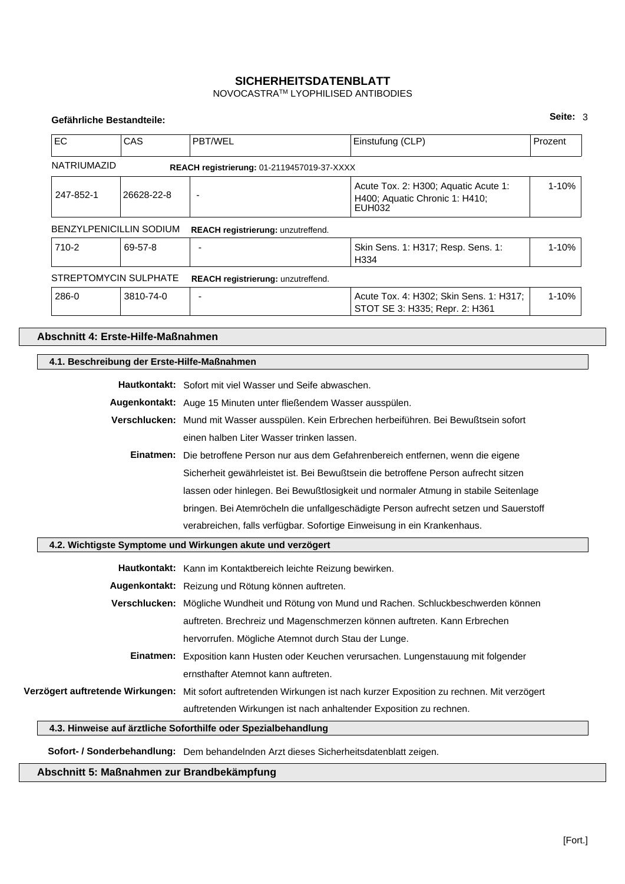NOVOCASTRATM LYOPHILISED ANTIBODIES

#### **Gefährliche Bestandteile:**

| EC                 | CAS                                                                                 | PBT/WEL                                                                                                                 | Einstufung (CLP)                                                                            | Prozent   |
|--------------------|-------------------------------------------------------------------------------------|-------------------------------------------------------------------------------------------------------------------------|---------------------------------------------------------------------------------------------|-----------|
| <b>NATRIUMAZID</b> |                                                                                     | REACH registrierung: 01-2119457019-37-XXXX                                                                              |                                                                                             |           |
| 247-852-1          | 26628-22-8                                                                          |                                                                                                                         | Acute Tox. 2: H300; Aquatic Acute 1:<br>H400; Aquatic Chronic 1: H410;<br><b>EUH032</b>     | 1-10%     |
|                    | <b>BENZYLPENICILLIN SODIUM</b>                                                      | REACH registrierung: unzutreffend.                                                                                      |                                                                                             |           |
| 710-2              | 69-57-8                                                                             |                                                                                                                         | Skin Sens. 1: H317; Resp. Sens. 1:<br>H334                                                  | $1 - 10%$ |
|                    | <b>STREPTOMYCIN SULPHATE</b>                                                        | REACH registrierung: unzutreffend.                                                                                      |                                                                                             |           |
| 286-0              | 3810-74-0                                                                           | $\overline{a}$                                                                                                          | Acute Tox. 4: H302; Skin Sens. 1: H317;<br>STOT SE 3: H335; Repr. 2: H361                   | 1-10%     |
|                    | Abschnitt 4: Erste-Hilfe-Maßnahmen                                                  |                                                                                                                         |                                                                                             |           |
|                    |                                                                                     | 4.1. Beschreibung der Erste-Hilfe-Maßnahmen                                                                             |                                                                                             |           |
|                    |                                                                                     | Hautkontakt: Sofort mit viel Wasser und Seife abwaschen.                                                                |                                                                                             |           |
|                    |                                                                                     | Augenkontakt: Auge 15 Minuten unter fließendem Wasser ausspülen.                                                        |                                                                                             |           |
|                    |                                                                                     |                                                                                                                         | Verschlucken: Mund mit Wasser ausspülen. Kein Erbrechen herbeiführen. Bei Bewußtsein sofort |           |
|                    |                                                                                     | einen halben Liter Wasser trinken lassen.                                                                               |                                                                                             |           |
|                    |                                                                                     |                                                                                                                         | Einatmen: Die betroffene Person nur aus dem Gefahrenbereich entfernen, wenn die eigene      |           |
|                    |                                                                                     |                                                                                                                         | Sicherheit gewährleistet ist. Bei Bewußtsein die betroffene Person aufrecht sitzen          |           |
|                    | lassen oder hinlegen. Bei Bewußtlosigkeit und normaler Atmung in stabile Seitenlage |                                                                                                                         |                                                                                             |           |
|                    |                                                                                     |                                                                                                                         | bringen. Bei Atemröcheln die unfallgeschädigte Person aufrecht setzen und Sauerstoff        |           |
|                    |                                                                                     | verabreichen, falls verfügbar. Sofortige Einweisung in ein Krankenhaus.                                                 |                                                                                             |           |
|                    |                                                                                     | 4.2. Wichtigste Symptome und Wirkungen akute und verzögert                                                              |                                                                                             |           |
|                    |                                                                                     | Hautkontakt: Kann im Kontaktbereich leichte Reizung bewirken.                                                           |                                                                                             |           |
|                    |                                                                                     | Augenkontakt: Reizung und Rötung können auftreten.                                                                      |                                                                                             |           |
|                    |                                                                                     |                                                                                                                         | Verschlucken: Mögliche Wundheit und Rötung von Mund und Rachen. Schluckbeschwerden können   |           |
|                    |                                                                                     | auftreten. Brechreiz und Magenschmerzen können auftreten. Kann Erbrechen                                                |                                                                                             |           |
|                    |                                                                                     | hervorrufen. Mögliche Atemnot durch Stau der Lunge.                                                                     |                                                                                             |           |
|                    |                                                                                     | Einatmen: Exposition kann Husten oder Keuchen verursachen. Lungenstauung mit folgender                                  |                                                                                             |           |
|                    |                                                                                     | ernsthafter Atemnot kann auftreten.                                                                                     |                                                                                             |           |
|                    |                                                                                     | Verzögert auftretende Wirkungen: Mit sofort auftretenden Wirkungen ist nach kurzer Exposition zu rechnen. Mit verzögert |                                                                                             |           |
|                    |                                                                                     | auftretenden Wirkungen ist nach anhaltender Exposition zu rechnen.                                                      |                                                                                             |           |
|                    |                                                                                     | 4.3. Hinweise auf ärztliche Soforthilfe oder Spezialbehandlung                                                          |                                                                                             |           |
|                    |                                                                                     | Sofort- / Sonderbehandlung: Dem behandelnden Arzt dieses Sicherheitsdatenblatt zeigen.                                  |                                                                                             |           |

**Abschnitt 5: Maßnahmen zur Brandbekämpfung**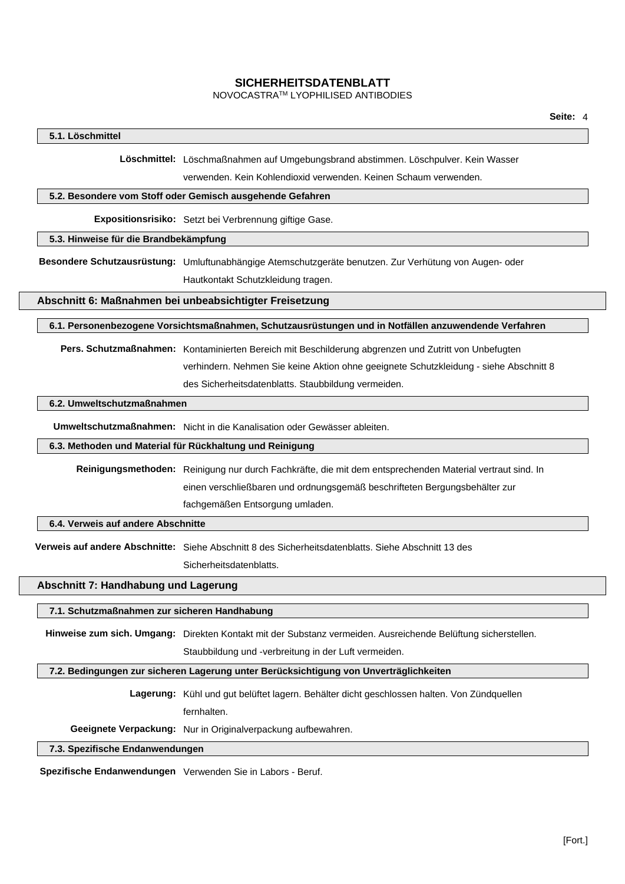#### NOVOCASTRATM LYOPHILISED ANTIBODIES

#### **5.1. Löschmittel**

**Löschmittel:** Löschmaßnahmen auf Umgebungsbrand abstimmen. Löschpulver. Kein Wasser

verwenden. Kein Kohlendioxid verwenden. Keinen Schaum verwenden.

#### **5.2. Besondere vom Stoff oder Gemisch ausgehende Gefahren**

**Expositionsrisiko:** Setzt bei Verbrennung giftige Gase.

#### **5.3. Hinweise für die Brandbekämpfung**

**Besondere Schutzausrüstung:** Umluftunabhängige Atemschutzgeräte benutzen. Zur Verhütung von Augen- oder

Hautkontakt Schutzkleidung tragen.

#### **Abschnitt 6: Maßnahmen bei unbeabsichtigter Freisetzung**

**6.1. Personenbezogene Vorsichtsmaßnahmen, Schutzausrüstungen und in Notfällen anzuwendende Verfahren**

**Pers. Schutzmaßnahmen:** Kontaminierten Bereich mit Beschilderung abgrenzen und Zutritt von Unbefugten verhindern. Nehmen Sie keine Aktion ohne geeignete Schutzkleidung - siehe Abschnitt 8 des Sicherheitsdatenblatts. Staubbildung vermeiden.

#### **6.2. Umweltschutzmaßnahmen**

**Umweltschutzmaßnahmen:** Nicht in die Kanalisation oder Gewässer ableiten.

#### **6.3. Methoden und Material für Rückhaltung und Reinigung**

**Reinigungsmethoden:** Reinigung nur durch Fachkräfte, die mit dem entsprechenden Material vertraut sind. In einen verschließbaren und ordnungsgemäß beschrifteten Bergungsbehälter zur fachgemäßen Entsorgung umladen.

#### **6.4. Verweis auf andere Abschnitte**

**Verweis auf andere Abschnitte:** Siehe Abschnitt 8 des Sicherheitsdatenblatts. Siehe Abschnitt 13 des Sicherheitsdatenblatts.

### **Abschnitt 7: Handhabung und Lagerung**

#### **7.1. Schutzmaßnahmen zur sicheren Handhabung**

**Hinweise zum sich. Umgang:** Direkten Kontakt mit der Substanz vermeiden. Ausreichende Belüftung sicherstellen.

Staubbildung und -verbreitung in der Luft vermeiden.

#### **7.2. Bedingungen zur sicheren Lagerung unter Berücksichtigung von Unverträglichkeiten**

**Lagerung:** Kühl und gut belüftet lagern. Behälter dicht geschlossen halten. Von Zündquellen

fernhalten.

**Geeignete Verpackung:** Nur in Originalverpackung aufbewahren.

#### **7.3. Spezifische Endanwendungen**

**Spezifische Endanwendungen** Verwenden Sie in Labors - Beruf.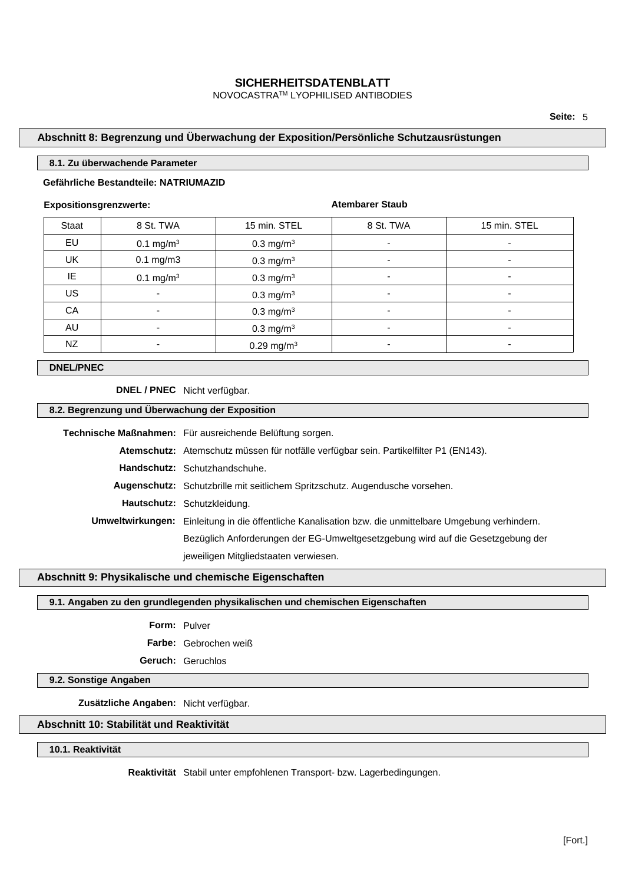NOVOCASTRATM LYOPHILISED ANTIBODIES

### **Abschnitt 8: Begrenzung und Überwachung der Exposition/Persönliche Schutzausrüstungen**

#### **8.1. Zu überwachende Parameter**

### **Gefährliche Bestandteile: NATRIUMAZID**

#### **Expositionsgrenzwerte:**

**Atembarer Staub**

| Staat     | 8 St. TWA                | 15 min. STEL             | 8 St. TWA                | 15 min. STEL |
|-----------|--------------------------|--------------------------|--------------------------|--------------|
| EU        | $0.1 \text{ mg/m}^3$     | $0.3$ mg/m <sup>3</sup>  | $\overline{\phantom{0}}$ |              |
| <b>UK</b> | $0.1$ mg/m $3$           | $0.3 \text{ mg/m}^3$     | $\overline{\phantom{0}}$ |              |
| IE        | 0.1 mg/m <sup>3</sup>    | 0.3 mg/m <sup>3</sup>    | $\overline{\phantom{0}}$ |              |
| <b>US</b> | $\overline{\phantom{a}}$ | 0.3 mg/m <sup>3</sup>    | ٠                        |              |
| CA        | ۰                        | $0.3 \text{ mg/m}^3$     |                          |              |
| AU        | ٠                        | $0.3 \text{ mg/m}^3$     | ۰                        |              |
| NZ        | ۰                        | $0.29$ mg/m <sup>3</sup> |                          |              |

## **DNEL/PNEC**

**DNEL / PNEC** Nicht verfügbar.

#### **8.2. Begrenzung und Überwachung der Exposition**

| Technische Maßnahmen: Für ausreichende Belüftung sorgen.                                               |
|--------------------------------------------------------------------------------------------------------|
| Atemschutz: Atemschutz müssen für notfälle verfügbar sein. Partikelfilter P1 (EN143).                  |
| Handschutz: Schutzhandschuhe.                                                                          |
| Augenschutz: Schutzbrille mit seitlichem Spritzschutz. Augendusche vorsehen.                           |
| Hautschutz: Schutzkleidung.                                                                            |
| Umweltwirkungen: Einleitung in die öffentliche Kanalisation bzw. die unmittelbare Umgebung verhindern. |
| Bezüglich Anforderungen der EG-Umweltgesetzgebung wird auf die Gesetzgebung der                        |
| jeweiligen Mitgliedstaaten verwiesen.                                                                  |

#### **Abschnitt 9: Physikalische und chemische Eigenschaften**

#### **9.1. Angaben zu den grundlegenden physikalischen und chemischen Eigenschaften**

## **Form:** Pulver

**Farbe:** Gebrochen weiß

**Geruch:** Geruchlos

#### **9.2. Sonstige Angaben**

**Zusätzliche Angaben:** Nicht verfügbar.

## **Abschnitt 10: Stabilität und Reaktivität**

**10.1. Reaktivität**

**Reaktivität** Stabil unter empfohlenen Transport- bzw. Lagerbedingungen.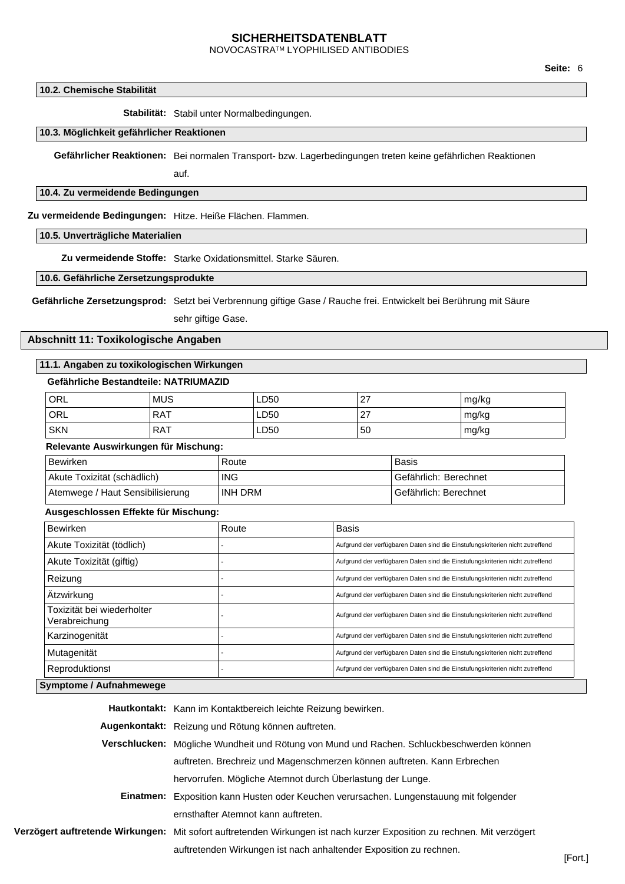NOVOCASTRATM LYOPHILISED ANTIBODIES

**10.2. Chemische Stabilität**

**Stabilität:** Stabil unter Normalbedingungen.

#### **10.3. Möglichkeit gefährlicher Reaktionen**

**Gefährlicher Reaktionen:** Bei normalen Transport- bzw. Lagerbedingungen treten keine gefährlichen Reaktionen

auf.

#### **10.4. Zu vermeidende Bedingungen**

**Zu vermeidende Bedingungen:** Hitze. Heiße Flächen. Flammen.

#### **10.5. Unverträgliche Materialien**

**Zu vermeidende Stoffe:** Starke Oxidationsmittel. Starke Säuren.

### **10.6. Gefährliche Zersetzungsprodukte**

**Gefährliche Zersetzungsprod:** Setzt bei Verbrennung giftige Gase / Rauche frei. Entwickelt bei Berührung mit Säure

sehr giftige Gase.

#### **Abschnitt 11: Toxikologische Angaben**

#### **11.1. Angaben zu toxikologischen Wirkungen**

#### **Gefährliche Bestandteile: NATRIUMAZID**

| ORL        | <b>MUS</b> | LD50 | רמ<br><u>.</u> | mg/kg |
|------------|------------|------|----------------|-------|
| ORL        | <b>RAT</b> | LD50 | $\sim$<br>. .  | mg/kg |
| <b>SKN</b> | <b>RAT</b> | LD50 | 50             | mg/kg |

#### **Relevante Auswirkungen für Mischung:**

| Bewirken                         | Route      | <b>Basis</b>            |
|----------------------------------|------------|-------------------------|
| Akute Toxizität (schädlich)      | <b>ING</b> | l Gefährlich: Berechnet |
| Atemwege / Haut Sensibilisierung | INH DRM    | Gefährlich: Berechnet   |

#### **Ausgeschlossen Effekte für Mischung:**

| <b>Bewirken</b>                             | Route | Basis                                                                         |
|---------------------------------------------|-------|-------------------------------------------------------------------------------|
| Akute Toxizität (tödlich)                   |       | Aufgrund der verfügbaren Daten sind die Einstufungskriterien nicht zutreffend |
| Akute Toxizität (giftig)                    |       | Aufgrund der verfügbaren Daten sind die Einstufungskriterien nicht zutreffend |
| Reizung                                     |       | Aufgrund der verfügbaren Daten sind die Einstufungskriterien nicht zutreffend |
| Ätzwirkung                                  |       | Aufgrund der verfügbaren Daten sind die Einstufungskriterien nicht zutreffend |
| Toxizität bei wiederholter<br>Verabreichung |       | Aufgrund der verfügbaren Daten sind die Einstufungskriterien nicht zutreffend |
| Karzinogenität                              |       | Aufgrund der verfügbaren Daten sind die Einstufungskriterien nicht zutreffend |
| Mutagenität                                 |       | Aufgrund der verfügbaren Daten sind die Einstufungskriterien nicht zutreffend |
| Reproduktionst                              |       | Aufgrund der verfügbaren Daten sind die Einstufungskriterien nicht zutreffend |

#### **Symptome / Aufnahmewege**

**Hautkontakt:** Kann im Kontaktbereich leichte Reizung bewirken.

**Augenkontakt:** Reizung und Rötung können auftreten.

| Verschlucken: Mögliche Wundheit und Rötung von Mund und Rachen. Schluckbeschwerden können |
|-------------------------------------------------------------------------------------------|
| auftreten. Brechreiz und Magenschmerzen können auftreten. Kann Erbrechen                  |
| hervorrufen. Mögliche Atemnot durch Überlastung der Lunge.                                |
|                                                                                           |

- **Einatmen:** Exposition kann Husten oder Keuchen verursachen. Lungenstauung mit folgender ernsthafter Atemnot kann auftreten.
- **Verzögert auftretende Wirkungen:** Mit sofort auftretenden Wirkungen ist nach kurzer Exposition zu rechnen. Mit verzögert auftretenden Wirkungen ist nach anhaltender Exposition zu rechnen.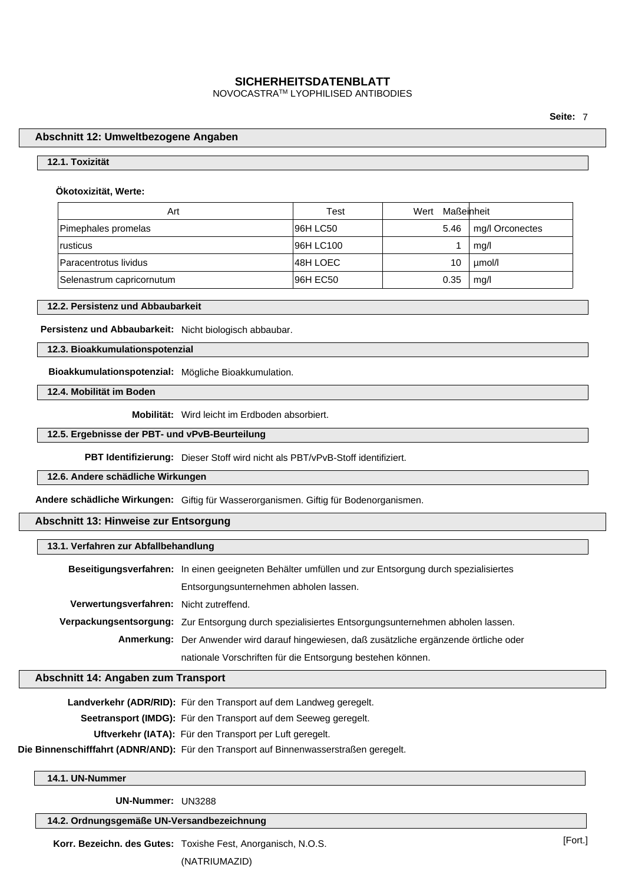NOVOCASTRATM LYOPHILISED ANTIBODIES

**Seite:** 7

#### **Abschnitt 12: Umweltbezogene Angaben**

#### **12.1. Toxizität**

#### **Ökotoxizität, Werte:**

| Art                       | Test      | Wert Maßeinheit |                 |
|---------------------------|-----------|-----------------|-----------------|
| Pimephales promelas       | 96H LC50  | 5.46            | mg/l Orconectes |
| rusticus                  | 96H LC100 |                 | mq/l            |
| Paracentrotus lividus     | 48H LOEC  | 10              | µmol/l          |
| Selenastrum capricornutum | 96H EC50  | 0.35            | mq/l            |

#### **12.2. Persistenz und Abbaubarkeit**

#### **Persistenz und Abbaubarkeit:** Nicht biologisch abbaubar.

#### **12.3. Bioakkumulationspotenzial**

**Bioakkumulationspotenzial:** Mögliche Bioakkumulation.

**12.4. Mobilität im Boden**

**Mobilität:** Wird leicht im Erdboden absorbiert.

#### **12.5. Ergebnisse der PBT- und vPvB-Beurteilung**

**PBT Identifizierung:** Dieser Stoff wird nicht als PBT/vPvB-Stoff identifiziert.

#### **12.6. Andere schädliche Wirkungen**

**Andere schädliche Wirkungen:** Giftig für Wasserorganismen. Giftig für Bodenorganismen.

### **Abschnitt 13: Hinweise zur Entsorgung**

#### **13.1. Verfahren zur Abfallbehandlung**

|                                         | Beseitigungsverfahren: In einen geeigneten Behälter umfüllen und zur Entsorgung durch spezialisiertes |
|-----------------------------------------|-------------------------------------------------------------------------------------------------------|
|                                         | Entsorgungsunternehmen abholen lassen.                                                                |
| Verwertungsverfahren: Nicht zutreffend. |                                                                                                       |
|                                         | Verpackungsentsorgung: Zur Entsorgung durch spezialisiertes Entsorgungsunternehmen abholen lassen.    |
|                                         | Anmerkung: Der Anwender wird darauf hingewiesen, daß zusätzliche ergänzende örtliche oder             |
|                                         | nationale Vorschriften für die Entsorgung bestehen können.                                            |

#### **Abschnitt 14: Angaben zum Transport**

**Landverkehr (ADR/RID):** Für den Transport auf dem Landweg geregelt.

**Seetransport (IMDG):** Für den Transport auf dem Seeweg geregelt.

**Uftverkehr (IATA):** Für den Transport per Luft geregelt.

**Die Binnenschifffahrt (ADNR/AND):** Für den Transport auf Binnenwasserstraßen geregelt.

#### **14.1. UN-Nummer**

**UN-Nummer:** UN3288

## **14.2. Ordnungsgemäße UN-Versandbezeichnung**

**Korr. Bezeichn. des Gutes:** Toxishe Fest, Anorganisch, N.O.S. (NATRIUMAZID)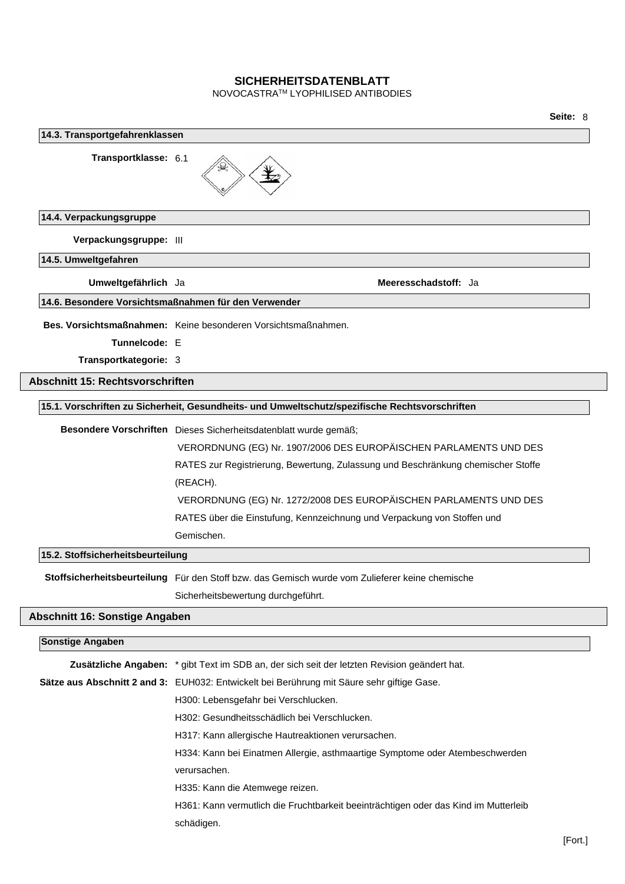NOVOCASTRATM LYOPHILISED ANTIBODIES

**Seite:** 8 **14.3. Transportgefahrenklassen Transportklasse:** 6.1 **14.4. Verpackungsgruppe Verpackungsgruppe:** III **14.5. Umweltgefahren Umweltgefährlich** Ja **Meeresschadstoff:** Ja **14.6. Besondere Vorsichtsmaßnahmen für den Verwender Bes. Vorsichtsmaßnahmen:** Keine besonderen Vorsichtsmaßnahmen. **Tunnelcode:** E **Transportkategorie:** 3 **Abschnitt 15: Rechtsvorschriften 15.1. Vorschriften zu Sicherheit, Gesundheits- und Umweltschutz/spezifische Rechtsvorschriften Besondere Vorschriften** Dieses Sicherheitsdatenblatt wurde gemäß; VERORDNUNG (EG) Nr. 1907/2006 DES EUROPÄISCHEN PARLAMENTS UND DES RATES zur Registrierung, Bewertung, Zulassung und Beschränkung chemischer Stoffe (REACH). VERORDNUNG (EG) Nr. 1272/2008 DES EUROPÄISCHEN PARLAMENTS UND DES RATES über die Einstufung, Kennzeichnung und Verpackung von Stoffen und Gemischen. **15.2. Stoffsicherheitsbeurteilung Stoffsicherheitsbeurteilung** Für den Stoff bzw. das Gemisch wurde vom Zulieferer keine chemische Sicherheitsbewertung durchgeführt. **Abschnitt 16: Sonstige Angaben Sonstige Angaben Zusätzliche Angaben:** \* gibt Text im SDB an, der sich seit der letzten Revision geändert hat. **Sätze aus Abschnitt 2 and 3:** EUH032: Entwickelt bei Berührung mit Säure sehr giftige Gase. H300: Lebensgefahr bei Verschlucken. H302: Gesundheitsschädlich bei Verschlucken. H317: Kann allergische Hautreaktionen verursachen. H334: Kann bei Einatmen Allergie, asthmaartige Symptome oder Atembeschwerden verursachen. H335: Kann die Atemwege reizen. H361: Kann vermutlich die Fruchtbarkeit beeinträchtigen oder das Kind im Mutterleib schädigen.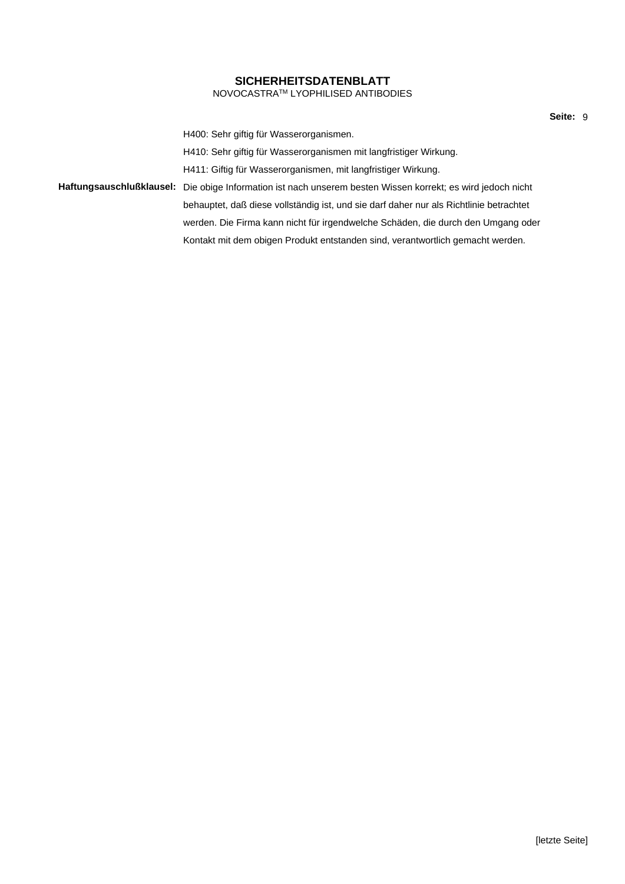### **SICHERHEITSDATENBLATT** NOVOCASTRATM LYOPHILISED ANTIBODIES

H400: Sehr giftig für Wasserorganismen. H410: Sehr giftig für Wasserorganismen mit langfristiger Wirkung. H411: Giftig für Wasserorganismen, mit langfristiger Wirkung. **Haftungsauschlußklausel:** Die obige Information ist nach unserem besten Wissen korrekt; es wird jedoch nicht behauptet, daß diese vollständig ist, und sie darf daher nur als Richtlinie betrachtet werden. Die Firma kann nicht für irgendwelche Schäden, die durch den Umgang oder Kontakt mit dem obigen Produkt entstanden sind, verantwortlich gemacht werden.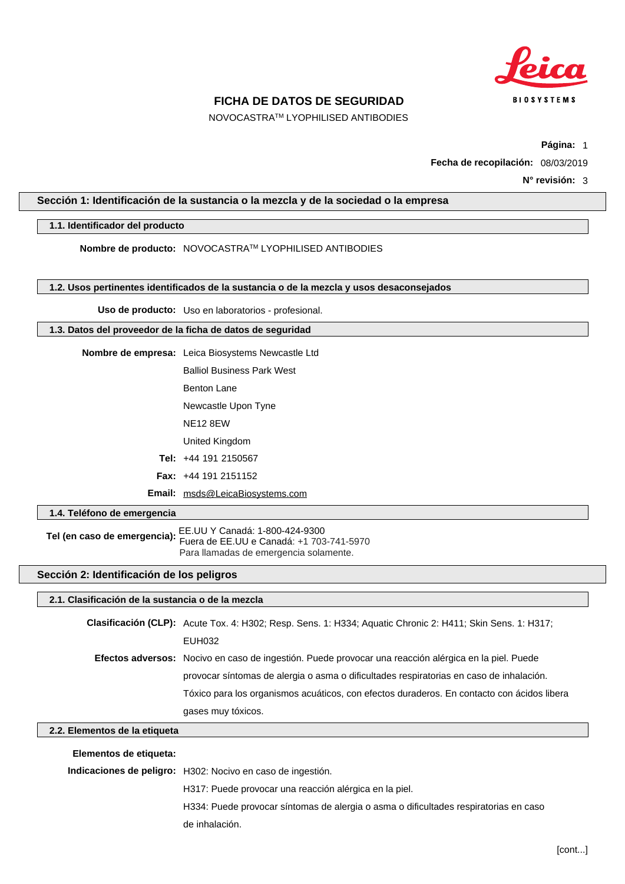

NOVOCASTRATM LYOPHILISED ANTIBODIES

**Página:** 1

**Fecha de recopilación:** 08/03/2019

**N° revisión:** 3

#### **Sección 1: Identificación de la sustancia o la mezcla y de la sociedad o la empresa**

### **1.1. Identificador del producto**

**Nombre de producto:** NOVOCASTRATM LYOPHILISED ANTIBODIES

**1.2. Usos pertinentes identificados de la sustancia o de la mezcla y usos desaconsejados**

**Uso de producto:** Uso en laboratorios - profesional.

#### **1.3. Datos del proveedor de la ficha de datos de seguridad**

| Nombre de empresa: Leica Biosystems Newcastle Ltd |
|---------------------------------------------------|
| <b>Balliol Business Park West</b>                 |
| Benton Lane                                       |
| Newcastle Upon Tyne                               |
| NF <sub>12</sub> 8FW                              |
| United Kingdom                                    |
| <b>Tel:</b> $+44$ 191 2150567                     |
| <b>Fax:</b> $+44$ 191 2151152                     |
| Email: msds@LeicaBiosystems.com                   |

**1.4. Teléfono de emergencia**

**Tel (en caso de emergencia):** EE.UU Y Canadá: 1-800-424-9300 Fuera de EE.UU e Canadá: +1 703-741-5970 Para llamadas de emergencia solamente.

## **Sección 2: Identificación de los peligros**

## **2.1. Clasificación de la sustancia o de la mezcla**

**Clasificación (CLP):** Acute Tox. 4: H302; Resp. Sens. 1: H334; Aquatic Chronic 2: H411; Skin Sens. 1: H317; EUH032 **Efectos adversos:** Nocivo en caso de ingestión. Puede provocar una reacción alérgica en la piel. Puede provocar síntomas de alergia o asma o dificultades respiratorias en caso de inhalación. Tóxico para los organismos acuáticos, con efectos duraderos. En contacto con ácidos libera gases muy tóxicos.

## **2.2. Elementos de la etiqueta**

| Elementos de etiqueta: |                                                                                      |
|------------------------|--------------------------------------------------------------------------------------|
|                        | Indicaciones de peligro: H302: Nocivo en caso de ingestión.                          |
|                        | H317: Puede provocar una reacción alérgica en la piel.                               |
|                        | H334: Puede provocar síntomas de alergia o asma o dificultades respiratorias en caso |
|                        | de inhalación.                                                                       |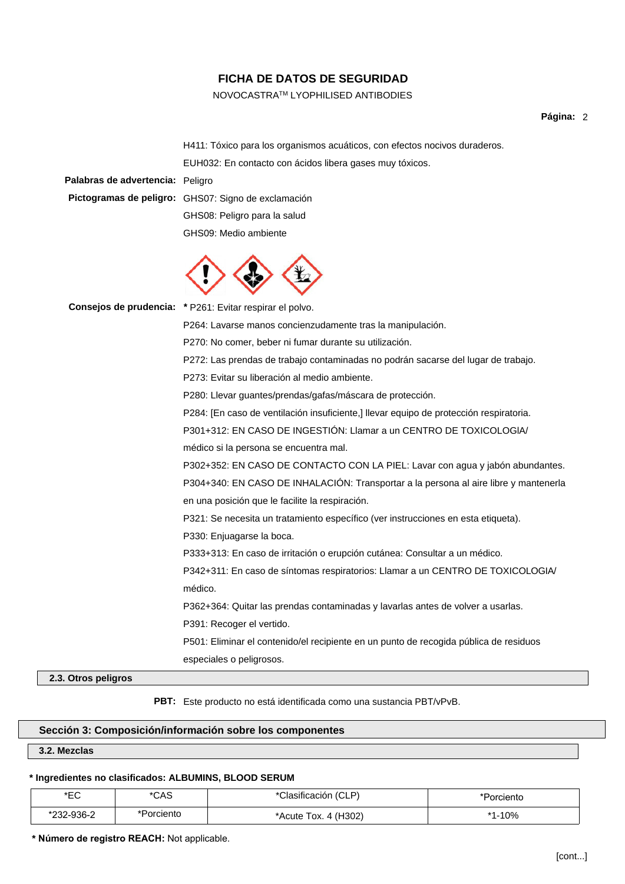## NOVOCASTRATM LYOPHILISED ANTIBODIES

#### **Página:** 2

H411: Tóxico para los organismos acuáticos, con efectos nocivos duraderos. EUH032: En contacto con ácidos libera gases muy tóxicos.

**Palabras de advertencia:** Peligro

**Pictogramas de peligro:** GHS07: Signo de exclamación GHS08: Peligro para la salud GHS09: Medio ambiente



**Consejos de prudencia: \*** P261: Evitar respirar el polvo.

P264: Lavarse manos concienzudamente tras la manipulación.

P270: No comer, beber ni fumar durante su utilización.

P272: Las prendas de trabajo contaminadas no podrán sacarse del lugar de trabajo.

P273: Evitar su liberación al medio ambiente.

P280: Llevar guantes/prendas/gafas/máscara de protección.

P284: [En caso de ventilación insuficiente,] llevar equipo de protección respiratoria.

P301+312: EN CASO DE INGESTIÓN: Llamar a un CENTRO DE TOXICOLOGlA/

médico si la persona se encuentra mal.

P302+352: EN CASO DE CONTACTO CON LA PIEL: Lavar con agua y jabón abundantes. P304+340: EN CASO DE INHALACIÓN: Transportar a la persona al aire libre y mantenerla en una posición que le facilite la respiración.

P321: Se necesita un tratamiento específico (ver instrucciones en esta etiqueta).

P330: Enjuagarse la boca.

P333+313: En caso de irritación o erupción cutánea: Consultar a un médico.

P342+311: En caso de síntomas respiratorios: Llamar a un CENTRO DE TOXICOLOGIA/ médico.

P362+364: Quitar las prendas contaminadas y lavarlas antes de volver a usarlas.

P391: Recoger el vertido.

P501: Eliminar el contenido/el recipiente en un punto de recogida pública de residuos especiales o peligrosos.

#### **2.3. Otros peligros**

**PBT:** Este producto no está identificada como una sustancia PBT/vPvB.

## **Sección 3: Composición/información sobre los componentes**

**3.2. Mezclas**

### **\* Ingredientes no clasificados: ALBUMINS, BLOOD SERUM**

| י∩⊐∗<br>∽ | $* \cap \wedge \subseteq$<br>⊂∧ب | Clasificación (CLP)                              | Porciento |
|-----------|----------------------------------|--------------------------------------------------|-----------|
| 232-936-2 | *Porciento                       | 4 (H <sub>3</sub> 02)<br>Tox. $\sim$<br>*Acute , | $-10%$    |

**\* Número de registro REACH:** Not applicable.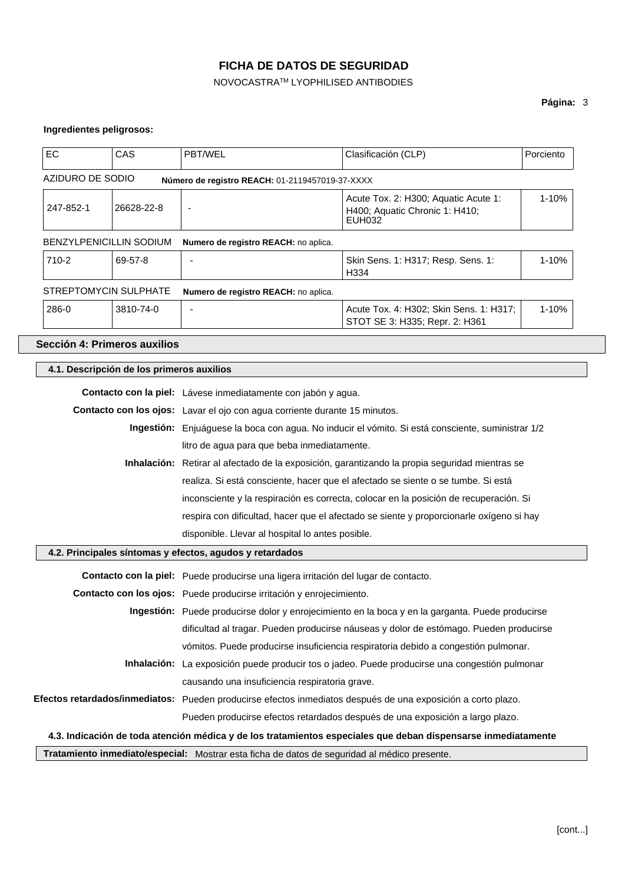## NOVOCASTRATM LYOPHILISED ANTIBODIES

## **Página:** 3

## **Ingredientes peligrosos:**

| EC                                                                                                | CAS                                                                                              | PBT/WEL                                                                                      | Clasificación (CLP)                                                                                           | Porciento |
|---------------------------------------------------------------------------------------------------|--------------------------------------------------------------------------------------------------|----------------------------------------------------------------------------------------------|---------------------------------------------------------------------------------------------------------------|-----------|
| AZIDURO DE SODIO                                                                                  |                                                                                                  | Número de registro REACH: 01-2119457019-37-XXXX                                              |                                                                                                               |           |
| 247-852-1                                                                                         | 26628-22-8                                                                                       | ٠                                                                                            | Acute Tox. 2: H300; Aquatic Acute 1:<br>H400; Aquatic Chronic 1: H410;<br><b>EUH032</b>                       | $1 - 10%$ |
| BENZYLPENICILLIN SODIUM                                                                           |                                                                                                  | Numero de registro REACH: no aplica.                                                         |                                                                                                               |           |
| 710-2                                                                                             | 69-57-8                                                                                          |                                                                                              | Skin Sens. 1: H317; Resp. Sens. 1:<br>H334                                                                    | 1-10%     |
| STREPTOMYCIN SULPHATE                                                                             |                                                                                                  | Numero de registro REACH: no aplica.                                                         |                                                                                                               |           |
| 286-0                                                                                             | 3810-74-0                                                                                        |                                                                                              | Acute Tox. 4: H302; Skin Sens. 1: H317;<br>STOT SE 3: H335; Repr. 2: H361                                     | 1-10%     |
| Sección 4: Primeros auxilios                                                                      |                                                                                                  |                                                                                              |                                                                                                               |           |
| 4.1. Descripción de los primeros auxilios                                                         |                                                                                                  |                                                                                              |                                                                                                               |           |
| Contacto con la piel: Lávese inmediatamente con jabón y agua.                                     |                                                                                                  |                                                                                              |                                                                                                               |           |
| Contacto con los ojos: Lavar el ojo con agua corriente durante 15 minutos.                        |                                                                                                  |                                                                                              |                                                                                                               |           |
| Ingestión: Enjuáguese la boca con agua. No inducir el vómito. Si está consciente, suministrar 1/2 |                                                                                                  |                                                                                              |                                                                                                               |           |
| litro de agua para que beba inmediatamente.                                                       |                                                                                                  |                                                                                              |                                                                                                               |           |
| Inhalación: Retirar al afectado de la exposición, garantizando la propia seguridad mientras se    |                                                                                                  |                                                                                              |                                                                                                               |           |
| realiza. Si está consciente, hacer que el afectado se siente o se tumbe. Si está                  |                                                                                                  |                                                                                              |                                                                                                               |           |
| inconsciente y la respiración es correcta, colocar en la posición de recuperación. Si             |                                                                                                  |                                                                                              |                                                                                                               |           |
| respira con dificultad, hacer que el afectado se siente y proporcionarle oxígeno si hay           |                                                                                                  |                                                                                              |                                                                                                               |           |
| disponible. Llevar al hospital lo antes posible.                                                  |                                                                                                  |                                                                                              |                                                                                                               |           |
|                                                                                                   |                                                                                                  | 4.2. Principales síntomas y efectos, agudos y retardados                                     |                                                                                                               |           |
| Contacto con la piel: Puede producirse una ligera irritación del lugar de contacto.               |                                                                                                  |                                                                                              |                                                                                                               |           |
| Contacto con los ojos: Puede producirse irritación y enrojecimiento.                              |                                                                                                  |                                                                                              |                                                                                                               |           |
|                                                                                                   | Ingestión: Puede producirse dolor y enrojecimiento en la boca y en la garganta. Puede producirse |                                                                                              |                                                                                                               |           |
|                                                                                                   | dificultad al tragar. Pueden producirse náuseas y dolor de estómago. Pueden producirse           |                                                                                              |                                                                                                               |           |
|                                                                                                   |                                                                                                  |                                                                                              | vómitos. Puede producirse insuficiencia respiratoria debido a congestión pulmonar.                            |           |
|                                                                                                   |                                                                                                  |                                                                                              | Inhalación: La exposición puede producir tos o jadeo. Puede producirse una congestión pulmonar                |           |
|                                                                                                   |                                                                                                  | causando una insuficiencia respiratoria grave.                                               |                                                                                                               |           |
|                                                                                                   |                                                                                                  |                                                                                              | Efectos retardados/inmediatos: Pueden producirse efectos inmediatos después de una exposición a corto plazo.  |           |
|                                                                                                   |                                                                                                  |                                                                                              | Pueden producirse efectos retardados después de una exposición a largo plazo.                                 |           |
|                                                                                                   |                                                                                                  |                                                                                              | 4.3. Indicación de toda atención médica y de los tratamientos especiales que deban dispensarse inmediatamente |           |
|                                                                                                   |                                                                                                  | Tratamiento inmediato/especial: Mostrar esta ficha de datos de seguridad al médico presente. |                                                                                                               |           |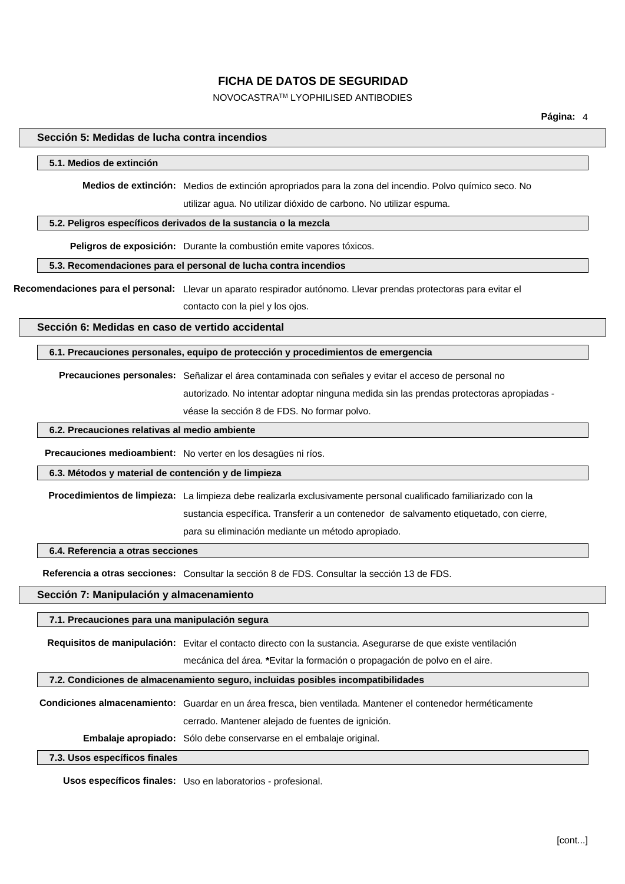NOVOCASTRATM LYOPHILISED ANTIBODIES

#### **Sección 5: Medidas de lucha contra incendios**

#### **5.1. Medios de extinción**

**Medios de extinción:** Medios de extinción apropriados para la zona del incendio. Polvo químico seco. No

utilizar agua. No utilizar dióxido de carbono. No utilizar espuma.

#### **5.2. Peligros específicos derivados de la sustancia o la mezcla**

**Peligros de exposición:** Durante la combustión emite vapores tóxicos.

#### **5.3. Recomendaciones para el personal de lucha contra incendios**

**Recomendaciones para el personal:** Llevar un aparato respirador autónomo. Llevar prendas protectoras para evitar el contacto con la piel y los ojos.

**Sección 6: Medidas en caso de vertido accidental**

#### **6.1. Precauciones personales, equipo de protección y procedimientos de emergencia**

**Precauciones personales:** Señalizar el área contaminada con señales y evitar el acceso de personal no autorizado. No intentar adoptar ninguna medida sin las prendas protectoras apropiadas véase la sección 8 de FDS. No formar polvo.

### **6.2. Precauciones relativas al medio ambiente**

**Precauciones medioambient:** No verter en los desagües ni ríos.

#### **6.3. Métodos y material de contención y de limpieza**

**Procedimientos de limpieza:** La limpieza debe realizarla exclusivamente personal cualificado familiarizado con la sustancia específica. Transferir a un contenedor de salvamento etiquetado, con cierre, para su eliminación mediante un método apropiado.

#### **6.4. Referencia a otras secciones**

**Referencia a otras secciones:** Consultar la sección 8 de FDS. Consultar la sección 13 de FDS.

#### **Sección 7: Manipulación y almacenamiento**

**7.1. Precauciones para una manipulación segura**

**Requisitos de manipulación:** Evitar el contacto directo con la sustancia. Asegurarse de que existe ventilación

mecánica del área. **\***Evitar la formación o propagación de polvo en el aire.

#### **7.2. Condiciones de almacenamiento seguro, incluidas posibles incompatibilidades**

**Condiciones almacenamiento:** Guardar en un área fresca, bien ventilada. Mantener el contenedor herméticamente cerrado. Mantener alejado de fuentes de ignición.

**Embalaje apropiado:** Sólo debe conservarse en el embalaje original.

## **7.3. Usos específicos finales**

**Usos específicos finales:** Uso en laboratorios - profesional.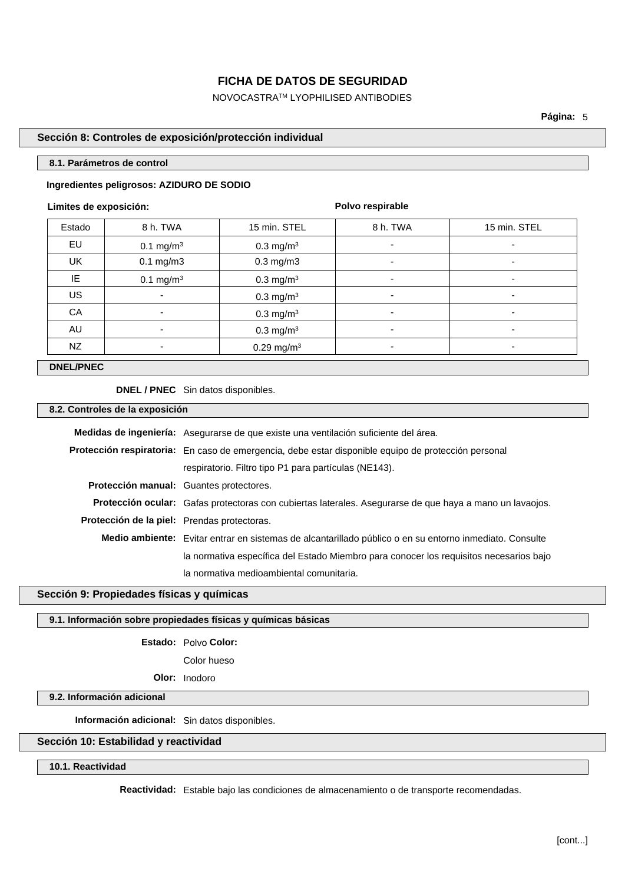NOVOCASTRATM LYOPHILISED ANTIBODIES

**Página:** 5

### **Sección 8: Controles de exposición/protección individual**

#### **8.1. Parámetros de control**

### **Ingredientes peligrosos: AZIDURO DE SODIO**

#### **Limites de exposición:**

**Polvo respirable**

| Estado | 8 h. TWA                 | 15 min. STEL             | 8 h. TWA                 | 15 min. STEL |
|--------|--------------------------|--------------------------|--------------------------|--------------|
| EU     | $0.1 \text{ mg/m}^3$     | $0.3$ mg/m <sup>3</sup>  | $\blacksquare$           | -            |
| UK     | $0.1$ mg/m $3$           | $0.3$ mg/m $3$           | $\overline{\phantom{0}}$ | ٠            |
| IE     | 0.1 mg/m <sup>3</sup>    | $0.3 \text{ mg/m}^3$     |                          |              |
| US     | ٠                        | 0.3 mg/ $m3$             | $\blacksquare$           | ٠            |
| CA     | ٠                        | $0.3 \text{ mg/m}^3$     | $\overline{\phantom{0}}$ | ٠            |
| AU     | $\overline{\phantom{a}}$ | $0.3 \text{ mg/m}^3$     |                          |              |
| NZ     | ٠                        | $0.29$ mg/m <sup>3</sup> | ۰                        | ٠            |

### **DNEL/PNEC**

**DNEL / PNEC** Sin datos disponibles.

### **8.2. Controles de la exposición**

|                                             | <b>Medidas de ingeniería:</b> Asegurarse de que existe una ventilación suficiente del área.                     |
|---------------------------------------------|-----------------------------------------------------------------------------------------------------------------|
|                                             | Protección respiratoria: En caso de emergencia, debe estar disponible equipo de protección personal             |
|                                             | respiratorio. Filtro tipo P1 para partículas (NE143).                                                           |
|                                             | Protección manual: Guantes protectores.                                                                         |
|                                             | <b>Protección ocular:</b> Gafas protectoras con cubiertas laterales. Asegurarse de que haya a mano un lavaojos. |
| Protección de la piel: Prendas protectoras. |                                                                                                                 |
|                                             | Medio ambiente: Evitar entrar en sistemas de alcantarillado público o en su entorno inmediato. Consulte         |
|                                             | la normativa específica del Estado Miembro para conocer los requisitos necesarios bajo                          |
|                                             | la normativa medioambiental comunitaria.                                                                        |

### **Sección 9: Propiedades físicas y químicas**

### **9.1. Información sobre propiedades físicas y químicas básicas**

**Estado:** Polvo **Color:**

Color hueso

**Olor:** Inodoro

## **9.2. Información adicional**

**Información adicional:** Sin datos disponibles.

## **Sección 10: Estabilidad y reactividad**

### **10.1. Reactividad**

**Reactividad:** Estable bajo las condiciones de almacenamiento o de transporte recomendadas.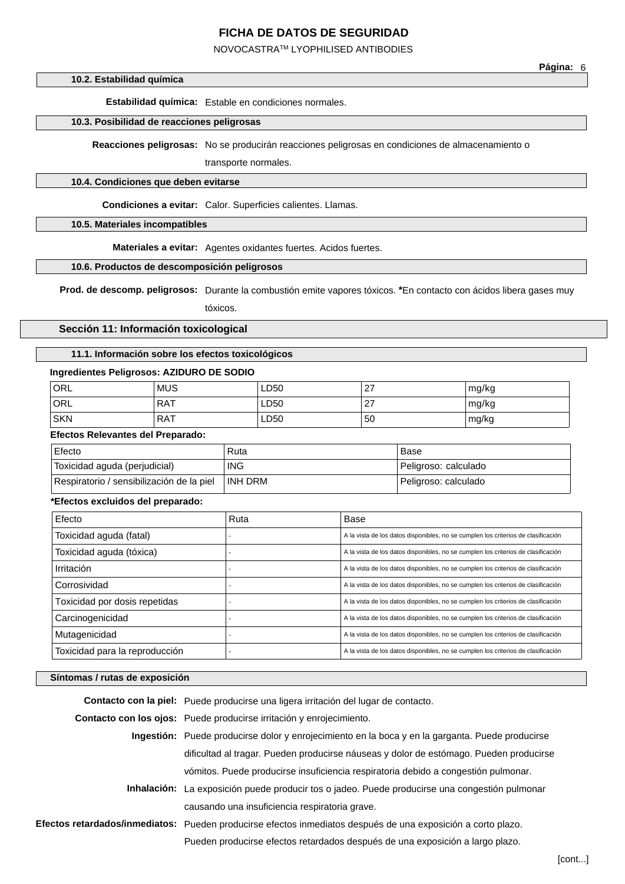NOVOCASTRATM LYOPHILISED ANTIBODIES

#### **10.2. Estabilidad química**

**Estabilidad química:** Estable en condiciones normales.

### **10.3. Posibilidad de reacciones peligrosas**

**Reacciones peligrosas:** No se producirán reacciones peligrosas en condiciones de almacenamiento o

transporte normales.

#### **10.4. Condiciones que deben evitarse**

**Condiciones a evitar:** Calor. Superficies calientes. Llamas.

## **10.5. Materiales incompatibles**

**Materiales a evitar:** Agentes oxidantes fuertes. Acidos fuertes.

#### **10.6. Productos de descomposición peligrosos**

**Prod. de descomp. peligrosos:** Durante la combustión emite vapores tóxicos. **\***En contacto con ácidos libera gases muy tóxicos.

**Sección 11: Información toxicological**

## **11.1. Información sobre los efectos toxicológicos**

### **Ingredientes Peligrosos: AZIDURO DE SODIO**

| ORL        | <b>MUS</b> | <b>LD50</b> | ົ<br><u>.</u>      | mg/kg |
|------------|------------|-------------|--------------------|-------|
| ORL        | <b>RAT</b> | <b>LD50</b> | $\sim$<br><u>.</u> | mg/kg |
| <b>SKN</b> | <b>RAT</b> | <b>LD50</b> | 50                 | mg/kg |

#### **Efectos Relevantes del Preparado:**

| Efecto                                    | Ruta       | Base                 |
|-------------------------------------------|------------|----------------------|
| Toxicidad aguda (perjudicial)             | <b>ING</b> | Peligroso: calculado |
| Respiratorio / sensibilización de la piel | INH DRM    | Peligroso: calculado |

### **\*Efectos excluidos del preparado:**

| Efecto                         | Ruta | Base                                                                              |
|--------------------------------|------|-----------------------------------------------------------------------------------|
| Toxicidad aguda (fatal)        |      | A la vista de los datos disponibles, no se cumplen los criterios de clasificación |
| Toxicidad aguda (tóxica)       |      | A la vista de los datos disponibles, no se cumplen los criterios de clasificación |
| Irritación                     |      | A la vista de los datos disponibles, no se cumplen los criterios de clasificación |
| Corrosividad                   |      | A la vista de los datos disponibles, no se cumplen los criterios de clasificación |
| Toxicidad por dosis repetidas  |      | A la vista de los datos disponibles, no se cumplen los criterios de clasificación |
| Carcinogenicidad               |      | A la vista de los datos disponibles, no se cumplen los criterios de clasificación |
| Mutagenicidad                  |      | A la vista de los datos disponibles, no se cumplen los criterios de clasificación |
| Toxicidad para la reproducción |      | A la vista de los datos disponibles, no se cumplen los criterios de clasificación |

#### **Síntomas / rutas de exposición**

| Contacto con la piel: Puede producirse una ligera irritación del lugar de contacto.                          |
|--------------------------------------------------------------------------------------------------------------|
| Contacto con los ojos: Puede producirse irritación y enrojecimiento.                                         |
| Ingestión: Puede producirse dolor y enrojecimiento en la boca y en la garganta. Puede producirse             |
| dificultad al tragar. Pueden producirse náuseas y dolor de estómago. Pueden producirse                       |
| vómitos. Puede producirse insuficiencia respiratoria debido a congestión pulmonar.                           |
| <b>Inhalación:</b> La exposición puede producir tos o jadeo. Puede producirse una congestión pulmonar        |
| causando una insuficiencia respiratoria grave.                                                               |
| Efectos retardados/inmediatos: Pueden producirse efectos inmediatos después de una exposición a corto plazo. |
| Pueden producirse efectos retardados después de una exposición a largo plazo.                                |

**Página:** 6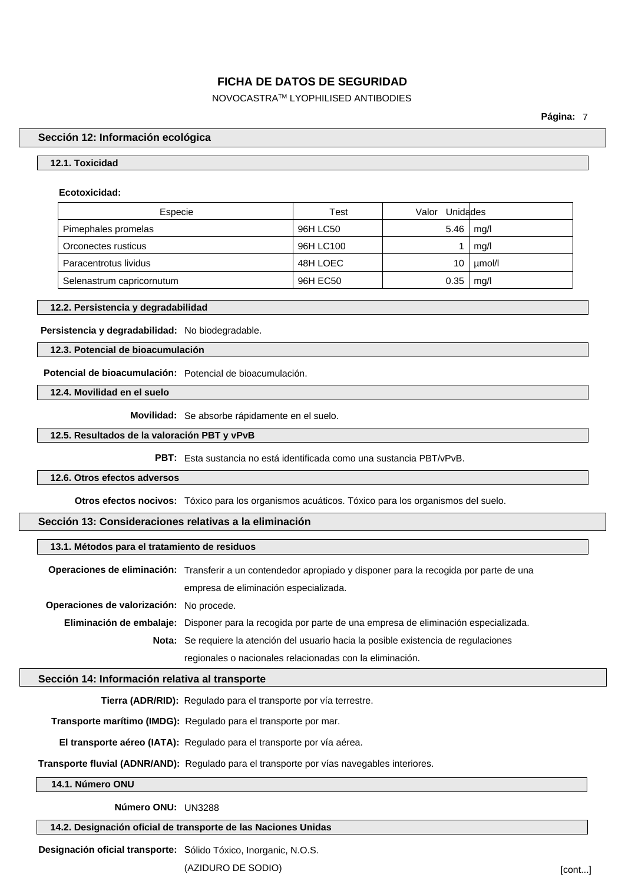NOVOCASTRATM LYOPHILISED ANTIBODIES

**Página:** 7

#### **Sección 12: Información ecológica**

## **12.1. Toxicidad**

#### **Ecotoxicidad:**

| Especie                   | Test      | Valor Unidades |        |
|---------------------------|-----------|----------------|--------|
| Pimephales promelas       | 96H LC50  | 5.46           | mg/l   |
| Orconectes rusticus       | 96H LC100 |                | mg/l   |
| Paracentrotus lividus     | 48H LOEC  | 10             | µmol/l |
| Selenastrum capricornutum | 96H EC50  | 0.35           | mq/l   |

#### **12.2. Persistencia y degradabilidad**

## **Persistencia y degradabilidad:** No biodegradable.

#### **12.3. Potencial de bioacumulación**

**Potencial de bioacumulación:** Potencial de bioacumulación.

**12.4. Movilidad en el suelo**

**Movilidad:** Se absorbe rápidamente en el suelo.

#### **12.5. Resultados de la valoración PBT y vPvB**

**PBT:** Esta sustancia no está identificada como una sustancia PBT/vPvB.

#### **12.6. Otros efectos adversos**

**Otros efectos nocivos:** Tóxico para los organismos acuáticos. Tóxico para los organismos del suelo.

## **Sección 13: Consideraciones relativas a la eliminación**

## **13.1. Métodos para el tratamiento de residuos**

**Operaciones de eliminación:** Transferir a un contendedor apropiado y disponer para la recogida por parte de una empresa de eliminación especializada.

**Operaciones de valorización:** No procede.

**Eliminación de embalaje:** Disponer para la recogida por parte de una empresa de eliminación especializada.

**Nota:** Se requiere la atención del usuario hacia la posible existencia de regulaciones

regionales o nacionales relacionadas con la eliminación.

## **Sección 14: Información relativa al transporte**

**Tierra (ADR/RID):** Regulado para el transporte por vía terrestre.

**Transporte marítimo (IMDG):** Regulado para el transporte por mar.

**El transporte aéreo (IATA):** Regulado para el transporte por vía aérea.

**Transporte fluvial (ADNR/AND):** Regulado para el transporte por vías navegables interiores.

**14.1. Número ONU**

**Número ONU:** UN3288

**14.2. Designación oficial de transporte de las Naciones Unidas**

**Designación oficial transporte:** Sólido Tóxico, Inorganic, N.O.S.

(AZIDURO DE SODIO) [cont...]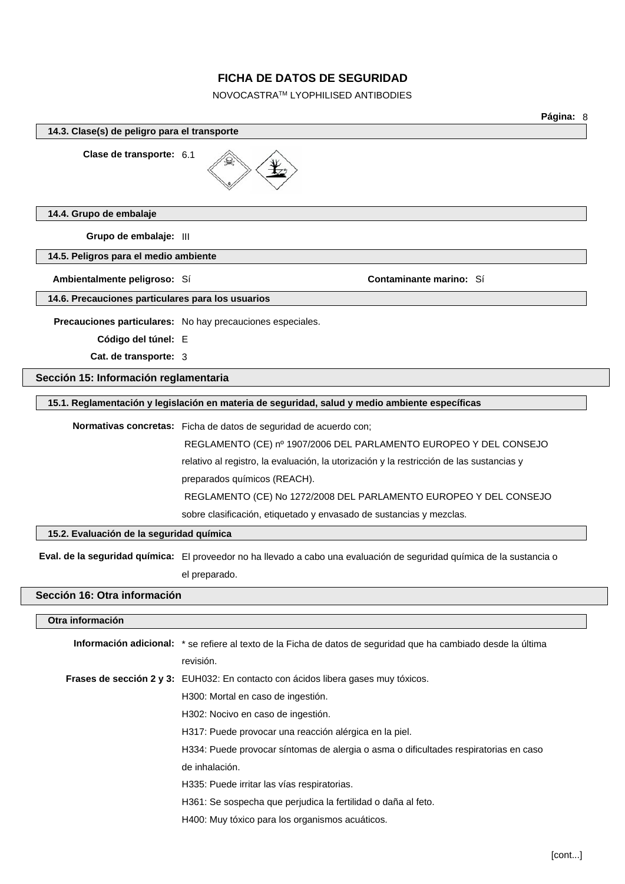NOVOCASTRATM LYOPHILISED ANTIBODIES

|                                                   | Página: 8                                                                                                              |
|---------------------------------------------------|------------------------------------------------------------------------------------------------------------------------|
| 14.3. Clase(s) de peligro para el transporte      |                                                                                                                        |
| Clase de transporte: 6.1                          |                                                                                                                        |
| 14.4. Grupo de embalaje                           |                                                                                                                        |
| Grupo de embalaje: III                            |                                                                                                                        |
| 14.5. Peligros para el medio ambiente             |                                                                                                                        |
| Ambientalmente peligroso: Sí                      | <b>Contaminante marino: Sí</b>                                                                                         |
| 14.6. Precauciones particulares para los usuarios |                                                                                                                        |
|                                                   | Precauciones particulares: No hay precauciones especiales.                                                             |
| Código del túnel: E                               |                                                                                                                        |
| Cat. de transporte: 3                             |                                                                                                                        |
| Sección 15: Información reglamentaria             |                                                                                                                        |
|                                                   | 15.1. Reglamentación y legislación en materia de seguridad, salud y medio ambiente específicas                         |
|                                                   | Normativas concretas: Ficha de datos de seguridad de acuerdo con;                                                      |
|                                                   | REGLAMENTO (CE) nº 1907/2006 DEL PARLAMENTO EUROPEO Y DEL CONSEJO                                                      |
|                                                   | relativo al registro, la evaluación, la utorización y la restricción de las sustancias y                               |
|                                                   | preparados químicos (REACH).                                                                                           |
|                                                   | REGLAMENTO (CE) No 1272/2008 DEL PARLAMENTO EUROPEO Y DEL CONSEJO                                                      |
|                                                   | sobre clasificación, etiquetado y envasado de sustancias y mezclas.                                                    |
| 15.2. Evaluación de la seguridad química          |                                                                                                                        |
|                                                   | Eval. de la seguridad química: El proveedor no ha llevado a cabo una evaluación de seguridad química de la sustancia o |
|                                                   | el preparado.                                                                                                          |
| Sección 16: Otra información                      |                                                                                                                        |
| Otra información                                  |                                                                                                                        |
|                                                   | Información adicional: * se refiere al texto de la Ficha de datos de seguridad que ha cambiado desde la última         |
|                                                   | revisión.                                                                                                              |
|                                                   | Frases de sección 2 y 3: EUH032: En contacto con ácidos libera gases muy tóxicos.                                      |
|                                                   | H300: Mortal en caso de ingestión.                                                                                     |
|                                                   | H302: Nocivo en caso de ingestión.                                                                                     |
|                                                   | H317: Puede provocar una reacción alérgica en la piel.                                                                 |
|                                                   | H334: Puede provocar síntomas de alergia o asma o dificultades respiratorias en caso                                   |

de inhalación.

H335: Puede irritar las vías respiratorias.

H361: Se sospecha que perjudica la fertilidad o daña al feto.

H400: Muy tóxico para los organismos acuáticos.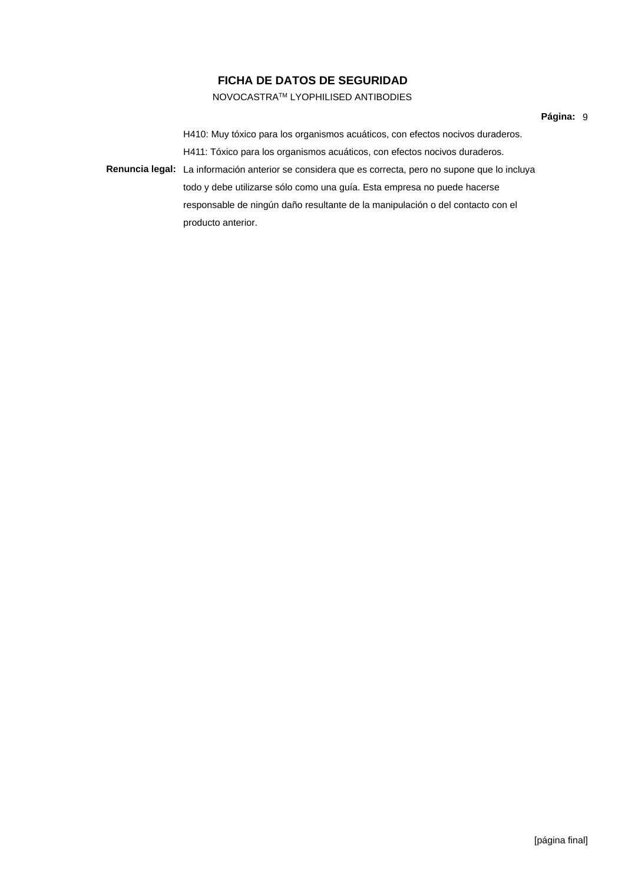## NOVOCASTRATM LYOPHILISED ANTIBODIES

H410: Muy tóxico para los organismos acuáticos, con efectos nocivos duraderos. H411: Tóxico para los organismos acuáticos, con efectos nocivos duraderos. **Renuncia legal:** La información anterior se considera que es correcta, pero no supone que lo incluya todo y debe utilizarse sólo como una guía. Esta empresa no puede hacerse responsable de ningún daño resultante de la manipulación o del contacto con el producto anterior.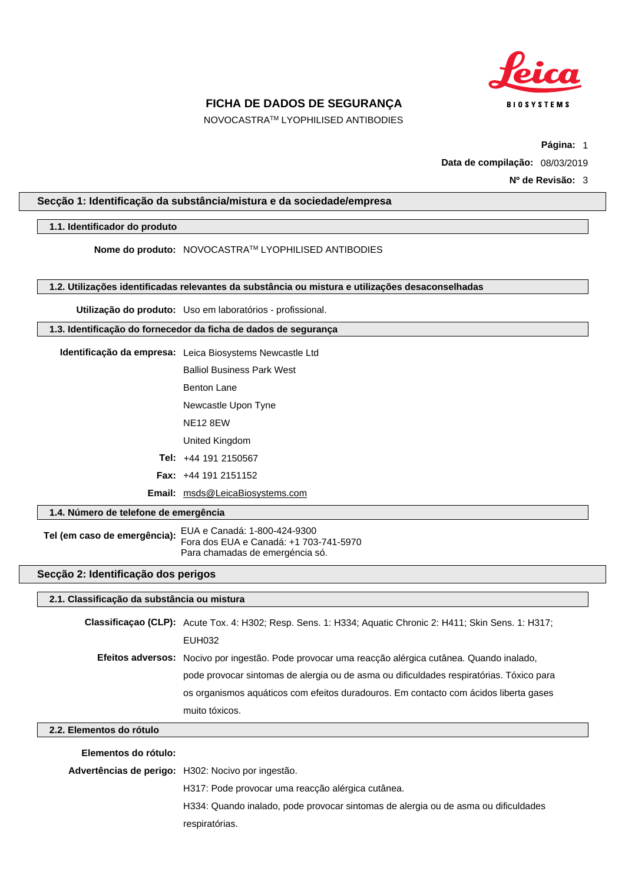

NOVOCASTRATM LYOPHILISED ANTIBODIES

**Página:** 1

**Data de compilação:** 08/03/2019

**Nº de Revisão:** 3

### **Secção 1: Identificação da substância/mistura e da sociedade/empresa**

#### **1.1. Identificador do produto**

**Nome do produto:** NOVOCASTRATM LYOPHILISED ANTIBODIES

**1.2. Utilizações identificadas relevantes da substância ou mistura e utilizações desaconselhadas**

**Utilização do produto:** Uso em laboratórios - profissional.

#### **1.3. Identificação do fornecedor da ficha de dados de segurança**

- **Identificação da empresa:** Leica Biosystems Newcastle Ltd Balliol Business Park West
	- Benton Lane
	- Newcastle Upon Tyne
	- NE12 8EW

United Kingdom

- **Tel:** +44 191 2150567
- **Fax:** +44 191 2151152
- **Email:** msds@LeicaBiosystems.com

### **1.4. Número de telefone de emergência**

**Tel (em caso de emergência):** EUA e Canadá: 1-800-424-9300 Fora dos EUA e Canadá: +1 703-741-5970 Para chamadas de emergéncia só.

### **Secção 2: Identificação dos perigos**

#### **2.1. Classificação da substância ou mistura**

**Classificaçao (CLP):** Acute Tox. 4: H302; Resp. Sens. 1: H334; Aquatic Chronic 2: H411; Skin Sens. 1: H317; EUH032 **Efeitos adversos:** Nocivo por ingestão. Pode provocar uma reacção alérgica cutânea. Quando inalado, pode provocar sintomas de alergia ou de asma ou dificuldades respiratórias. Tóxico para os organismos aquáticos com efeitos duradouros. Em contacto com ácidos liberta gases muito tóxicos.

## **2.2. Elementos do rótulo**

**Elementos do rótulo:**

**Advertências de perigo:** H302: Nocivo por ingestão.

H317: Pode provocar uma reacção alérgica cutânea.

H334: Quando inalado, pode provocar sintomas de alergia ou de asma ou dificuldades respiratórias.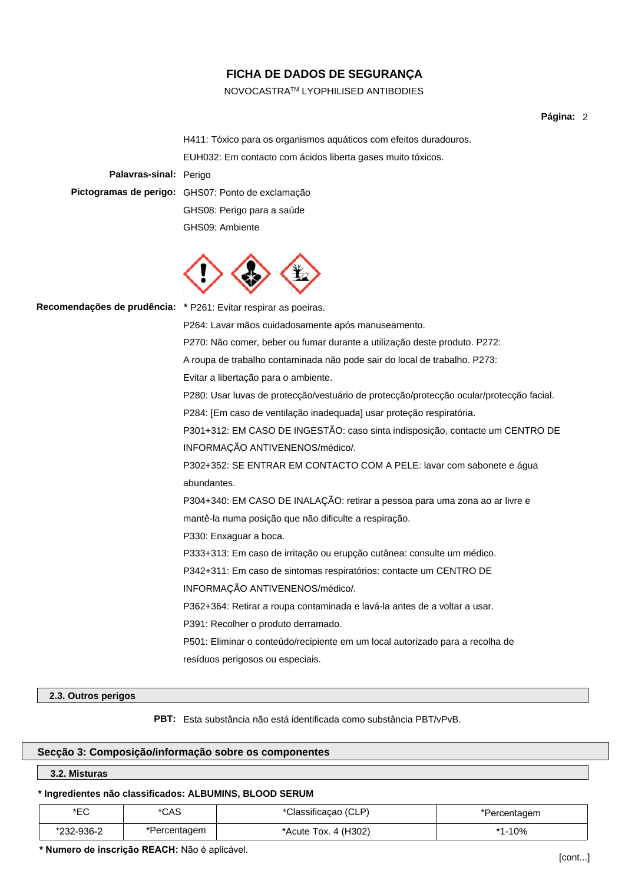### NOVOCASTRATM LYOPHILISED ANTIBODIES

**Página:** 2

H411: Tóxico para os organismos aquáticos com efeitos duradouros. EUH032: Em contacto com ácidos liberta gases muito tóxicos. **Palavras-sinal:** Perigo **Pictogramas de perigo:** GHS07: Ponto de exclamação GHS08: Perigo para a saúde



GHS09: Ambiente

**Recomendações de prudência: \*** P261: Evitar respirar as poeiras.

P264: Lavar mãos cuidadosamente após manuseamento.

P270: Não comer, beber ou fumar durante a utilização deste produto. P272:

A roupa de trabalho contaminada não pode sair do local de trabalho. P273:

Evitar a libertação para o ambiente.

P280: Usar luvas de protecção/vestuário de protecção/protecção ocular/protecção facial.

P284: [Em caso de ventilação inadequada] usar proteção respiratória.

P301+312: EM CASO DE INGESTÃO: caso sinta indisposição, contacte um CENTRO DE INFORMAÇÃO ANTIVENENOS/médico/.

P302+352: SE ENTRAR EM CONTACTO COM A PELE: lavar com sabonete e água abundantes.

P304+340: EM CASO DE INALAÇÃO: retirar a pessoa para uma zona ao ar livre e mantê-la numa posição que não dificulte a respiração.

P330: Enxaguar a boca.

P333+313: Em caso de irritação ou erupção cutânea: consulte um médico.

P342+311: Em caso de sintomas respiratórios: contacte um CENTRO DE

INFORMAÇÃO ANTIVENENOS/médico/.

P362+364: Retirar a roupa contaminada e lavá-la antes de a voltar a usar.

P391: Recolher o produto derramado.

P501: Eliminar o conteúdo/recipiente em um local autorizado para a recolha de resíduos perigosos ou especiais.

#### **2.3. Outros perigos**

**PBT:** Esta substância não está identificada como substância PBT/vPvB.

## **Secção 3: Composição/informação sobre os componentes**

#### **3.2. Misturas**

#### **\* Ingredientes não classificados: ALBUMINS, BLOOD SERUM**

| ∗⊏∩<br>└  | *CAS         | *Classificacao (CLP) | ercentagem |
|-----------|--------------|----------------------|------------|
| 232-936-2 | *Percentagem | *Acute Tox. 4 (H302) | l-10%      |

**\* Numero de inscrição REACH:** Não é aplicável.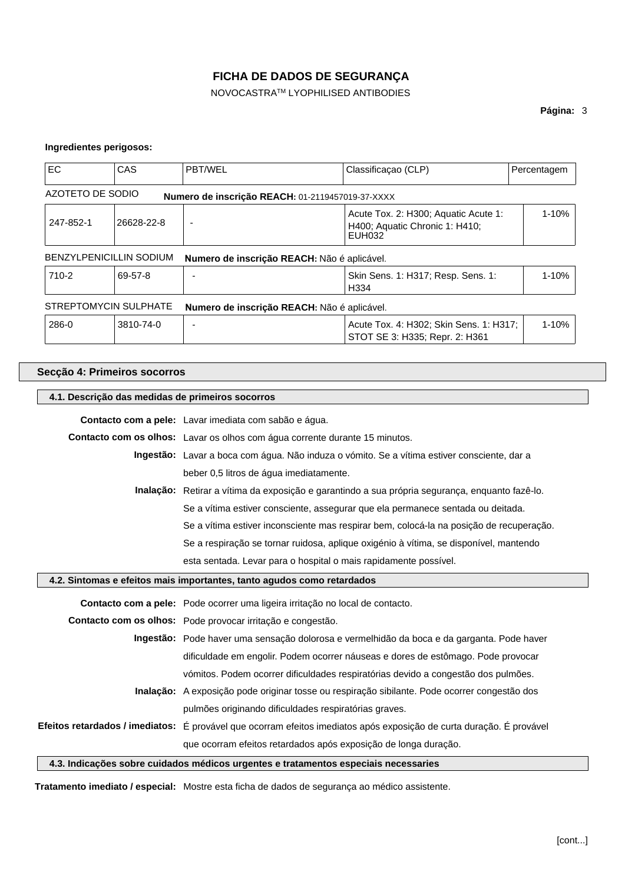NOVOCASTRATM LYOPHILISED ANTIBODIES

## **Página:** 3

#### **Ingredientes perigosos:**

| <b>EC</b>                                                            | CAS                                                                                                                           | <b>PBT/WEL</b>                                   | Classificação (CLP)                                                       | Percentagem |  |
|----------------------------------------------------------------------|-------------------------------------------------------------------------------------------------------------------------------|--------------------------------------------------|---------------------------------------------------------------------------|-------------|--|
| AZOTETO DE SODIO                                                     |                                                                                                                               | Numero de inscrição REACH: 01-2119457019-37-XXXX |                                                                           |             |  |
| 247-852-1                                                            | $1 - 10%$<br>Acute Tox. 2: H300; Aquatic Acute 1:<br>26628-22-8<br>$\overline{a}$<br>H400; Aquatic Chronic 1: H410;<br>EUH032 |                                                  |                                                                           |             |  |
|                                                                      | <b>BENZYLPENICILLIN SODIUM</b><br>Numero de inscrição REACH: Não é aplicável.                                                 |                                                  |                                                                           |             |  |
| 710-2                                                                | 69-57-8                                                                                                                       |                                                  | Skin Sens. 1: H317; Resp. Sens. 1:<br>H <sub>334</sub>                    | $1 - 10%$   |  |
| STREPTOMYCIN SULPHATE<br>Numero de inscrição REACH: Não é aplicável. |                                                                                                                               |                                                  |                                                                           |             |  |
| 286-0                                                                | 3810-74-0                                                                                                                     |                                                  | Acute Tox. 4: H302; Skin Sens. 1: H317;<br>STOT SE 3: H335; Repr. 2: H361 | $1 - 10%$   |  |

### **Secção 4: Primeiros socorros**

#### **4.1. Descrição das medidas de primeiros socorros**

**Contacto com a pele:** Lavar imediata com sabão e água. **Contacto com os olhos:** Lavar os olhos com água corrente durante 15 minutos. **Ingestão:** Lavar a boca com água. Não induza o vómito. Se a vítima estiver consciente, dar a beber 0,5 litros de água imediatamente. **Inalação:** Retirar a vítima da exposição e garantindo a sua própria segurança, enquanto fazê-lo. Se a vítima estiver consciente, assegurar que ela permanece sentada ou deitada. Se a vítima estiver inconsciente mas respirar bem, colocá-la na posição de recuperação. Se a respiração se tornar ruidosa, aplique oxigénio à vítima, se disponível, mantendo esta sentada. Levar para o hospital o mais rapidamente possível. **4.2. Sintomas e efeitos mais importantes, tanto agudos como retardados Contacto com a pele:** Pode ocorrer uma ligeira irritação no local de contacto. **Contacto com os olhos:** Pode provocar irritação e congestão. **Ingestão:** Pode haver uma sensação dolorosa e vermelhidão da boca e da garganta. Pode haver dificuldade em engolir. Podem ocorrer náuseas e dores de estômago. Pode provocar vómitos. Podem ocorrer dificuldades respiratórias devido a congestão dos pulmões. **Inalação:** A exposição pode originar tosse ou respiração sibilante. Pode ocorrer congestão dos pulmões originando dificuldades respiratórias graves. **Efeitos retardados / imediatos:** É provável que ocorram efeitos imediatos após exposição de curta duração. É provável que ocorram efeitos retardados após exposição de longa duração. **4.3. Indicações sobre cuidados médicos urgentes e tratamentos especiais necessaries**

**Tratamento imediato / especial:** Mostre esta ficha de dados de segurança ao médico assistente.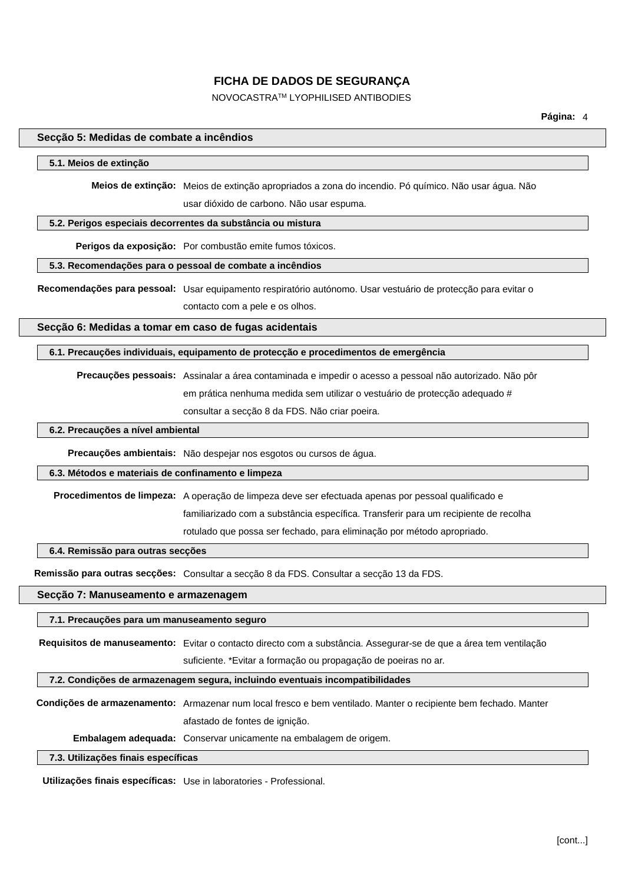NOVOCASTRATM LYOPHILISED ANTIBODIES

#### **Secção 5: Medidas de combate a incêndios**

#### **5.1. Meios de extinção**

**Meios de extinção:** Meios de extinção apropriados a zona do incendio. Pó químico. Não usar água. Não usar dióxido de carbono. Não usar espuma.

**5.2. Perigos especiais decorrentes da substância ou mistura**

**Perigos da exposição:** Por combustão emite fumos tóxicos.

#### **5.3. Recomendações para o pessoal de combate a incêndios**

**Recomendações para pessoal:** Usar equipamento respiratório autónomo. Usar vestuário de protecção para evitar o contacto com a pele e os olhos.

**Secção 6: Medidas a tomar em caso de fugas acidentais**

**6.1. Precauções individuais, equipamento de protecção e procedimentos de emergência**

**Precauções pessoais:** Assinalar a área contaminada e impedir o acesso a pessoal não autorizado. Não pôr em prática nenhuma medida sem utilizar o vestuário de protecção adequado # consultar a secção 8 da FDS. Não criar poeira.

### **6.2. Precauções a nível ambiental**

**Precauções ambientais:** Não despejar nos esgotos ou cursos de água.

#### **6.3. Métodos e materiais de confinamento e limpeza**

**Procedimentos de limpeza:** A operação de limpeza deve ser efectuada apenas por pessoal qualificado e familiarizado com a substância específica. Transferir para um recipiente de recolha rotulado que possa ser fechado, para eliminação por método apropriado.

### **6.4. Remissão para outras secções**

**Remissão para outras secções:** Consultar a secção 8 da FDS. Consultar a secção 13 da FDS.

## **Secção 7: Manuseamento e armazenagem**

**7.1. Precauções para um manuseamento seguro**

**Requisitos de manuseamento:** Evitar o contacto directo com a substância. Assegurar-se de que a área tem ventilação suficiente. \*Evitar a formação ou propagação de poeiras no ar.

**7.2. Condições de armazenagem segura, incluindo eventuais incompatibilidades**

**Condições de armazenamento:** Armazenar num local fresco e bem ventilado. Manter o recipiente bem fechado. Manter afastado de fontes de ignição.

**Embalagem adequada:** Conservar unicamente na embalagem de origem.

### **7.3. Utilizações finais específicas**

**Utilizações finais específicas:** Use in laboratories - Professional.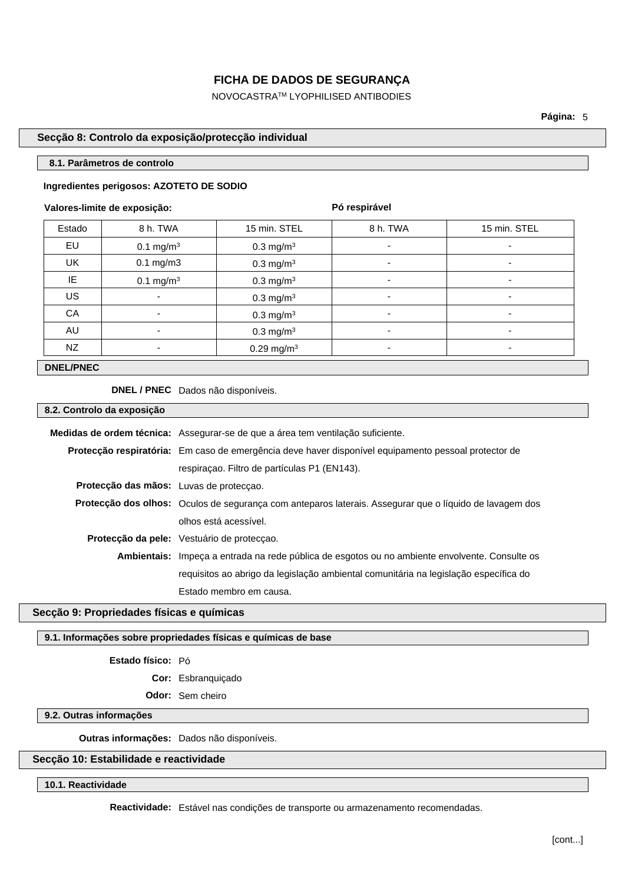NOVOCASTRATM LYOPHILISED ANTIBODIES

**Página:** 5

## **Secção 8: Controlo da exposição/protecção individual**

#### **8.1. Parâmetros de controlo**

#### **Ingredientes perigosos: AZOTETO DE SODIO**

#### **Valores-limite de exposição:**

**Pó respirável**

| Estado    | 8 h. TWA              | 15 min. STEL             | 8 h. TWA                 | 15 min. STEL             |
|-----------|-----------------------|--------------------------|--------------------------|--------------------------|
| EU        | $0.1 \text{ mg/m}^3$  | $0.3$ mg/m <sup>3</sup>  | $\overline{\phantom{a}}$ | ٠                        |
| <b>UK</b> | $0.1$ mg/m $3$        | $0.3$ mg/m <sup>3</sup>  | $\overline{\phantom{a}}$ | $\overline{\phantom{a}}$ |
| IE        | 0.1 mg/m <sup>3</sup> | 0.3 mg/m $3$             | $\overline{\phantom{a}}$ |                          |
| <b>US</b> | ٠                     | 0.3 mg/m <sup>3</sup>    | $\overline{\phantom{a}}$ | $\overline{\phantom{a}}$ |
| CA        | ٠                     | 0.3 mg/m <sup>3</sup>    | $\overline{\phantom{0}}$ | $\overline{\phantom{a}}$ |
| AU        | ٠                     | $0.3 \text{ mg/m}^3$     | $\overline{\phantom{a}}$ | ۰                        |
| NZ        | ٠                     | $0.29$ mg/m <sup>3</sup> | $\overline{\phantom{0}}$ | ۰                        |

## **DNEL/PNEC**

**DNEL / PNEC** Dados não disponíveis.

### **8.2. Controlo da exposição**

| Protecção respiratória: Em caso de emergência deve haver disponível equipamento pessoal protector de<br>respiração. Filtro de partículas P1 (EN143).<br>Protecção das mãos: Luvas de protecção.<br><b>Protecção dos olhos:</b> Oculos de segurança com anteparos laterais. Assegurar que o líquido de lavagem dos<br>olhos está acessível.<br>Protecção da pele: Vestuário de protecção.<br>Ambientais: Impeca a entrada na rede pública de esgotos ou no ambiente envolvente. Consulte os<br>requisitos ao abrigo da legislação ambiental comunitária na legislação específica do<br>Estado membro em causa. | Medidas de ordem técnica: Assegurar-se de que a área tem ventilação suficiente. |  |
|---------------------------------------------------------------------------------------------------------------------------------------------------------------------------------------------------------------------------------------------------------------------------------------------------------------------------------------------------------------------------------------------------------------------------------------------------------------------------------------------------------------------------------------------------------------------------------------------------------------|---------------------------------------------------------------------------------|--|
|                                                                                                                                                                                                                                                                                                                                                                                                                                                                                                                                                                                                               |                                                                                 |  |
|                                                                                                                                                                                                                                                                                                                                                                                                                                                                                                                                                                                                               |                                                                                 |  |
|                                                                                                                                                                                                                                                                                                                                                                                                                                                                                                                                                                                                               |                                                                                 |  |
|                                                                                                                                                                                                                                                                                                                                                                                                                                                                                                                                                                                                               |                                                                                 |  |
|                                                                                                                                                                                                                                                                                                                                                                                                                                                                                                                                                                                                               |                                                                                 |  |
|                                                                                                                                                                                                                                                                                                                                                                                                                                                                                                                                                                                                               |                                                                                 |  |
|                                                                                                                                                                                                                                                                                                                                                                                                                                                                                                                                                                                                               |                                                                                 |  |
|                                                                                                                                                                                                                                                                                                                                                                                                                                                                                                                                                                                                               |                                                                                 |  |
|                                                                                                                                                                                                                                                                                                                                                                                                                                                                                                                                                                                                               |                                                                                 |  |

## **Secção 9: Propriedades físicas e químicas**

## **9.1. Informações sobre propriedades físicas e químicas de base**

### **Estado físico:** Pó

**Cor:** Esbranquiçado

**Odor:** Sem cheiro

## **9.2. Outras informações**

**Outras informações:** Dados não disponíveis.

## **Secção 10: Estabilidade e reactividade**

**10.1. Reactividade**

**Reactividade:** Estável nas condições de transporte ou armazenamento recomendadas.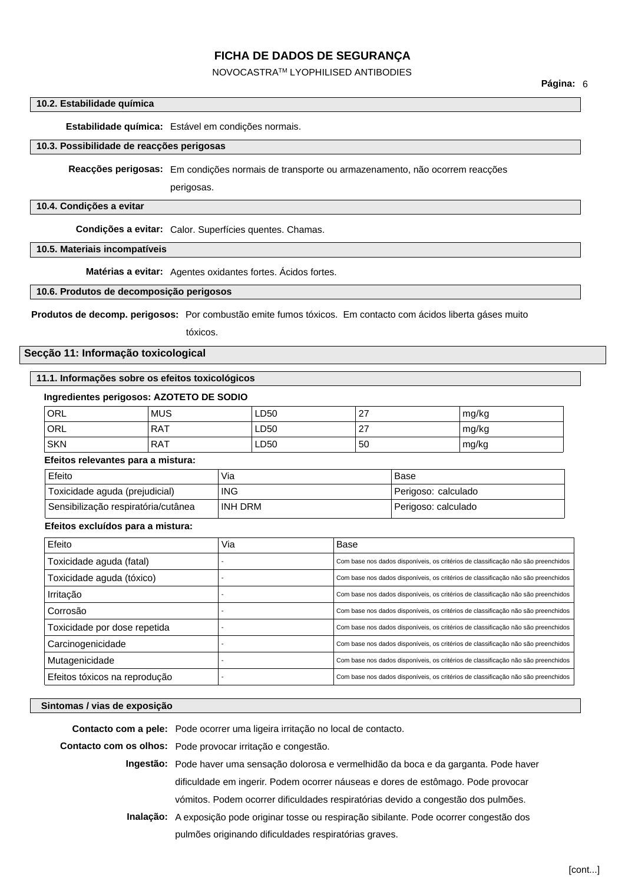#### NOVOCASTRATM LYOPHILISED ANTIBODIES

#### **10.2. Estabilidade química**

**Estabilidade química:** Estável em condições normais.

### **10.3. Possibilidade de reacções perigosas**

**Reacções perigosas:** Em condições normais de transporte ou armazenamento, não ocorrem reacções

perigosas.

#### **10.4. Condições a evitar**

**Condições a evitar:** Calor. Superfícies quentes. Chamas.

**10.5. Materiais incompatíveis**

**Matérias a evitar:** Agentes oxidantes fortes. Ácidos fortes.

### **10.6. Produtos de decomposição perigosos**

**Produtos de decomp. perigosos:** Por combustão emite fumos tóxicos. Em contacto com ácidos liberta gáses muito

tóxicos.

## **Secção 11: Informação toxicological**

#### **11.1. Informações sobre os efeitos toxicológicos**

#### **Ingredientes perigosos: AZOTETO DE SODIO**

| <sup>'</sup> ORL | <b>MUS</b> | LD50 | ົ<br><u>_</u> | mg/kg |
|------------------|------------|------|---------------|-------|
| 'ORL             | <b>RAT</b> | LD50 | ົ<br><u>_</u> | mg/kg |
| <b>SKN</b>       | <b>RAT</b> | LD50 | 50            | mg/kg |

### **Efeitos relevantes para a mistura:**

| Efeito                              | Via     | Base                |
|-------------------------------------|---------|---------------------|
| Toxicidade aguda (prejudicial)      | ING     | Perigoso: calculado |
| Sensibilização respiratória/cutânea | INH DRM | Perigoso: calculado |

#### **Efeitos excluídos para a mistura:**

| Efeito                        | Via | Base                                                                              |
|-------------------------------|-----|-----------------------------------------------------------------------------------|
| Toxicidade aguda (fatal)      |     | Com base nos dados disponíveis, os critérios de classificação não são preenchidos |
| Toxicidade aguda (tóxico)     |     | Com base nos dados disponíveis, os critérios de classificação não são preenchidos |
| Irritação                     |     | Com base nos dados disponíveis, os critérios de classificação não são preenchidos |
| Corrosão                      |     | Com base nos dados disponíveis, os critérios de classificação não são preenchidos |
| Toxicidade por dose repetida  |     | Com base nos dados disponíveis, os critérios de classificação não são preenchidos |
| Carcinogenicidade             |     | Com base nos dados disponíveis, os critérios de classificação não são preenchidos |
| Mutagenicidade                |     | Com base nos dados disponíveis, os critérios de classificação não são preenchidos |
| Efeitos tóxicos na reprodução |     | Com base nos dados disponíveis, os critérios de classificação não são preenchidos |

#### **Sintomas / vias de exposição**

**Contacto com a pele:** Pode ocorrer uma ligeira irritação no local de contacto.

**Contacto com os olhos:** Pode provocar irritação e congestão.

- **Ingestão:** Pode haver uma sensação dolorosa e vermelhidão da boca e da garganta. Pode haver dificuldade em ingerir. Podem ocorrer náuseas e dores de estômago. Pode provocar vómitos. Podem ocorrer dificuldades respiratórias devido a congestão dos pulmões.
- **Inalação:** A exposição pode originar tosse ou respiração sibilante. Pode ocorrer congestão dos pulmões originando dificuldades respiratórias graves.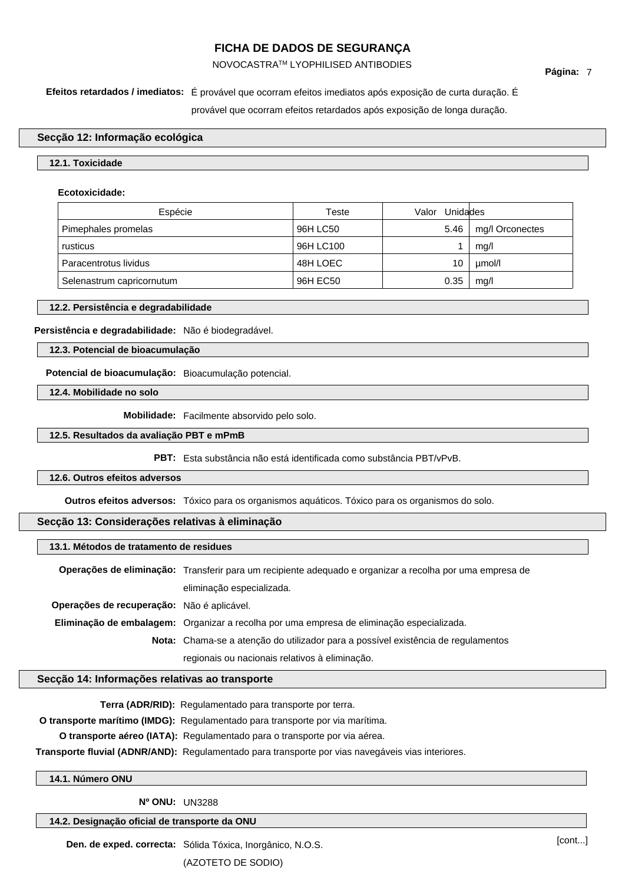## NOVOCASTRATM LYOPHILISED ANTIBODIES

# **Efeitos retardados / imediatos:** É provável que ocorram efeitos imediatos após exposição de curta duração. É

provável que ocorram efeitos retardados após exposição de longa duração.

## **Secção 12: Informação ecológica**

## **12.1. Toxicidade**

### **Ecotoxicidade:**

| Espécie                   | Teste     | Valor Unidades |                 |
|---------------------------|-----------|----------------|-----------------|
| Pimephales promelas       | 96H LC50  | 5.46           | mg/I Orconectes |
| rusticus                  | 96H LC100 |                | mq/l            |
| Paracentrotus lividus     | 48H LOEC  | 10             | umol/l          |
| Selenastrum capricornutum | 96H EC50  | 0.35           | mq/l            |

#### **12.2. Persistência e degradabilidade**

## **Persistência e degradabilidade:** Não é biodegradável.

## **12.3. Potencial de bioacumulação**

**Potencial de bioacumulação:** Bioacumulação potencial.

**12.4. Mobilidade no solo**

**Mobilidade:** Facilmente absorvido pelo solo.

#### **12.5. Resultados da avaliação PBT e mPmB**

**PBT:** Esta substância não está identificada como substância PBT/vPvB.

## **12.6. Outros efeitos adversos**

**Outros efeitos adversos:** Tóxico para os organismos aquáticos. Tóxico para os organismos do solo.

## **Secção 13: Considerações relativas à eliminação**

#### **13.1. Métodos de tratamento de residues**

|                                            | Operações de eliminação: Transferir para um recipiente adequado e organizar a recolha por uma empresa de |  |
|--------------------------------------------|----------------------------------------------------------------------------------------------------------|--|
|                                            | eliminação especializada.                                                                                |  |
| Operações de recuperação: Não é aplicável. |                                                                                                          |  |
|                                            | Eliminação de embalagem: Organizar a recolha por uma empresa de eliminação especializada.                |  |
|                                            | Nota: Chama-se a atenção do utilizador para a possível existência de regulamentos                        |  |
|                                            | regionais ou nacionais relativos à eliminação.                                                           |  |

### **Secção 14: Informações relativas ao transporte**

**Terra (ADR/RID):** Regulamentado para transporte por terra.

**O transporte marítimo (IMDG):** Regulamentado para transporte por via marítima.

**O transporte aéreo (IATA):** Regulamentado para o transporte por via aérea.

**Transporte fluvial (ADNR/AND):** Regulamentado para transporte por vias navegáveis vias interiores.

## **14.1. Número ONU**

**Nº ONU:** UN3288

## **14.2. Designação oficial de transporte da ONU**

**Den. de exped. correcta:** Sólida Tóxica, Inorgânico, N.O.S. (AZOTETO DE SODIO)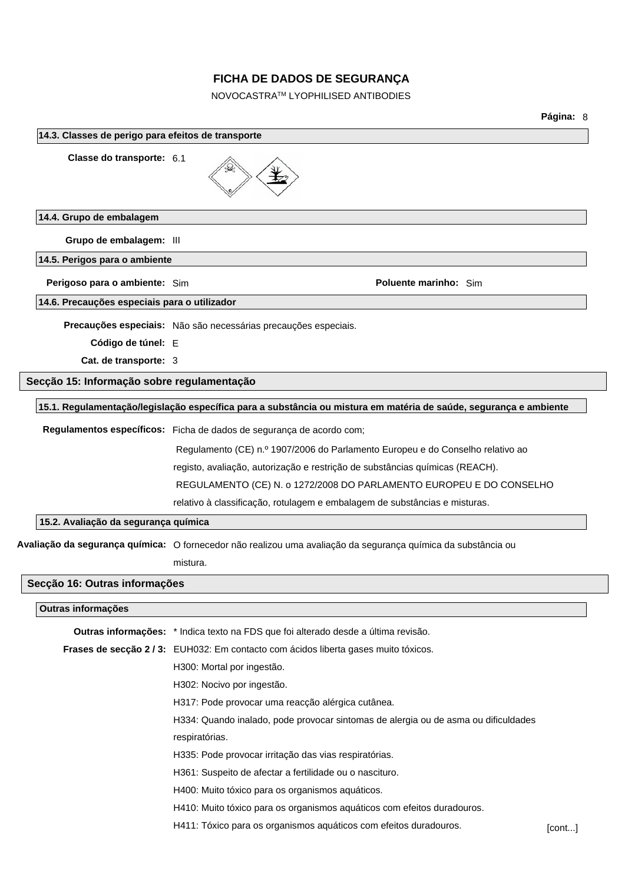NOVOCASTRATM LYOPHILISED ANTIBODIES

**Página:** 8 **14.3. Classes de perigo para efeitos de transporte Classe do transporte:** 6.1 **14.4. Grupo de embalagem Grupo de embalagem:** III **14.5. Perigos para o ambiente Perigoso para o ambiente:** Sim **Poluente marinho:** Sim **14.6. Precauções especiais para o utilizador Precauções especiais:** Não são necessárias precauções especiais. **Código de túnel:** E **Cat. de transporte:** 3 **Secção 15: Informação sobre regulamentação 15.1. Regulamentação/legislação específica para a substância ou mistura em matéria de saúde, segurança e ambiente Regulamentos específicos:** Ficha de dados de segurança de acordo com; Regulamento (CE) n.º 1907/2006 do Parlamento Europeu e do Conselho relativo ao registo, avaliação, autorização e restrição de substâncias químicas (REACH). REGULAMENTO (CE) N. o 1272/2008 DO PARLAMENTO EUROPEU E DO CONSELHO relativo à classificação, rotulagem e embalagem de substâncias e misturas. **15.2. Avaliação da segurança química Avaliação da segurança química:** O fornecedor não realizou uma avaliação da segurança química da substância ou mistura. **Secção 16: Outras informações Outras informações Outras informações:** \* Indica texto na FDS que foi alterado desde a última revisão. **Frases de secção 2 / 3:** EUH032: Em contacto com ácidos liberta gases muito tóxicos. H300: Mortal por ingestão. H302: Nocivo por ingestão. H317: Pode provocar uma reacção alérgica cutânea. H334: Quando inalado, pode provocar sintomas de alergia ou de asma ou dificuldades respiratórias. H335: Pode provocar irritação das vias respiratórias. H361: Suspeito de afectar a fertilidade ou o nascituro. H400: Muito tóxico para os organismos aquáticos. H410: Muito tóxico para os organismos aquáticos com efeitos duradouros. H411: Tóxico para os organismos aquáticos com efeitos duradouros. [cont...]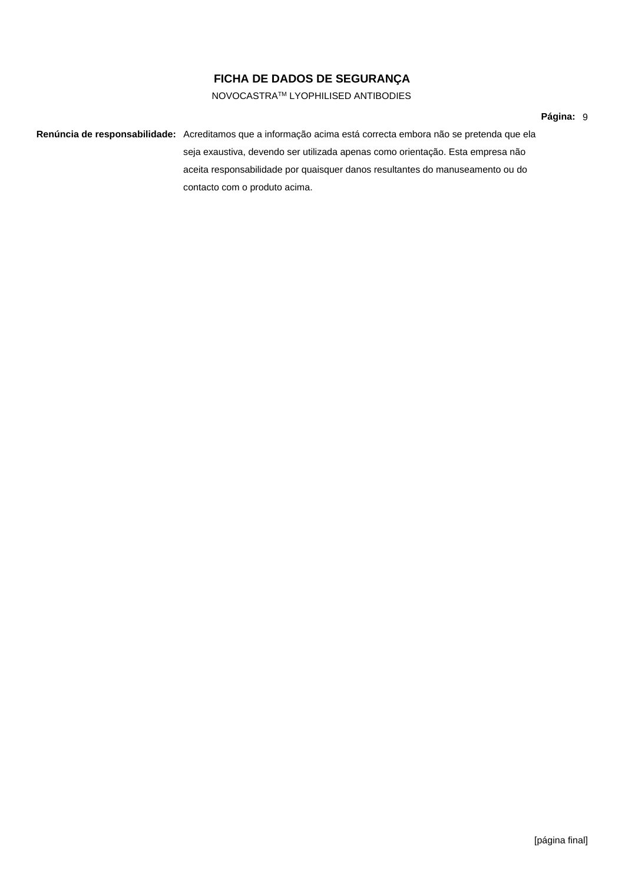## NOVOCASTRATM LYOPHILISED ANTIBODIES

### **Página:** 9

**Renúncia de responsabilidade:** Acreditamos que a informação acima está correcta embora não se pretenda que ela seja exaustiva, devendo ser utilizada apenas como orientação. Esta empresa não aceita responsabilidade por quaisquer danos resultantes do manuseamento ou do contacto com o produto acima.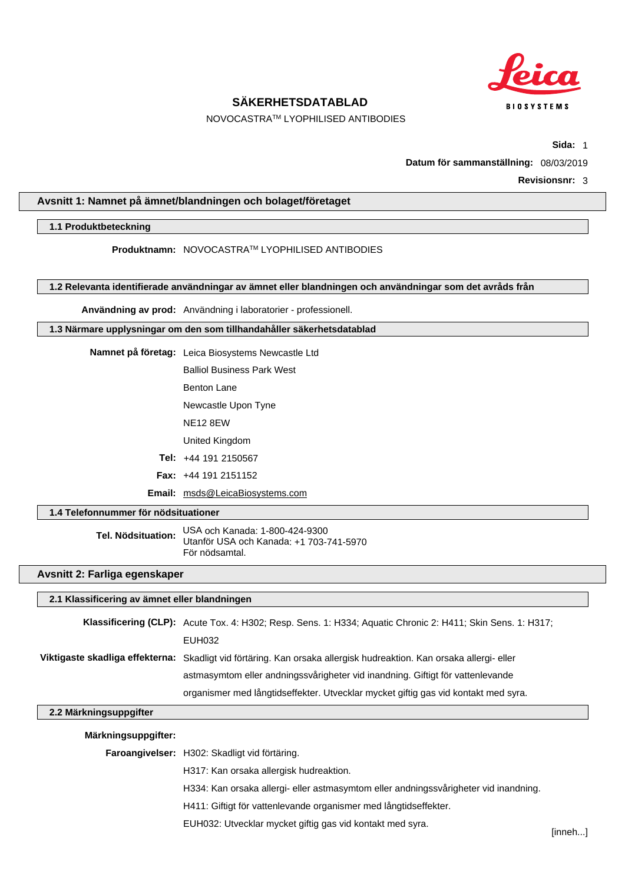

NOVOCASTRATM LYOPHILISED ANTIBODIES

**Sida:** 1

**Datum för sammanställning:** 08/03/2019

**Revisionsnr:** 3

## **Avsnitt 1: Namnet på ämnet/blandningen och bolaget/företaget**

#### **1.1 Produktbeteckning**

**Produktnamn:** NOVOCASTRATM LYOPHILISED ANTIBODIES

**1.2 Relevanta identifierade användningar av ämnet eller blandningen och användningar som det avråds från**

**Användning av prod:** Användning i laboratorier - professionell.

**1.3 Närmare upplysningar om den som tillhandahåller säkerhetsdatablad**

| Namnet på företag: Leica Biosystems Newcastle Ltd |
|---------------------------------------------------|
| <b>Balliol Business Park West</b>                 |

Benton Lane

Newcastle Upon Tyne

NE12 8EW

United Kingdom

**Tel:** +44 191 2150567

**Fax:** +44 191 2151152

**Email:** msds@LeicaBiosystems.com

### **1.4 Telefonnummer för nödsituationer**

**Tel. Nödsituation:** USA och Kanada: 1-800-424-9300 Utanför USA och Kanada: +1 703-741-5970 För nödsamtal.

## **Avsnitt 2: Farliga egenskaper**

#### **2.1 Klassificering av ämnet eller blandningen**

**Klassificering (CLP):** Acute Tox. 4: H302; Resp. Sens. 1: H334; Aquatic Chronic 2: H411; Skin Sens. 1: H317; EUH032 **Viktigaste skadliga effekterna:** Skadligt vid förtäring. Kan orsaka allergisk hudreaktion. Kan orsaka allergi- eller astmasymtom eller andningssvårigheter vid inandning. Giftigt för vattenlevande organismer med långtidseffekter. Utvecklar mycket giftig gas vid kontakt med syra.

#### **2.2 Märkningsuppgifter**

#### **Märkningsuppgifter:**

**Faroangivelser:** H302: Skadligt vid förtäring.

H317: Kan orsaka allergisk hudreaktion.

H334: Kan orsaka allergi- eller astmasymtom eller andningssvårigheter vid inandning.

H411: Giftigt för vattenlevande organismer med långtidseffekter.

EUH032: Utvecklar mycket giftig gas vid kontakt med syra.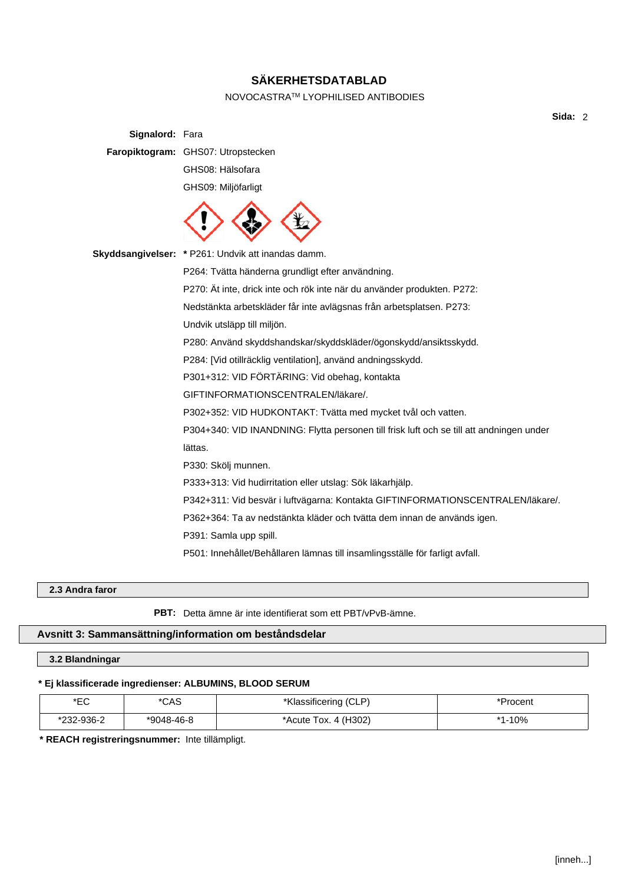## NOVOCASTRATM LYOPHILISED ANTIBODIES

**Sida:** 2

| <b>Signalord: Fara</b> |                                                                                          |
|------------------------|------------------------------------------------------------------------------------------|
|                        | Faropiktogram: GHS07: Utropstecken                                                       |
|                        | GHS08: Hälsofara                                                                         |
|                        | GHS09: Miljöfarligt                                                                      |
|                        |                                                                                          |
|                        | Skyddsangivelser: * P261: Undvik att inandas damm.                                       |
|                        | P264: Tvätta händerna grundligt efter användning.                                        |
|                        | P270: Ät inte, drick inte och rök inte när du använder produkten. P272:                  |
|                        | Nedstänkta arbetskläder får inte avlägsnas från arbetsplatsen. P273:                     |
|                        | Undvik utsläpp till miljön.                                                              |
|                        | P280: Använd skyddshandskar/skyddskläder/ögonskydd/ansiktsskydd.                         |
|                        | P284: [Vid otillräcklig ventilation], använd andningsskydd.                              |
|                        | P301+312: VID FÖRTÄRING: Vid obehag, kontakta                                            |
|                        | GIFTINFORMATIONSCENTRALEN/läkare/.                                                       |
|                        | P302+352: VID HUDKONTAKT: Tvätta med mycket tvål och vatten.                             |
|                        | P304+340: VID INANDNING: Flytta personen till frisk luft och se till att andningen under |
|                        | lättas.                                                                                  |
|                        | P330: Skölj munnen.                                                                      |
|                        | P333+313: Vid hudirritation eller utslag: Sök läkarhjälp.                                |
|                        | P342+311: Vid besvär i luftvägarna: Kontakta GIFTINFORMATIONSCENTRALEN/läkare/.          |
|                        | P362+364: Ta av nedstänkta kläder och tvätta dem innan de används igen.                  |
|                        | P391: Samla upp spill.                                                                   |
|                        | P501: Innehållet/Behållaren lämnas till insamlingsställe för farligt avfall.             |
|                        |                                                                                          |

## **2.3 Andra faror**

**PBT:** Detta ämne är inte identifierat som ett PBT/vPvB-ämne.

## **Avsnitt 3: Sammansättning/information om beståndsdelar**

## **3.2 Blandningar**

## **\* Ej klassificerade ingredienser: ALBUMINS, BLOOD SERUM**

| י∩⊐∗<br>∟ບ | *CAS       | *Klassificering (CLP)                     | *Procent |
|------------|------------|-------------------------------------------|----------|
| *232-936-2 | *9048-46-8 | 4 (H <sub>302</sub> )<br>*Acute T<br>Tox. | $-10%$   |

**\* REACH registreringsnummer:** Inte tillämpligt.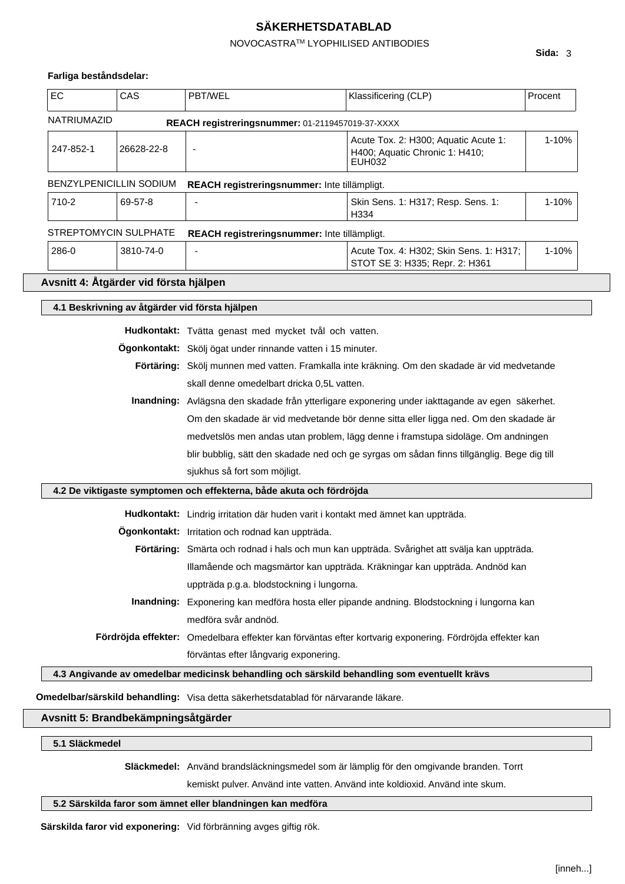## NOVOCASTRATM LYOPHILISED ANTIBODIES

### **Farliga beståndsdelar:**

| <b>EC</b>                              | CAS        | <b>PBT/WEL</b>                                                                      | Klassificering (CLP)                                                                            | Procent   |  |
|----------------------------------------|------------|-------------------------------------------------------------------------------------|-------------------------------------------------------------------------------------------------|-----------|--|
| <b>NATRIUMAZID</b>                     |            | REACH registreringsnummer: 01-2119457019-37-XXXX                                    |                                                                                                 |           |  |
| 247-852-1                              | 26628-22-8 |                                                                                     | Acute Tox. 2: H300; Aquatic Acute 1:<br>H400; Aquatic Chronic 1: H410;<br><b>EUH032</b>         | 1-10%     |  |
| <b>BENZYLPENICILLIN SODIUM</b>         |            | REACH registreringsnummer: Inte tillämpligt.                                        |                                                                                                 |           |  |
| 710-2                                  | 69-57-8    |                                                                                     | Skin Sens. 1: H317; Resp. Sens. 1:<br>H334                                                      | 1-10%     |  |
| <b>STREPTOMYCIN SULPHATE</b>           |            | REACH registreringsnummer: Inte tillämpligt.                                        |                                                                                                 |           |  |
| 286-0                                  | 3810-74-0  |                                                                                     | Acute Tox. 4: H302; Skin Sens. 1: H317;<br>STOT SE 3: H335; Repr. 2: H361                       | $1 - 10%$ |  |
| Avsnitt 4: Åtgärder vid första hjälpen |            |                                                                                     |                                                                                                 |           |  |
|                                        |            | 4.1 Beskrivning av åtgärder vid första hjälpen                                      |                                                                                                 |           |  |
|                                        |            | Hudkontakt: Tvätta genast med mycket tvål och vatten.                               |                                                                                                 |           |  |
|                                        |            | Ögonkontakt: Skölj ögat under rinnande vatten i 15 minuter.                         |                                                                                                 |           |  |
|                                        |            |                                                                                     | Förtäring: Skölj munnen med vatten. Framkalla inte kräkning. Om den skadade är vid medvetande   |           |  |
|                                        |            | skall denne omedelbart dricka 0,5L vatten.                                          |                                                                                                 |           |  |
|                                        |            |                                                                                     | Inandning: Avlägsna den skadade från ytterligare exponering under iakttagande av egen säkerhet. |           |  |
|                                        |            | Om den skadade är vid medvetande bör denne sitta eller ligga ned. Om den skadade är |                                                                                                 |           |  |
|                                        |            | medvetslös men andas utan problem, lägg denne i framstupa sidoläge. Om andningen    |                                                                                                 |           |  |
|                                        |            |                                                                                     | blir bubblig, sätt den skadade ned och ge syrgas om sådan finns tillgänglig. Bege dig till      |           |  |
|                                        |            | sjukhus så fort som möjligt.                                                        |                                                                                                 |           |  |

#### **4.2 De viktigaste symptomen och effekterna, både akuta och fördröjda**

**Hudkontakt:** Lindrig irritation där huden varit i kontakt med ämnet kan uppträda.

- **Ögonkontakt:** Irritation och rodnad kan uppträda.
	- **Förtäring:** Smärta och rodnad i hals och mun kan uppträda. Svårighet att svälja kan uppträda. Illamående och magsmärtor kan uppträda. Kräkningar kan uppträda. Andnöd kan uppträda p.g.a. blodstockning i lungorna.
- **Inandning:** Exponering kan medföra hosta eller pipande andning. Blodstockning i lungorna kan medföra svår andnöd.
- **Fördröjda effekter:** Omedelbara effekter kan förväntas efter kortvarig exponering. Fördröjda effekter kan förväntas efter långvarig exponering.

**4.3 Angivande av omedelbar medicinsk behandling och särskild behandling som eventuellt krävs**

**Omedelbar/särskild behandling:** Visa detta säkerhetsdatablad för närvarande läkare.

## **Avsnitt 5: Brandbekämpningsåtgärder**

**5.1 Släckmedel**

**Släckmedel:** Använd brandsläckningsmedel som är lämplig för den omgivande branden. Torrt

kemiskt pulver. Använd inte vatten. Använd inte koldioxid. Använd inte skum.

#### **5.2 Särskilda faror som ämnet eller blandningen kan medföra**

**Särskilda faror vid exponering:** Vid förbränning avges giftig rök.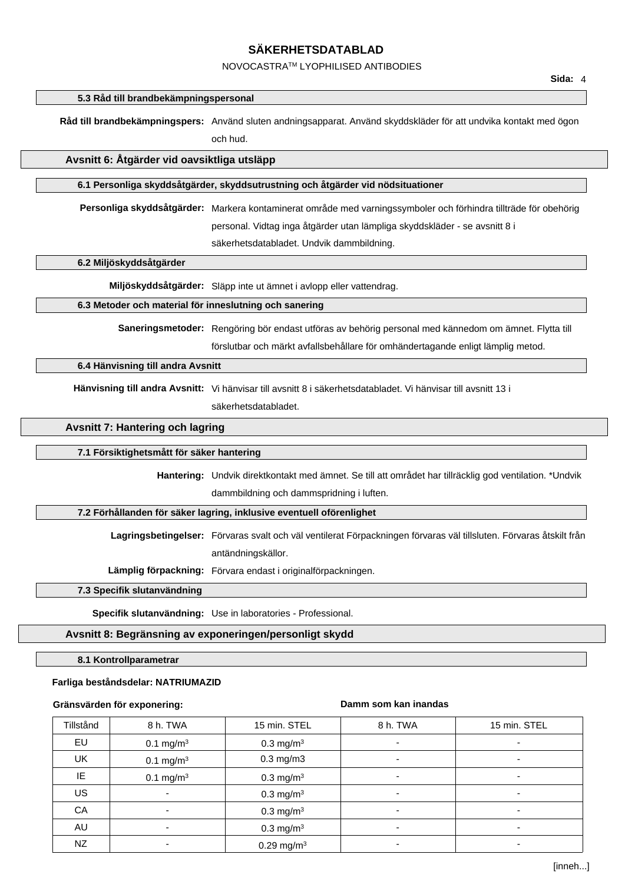## NOVOCASTRATM LYOPHILISED ANTIBODIES

#### **5.3 Råd till brandbekämpningspersonal**

**Råd till brandbekämpningspers:** Använd sluten andningsapparat. Använd skyddskläder för att undvika kontakt med ögon och hud.

#### **Avsnitt 6: Åtgärder vid oavsiktliga utsläpp**

#### **6.1 Personliga skyddsåtgärder, skyddsutrustning och åtgärder vid nödsituationer**

**Personliga skyddsåtgärder:** Markera kontaminerat område med varningssymboler och förhindra tillträde för obehörig personal. Vidtag inga åtgärder utan lämpliga skyddskläder - se avsnitt 8 i

säkerhetsdatabladet. Undvik dammbildning.

#### **6.2 Miljöskyddsåtgärder**

**Miljöskyddsåtgärder:** Släpp inte ut ämnet i avlopp eller vattendrag.

#### **6.3 Metoder och material för inneslutning och sanering**

**Saneringsmetoder:** Rengöring bör endast utföras av behörig personal med kännedom om ämnet. Flytta till förslutbar och märkt avfallsbehållare för omhändertagande enligt lämplig metod.

#### **6.4 Hänvisning till andra Avsnitt**

**Hänvisning till andra Avsnitt:** Vi hänvisar till avsnitt 8 i säkerhetsdatabladet. Vi hänvisar till avsnitt 13 i säkerhetsdatabladet.

#### **Avsnitt 7: Hantering och lagring**

#### **7.1 Försiktighetsmått för säker hantering**

**Hantering:** Undvik direktkontakt med ämnet. Se till att området har tillräcklig god ventilation. \*Undvik dammbildning och dammspridning i luften.

#### **7.2 Förhållanden för säker lagring, inklusive eventuell oförenlighet**

**Lagringsbetingelser:** Förvaras svalt och väl ventilerat Förpackningen förvaras väl tillsluten. Förvaras åtskilt från antändningskällor.

**Lämplig förpackning:** Förvara endast i originalförpackningen.

#### **7.3 Specifik slutanvändning**

**Specifik slutanvändning:** Use in laboratories - Professional.

#### **Avsnitt 8: Begränsning av exponeringen/personligt skydd**

**8.1 Kontrollparametrar**

### **Farliga beståndsdelar: NATRIUMAZID**

#### **Gränsvärden för exponering:**

#### **Damm som kan inandas**

| Tillstånd | 8 h. TWA              | 15 min. STEL             | 8 h. TWA                 | 15 min. STEL             |
|-----------|-----------------------|--------------------------|--------------------------|--------------------------|
| EU        | 0.1 mg/m <sup>3</sup> | $0.3 \text{ mg/m}^3$     | $\blacksquare$           |                          |
| UK        | $0.1 \text{ mg/m}^3$  | $0.3$ mg/m $3$           | $\overline{\phantom{a}}$ |                          |
| IE        | $0.1 \text{ mg/m}^3$  | $0.3 \text{ mg/m}^3$     | $\overline{\phantom{a}}$ | $\overline{\phantom{0}}$ |
| US        |                       | $0.3 \text{ mg/m}^3$     | $\overline{\phantom{a}}$ |                          |
| CA        |                       | $0.3 \text{ mg/m}^3$     |                          |                          |
| AU        | ٠                     | 0.3 mg/m <sup>3</sup>    | ٠                        |                          |
| NZ        |                       | $0.29$ mg/m <sup>3</sup> |                          |                          |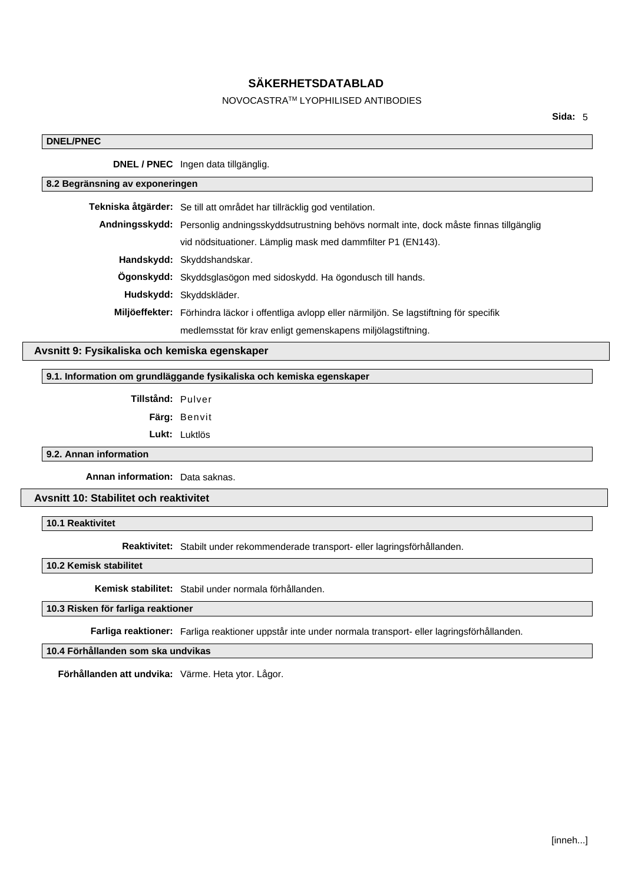## NOVOCASTRATM LYOPHILISED ANTIBODIES

#### **DNEL/PNEC**

**DNEL / PNEC** Ingen data tillgänglig.

## **8.2 Begränsning av exponeringen**

| Tekniska åtgärder: Se till att området har tillräcklig god ventilation.                              |  |
|------------------------------------------------------------------------------------------------------|--|
| Andningsskydd: Personlig andningsskyddsutrustning behövs normalt inte, dock måste finnas tillgänglig |  |
| vid nödsituationer. Lämplig mask med dammfilter P1 (EN143).                                          |  |
| Handskydd: Skyddshandskar.                                                                           |  |
| <b>Ogonskydd:</b> Skyddsglasögon med sidoskydd. Ha ögondusch till hands.                             |  |
| Hudskydd: Skyddskläder.                                                                              |  |
| Miljöeffekter: Förhindra läckor i offentliga avlopp eller närmiljön. Se lagstiftning för specifik    |  |
| medlemsstat för krav enligt gemenskapens miljölagstiftning.                                          |  |

## **Avsnitt 9: Fysikaliska och kemiska egenskaper**

## **9.1. Information om grundläggande fysikaliska och kemiska egenskaper**

**Tillstånd:** Pulver

**Färg:** Benvit

**Lukt:** Luktlös

**9.2. Annan information**

**Annan information:** Data saknas.

## **Avsnitt 10: Stabilitet och reaktivitet**

**10.1 Reaktivitet**

**Reaktivitet:** Stabilt under rekommenderade transport- eller lagringsförhållanden.

**10.2 Kemisk stabilitet**

**Kemisk stabilitet:** Stabil under normala förhållanden.

## **10.3 Risken för farliga reaktioner**

**Farliga reaktioner:** Farliga reaktioner uppstår inte under normala transport- eller lagringsförhållanden.

## **10.4 Förhållanden som ska undvikas**

**Förhållanden att undvika:** Värme. Heta ytor. Lågor.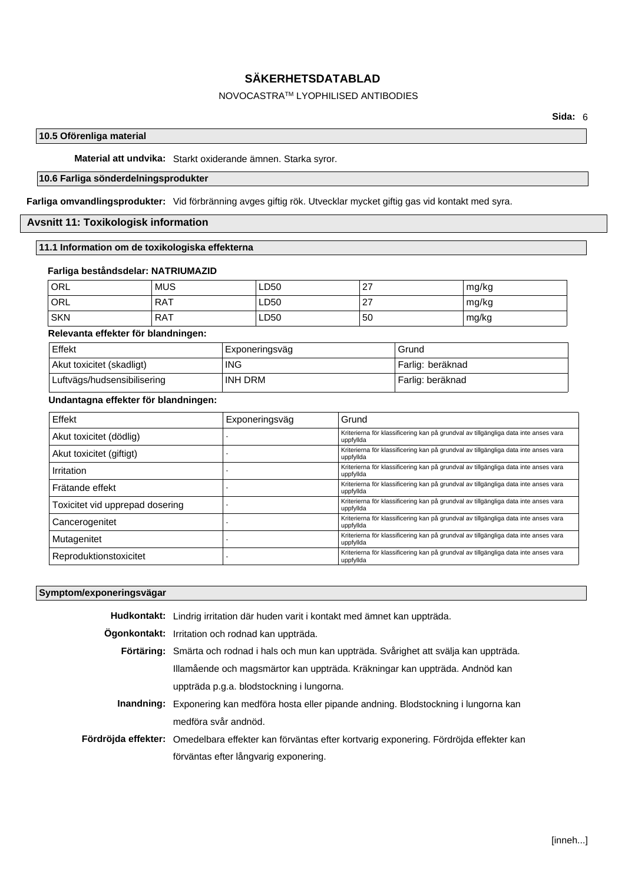## NOVOCASTRATM LYOPHILISED ANTIBODIES

## **10.5 Oförenliga material**

**Material att undvika:** Starkt oxiderande ämnen. Starka syror.

## **10.6 Farliga sönderdelningsprodukter**

**Farliga omvandlingsprodukter:** Vid förbränning avges giftig rök. Utvecklar mycket giftig gas vid kontakt med syra.

## **Avsnitt 11: Toxikologisk information**

## **11.1 Information om de toxikologiska effekterna**

### **Farliga beståndsdelar: NATRIUMAZID**

| ORL        | <b>MUS</b> | LD50 | っっ<br>41           | mg/kg |
|------------|------------|------|--------------------|-------|
| ORL        | <b>RAT</b> | LD50 | - 27<br>$\epsilon$ | mg/kg |
| <b>SKN</b> | <b>RAT</b> | LD50 | 50                 | mg/kg |

## **Relevanta effekter för blandningen:**

| Effekt                      | Exponeringsväg | Grund            |
|-----------------------------|----------------|------------------|
| Akut toxicitet (skadligt)   | <b>ING</b>     | Farlig: beräknad |
| Luftvägs/hudsensibilisering | INH DRM        | Farlig: beräknad |

### **Undantagna effekter för blandningen:**

| Effekt                          | Exponeringsväg | Grund                                                                                            |
|---------------------------------|----------------|--------------------------------------------------------------------------------------------------|
| Akut toxicitet (dödlig)         |                | Kriterierna för klassificering kan på grundval av tillgängliga data inte anses vara<br>uppfyllda |
| Akut toxicitet (giftigt)        |                | Kriterierna för klassificering kan på grundval av tillgängliga data inte anses vara<br>uppfyllda |
| Irritation                      |                | Kriterierna för klassificering kan på grundval av tillgängliga data inte anses vara<br>uppfyllda |
| Frätande effekt                 |                | Kriterierna för klassificering kan på grundval av tillgängliga data inte anses vara<br>uppfyllda |
| Toxicitet vid upprepad dosering |                | Kriterierna för klassificering kan på grundval av tillgängliga data inte anses vara<br>uppfyllda |
| Cancerogenitet                  |                | Kriterierna för klassificering kan på grundval av tillgängliga data inte anses vara<br>uppfyllda |
| Mutagenitet                     |                | Kriterierna för klassificering kan på grundval av tillgängliga data inte anses vara<br>uppfyllda |
| Reproduktionstoxicitet          |                | Kriterierna för klassificering kan på grundval av tillgängliga data inte anses vara<br>uppfyllda |

### **Symptom/exponeringsvägar**

| Hudkontakt: Lindrig irritation där huden varit i kontakt med ämnet kan uppträda.                         |
|----------------------------------------------------------------------------------------------------------|
| Ogonkontakt: Irritation och rodnad kan uppträda.                                                         |
| Förtäring: Smärta och rodnad i hals och mun kan uppträda. Svårighet att svälja kan uppträda.             |
| Illamående och magsmärtor kan uppträda. Kräkningar kan uppträda. Andnöd kan                              |
| uppträda p.g.a. blodstockning i lungorna.                                                                |
| Inandning: Exponering kan medföra hosta eller pipande andning. Blodstockning i lungorna kan              |
| medföra svår andnöd.                                                                                     |
| Fördröjda effekter: Omedelbara effekter kan förväntas efter kortvarig exponering. Fördröjda effekter kan |
| förväntas efter långvarig exponering.                                                                    |
|                                                                                                          |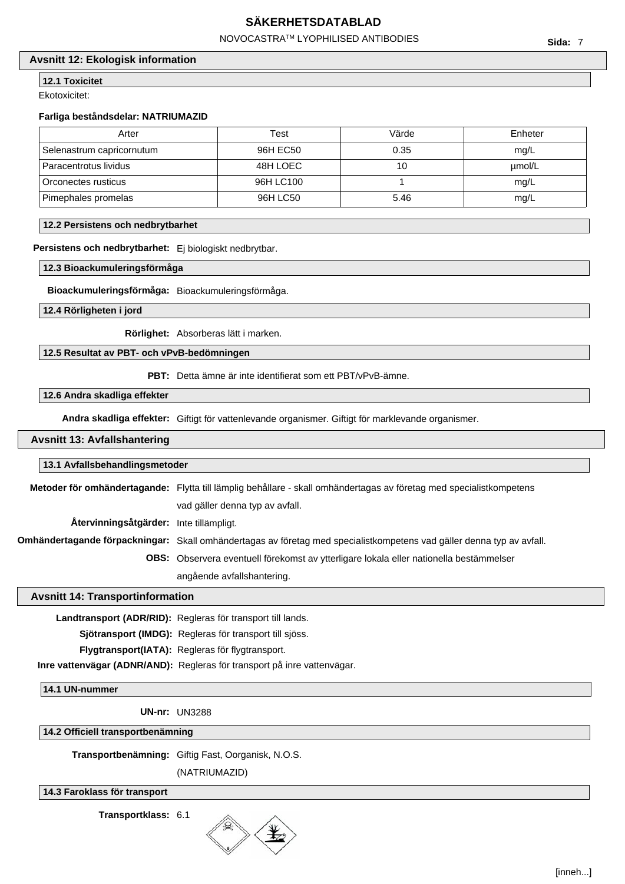NOVOCASTRATM LYOPHILISED ANTIBODIES

## **Avsnitt 12: Ekologisk information**

**12.1 Toxicitet**

Ekotoxicitet:

#### **Farliga beståndsdelar: NATRIUMAZID**

| Arter                     | Test      | Värde | Enheter |
|---------------------------|-----------|-------|---------|
| Selenastrum capricornutum | 96H EC50  | 0.35  | mq/L    |
| Paracentrotus lividus     | 48H LOEC  | 10    | umol/L  |
| Orconectes rusticus       | 96H LC100 |       | mg/L    |
| Pimephales promelas       | 96H LC50  | 5.46  | mg/L    |

### **12.2 Persistens och nedbrytbarhet**

**Persistens och nedbrytbarhet:** Ej biologiskt nedbrytbar.

#### **12.3 Bioackumuleringsförmåga**

**Bioackumuleringsförmåga:** Bioackumuleringsförmåga.

**12.4 Rörligheten i jord**

**Rörlighet:** Absorberas lätt i marken.

## **12.5 Resultat av PBT- och vPvB-bedömningen**

**PBT:** Detta ämne är inte identifierat som ett PBT/vPvB-ämne.

## **12.6 Andra skadliga effekter**

**Andra skadliga effekter:** Giftigt för vattenlevande organismer. Giftigt för marklevande organismer.

#### **Avsnitt 13: Avfallshantering**

### **13.1 Avfallsbehandlingsmetoder**

|                                         | Metoder för omhändertagande: Flytta till lämplig behållare - skall omhändertagas av företag med specialistkompetens   |  |
|-----------------------------------------|-----------------------------------------------------------------------------------------------------------------------|--|
|                                         | vad gäller denna typ av avfall.                                                                                       |  |
| Återvinningsåtgärder: Inte tillämpligt. |                                                                                                                       |  |
|                                         | Omhändertagande förpackningar: Skall omhändertagas av företag med specialistkompetens vad gäller denna typ av avfall. |  |
|                                         | <b>OBS:</b> Observera eventuell förekomst av ytterligare lokala eller nationella bestämmelser                         |  |
|                                         | angående avfallshantering.                                                                                            |  |

#### **Avsnitt 14: Transportinformation**

**Landtransport (ADR/RID):** Regleras för transport till lands. **Sjötransport (IMDG):** Regleras för transport till sjöss. **Flygtransport(IATA):** Regleras för flygtransport. **Inre vattenvägar (ADNR/AND):** Regleras för transport på inre vattenvägar.

#### **14.1 UN-nummer**

**UN-nr:** UN3288

**14.2 Officiell transportbenämning**

**Transportbenämning:** Giftig Fast, Oorganisk, N.O.S.

(NATRIUMAZID)

## **14.3 Faroklass för transport**

**Transportklass:** 6.1

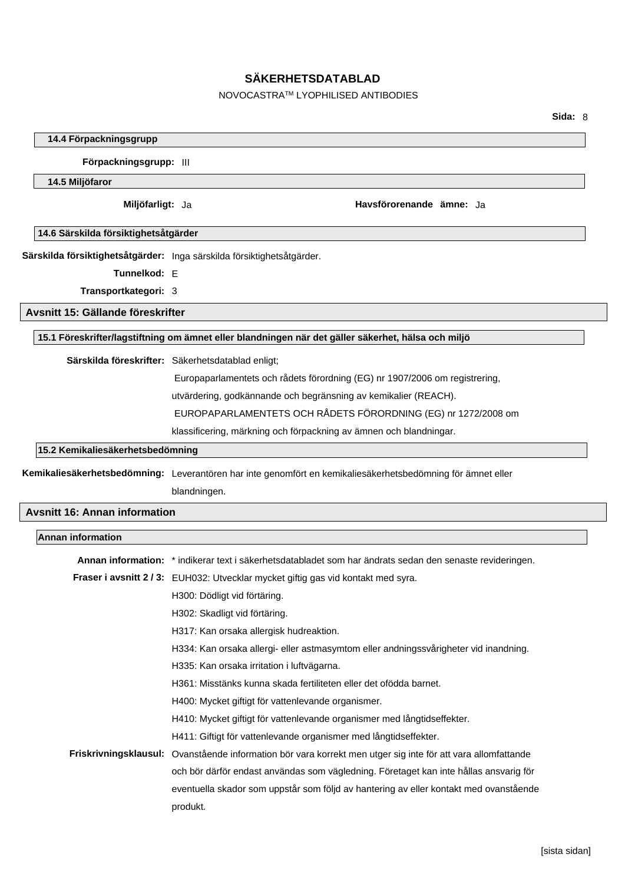## NOVOCASTRATM LYOPHILISED ANTIBODIES

### **14.4 Förpackningsgrupp**

**Förpackningsgrupp:** III

#### **14.5 Miljöfaror**

**Miljöfarligt:** Ja **Havsförorenande ämne:** Ja

#### **14.6 Särskilda försiktighetsåtgärder**

**Särskilda försiktighetsåtgärder:** Inga särskilda försiktighetsåtgärder.

**Tunnelkod:** E

**Transportkategori:** 3

**Avsnitt 15: Gällande föreskrifter**

### **15.1 Föreskrifter/lagstiftning om ämnet eller blandningen när det gäller säkerhet, hälsa och miljö**

**Särskilda föreskrifter:** Säkerhetsdatablad enligt;

Europaparlamentets och rådets förordning (EG) nr 1907/2006 om registrering,

utvärdering, godkännande och begränsning av kemikalier (REACH).

EUROPAPARLAMENTETS OCH RÅDETS FÖRORDNING (EG) nr 1272/2008 om

klassificering, märkning och förpackning av ämnen och blandningar.

#### **15.2 Kemikaliesäkerhetsbedömning**

**Kemikaliesäkerhetsbedömning:** Leverantören har inte genomfört en kemikaliesäkerhetsbedömning för ämnet eller blandningen.

## **Avsnitt 16: Annan information**

| <b>Annan information</b> |                                                                                                              |
|--------------------------|--------------------------------------------------------------------------------------------------------------|
|                          | Annan information: * indikerar text i säkerhetsdatabladet som har ändrats sedan den senaste revideringen.    |
|                          | Fraser i avsnitt 2/3: EUH032: Utvecklar mycket giftig gas vid kontakt med syra.                              |
|                          | H300: Dödligt vid förtäring.                                                                                 |
|                          | H302: Skadligt vid förtäring.                                                                                |
|                          | H317: Kan orsaka allergisk hudreaktion.                                                                      |
|                          | H334: Kan orsaka allergi- eller astmasymtom eller andningssvårigheter vid inandning.                         |
|                          | H335: Kan orsaka irritation i luftvägarna.                                                                   |
|                          | H361: Misstänks kunna skada fertiliteten eller det ofödda barnet.                                            |
|                          | H400: Mycket giftigt för vattenlevande organismer.                                                           |
|                          | H410: Mycket giftigt för vattenlevande organismer med långtidseffekter.                                      |
|                          | H411: Giftigt för vattenlevande organismer med långtidseffekter.                                             |
|                          | Friskrivningsklausul: Ovanstående information bör vara korrekt men utger sig inte för att vara allomfattande |
|                          | och bör därför endast användas som vägledning. Företaget kan inte hållas ansvarig för                        |
|                          | eventuella skador som uppstår som följd av hantering av eller kontakt med ovanstående                        |
|                          | produkt.                                                                                                     |
|                          |                                                                                                              |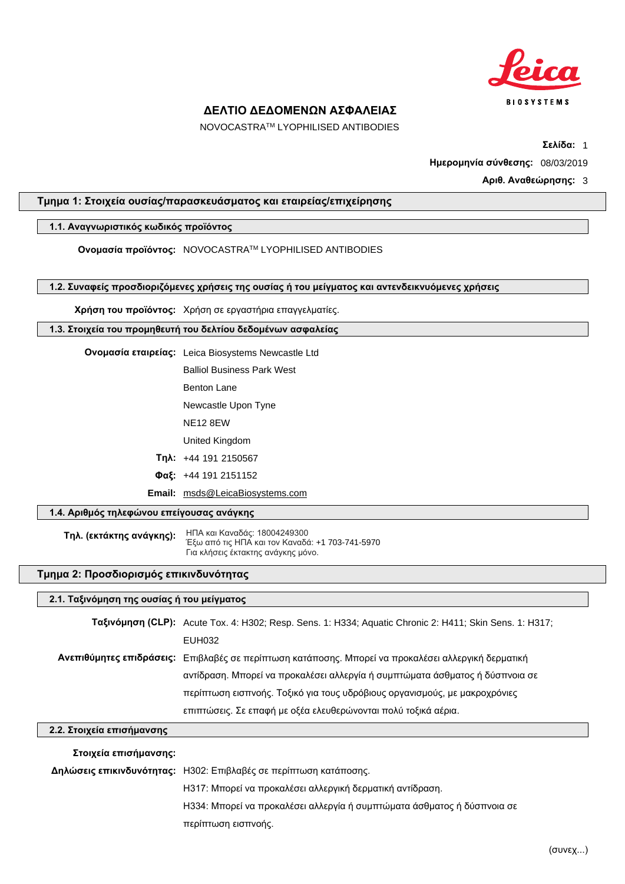

NOVOCASTRATM LYOPHILISED ANTIBODIES

**Σελίδα:** 1

**Ημερομηνία σύνθεσης:** 08/03/2019

## **Αριθ. Αναθεώρησης:** 3

## **Τμημα 1: Στοιχεία ουσίας/παρασκευάσματος και εταιρείας/επιχείρησης**

### **1.1. Αναγνωριστικός κωδικός προϊόντος**

**Ονομασία προϊόντος:** NOVOCASTRATM LYOPHILISED ANTIBODIES

**1.2. Συναφείς προσδιοριζόμενες χρήσεις της ουσίας ή του μείγματος και αντενδεικνυόμενες χρήσεις**

**Χρήση του προϊόντος:** Χρήση σε εργαστήρια επαγγελματίες.

#### **1.3. Στοιχεία του προμηθευτή του δελτίου δεδομένων ασφαλείας**

**Ονομασία εταιρείας:** Leica Biosystems Newcastle Ltd

Balliol Business Park West

Benton Lane

Newcastle Upon Tyne

NE12 8EW

United Kingdom

**Τηλ:** +44 191 2150567

**Φαξ:** +44 191 2151152

**Email:** msds@LeicaBiosystems.com

## **1.4. Αριθμός τηλεφώνου επείγουσας ανάγκης**

**Τηλ. (εκτάκτης ανάγκης):** ΗΠΑ και Καναδάς: 18004249300 Έξω από τις ΗΠΑ και τον Καναδά: +1 703-741-5970 Για κλήσεις έκτακτης ανάyκης μόvο.

### **Τμημα 2: Προσδιορισμός επικινδυνότητας**

### **2.1. Ταξινόμηση της ουσίας ή του μείγματος**

**Ταξινόμηση (CLP):** Acute Tox. 4: H302; Resp. Sens. 1: H334; Aquatic Chronic 2: H411; Skin Sens. 1: H317; EUH032 **Ανεπιθύμητες επιδράσεις:** Επιβλαβές σε περίπτωση κατάποσης. Μπορεί να προκαλέσει αλλεργική δερματική αντίδραση. Μπορεί να προκαλέσει αλλεργία ή συμπτώματα άσθματος ή δύσπνοια σε περίπτωση εισπνοής. Τοξικό για τους υδρόβιους οργανισμούς, με μακροχρόνιες επιπτώσεις. Σε επαφή με οξέα ελευθερώνονται πολύ τοξικά αέρια.

## **2.2. Στοιχεία επισήμανσης**

## **Στοιχεία επισήμανσης: Δηλώσεις επικινδυνότητας:** H302: Επιβλαβές σε περίπτωση κατάποσης. H317: Μπορεί να προκαλέσει αλλεργική δερματική αντίδραση. H334: Μπορεί να προκαλέσει αλλεργία ή συμπτώματα άσθματος ή δύσπνοια σε περίπτωση εισπνοής.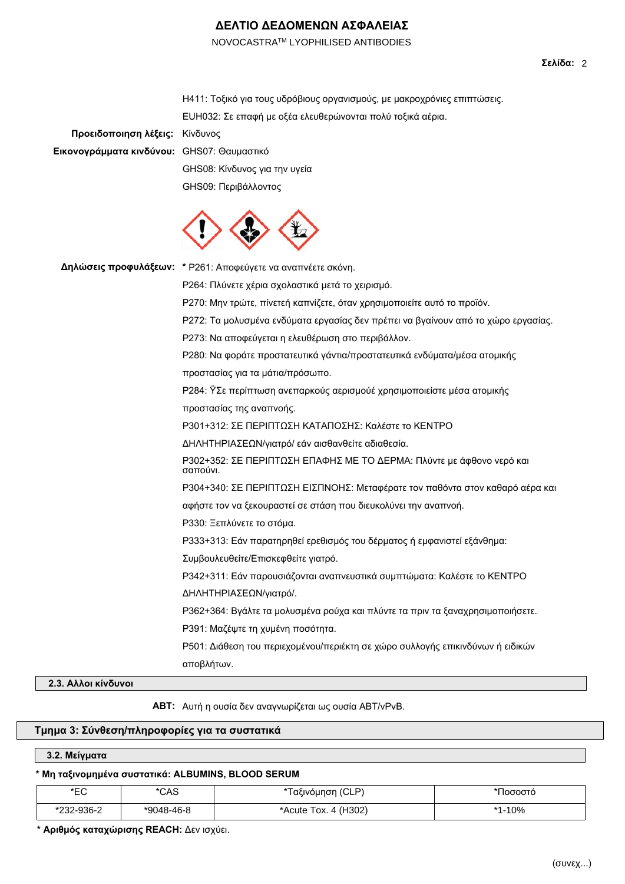NOVOCASTRATM LYOPHILISED ANTIBODIES

| Προειδοποιηση λέξεις:                      | Η411: Τοξικό για τους υδρόβιους οργανισμούς, με μακροχρόνιες επιπτώσεις.<br>ΕUΗ032: Σε επαφή με οξέα ελευθερώνονται πολύ τοξικά αέρια.<br>Κίνδυνος |
|--------------------------------------------|----------------------------------------------------------------------------------------------------------------------------------------------------|
| Εικονογράμματα κινδύνου: GHS07: Θαυμαστικό |                                                                                                                                                    |
|                                            | GHS08: Κίνδυνος για την υγεία                                                                                                                      |
|                                            | GHS09: Περιβάλλοντος                                                                                                                               |
|                                            |                                                                                                                                                    |
|                                            | Δηλώσεις προφυλάξεων: * Ρ261: Αποφεύγετε να αναπνέετε σκόνη.                                                                                       |
|                                            | Ρ264: Πλύνετε χέρια σχολαστικά μετά το χειρισμό.                                                                                                   |
|                                            | Ρ270: Μην τρώτε, πίνετεή καπνίζετε, όταν χρησιμοποιείτε αυτό το προϊόν.                                                                            |
|                                            | Ρ272: Τα μολυσμένα ενδύματα εργασίας δεν πρέπει να βγαίνουν από το χώρο εργασίας.                                                                  |
|                                            | Ρ273: Να αποφεύγεται η ελευθέρωση στο περιβάλλον.                                                                                                  |
|                                            | Ρ280: Να φοράτε προστατευτικά γάντια/προστατευτικά ενδύματα/μέσα ατομικής                                                                          |
|                                            | προστασίας για τα μάτια/πρόσωπο.                                                                                                                   |
|                                            | Ρ284: Ϋ́Σε περίπτωση ανεπαρκούς αερισμούέ χρησιμοποιείστε μέσα ατομικής                                                                            |
|                                            | προστασίας της αναπνοής.                                                                                                                           |
|                                            | Ρ301+312: ΣΕ ΠΕΡΙΠΤΩΣΗ ΚΑΤΑΠΟΣΗΣ: Καλέστε το ΚΕΝΤΡΟ                                                                                                |
|                                            | ΔΗΛΗΤΗΡΙΑΣΕΩΝ/γιατρό/ εάν αισθανθείτε αδιαθεσία.                                                                                                   |
|                                            | Ρ302+352: ΣΕ ΠΕΡΙΠΤΩΣΗ ΕΠΑΦΗΣ ΜΕ ΤΟ ΔΕΡΜΑ: Πλύντε με άφθονο νερό και<br>σαπούνι.                                                                   |
|                                            | Ρ304+340: ΣΕ ΠΕΡΙΠΤΩΣΗ ΕΙΣΠΝΟΗΣ: Μεταφέρατε τον παθόντα στον καθαρό αέρα και                                                                       |
|                                            | αφήστε τον να ξεκουραστεί σε στάση που διευκολύνει την αναπνοή.                                                                                    |
|                                            | Ρ330: Ξεπλύνετε το στόμα.                                                                                                                          |
|                                            | Ρ333+313: Εάν παρατηρηθεί ερεθισμός του δέρματος ή εμφανιστεί εξάνθημα:                                                                            |
|                                            | Συμβουλευθείτε/Επισκεφθείτε γιατρό.                                                                                                                |
|                                            | P342+311: Εάν παρουσιάζονται αναπνευστικά συμπτώματα: Καλέστε το ΚΕΝΤΡΟ                                                                            |
|                                            | ΔΗΛΗΤΗΡΙΑΣΕΩΝ/γιατρό/.                                                                                                                             |
|                                            | Ρ362+364: Βγάλτε τα μολυσμένα ρούχα και πλύντε τα πριν τα ξαναχρησιμοποιήσετε.                                                                     |
|                                            | Ρ391: Μαζέψτε τη χυμένη ποσότητα.                                                                                                                  |
|                                            | Ρ501: Διάθεση του περιεχομένου/περιέκτη σε χώρο συλλογής επικινδύνων ή ειδικών                                                                     |
|                                            | αποβλήτων.                                                                                                                                         |
| 2.3. Αλλοι κίνδυνοι                        |                                                                                                                                                    |

**ΑΒΤ:** Αυτή η ουσία δεν αναγνωρίζεται ως ουσία ABT/vPvB.

## **Τμημα 3: Σύνθεση/πληροφορίες για τα συστατικά**

## **3.2. Μείγματα**

## **\* Μη ταξινομημένα συστατικά: ALBUMINS, BLOOD SERUM**

| ∗⊏∩<br>∼∟            | CAS'       | (CLP)<br>*Ταξινόμηση           | Ιοσοστο              |
|----------------------|------------|--------------------------------|----------------------|
| 232-936-2<br>$*$ nnn | *9048-46-8 | . 4 (H302)<br>*Acute :<br>10X. | <b>I-10%</b><br>$*4$ |

**\* Αριθμός καταχώρισης REACH:** Δεν ισχύει.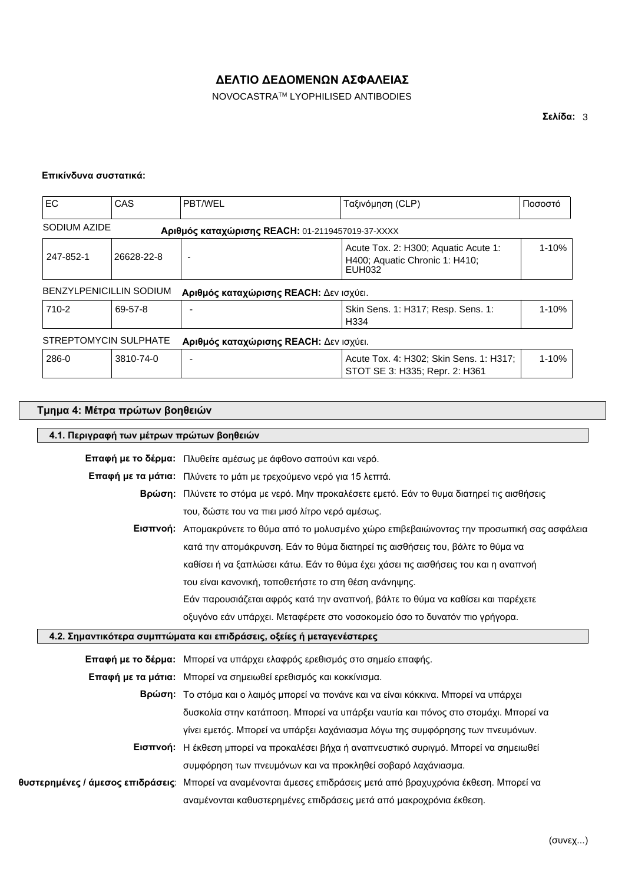NOVOCASTRATM LYOPHILISED ANTIBODIES

### **Επικίνδυνα συστατικά:**

| <b>EC</b>    | <b>CAS</b>                     | <b>PBT/WEL</b>                                   | Ταξινόμηση (CLP)                                                                 | Ποσοστό   |
|--------------|--------------------------------|--------------------------------------------------|----------------------------------------------------------------------------------|-----------|
| SODIUM AZIDE |                                | Αριθμός καταχώρισης REACH: 01-2119457019-37-XXXX |                                                                                  |           |
| 247-852-1    | 26628-22-8                     |                                                  | Acute Tox. 2: H300; Aquatic Acute 1:<br>H400; Aquatic Chronic 1: H410;<br>EUH032 | $1 - 10%$ |
|              | <b>BENZYLPENICILLIN SODIUM</b> | Αριθμός καταχώρισης REACH: Δεν ισχύει.           |                                                                                  |           |
| 710-2        | 69-57-8                        |                                                  | Skin Sens. 1: H317; Resp. Sens. 1:<br>H334                                       |           |
|              | STREPTOMYCIN SULPHATE          | Αριθμός καταχώρισης REACH: Δεν ισχύει.           |                                                                                  |           |
| 286-0        | 3810-74-0                      |                                                  | Acute Tox. 4: H302; Skin Sens. 1: H317;<br>STOT SE 3: H335; Repr. 2: H361        | $1 - 10%$ |

## **Τμημα 4: Μέτρα πρώτων βοηθειών**

 $\blacksquare$ 

| 4.1. Περιγραφή των μέτρων πρώτων βοηθειών |  |  |
|-------------------------------------------|--|--|
|                                           |  |  |

| Επαφή με το δέρμα: Πλυθείτε αμέσως με άφθονο σαπούνι και νερό. |  |  |  |
|----------------------------------------------------------------|--|--|--|
|----------------------------------------------------------------|--|--|--|

**Επαφή με τα μάτια:** Πλύνετε το μάτι με τρεχούμενο νερό για 15 λεπτά.

- **Βρώση:** Πλύνετε το στόμα με νερό. Μην προκαλέσετε εμετό. Εάν το θυμα διατηρεί τις αισθήσεις του, δώστε του να πιει μισό λίτρο νερό αμέσως.
- **Εισπνοή:** Απομακρύνετε το θύμα από το μολυσμένο χώρο επιβεβαιώνοντας την προσωπική σας ασφάλεια κατά την απομάκρυνση. Εάν το θύμα διατηρεί τις αισθήσεις του, βάλτε το θύμα να καθίσει ή να ξαπλώσει κάτω. Εάν το θύμα έχει χάσει τις αισθήσεις του και η αναπνοή του είναι κανονική, τοποθετήστε το στη θέση ανάνηψης.
	- Εάν παρουσιάζεται αφρός κατά την αναπνοή, βάλτε το θύμα να καθίσει και παρέχετε
	- οξυγόνο εάν υπάρχει. Μεταφέρετε στο νοσοκομείο όσο το δυνατόν πιο γρήγορα.

## **4.2. Σημαντικότερα συμπτώματα και επιδράσεις, οξείες ή μεταγενέστερες**

| Επαφή με το δέρμα: Μπορεί να υπάρχει ελαφρός ερεθισμός στο σημείο επαφής. |                                                                                                                  |  |
|---------------------------------------------------------------------------|------------------------------------------------------------------------------------------------------------------|--|
|                                                                           | Επαφή με τα μάτια: Μπορεί να σημειωθεί ερεθισμός και κοκκίνισμα.                                                 |  |
|                                                                           | Βρώση: Το στόμα και ο λαιμός μπορεί να πονάνε και να είναι κόκκινα. Μπορεί να υπάρχει                            |  |
|                                                                           | δυσκολία στην κατάποση. Μπορεί να υπάρξει ναυτία και πόνος στο στομάχι. Μπορεί να                                |  |
|                                                                           | γίνει εμετός. Μπορεί να υπάρξει λαχάνιασμα λόγω της συμφόρησης των πνευμόνων.                                    |  |
|                                                                           | Εισπνοή: Η έκθεση μπορεί να προκαλέσει βήχα ή αναπνευστικό συριγμό. Μπορεί να σημειωθεί                          |  |
|                                                                           | συμφόρηση των πνευμόνων και να προκληθεί σοβαρό λαχάνιασμα.                                                      |  |
|                                                                           | θυστερημένες / άμεσος επιδράσεις: Μπορεί να αναμένονται άμεσες επιδράσεις μετά από βραχυχρόνια έκθεση. Μπορεί να |  |
|                                                                           | αναμένονται καθυστερημένες επιδράσεις μετά από μακροχρόνια έκθεση.                                               |  |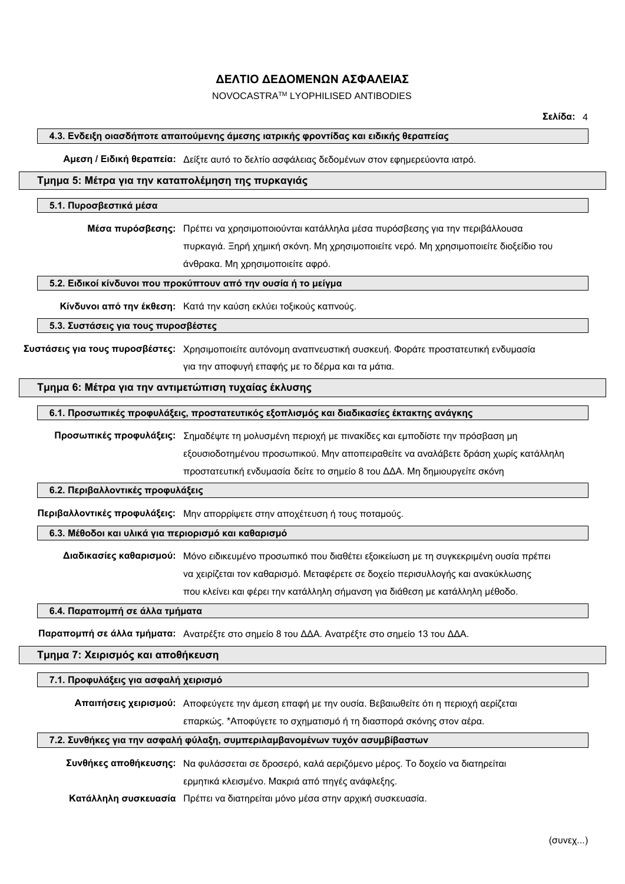NOVOCASTRATM LYOPHILISED ANTIBODIES

## **4.3. Ενδειξη οιασδήποτε απαιτούμενης άμεσης ιατρικής φροντίδας και ειδικής θεραπείας**

**Αμεση / Ειδική θεραπεία:** Δείξτε αυτό το δελτίο ασφάλειας δεδομένων στον εφημερεύοντα ιατρό.

## **Τμημα 5: Μέτρα για την καταπολέμηση της πυρκαγιάς**

#### **5.1. Πυροσβεστικά μέσα**

**Μέσα πυρόσβεσης:** Πρέπει να χρησιμοποιούνται κατάλληλα μέσα πυρόσβεσης για την περιβάλλουσα πυρκαγιά. Ξηρή χημική σκόνη. Μη χρησιμοποιείτε νερό. Μη χρησιμοποιείτε διοξείδιο του άνθρακα. Μη χρησιμοποιείτε αφρό.

**5.2. Ειδικοί κίνδυνοι που προκύπτουν από την ουσία ή το μείγμα**

**Κίνδυνοι από την έκθεση:** Κατά την καύση εκλύει τοξικούς καπνούς.

**5.3. Συστάσεις για τους πυροσβέστες**

**Συστάσεις για τους πυροσβέστες:** Χρησιμοποιείτε αυτόνομη αναπνευστική συσκευή. Φοράτε προστατευτική ενδυμασία για την αποφυγή επαφής με το δέρμα και τα μάτια.

## **Τμημα 6: Μέτρα για την αντιμετώπιση τυχαίας έκλυσης**

### **6.1. Προσωπικές προφυλάξεις, προστατευτικός εξοπλισμός και διαδικασίες έκτακτης ανάγκης**

**Προσωπικές προφυλάξεις:** Σημαδέψτε τη μολυσμένη περιοχή με πινακίδες και εμποδίστε την πρόσβαση μη εξουσιοδοτημένου προσωπικού. Μην αποπειραθείτε να αναλάβετε δράση χωρίς κατάλληλη προστατευτική ενδυμασία δείτε το σημείο 8 του ΔΔΑ. Μη δημιουργείτε σκόνη

### **6.2. Περιβαλλοντικές προφυλάξεις**

**Περιβαλλοντικές προφυλάξεις:** Μην απορρίψετε στην αποχέτευση ή τους ποταμούς.

## **6.3. Μέθοδοι και υλικά για περιορισμό και καθαρισμό**

**Διαδικασίες καθαρισμού:** Μόνο ειδικευμένο προσωπικό που διαθέτει εξοικείωση με τη συγκεκριμένη ουσία πρέπει να χειρίζεται τον καθαρισμό. Μεταφέρετε σε δοχείο περισυλλογής και ανακύκλωσης που κλείνει και φέρει την κατάλληλη σήμανση για διάθεση με κατάλληλη μέθοδο.

#### **6.4. Παραπομπή σε άλλα τμήματα**

**Παραπομπή σε άλλα τμήματα:** Ανατρέξτε στο σημείο 8 του ΔΔΑ. Ανατρέξτε στο σημείο 13 του ΔΔΑ.

#### **Τμημα 7: Χειρισμός και αποθήκευση**

#### **7.1. Προφυλάξεις για ασφαλή χειρισμό**

**Απαιτήσεις χειρισμού:** Αποφεύγετε την άμεση επαφή με την ουσία. Βεβαιωθείτε ότι η περιοχή αερίζεται επαρκώς. \*Αποφύγετε το σχηματισμό ή τη διασπορά σκόνης στον αέρα.

#### **7.2. Συνθήκες για την ασφαλή φύλαξη, συμπεριλαμβανομένων τυχόν ασυμβίβαστων**

**Συνθήκες αποθήκευσης:** Να φυλάσσεται σε δροσερό, καλά αεριζόμενο μέρος. Το δοχείο να διατηρείται ερμητικά κλεισμένο. Μακριά από πηγές ανάφλεξης.

**Κατάλληλη συσκευασία** Πρέπει να διατηρείται μόνο μέσα στην αρχική συσκευασία.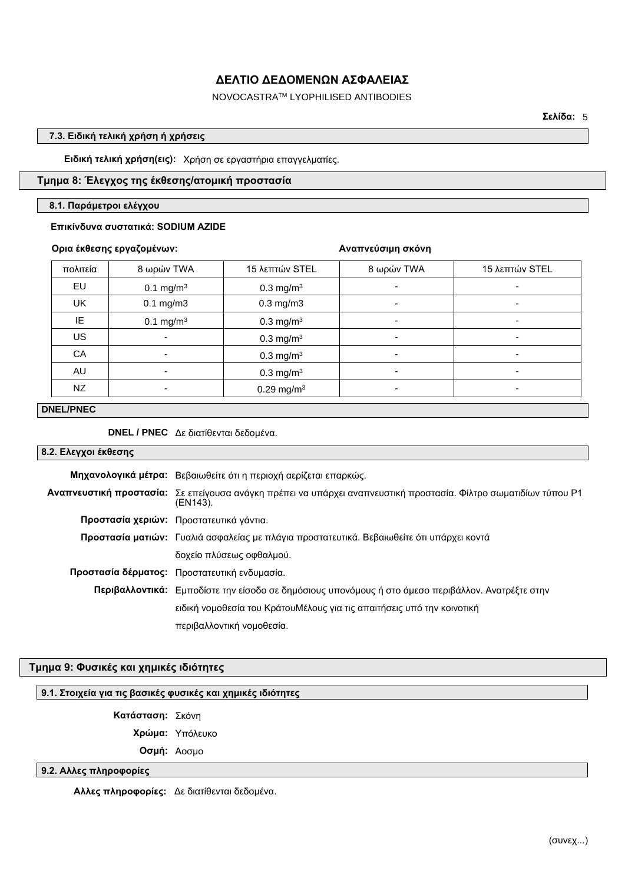## NOVOCASTRATM LYOPHILISED ANTIBODIES

**Σελίδα:** 5

## **7.3. Ειδική τελική χρήση ή χρήσεις**

**Ειδική τελική χρήση(εις):** Χρήση σε εργαστήρια επαγγελματίες.

## **Τμημα 8: Έλεγχος της έκθεσης/ατομική προστασία**

#### **8.1. Παράμετροι ελέγχου**

### **Επικίνδυνα συστατικά: SODIUM AZIDE**

## **Ορια έκθεσης εργαζομένων:**

### **Αναπνεύσιμη σκόνη**

| πολιτεία | 8 ωρών TWA            | 15 λεπτών STEL           | 8 ωρών TWA               | 15 λεπτών STEL           |
|----------|-----------------------|--------------------------|--------------------------|--------------------------|
| EU       | 0.1 mg/m <sup>3</sup> | $0.3 \text{ mg/m}^3$     | $\overline{\phantom{a}}$ | -                        |
| UK       | $0.1$ mg/m $3$        | $0.3$ mg/m $3$           | ٠                        | $\overline{\phantom{a}}$ |
| IE.      | 0.1 mg/m <sup>3</sup> | $0.3$ mg/m <sup>3</sup>  | $\overline{\phantom{0}}$ | ٠                        |
| US       | ٠                     | $0.3$ mg/m <sup>3</sup>  | $\overline{\phantom{a}}$ | ٠                        |
| CA       |                       | $0.3$ mg/m <sup>3</sup>  | $\overline{\phantom{0}}$ | ٠                        |
| AU       | ٠                     | $0.3 \text{ mg/m}^3$     | ۰                        | ٠                        |
| NZ       |                       | $0.29$ mg/m <sup>3</sup> |                          | ۰                        |

## **DNEL/PNEC**

**DNEL / PNEC** Δε διατίθενται δεδομένα.

### **8.2. Ελεγχοι έκθεσης**

| Μηχανολογικά μέτρα: Βεβαιωθείτε ότι η περιοχή αερίζεται επαρκώς.                                                                    |  |
|-------------------------------------------------------------------------------------------------------------------------------------|--|
| <b>Αναπνευστική προστασία:</b> Σε επείγουσα ανάγκη πρέπει να υπάρχει αναπνευστική προστασία. Φίλτρο σωματιδίων τύπου Ρ1<br>(EN143). |  |
| Προστασία χεριών: Προστατευτικά γάντια.                                                                                             |  |
| Προστασία ματιών: Γυαλιά ασφαλείας με πλάγια προστατευτικά. Βεβαιωθείτε ότι υπάρχει κοντά                                           |  |
| δοχείο πλύσεως οφθαλμού.                                                                                                            |  |
| Προστασία δέρματος: Προστατευτική ενδυμασία.                                                                                        |  |
| Περιβαλλοντικά: Εμποδίστε την είσοδο σε δημόσιους υπονόμους ή στο άμεσο περιβάλλον. Ανατρέξτε στην                                  |  |
| ειδική νομοθεσία του ΚράτουΜέλους για τις απαιτήσεις υπό την κοινοτική                                                              |  |
| περιβαλλοντική νομοθεσία.                                                                                                           |  |

## **Τμημα 9: Φυσικές και χημικές ιδιότητες**

## **9.1. Στοιχεία για τις βασικές φυσικές και χημικές ιδιότητες**

**Κατάσταση:** Σκόνη

**Χρώμα:** Υπόλευκο

**Οσμή:** Αοσμο

## **9.2. Αλλες πληροφορίες**

**Αλλες πληροφορίες:** Δε διατίθενται δεδομένα.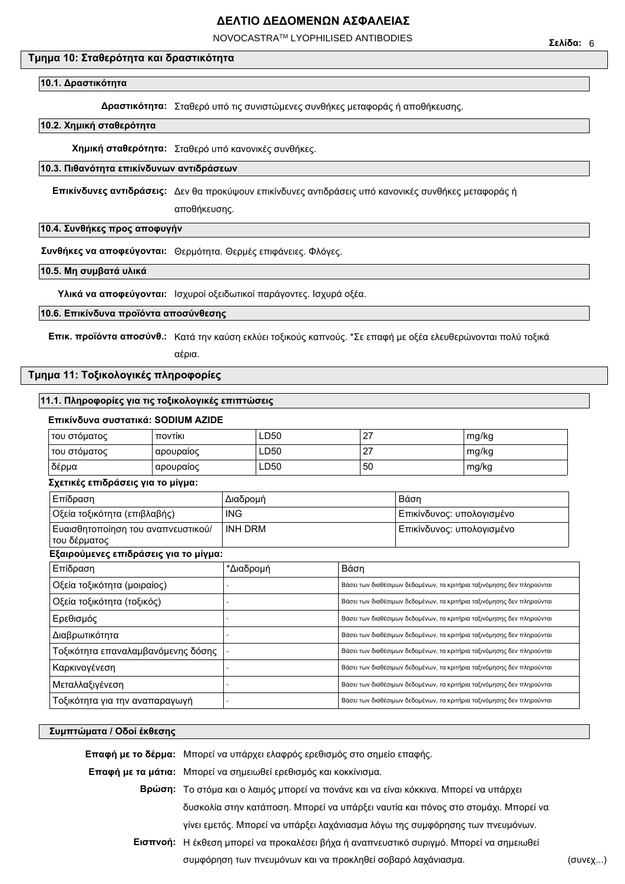NOVOCASTRATM LYOPHILISED ANTIBODIES

## **Τμημα 10: Σταθερότητα και δραστικότητα**

#### **10.1. Δραστικότητα**

**Δραστικότητα:** Σταθερό υπό τις συνιστώμενες συνθήκες μεταφοράς ή αποθήκευσης.

#### **10.2. Χημική σταθερότητα**

**Χημική σταθερότητα:** Σταθερό υπό κανονικές συνθήκες.

## **10.3. Πιθανότητα επικίνδυνων αντιδράσεων**

**Επικίνδυνες αντιδράσεις:** Δεν θα προκύψουν επικίνδυνες αντιδράσεις υπό κανονικές συνθήκες μεταφοράς ή

αποθήκευσης.

### **10.4. Συνθήκες προς αποφυγήν**

**Συνθήκες να αποφεύγονται:** Θερμότητα. Θερμές επιφάνειες. Φλόγες.

### **10.5. Μη συμβατά υλικά**

**Υλικά να αποφεύγονται:** Ισχυροί οξειδωτικοί παράγοντες. Ισχυρά οξέα.

#### **10.6. Επικίνδυνα προϊόντα αποσύνθεσης**

**Επικ. προϊόντα αποσύνθ.:** Κατά την καύση εκλύει τοξικούς καπνούς. \*Σε επαφή με οξέα ελευθερώνονται πολύ τοξικά

αέρια.

### **Τμημα 11: Τοξικολογικές πληροφορίες**

#### **11.1. Πληροφορίες για τις τοξικολογικές επιπτώσεις**

#### **Επικίνδυνα συστατικά: SODIUM AZIDE**

| του στόματος | <b>TTOVTIKI</b> | LD50        | $\sim$<br><u>.</u> | mg/kg |
|--------------|-----------------|-------------|--------------------|-------|
| του στόματος | αρουραίος       | LD50        | $\sim$<br><u>.</u> | mg/kg |
| δέρμα        | αρουραίος       | <b>LD50</b> | 50                 | mg/kg |

#### **Σχετικές επιδράσεις για το μίγμα:**

| Επίδραση                                           | Διαδρομή       |                                                                        | Βάση                                                                   |  |
|----------------------------------------------------|----------------|------------------------------------------------------------------------|------------------------------------------------------------------------|--|
| Οξεία τοξικότητα (επιβλαβής)                       | <b>ING</b>     |                                                                        | Επικίνδυνος: υπολογισμένο                                              |  |
| Ευαισθητοποίηση του αναπνευστικού/<br>του δέρματος | <b>INH DRM</b> |                                                                        | Επικίνδυνος: υπολογισμένο                                              |  |
| Εξαιρούμενες επιδράσεις για το μίγμα:              |                |                                                                        |                                                                        |  |
| Επίδραση                                           | *Διαδρομή      | Βάση                                                                   |                                                                        |  |
| Οξεία τοξικότητα (μοιραίος)                        |                |                                                                        | Βάσει των διαθέσιμων δεδομένων, τα κριτήρια ταξινόμησης δεν πληρούνται |  |
| Οξεία τοξικότητα (τοξικός)                         |                | Βάσει των διαθέσιμων δεδομένων, τα κριτήρια ταξινόμησης δεν πληρούνται |                                                                        |  |
| Ερεθισμός                                          |                | Βάσει των διαθέσιμων δεδομένων, τα κριτήρια ταξινόμησης δεν πληρούνται |                                                                        |  |
| Διαβρωτικότητα                                     |                | Βάσει των διαθέσιμων δεδομένων, τα κριτήρια ταξινόμησης δεν πληρούνται |                                                                        |  |
| Τοξικότητα επαναλαμβανόμενης δόσης                 |                | Βάσει των διαθέσιμων δεδομένων, τα κριτήρια ταξινόμησης δεν πληρούνται |                                                                        |  |
| Καρκινογένεση                                      |                |                                                                        | Βάσει των διαθέσιμων δεδομένων, τα κριτήρια ταξινόμησης δεν πληρούνται |  |
| Μεταλλαξιγένεση                                    |                |                                                                        | Βάσει των διαθέσιμων δεδομένων, τα κριτήρια ταξινόμησης δεν πληρούνται |  |
| Τοξικότητα για την αναπαραγωγή                     |                | Βάσει των διαθέσιμων δεδομένων, τα κριτήρια ταξινόμησης δεν πληρούνται |                                                                        |  |
|                                                    |                |                                                                        |                                                                        |  |

#### **Συμπτώματα / Οδοί έκθεσης**

**Επαφή με το δέρμα:** Μπορεί να υπάρχει ελαφρός ερεθισμός στο σημείο επαφής. **Επαφή με τα μάτια:** Μπορεί να σημειωθεί ερεθισμός και κοκκίνισμα. **Βρώση:** Το στόμα και ο λαιμός μπορεί να πονάνε και να είναι κόκκινα. Μπορεί να υπάρχει δυσκολία στην κατάποση. Μπορεί να υπάρξει ναυτία και πόνος στο στομάχι. Μπορεί να γίνει εμετός. Μπορεί να υπάρξει λαχάνιασμα λόγω της συμφόρησης των πνευμόνων. **Εισπνοή:** Η έκθεση μπορεί να προκαλέσει βήχα ή αναπνευστικό συριγμό. Μπορεί να σημειωθεί συμφόρηση των πνευμόνων και να προκληθεί σοβαρό λαχάνιασμα. (συνεχ...)

**Σελίδα:** 6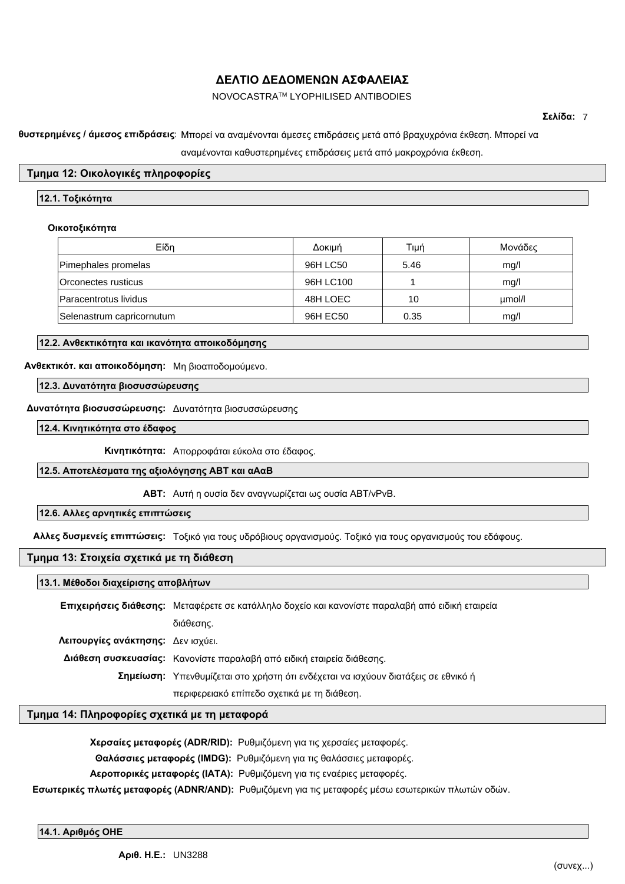## NOVOCASTRATM LYOPHILISED ANTIBODIES

**Σελίδα:** 7

### **Καθυστερημένες / άμεσος επιδράσεις:** Μπορεί να αναμένονται άμεσες επιδράσεις μετά από βραχυχρόνια έκθεση. Μπορεί να

αναμένονται καθυστερημένες επιδράσεις μετά από μακροχρόνια έκθεση.

## **Τμημα 12: Οικολογικές πληροφορίες**

## **12.1. Τοξικότητα**

### **Οικοτοξικότητα**

| Eίδη                      | Δοκιμή    | Tıµń | Μονάδες |
|---------------------------|-----------|------|---------|
| Pimephales promelas       | 96H LC50  | 5.46 | mq/l    |
| Orconectes rusticus       | 96H LC100 |      | mq/l    |
| Paracentrotus lividus     | 48H LOEC  | 10   | µmol/l  |
| Selenastrum capricornutum | 96H EC50  | 0.35 | mq/l    |

## **12.2. Ανθεκτικότητα και ικανότητα αποικοδόμησης**

## **Ανθεκτικότ. και αποικοδόμηση:** Μη βιοαποδομούμενο.

**12.3. Δυνατότητα βιοσυσσώρευσης**

## **Δυνατότητα βιοσυσσώρευσης:** Δυνατότητα βιοσυσσώρευσης

**12.4. Κινητικότητα στο έδαφος**

**Κινητικότητα:** Απορροφάται εύκολα στο έδαφος.

## **12.5. Αποτελέσματα της αξιολόγησης ΑΒΤ και αΑαΒ**

**ΑΒΤ:** Αυτή η ουσία δεν αναγνωρίζεται ως ουσία ABT/vPvB.

## **12.6. Αλλες αρνητικές επιπτώσεις**

**Αλλες δυσμενείς επιπτώσεις:** Τοξικό για τους υδρόβιους οργανισμούς. Τοξικό για τους οργανισμούς του εδάφους.

## **Τμημα 13: Στοιχεία σχετικά με τη διάθεση**

#### **13.1. Μέθοδοι διαχείρισης αποβλήτων**

**Επιχειρήσεις διάθεσης:** Μεταφέρετε σε κατάλληλο δοχείο και κανονίστε παραλαβή από ειδική εταιρεία διάθεσης. **Λειτουργίες ανάκτησης:** Δεν ισχύει. **Διάθεση συσκευασίας:** Κανονίστε παραλαβή από ειδική εταιρεία διάθεσης. **Σημείωση:** Υπενθυμίζεται στο χρήστη ότι ενδέχεται να ισχύουν διατάξεις σε εθνικό ή περιφερειακό επίπεδο σχετικά με τη διάθεση.

## **Τμημα 14: Πληροφορίες σχετικά με τη μεταφορά**

| <b>Χερσαίες μεταφορές (ADR/RID):</b> Ρυθμιζόμενη για τις χερσαίες μεταφορές.                              |
|-----------------------------------------------------------------------------------------------------------|
| <b>Θαλάσσιες μεταφορές (IMDG):</b> Ρυθμιζόμενη για τις θαλάσσιες μεταφορές.                               |
| Αεροπορικές μεταφορές (ΙΑΤΑ): Ρυθμιζόμενη για τις εναέριες μεταφορές.                                     |
| <b>Εσωτερικές πλωτές μεταφορές (ADNR/AND):</b> Ρυθμιζόμενη για τις μεταφορές μέσω εσωτερικών πλωτών οδών. |

**14.1. Αριθμός ΟΗΕ**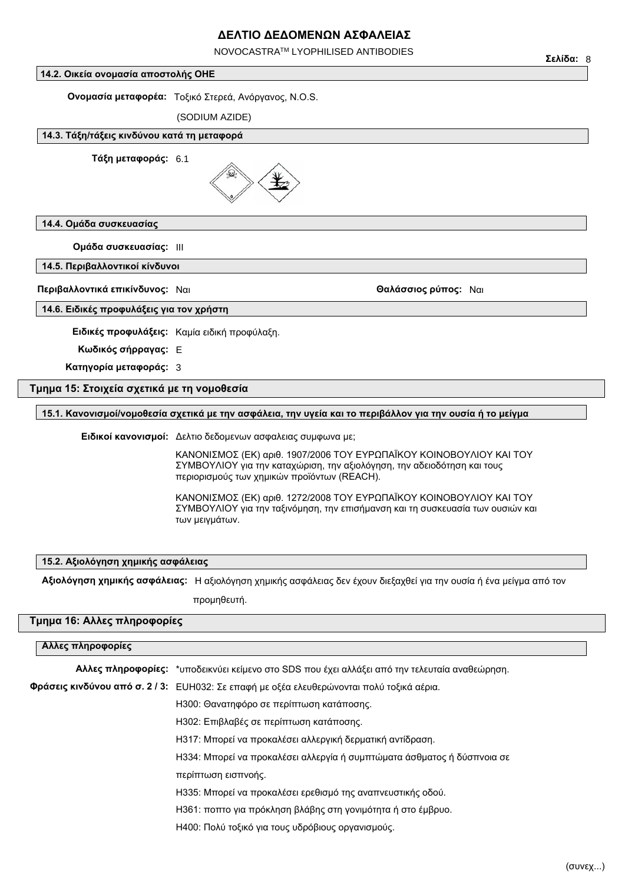NOVOCASTRATM LYOPHILISED ANTIBODIES

### **14.2. Οικεία ονομασία αποστολής ΟΗΕ**

**Ονομασία μεταφορέα:** Tοξικό Στερεά, Ανόργανος, N.O.S.

(SODIUM AZIDE)

### **14.3. Τάξη/τάξεις κινδύνου κατά τη μεταφορά**

**Τάξη μεταφοράς:** 6.1



## **14.4. Ομάδα συσκευασίας**

**Ομάδα συσκευασίας:** III

**14.5. Περιβαλλοντικοί κίνδυνοι**

**Περιβαλλοντικά επικίνδυνος:** Ναι **Θαλάσσιος ρύπος:** Ναι

#### **14.6. Ειδικές προφυλάξεις για τον χρήστη**

**Ειδικές προφυλάξεις:** Καμία ειδική προφύλαξη.

**Κωδικός σήρραγας:** E

**Κατηγορία μεταφοράς:** 3

## **Τμημα 15: Στοιχεία σχετικά με τη νομοθεσία**

## **15.1. Κανονισμοί/νομοθεσία σχετικά με την ασφάλεια, την υγεία και το περιβάλλον για την ουσία ή το μείγμα**

**Ειδικοί κανονισμοί:** Δελτιο δεδομενων ασφαλειας συμφωνα με;

ΚΑΝΟΝΙΣΜΟΣ (ΕΚ) αριθ. 1907/2006 ΤΟΥ ΕΥΡΩΠΑΪΚΟΥ ΚΟΙΝΟΒΟΥΛΙΟΥ ΚΑΙ ΤΟΥ ΣΥΜΒΟΥΛΙΟΥ για την καταχώριση, την αξιολόγηση, την αδειοδότηση και τους περιορισμούς των χημικών προϊόντων (REACH).

ΚΑΝΟΝΙΣΜΟΣ (ΕΚ) αριθ. 1272/2008 ΤΟΥ ΕΥΡΩΠΑΪΚΟΥ ΚΟΙΝΟΒΟΥΛΙΟΥ ΚΑΙ ΤΟΥ ΣΥΜΒΟΥΛΙΟΥ για την ταξινόμηση, την επισήμανση και τη συσκευασία των ουσιών και των μειγμάτων.

#### **15.2. Αξιολόγηση χημικής ασφάλειας**

**Αξιολόγηση χημικής ασφάλειας:** Η αξιολόγηση χημικής ασφάλειας δεν έχουν διεξαχθεί για την ουσία ή ένα μείγμα από τον

προμηθευτή.

## **Τμημα 16: Αλλες πληροφορίες**

## **Αλλες πληροφορίες**

| <b>Αλλες πληροφορίες:</b> *υποδεικνύει κείμενο στο SDS που έχει αλλάξει από την τελευταία αναθεώρηση. |  |
|-------------------------------------------------------------------------------------------------------|--|
| Φράσεις κινδύνου από σ. 2 / 3: ΕUH032: Σε επαφή με οξέα ελευθερώνονται πολύ τοξικά αέρια.             |  |
| Η300: Θανατηφόρο σε περίπτωση κατάποσης.                                                              |  |
| Η302: Επιβλαβές σε περίπτωση κατάποσης.                                                               |  |
| Η317: Μπορεί να προκαλέσει αλλεργική δερματική αντίδραση.                                             |  |
| Η334: Μπορεί να προκαλέσει αλλεργία ή συμπτώματα άσθματος ή δύσπνοια σε                               |  |
| περίπτωση εισπνοής.                                                                                   |  |
| Η335: Μπορεί να προκαλέσει ερεθισμό της αναπνευστικής οδού.                                           |  |
| Η361: ποπτο για πρόκληση βλάβης στη γονιμότητα ή στο έμβρυο.                                          |  |
| Η400: Πολύ τοξικό για τους υδρόβιους οργανισμούς.                                                     |  |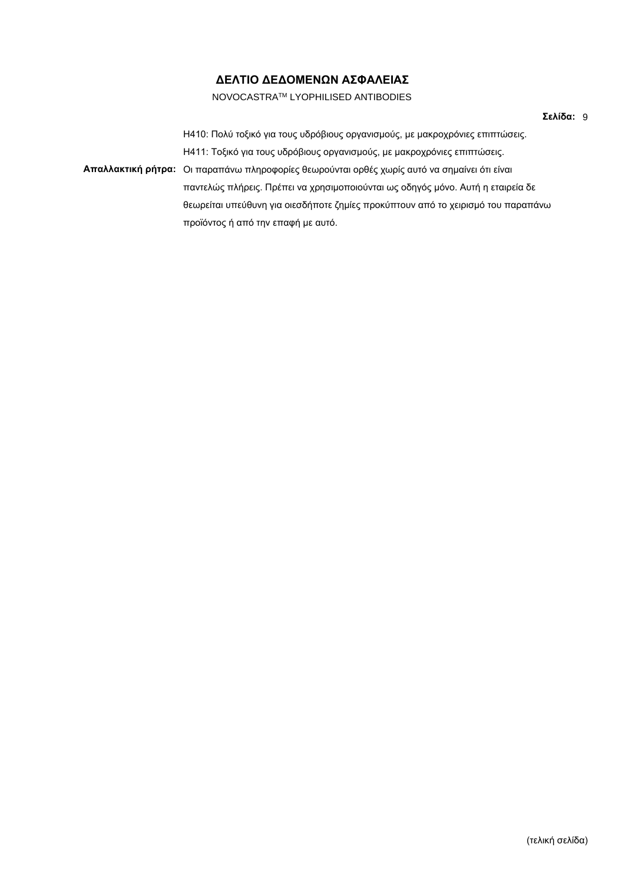## NOVOCASTRATM LYOPHILISED ANTIBODIES

H410: Πολύ τοξικό για τους υδρόβιους οργανισμούς, με μακροχρόνιες επιπτώσεις. H411: Τοξικό για τους υδρόβιους οργανισμούς, με μακροχρόνιες επιπτώσεις. **Απαλλακτική ρήτρα:** Οι παραπάνω πληροφορίες θεωρούνται ορθές χωρίς αυτό να σημαίνει ότι είναι παντελώς πλήρεις. Πρέπει να χρησιμοποιούνται ως οδηγός μόνο. Αυτή η εταιρεία δε θεωρείται υπεύθυνη για οιεσδήποτε ζημίες προκύπτουν από το χειρισμό του παραπάνω προϊόντος ή από την επαφή με αυτό.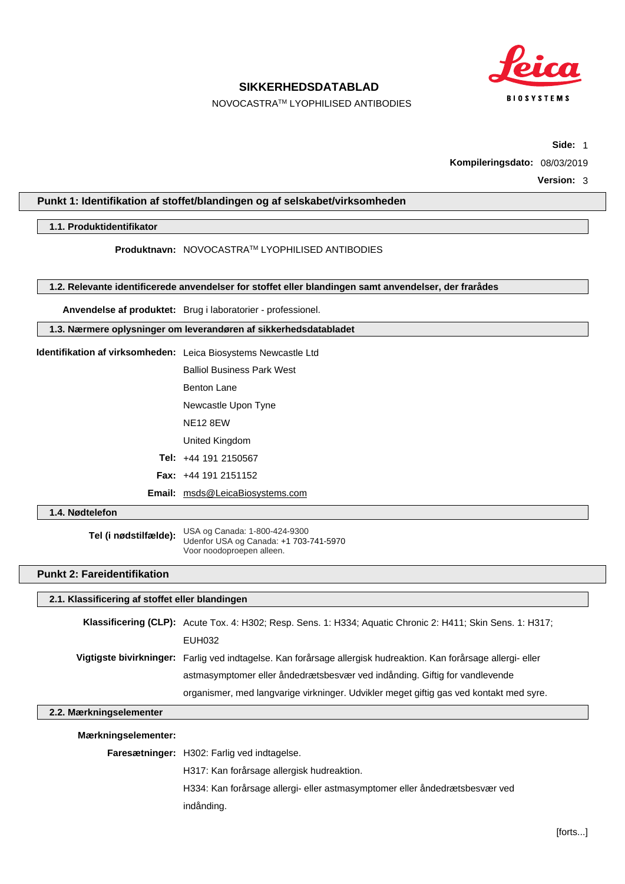

## **SIKKERHEDSDATABLAD**

NOVOCASTRATM LYOPHILISED ANTIBODIES

**Side:** 1

**Kompileringsdato:** 08/03/2019

**Version:** 3

## **Punkt 1: Identifikation af stoffet/blandingen og af selskabet/virksomheden**

### **1.1. Produktidentifikator**

**Produktnavn:** NOVOCASTRATM LYOPHILISED ANTIBODIES

**1.2. Relevante identificerede anvendelser for stoffet eller blandingen samt anvendelser, der frarådes**

**Anvendelse af produktet:** Brug i laboratorier - professionel.

**1.3. Nærmere oplysninger om leverandøren af sikkerhedsdatabladet**

- **Identifikation af virksomheden:** Leica Biosystems Newcastle Ltd Balliol Business Park West
	- Benton Lane
	- Newcastle Upon Tyne
	- NE12 8EW

United Kingdom

- **Tel:** +44 191 2150567
- **Fax:** +44 191 2151152
- **Email:** msds@LeicaBiosystems.com

**1.4. Nødtelefon**

**Tel (i nødstilfælde):** USA og Canada: 1-800-424-9300 Udenfor USA og Canada: +1 703-741-5970 Voor noodoproepen alleen.

## **Punkt 2: Fareidentifikation**

#### **2.1. Klassificering af stoffet eller blandingen**

**Klassificering (CLP):** Acute Tox. 4: H302; Resp. Sens. 1: H334; Aquatic Chronic 2: H411; Skin Sens. 1: H317; EUH032 **Vigtigste bivirkninger:** Farlig ved indtagelse. Kan forårsage allergisk hudreaktion. Kan forårsage allergi- eller astmasymptomer eller åndedrætsbesvær ved indånding. Giftig for vandlevende organismer, med langvarige virkninger. Udvikler meget giftig gas ved kontakt med syre.

#### **2.2. Mærkningselementer**

#### **Mærkningselementer:**

**Faresætninger:** H302: Farlig ved indtagelse.

H317: Kan forårsage allergisk hudreaktion.

H334: Kan forårsage allergi- eller astmasymptomer eller åndedrætsbesvær ved

indånding.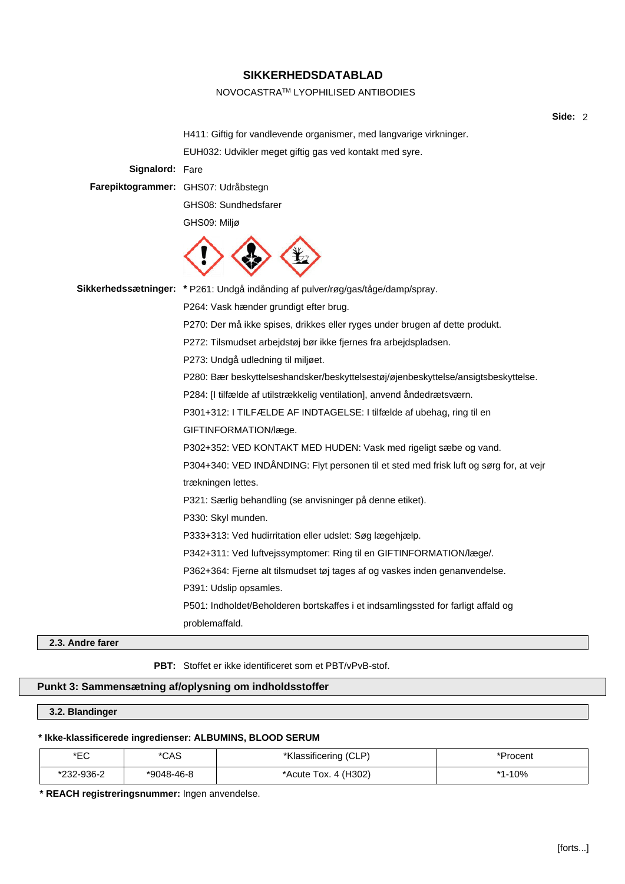### NOVOCASTRATM LYOPHILISED ANTIBODIES

**Side:** 2

H411: Giftig for vandlevende organismer, med langvarige virkninger. EUH032: Udvikler meget giftig gas ved kontakt med syre. **Signalord:** Fare **Farepiktogrammer:** GHS07: Udråbstegn GHS08: Sundhedsfarer GHS09: Miljø **Sikkerhedssætninger: \*** P261: Undgå indånding af pulver/røg/gas/tåge/damp/spray. P264: Vask hænder grundigt efter brug. P270: Der må ikke spises, drikkes eller ryges under brugen af dette produkt. P272: Tilsmudset arbejdstøj bør ikke fjernes fra arbejdspladsen. P273: Undgå udledning til miljøet. P280: Bær beskyttelseshandsker/beskyttelsestøj/øjenbeskyttelse/ansigtsbeskyttelse. P284: [I tilfælde af utilstrækkelig ventilation], anvend åndedrætsværn. P301+312: I TILFÆLDE AF INDTAGELSE: I tilfælde af ubehag, ring til en GIFTINFORMATION/læge. P302+352: VED KONTAKT MED HUDEN: Vask med rigeligt sæbe og vand. P304+340: VED INDÅNDING: Flyt personen til et sted med frisk luft og sørg for, at vejr trækningen lettes. P321: Særlig behandling (se anvisninger på denne etiket). P330: Skyl munden. P333+313: Ved hudirritation eller udslet: Søg lægehjælp. P342+311: Ved luftvejssymptomer: Ring til en GIFTINFORMATION/læge/. P362+364: Fjerne alt tilsmudset tøj tages af og vaskes inden genanvendelse. P391: Udslip opsamles. P501: Indholdet/Beholderen bortskaffes i et indsamlingssted for farligt affald og problemaffald.

**2.3. Andre farer**

**PBT:** Stoffet er ikke identificeret som et PBT/vPvB-stof.

# **Punkt 3: Sammensætning af/oplysning om indholdsstoffer**

**3.2. Blandinger**

### **\* Ikke-klassificerede ingredienser: ALBUMINS, BLOOD SERUM**

| ∗r∩<br>∟ພ  | *CAS       | *Klassificering (CLP) | *Procem       |
|------------|------------|-----------------------|---------------|
| *232-936-2 | *9048-46-8 | *Acute Tox. 4 (H302)  | 1-10%<br>$*4$ |

**\* REACH registreringsnummer:** Ingen anvendelse.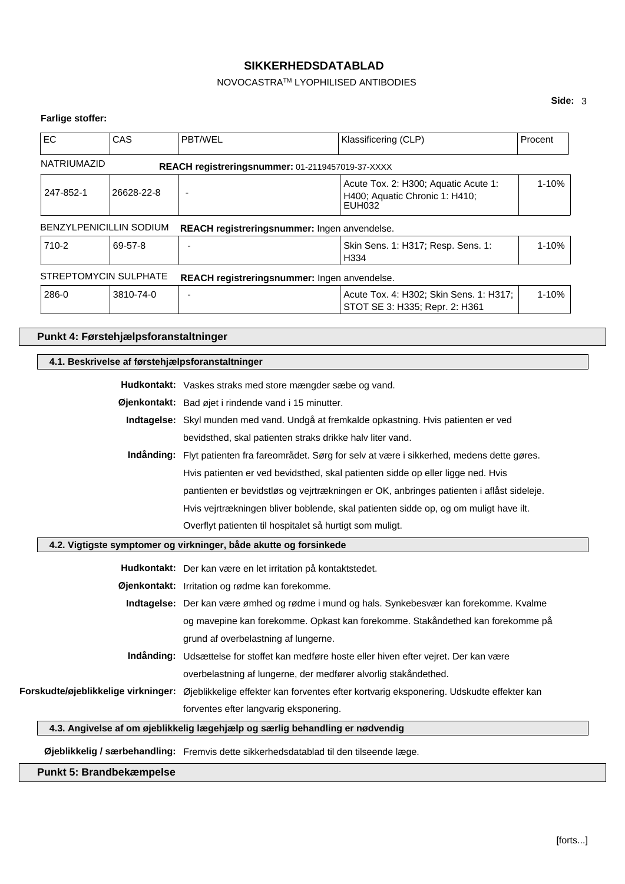# NOVOCASTRATM LYOPHILISED ANTIBODIES

# **Side:** 3

# **Farlige stoffer:**

| EC                 | CAS                     | <b>PBT/WEL</b>                                      | Klassificering (CLP)                                                             | Procent   |
|--------------------|-------------------------|-----------------------------------------------------|----------------------------------------------------------------------------------|-----------|
| <b>NATRIUMAZID</b> |                         | REACH registreringsnummer: 01-2119457019-37-XXXX    |                                                                                  |           |
| 247-852-1          | 26628-22-8              |                                                     | Acute Tox. 2: H300; Aquatic Acute 1:<br>H400; Aquatic Chronic 1: H410;<br>EUH032 | $1 - 10%$ |
|                    | BENZYLPENICILLIN SODIUM | <b>REACH registreringsnummer:</b> Ingen anvendelse. |                                                                                  |           |
| 710-2              | 69-57-8                 |                                                     | Skin Sens. 1: H317; Resp. Sens. 1:<br>H334                                       | $1 - 10%$ |
|                    | STREPTOMYCIN SULPHATE   | <b>REACH registreringsnummer:</b> Ingen anvendelse. |                                                                                  |           |
| 286-0              | 3810-74-0               |                                                     | Acute Tox. 4: H302; Skin Sens. 1: H317;<br>STOT SE 3: H335; Repr. 2: H361        | $1 - 10%$ |

# **Punkt 4: Førstehjælpsforanstaltninger**

| 4.1. Beskrivelse af førstehjælpsforanstaltninger |                                                                                                                             |
|--------------------------------------------------|-----------------------------------------------------------------------------------------------------------------------------|
|                                                  | <b>Hudkontakt:</b> Vaskes straks med store mængder sæbe og vand.                                                            |
|                                                  | Øjenkontakt: Bad øjet i rindende vand i 15 minutter.                                                                        |
|                                                  | Indtagelse: Skyl munden med vand. Undgå at fremkalde opkastning. Hvis patienten er ved                                      |
|                                                  | bevidsthed, skal patienten straks drikke halv liter vand.                                                                   |
|                                                  | Indånding: Flyt patienten fra fareområdet. Sørg for selv at være i sikkerhed, medens dette gøres.                           |
|                                                  | Hvis patienten er ved bevidsthed, skal patienten sidde op eller ligge ned. Hvis                                             |
|                                                  | pantienten er bevidstløs og vejrtrækningen er OK, anbringes patienten i aflåst sideleje.                                    |
|                                                  | Hvis vejrtrækningen bliver boblende, skal patienten sidde op, og om muligt have ilt.                                        |
|                                                  | Overflyt patienten til hospitalet så hurtigt som muligt.                                                                    |
|                                                  | 4.2. Vigtigste symptomer og virkninger, både akutte og forsinkede                                                           |
|                                                  | Hudkontakt: Der kan være en let irritation på kontaktstedet.                                                                |
|                                                  | Øjenkontakt: Irritation og rødme kan forekomme.                                                                             |
|                                                  | Indtagelse: Der kan være ømhed og rødme i mund og hals. Synkebesvær kan forekomme. Kvalme                                   |
|                                                  | og mavepine kan forekomme. Opkast kan forekomme. Stakåndethed kan forekomme på                                              |
|                                                  | grund af overbelastning af lungerne.                                                                                        |
|                                                  | Indånding: Udsættelse for stoffet kan medføre hoste eller hiven efter vejret. Der kan være                                  |
|                                                  | overbelastning af lungerne, der medfører alvorlig stakåndethed.                                                             |
|                                                  | Forskudte/øjeblikkelige virkninger: Øjeblikkelige effekter kan forventes efter kortvarig eksponering. Udskudte effekter kan |
|                                                  | forventes efter langvarig eksponering.                                                                                      |
|                                                  | 4.3. Angivelse af om øjeblikkelig lægehjælp og særlig behandling er nødvendig                                               |
|                                                  |                                                                                                                             |
|                                                  | Øjeblikkelig / særbehandling: Fremvis dette sikkerhedsdatablad til den tilseende læge.                                      |

**Punkt 5: Brandbekæmpelse**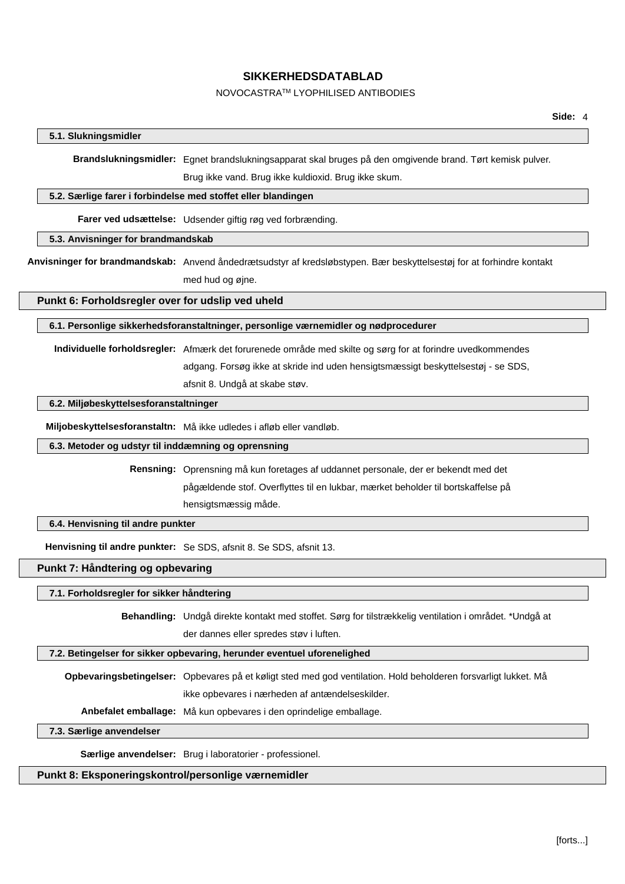### NOVOCASTRATM LYOPHILISED ANTIBODIES

# **5.1. Slukningsmidler**

**Brandslukningsmidler:** Egnet brandslukningsapparat skal bruges på den omgivende brand. Tørt kemisk pulver.

Brug ikke vand. Brug ikke kuldioxid. Brug ikke skum.

### **5.2. Særlige farer i forbindelse med stoffet eller blandingen**

**Farer ved udsættelse:** Udsender giftig røg ved forbrænding.

### **5.3. Anvisninger for brandmandskab**

**Anvisninger for brandmandskab:** Anvend åndedrætsudstyr af kredsløbstypen. Bær beskyttelsestøj for at forhindre kontakt med hud og øjne.

#### **Punkt 6: Forholdsregler over for udslip ved uheld**

**6.1. Personlige sikkerhedsforanstaltninger, personlige værnemidler og nødprocedurer**

**Individuelle forholdsregler:** Afmærk det forurenede område med skilte og sørg for at forindre uvedkommendes adgang. Forsøg ikke at skride ind uden hensigtsmæssigt beskyttelsestøj - se SDS, afsnit 8. Undgå at skabe støv.

**6.2. Miljøbeskyttelsesforanstaltninger**

**Miljobeskyttelsesforanstaltn:** Må ikke udledes i afløb eller vandløb.

#### **6.3. Metoder og udstyr til inddæmning og oprensning**

**Rensning:** Oprensning må kun foretages af uddannet personale, der er bekendt med det pågældende stof. Overflyttes til en lukbar, mærket beholder til bortskaffelse på hensigtsmæssig måde.

### **6.4. Henvisning til andre punkter**

**Henvisning til andre punkter:** Se SDS, afsnit 8. Se SDS, afsnit 13.

### **Punkt 7: Håndtering og opbevaring**

### **7.1. Forholdsregler for sikker håndtering**

**Behandling:** Undgå direkte kontakt med stoffet. Sørg for tilstrækkelig ventilation i området. \*Undgå at

der dannes eller spredes støv i luften.

### **7.2. Betingelser for sikker opbevaring, herunder eventuel uforenelighed**

**Opbevaringsbetingelser:** Opbevares på et køligt sted med god ventilation. Hold beholderen forsvarligt lukket. Må ikke opbevares i nærheden af antændelseskilder.

**Anbefalet emballage:** Må kun opbevares i den oprindelige emballage.

### **7.3. Særlige anvendelser**

**Særlige anvendelser:** Brug i laboratorier - professionel.

# **Punkt 8: Eksponeringskontrol/personlige værnemidler**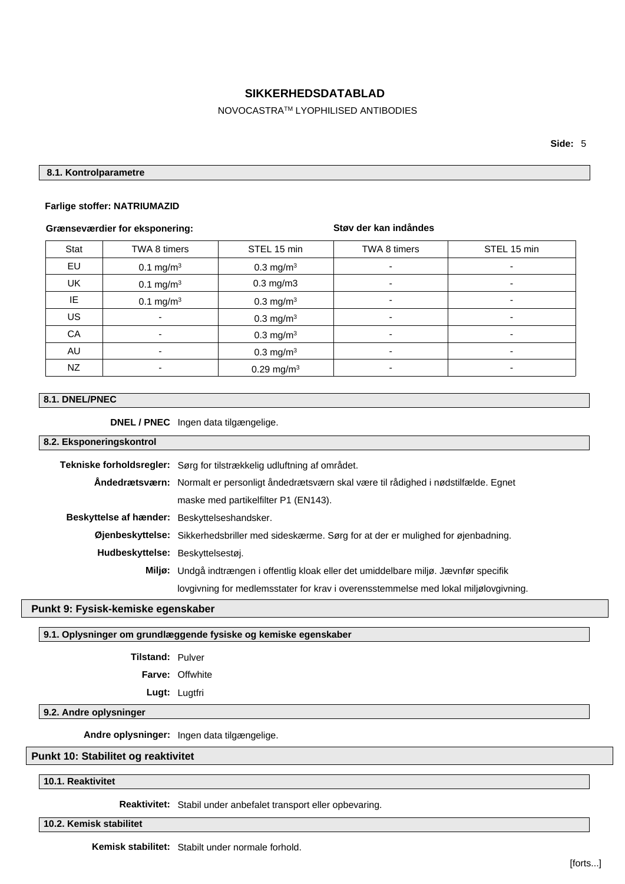# NOVOCASTRATM LYOPHILISED ANTIBODIES

### **8.1. Kontrolparametre**

#### **Farlige stoffer: NATRIUMAZID**

### **Grænseværdier for eksponering:**

# **Støv der kan indåndes**

| Stat      | TWA 8 timers             | STEL 15 min              | TWA 8 timers             | STEL 15 min              |
|-----------|--------------------------|--------------------------|--------------------------|--------------------------|
| EU        | $0.1 \text{ mg/m}^3$     | $0.3$ mg/m <sup>3</sup>  | $\overline{\phantom{a}}$ | ٠                        |
| <b>UK</b> | $0.1 \text{ mg/m}^3$     | $0.3$ mg/m $3$           | $\overline{\phantom{a}}$ | $\overline{\phantom{a}}$ |
| IE        | $0.1 \text{ mg/m}^3$     | $0.3 \text{ mg/m}^3$     | $\overline{\phantom{a}}$ | $\overline{\phantom{a}}$ |
| <b>US</b> | $\overline{\phantom{0}}$ | 0.3 mg/m <sup>3</sup>    | $\overline{\phantom{0}}$ | $\overline{\phantom{0}}$ |
| CA        |                          | 0.3 mg/m $3$             | $\overline{\phantom{a}}$ | $\overline{\phantom{a}}$ |
| AU        | $\overline{\phantom{0}}$ | 0.3 mg/m <sup>3</sup>    | $\overline{\phantom{0}}$ | $\overline{\phantom{0}}$ |
| NZ        | ٠                        | $0.29$ mg/m <sup>3</sup> | ۰                        | ٠                        |

### **8.1. DNEL/PNEC**

**DNEL / PNEC** Ingen data tilgængelige.

# **8.2. Eksponeringskontrol**

|                                              | Tekniske forholdsregler: Sørg for tilstrækkelig udluftning af området.                          |
|----------------------------------------------|-------------------------------------------------------------------------------------------------|
|                                              | Andedrætsværn: Normalt er personligt åndedrætsværn skal være til rådighed i nødstilfælde. Egnet |
|                                              | maske med partikelfilter P1 (EN143).                                                            |
| Beskyttelse af hænder: Beskyttelseshandsker. |                                                                                                 |
|                                              | Øjenbeskyttelse: Sikkerhedsbriller med sideskærme. Sørg for at der er mulighed for øjenbadning. |
| Hudbeskyttelse: Beskyttelsestøj.             |                                                                                                 |
|                                              | Miljø: Undgå indtrængen i offentlig kloak eller det umiddelbare miljø. Jævnfør specifik         |
|                                              | lovgivning for medlemsstater for krav i overensstemmelse med lokal miljølovgivning.             |

# **Punkt 9: Fysisk-kemiske egenskaber**

# **9.1. Oplysninger om grundlæggende fysiske og kemiske egenskaber**

| Tilstand: | Pulver |
|-----------|--------|
|-----------|--------|

**Farve:** Offwhite

**Lugt:** Lugtfri

**9.2. Andre oplysninger**

**Andre oplysninger:** Ingen data tilgængelige.

# **Punkt 10: Stabilitet og reaktivitet**

**10.1. Reaktivitet**

**Reaktivitet:** Stabil under anbefalet transport eller opbevaring.

**10.2. Kemisk stabilitet**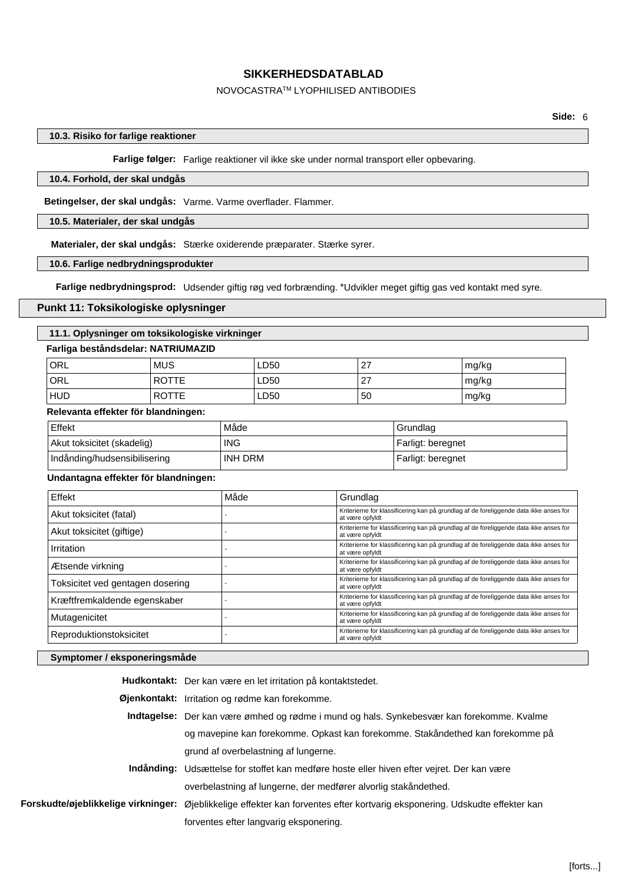### NOVOCASTRATM LYOPHILISED ANTIBODIES

### **10.3. Risiko for farlige reaktioner**

**Farlige følger:** Farlige reaktioner vil ikke ske under normal transport eller opbevaring.

### **10.4. Forhold, der skal undgås**

**Betingelser, der skal undgås:** Varme. Varme overflader. Flammer.

### **10.5. Materialer, der skal undgås**

**Materialer, der skal undgås:** Stærke oxiderende præparater. Stærke syrer.

### **10.6. Farlige nedbrydningsprodukter**

**Farlige nedbrydningsprod:** Udsender giftig røg ved forbrænding. \*Udvikler meget giftig gas ved kontakt med syre.

### **Punkt 11: Toksikologiske oplysninger**

### **11.1. Oplysninger om toksikologiske virkninger**

### **Farliga beståndsdelar: NATRIUMAZID**

| ORL        | <b>MUS</b>   | LD50 | 27 | mg/kg |
|------------|--------------|------|----|-------|
| <b>ORL</b> | <b>ROTTE</b> | LD50 | 27 | mg/kg |
| <b>HUD</b> | <b>ROTTE</b> | LD50 | 50 | mg/kg |

#### **Relevanta effekter för blandningen:**

| Effekt                       | Måde       | Grundlag          |
|------------------------------|------------|-------------------|
| Akut toksicitet (skadelig)   | <b>ING</b> | Farligt: beregnet |
| Indånding/hudsensibilisering | INH DRM    | Farligt: beregnet |

## **Undantagna effekter för blandningen:**

| Effekt                           | Måde | Grundlag                                                                                                 |
|----------------------------------|------|----------------------------------------------------------------------------------------------------------|
| Akut toksicitet (fatal)          |      | Kriterierne for klassificering kan på grundlag af de foreliggende data ikke anses for<br>at være opfyldt |
| Akut toksicitet (giftige)        |      | Kriterierne for klassificering kan på grundlag af de foreliggende data ikke anses for<br>at være opfyldt |
| Irritation                       |      | Kriterierne for klassificering kan på grundlag af de foreliggende data ikke anses for<br>at være opfyldt |
| Ætsende virkning                 |      | Kriterierne for klassificering kan på grundlag af de foreliggende data ikke anses for<br>at være opfyldt |
| Toksicitet ved gentagen dosering |      | Kriterierne for klassificering kan på grundlag af de foreliggende data ikke anses for<br>at være opfyldt |
| Kræftfremkaldende egenskaber     |      | Kriterierne for klassificering kan på grundlag af de foreliggende data ikke anses for<br>at være opfyldt |
| Mutagenicitet                    |      | Kriterierne for klassificering kan på grundlag af de foreliggende data ikke anses for<br>at være opfyldt |
| Reproduktionstoksicitet          |      | Kriterierne for klassificering kan på grundlag af de foreliggende data ikke anses for<br>at være opfyldt |

### **Symptomer / eksponeringsmåde**

**Hudkontakt:** Der kan være en let irritation på kontaktstedet.

**Øjenkontakt:** Irritation og rødme kan forekomme.

**Indtagelse:** Der kan være ømhed og rødme i mund og hals. Synkebesvær kan forekomme. Kvalme og mavepine kan forekomme. Opkast kan forekomme. Stakåndethed kan forekomme på grund af overbelastning af lungerne.

- **Indånding:** Udsættelse for stoffet kan medføre hoste eller hiven efter vejret. Der kan være overbelastning af lungerne, der medfører alvorlig stakåndethed.
- **Forskudte/øjeblikkelige virkninger:** Øjeblikkelige effekter kan forventes efter kortvarig eksponering. Udskudte effekter kan forventes efter langvarig eksponering.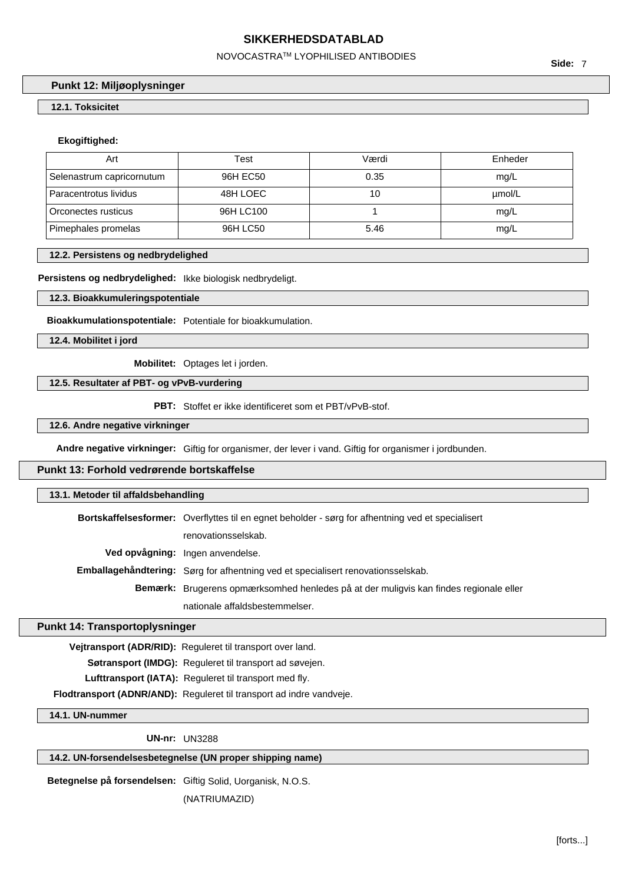### NOVOCASTRATM LYOPHILISED ANTIBODIES

**Punkt 12: Miljøoplysninger**

# **12.1. Toksicitet**

# **Ekogiftighed:**

| Art                       | Test      | Værdi | Enheder |
|---------------------------|-----------|-------|---------|
| Selenastrum capricornutum | 96H EC50  | 0.35  | mg/L    |
| Paracentrotus lividus     | 48H LOEC  | 10    | umol/L  |
| Orconectes rusticus       | 96H LC100 |       | mg/L    |
| Pimephales promelas       | 96H LC50  | 5.46  | mg/L    |

#### **12.2. Persistens og nedbrydelighed**

#### **Persistens og nedbrydelighed:** Ikke biologisk nedbrydeligt.

### **12.3. Bioakkumuleringspotentiale**

**Bioakkumulationspotentiale:** Potentiale for bioakkumulation.

**12.4. Mobilitet i jord**

**Mobilitet:** Optages let i jorden.

### **12.5. Resultater af PBT- og vPvB-vurdering**

**PBT:** Stoffet er ikke identificeret som et PBT/vPvB-stof.

#### **12.6. Andre negative virkninger**

**Andre negative virkninger:** Giftig for organismer, der lever i vand. Giftig for organismer i jordbunden.

# **Punkt 13: Forhold vedrørende bortskaffelse**

| 13.1. Metoder til affaldsbehandling |                                                                                                          |
|-------------------------------------|----------------------------------------------------------------------------------------------------------|
|                                     | <b>Bortskaffelsesformer:</b> Overflyttes til en egnet beholder - sørg for afhentning ved et specialisert |
|                                     | renovationsselskab.                                                                                      |
|                                     | Ved opvågning: Ingen anvendelse.                                                                         |
|                                     | Emballagehåndtering: Sørg for afhentning ved et specialisert renovationsselskab.                         |
|                                     | <b>Bemærk:</b> Brugerens opmærksomhed henledes på at der muligvis kan findes regionale eller             |
|                                     | nationale affaldsbestemmelser.                                                                           |

# **Punkt 14: Transportoplysninger**

**Vejtransport (ADR/RID):** Reguleret til transport over land.

**Søtransport (IMDG):** Reguleret til transport ad søvejen.

Lufttransport (IATA): Reguleret til transport med fly.

**Flodtransport (ADNR/AND):** Reguleret til transport ad indre vandveje.

**14.1. UN-nummer**

**UN-nr:** UN3288

# **14.2. UN-forsendelsesbetegnelse (UN proper shipping name)**

**Betegnelse på forsendelsen:** Giftig Solid, Uorganisk, N.O.S.

(NATRIUMAZID)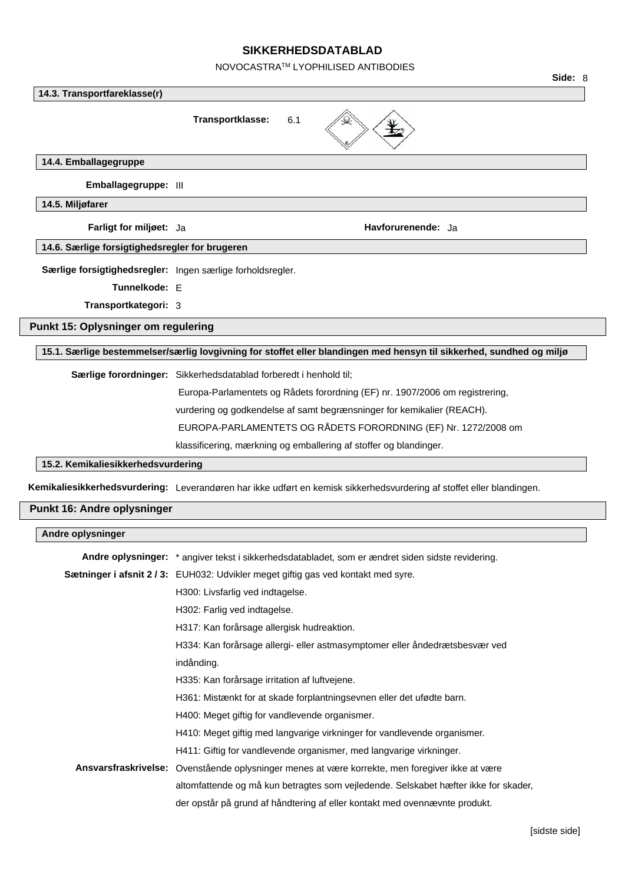NOVOCASTRATM LYOPHILISED ANTIBODIES

|                                                            |                                                                                                                       | Side: 8 |
|------------------------------------------------------------|-----------------------------------------------------------------------------------------------------------------------|---------|
| 14.3. Transportfareklasse(r)                               |                                                                                                                       |         |
|                                                            | Transportklasse:<br>6.1                                                                                               |         |
| 14.4. Emballagegruppe                                      |                                                                                                                       |         |
| Emballagegruppe: III                                       |                                                                                                                       |         |
| 14.5. Miljøfarer                                           |                                                                                                                       |         |
| Farligt for miljøet: Ja                                    | Havforurenende: Ja                                                                                                    |         |
| 14.6. Særlige forsigtighedsregler for brugeren             |                                                                                                                       |         |
| Særlige forsigtighedsregler: Ingen særlige forholdsregler. |                                                                                                                       |         |
| Tunnelkode: E                                              |                                                                                                                       |         |
| Transportkategori: 3                                       |                                                                                                                       |         |
| Punkt 15: Oplysninger om regulering                        |                                                                                                                       |         |
|                                                            | 15.1. Særlige bestemmelser/særlig lovgivning for stoffet eller blandingen med hensyn til sikkerhed, sundhed og miljø  |         |
|                                                            | Særlige forordninger: Sikkerhedsdatablad forberedt i henhold til;                                                     |         |
|                                                            | Europa-Parlamentets og Rådets forordning (EF) nr. 1907/2006 om registrering,                                          |         |
|                                                            | vurdering og godkendelse af samt begrænsninger for kemikalier (REACH).                                                |         |
|                                                            | EUROPA-PARLAMENTETS OG RÅDETS FORORDNING (EF) Nr. 1272/2008 om                                                        |         |
|                                                            | klassificering, mærkning og emballering af stoffer og blandinger.                                                     |         |
| 15.2. Kemikaliesikkerhedsvurdering                         |                                                                                                                       |         |
|                                                            | Kemikaliesikkerhedsvurdering: Leverandøren har ikke udført en kemisk sikkerhedsvurdering af stoffet eller blandingen. |         |
| Punkt 16: Andre oplysninger                                |                                                                                                                       |         |
| Andre oplysninger                                          |                                                                                                                       |         |
|                                                            | Andre oplysninger: * angiver tekst i sikkerhedsdatabladet, som er ændret siden sidste revidering.                     |         |
|                                                            | Sætninger i afsnit 2/3: EUH032: Udvikler meget giftig gas ved kontakt med syre.                                       |         |
|                                                            | H300: Livsfarlig ved indtagelse.                                                                                      |         |
|                                                            | H302: Farlig ved indtagelse.                                                                                          |         |
|                                                            | H317: Kan forårsage allergisk hudreaktion.                                                                            |         |
|                                                            | H334: Kan forårsage allergi- eller astmasymptomer eller åndedrætsbesvær ved                                           |         |
|                                                            | indånding.                                                                                                            |         |
|                                                            | H335: Kan forårsage irritation af luftvejene.                                                                         |         |
|                                                            | H361: Mistænkt for at skade forplantningsevnen eller det ufødte barn.                                                 |         |
|                                                            | H400: Meget giftig for vandlevende organismer.                                                                        |         |
|                                                            | H410: Meget giftig med langvarige virkninger for vandlevende organismer.                                              |         |
|                                                            | H411: Giftig for vandlevende organismer, med langvarige virkninger.                                                   |         |
|                                                            | Ansvarsfraskrivelse: Ovenstående oplysninger menes at være korrekte, men foregiver ikke at være                       |         |
|                                                            | altomfattende og må kun betragtes som vejledende. Selskabet hæfter ikke for skader,                                   |         |
|                                                            | der opstår på grund af håndtering af eller kontakt med ovennævnte produkt.                                            |         |
|                                                            |                                                                                                                       |         |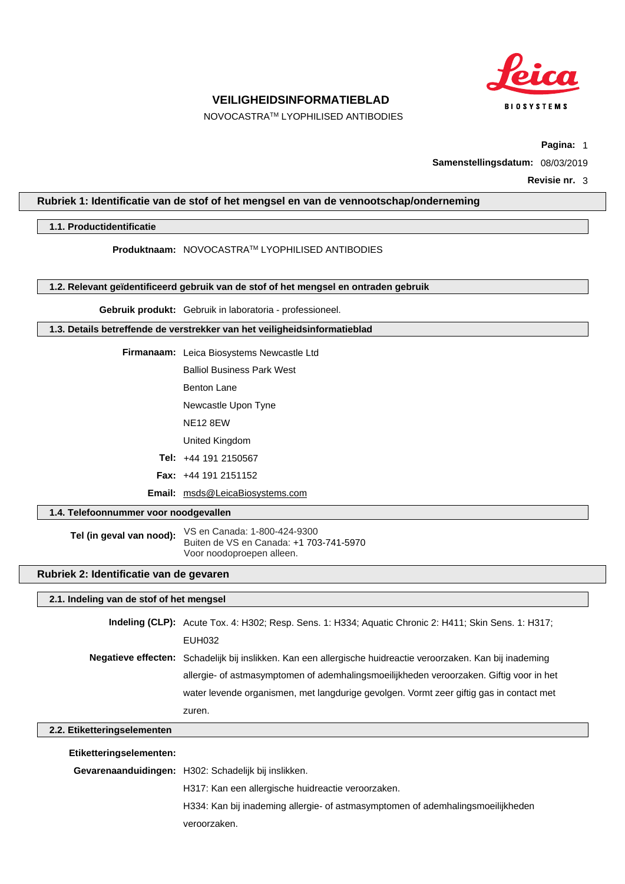

NOVOCASTRATM LYOPHILISED ANTIBODIES

**Pagina:** 1

**Samenstellingsdatum:** 08/03/2019

**Revisie nr.** 3

### **Rubriek 1: Identificatie van de stof of het mengsel en van de vennootschap/onderneming**

### **1.1. Productidentificatie**

**Produktnaam:** NOVOCASTRATM LYOPHILISED ANTIBODIES

**1.2. Relevant geïdentificeerd gebruik van de stof of het mengsel en ontraden gebruik**

**Gebruik produkt:** Gebruik in laboratoria - professioneel.

**1.3. Details betreffende de verstrekker van het veiligheidsinformatieblad**

**Firmanaam:** Leica Biosystems Newcastle Ltd

Balliol Business Park West

Benton Lane

Newcastle Upon Tyne

NE12 8EW

United Kingdom

**Tel:** +44 191 2150567

**Fax:** +44 191 2151152

**Email:** msds@LeicaBiosystems.com

### **1.4. Telefoonnummer voor noodgevallen**

**Tel (in geval van nood):** VS en Canada: 1-800-424-9300 Buiten de VS en Canada: +1 703-741-5970 Voor noodoproepen alleen.

# **Rubriek 2: Identificatie van de gevaren**

### **2.1. Indeling van de stof of het mengsel**

**Indeling (CLP):** Acute Tox. 4: H302; Resp. Sens. 1: H334; Aquatic Chronic 2: H411; Skin Sens. 1: H317; EUH032 **Negatieve effecten:** Schadelijk bij inslikken. Kan een allergische huidreactie veroorzaken. Kan bij inademing allergie- of astmasymptomen of ademhalingsmoeilijkheden veroorzaken. Giftig voor in het water levende organismen, met langdurige gevolgen. Vormt zeer giftig gas in contact met zuren.

# **2.2. Etiketteringselementen**

**Etiketteringselementen: Gevarenaanduidingen:** H302: Schadelijk bij inslikken. H317: Kan een allergische huidreactie veroorzaken. H334: Kan bij inademing allergie- of astmasymptomen of ademhalingsmoeilijkheden veroorzaken.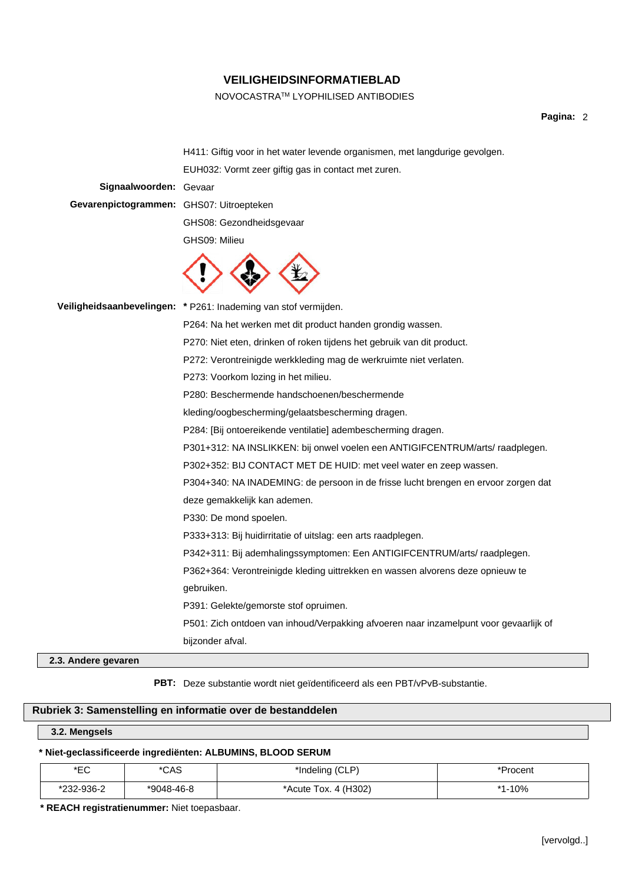# NOVOCASTRATM LYOPHILISED ANTIBODIES

# **Pagina:** 2

|                                          | H411: Giftig voor in het water levende organismen, met langdurige gevolgen.           |
|------------------------------------------|---------------------------------------------------------------------------------------|
|                                          | EUH032: Vormt zeer giftig gas in contact met zuren.                                   |
| Signaalwoorden: Gevaar                   |                                                                                       |
| Gevarenpictogrammen: GHS07: Uitroepteken |                                                                                       |
|                                          | GHS08: Gezondheidsgevaar                                                              |
|                                          | GHS09: Milieu                                                                         |
|                                          |                                                                                       |
|                                          | Veiligheidsaanbevelingen: * P261: Inademing van stof vermijden.                       |
|                                          | P264: Na het werken met dit product handen grondig wassen.                            |
|                                          | P270: Niet eten, drinken of roken tijdens het gebruik van dit product.                |
|                                          | P272: Verontreinigde werkkleding mag de werkruimte niet verlaten.                     |
|                                          | P273: Voorkom lozing in het milieu.                                                   |
|                                          | P280: Beschermende handschoenen/beschermende                                          |
|                                          | kleding/oogbescherming/gelaatsbescherming dragen.                                     |
|                                          | P284: [Bij ontoereikende ventilatie] adembescherming dragen.                          |
|                                          | P301+312: NA INSLIKKEN: bij onwel voelen een ANTIGIFCENTRUM/arts/ raadplegen.         |
|                                          | P302+352: BIJ CONTACT MET DE HUID: met veel water en zeep wassen.                     |
|                                          | P304+340: NA INADEMING: de persoon in de frisse lucht brengen en ervoor zorgen dat    |
|                                          | deze gemakkelijk kan ademen.                                                          |
|                                          | P330: De mond spoelen.                                                                |
|                                          | P333+313: Bij huidirritatie of uitslag: een arts raadplegen.                          |
|                                          | P342+311: Bij ademhalingssymptomen: Een ANTIGIFCENTRUM/arts/ raadplegen.              |
|                                          | P362+364: Verontreinigde kleding uittrekken en wassen alvorens deze opnieuw te        |
|                                          | gebruiken.                                                                            |
|                                          | P391: Gelekte/gemorste stof opruimen.                                                 |
|                                          | P501: Zich ontdoen van inhoud/Verpakking afvoeren naar inzamelpunt voor gevaarlijk of |
|                                          | bijzonder afval.                                                                      |

**2.3. Andere gevaren**

**PBT:** Deze substantie wordt niet geïdentificeerd als een PBT/vPvB-substantie.

# **Rubriek 3: Samenstelling en informatie over de bestanddelen**

# **3.2. Mengsels**

# **\* Niet-geclassificeerde ingrediënten: ALBUMINS, BLOOD SERUM**

| ∗⊏∩<br>∽   | *CAS       | 'Indeling (CLP)      | *Procent     |
|------------|------------|----------------------|--------------|
| *232-936-2 | *9048-46-8 | *Acute Tox. 4 (H302) | -10%<br>$*4$ |

**\* REACH registratienummer:** Niet toepasbaar.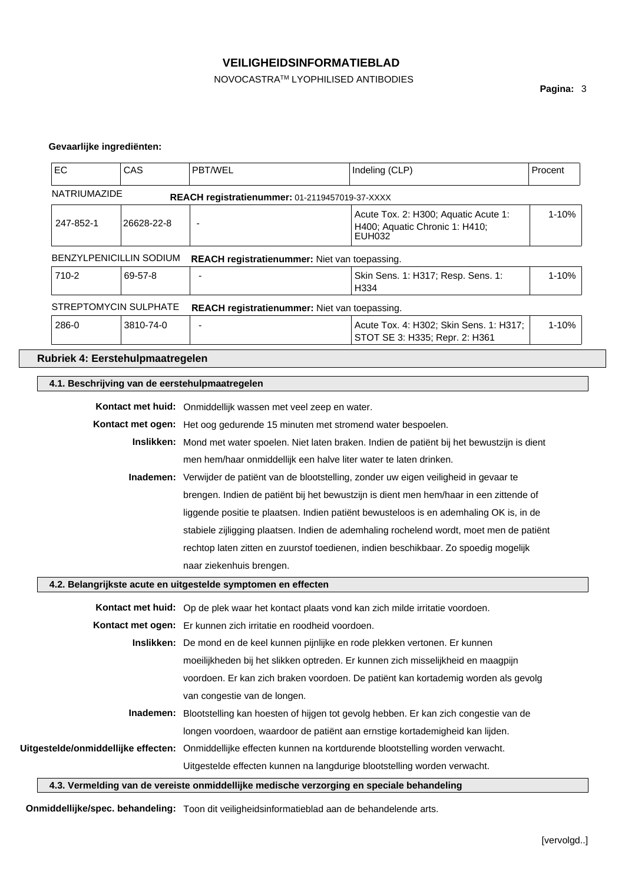# NOVOCASTRATM LYOPHILISED ANTIBODIES

**Pagina:** 3

# **Gevaarlijke ingrediënten:**

| EC                                             | CAS        | PBT/WEL                                                                                                         | Indeling (CLP)                                                                                | Procent |  |
|------------------------------------------------|------------|-----------------------------------------------------------------------------------------------------------------|-----------------------------------------------------------------------------------------------|---------|--|
| NATRIUMAZIDE                                   |            | REACH registratienummer: 01-2119457019-37-XXXX                                                                  |                                                                                               |         |  |
| 247-852-1                                      | 26628-22-8 | $\overline{\phantom{a}}$                                                                                        | Acute Tox. 2: H300; Aquatic Acute 1:<br>H400; Aquatic Chronic 1: H410;<br>EUH032              | 1-10%   |  |
| <b>BENZYLPENICILLIN SODIUM</b>                 |            | REACH registratienummer: Niet van toepassing.                                                                   |                                                                                               |         |  |
| 710-2                                          | 69-57-8    |                                                                                                                 | Skin Sens. 1: H317; Resp. Sens. 1:<br>H334                                                    | 1-10%   |  |
| STREPTOMYCIN SULPHATE                          |            | REACH registratienummer: Niet van toepassing.                                                                   |                                                                                               |         |  |
| 286-0                                          | 3810-74-0  |                                                                                                                 | Acute Tox. 4: H302; Skin Sens. 1: H317;<br>STOT SE 3: H335; Repr. 2: H361                     | 1-10%   |  |
| Rubriek 4: Eerstehulpmaatregelen               |            |                                                                                                                 |                                                                                               |         |  |
| 4.1. Beschrijving van de eerstehulpmaatregelen |            |                                                                                                                 |                                                                                               |         |  |
|                                                |            | Kontact met huid: Onmiddellijk wassen met veel zeep en water.                                                   |                                                                                               |         |  |
|                                                |            | Kontact met ogen: Het oog gedurende 15 minuten met stromend water bespoelen.                                    |                                                                                               |         |  |
|                                                |            | Inslikken: Mond met water spoelen. Niet laten braken. Indien de patiënt bij het bewustzijn is dient             |                                                                                               |         |  |
|                                                |            | men hem/haar onmiddellijk een halve liter water te laten drinken.                                               |                                                                                               |         |  |
|                                                |            | Inademen: Verwijder de patiënt van de blootstelling, zonder uw eigen veiligheid in gevaar te                    |                                                                                               |         |  |
|                                                |            |                                                                                                                 | brengen. Indien de patiënt bij het bewustzijn is dient men hem/haar in een zittende of        |         |  |
|                                                |            |                                                                                                                 | liggende positie te plaatsen. Indien patiënt bewusteloos is en ademhaling OK is, in de        |         |  |
|                                                |            |                                                                                                                 | stabiele zijligging plaatsen. Indien de ademhaling rochelend wordt, moet men de patiënt       |         |  |
|                                                |            |                                                                                                                 | rechtop laten zitten en zuurstof toedienen, indien beschikbaar. Zo spoedig mogelijk           |         |  |
|                                                |            | naar ziekenhuis brengen.                                                                                        |                                                                                               |         |  |
|                                                |            | 4.2. Belangrijkste acute en uitgestelde symptomen en effecten                                                   |                                                                                               |         |  |
|                                                |            | Kontact met huid: Op de plek waar het kontact plaats vond kan zich milde irritatie voordoen.                    |                                                                                               |         |  |
|                                                |            | Kontact met ogen: Er kunnen zich irritatie en roodheid voordoen.                                                |                                                                                               |         |  |
|                                                |            | Inslikken: De mond en de keel kunnen pijnlijke en rode plekken vertonen. Er kunnen                              |                                                                                               |         |  |
|                                                |            |                                                                                                                 | moeilijkheden bij het slikken optreden. Er kunnen zich misselijkheid en maagpijn              |         |  |
|                                                |            |                                                                                                                 | voordoen. Er kan zich braken voordoen. De patiënt kan kortademig worden als gevolg            |         |  |
|                                                |            | van congestie van de longen.                                                                                    |                                                                                               |         |  |
|                                                |            |                                                                                                                 | Inademen: Blootstelling kan hoesten of hijgen tot gevolg hebben. Er kan zich congestie van de |         |  |
|                                                |            | longen voordoen, waardoor de patiënt aan ernstige kortademigheid kan lijden.                                    |                                                                                               |         |  |
|                                                |            | Uitgestelde/onmiddellijke effecten: Onmiddellijke effecten kunnen na kortdurende blootstelling worden verwacht. |                                                                                               |         |  |
|                                                |            | Uitgestelde effecten kunnen na langdurige blootstelling worden verwacht.                                        |                                                                                               |         |  |
|                                                |            | 4.3. Vermelding van de vereiste onmiddellijke medische verzorging en speciale behandeling                       |                                                                                               |         |  |

**Onmiddellijke/spec. behandeling:** Toon dit veiligheidsinformatieblad aan de behandelende arts.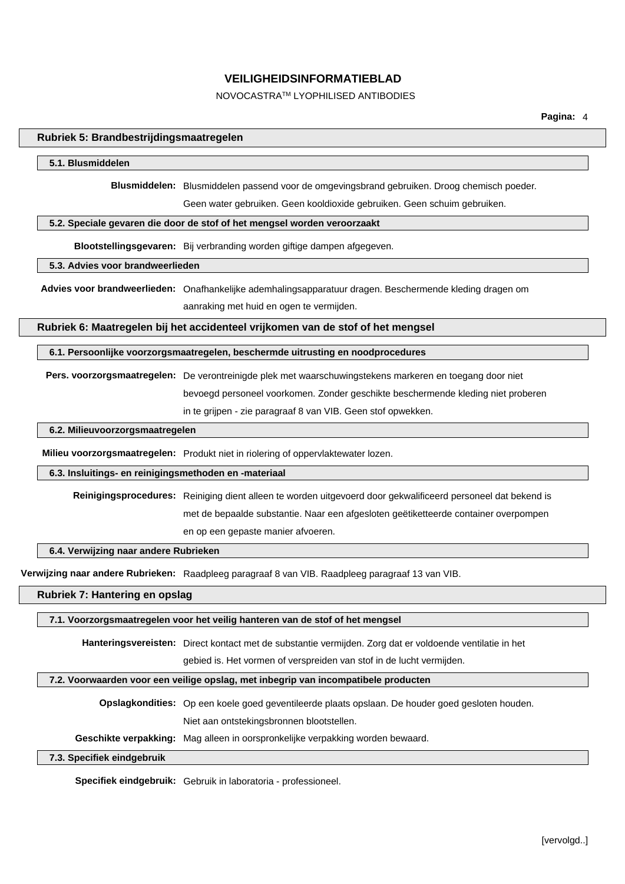### NOVOCASTRATM LYOPHILISED ANTIBODIES

# **Rubriek 5: Brandbestrijdingsmaatregelen 5.1. Blusmiddelen Blusmiddelen:** Blusmiddelen passend voor de omgevingsbrand gebruiken. Droog chemisch poeder. Geen water gebruiken. Geen kooldioxide gebruiken. Geen schuim gebruiken. **5.2. Speciale gevaren die door de stof of het mengsel worden veroorzaakt Blootstellingsgevaren:** Bij verbranding worden giftige dampen afgegeven. **5.3. Advies voor brandweerlieden Advies voor brandweerlieden:** Onafhankelijke ademhalingsapparatuur dragen. Beschermende kleding dragen om aanraking met huid en ogen te vermijden. **Rubriek 6: Maatregelen bij het accidenteel vrijkomen van de stof of het mengsel 6.1. Persoonlijke voorzorgsmaatregelen, beschermde uitrusting en noodprocedures Pers. voorzorgsmaatregelen:** De verontreinigde plek met waarschuwingstekens markeren en toegang door niet bevoegd personeel voorkomen. Zonder geschikte beschermende kleding niet proberen in te grijpen - zie paragraaf 8 van VIB. Geen stof opwekken. **6.2. Milieuvoorzorgsmaatregelen Milieu voorzorgsmaatregelen:** Produkt niet in riolering of oppervlaktewater lozen. **6.3. Insluitings- en reinigingsmethoden en -materiaal Reinigingsprocedures:** Reiniging dient alleen te worden uitgevoerd door gekwalificeerd personeel dat bekend is met de bepaalde substantie. Naar een afgesloten geëtiketteerde container overpompen en op een gepaste manier afvoeren. **6.4. Verwijzing naar andere Rubrieken Verwijzing naar andere Rubrieken:** Raadpleeg paragraaf 8 van VIB. Raadpleeg paragraaf 13 van VIB. **Rubriek 7: Hantering en opslag 7.1. Voorzorgsmaatregelen voor het veilig hanteren van de stof of het mengsel Hanteringsvereisten:** Direct kontact met de substantie vermijden. Zorg dat er voldoende ventilatie in het gebied is. Het vormen of verspreiden van stof in de lucht vermijden. **7.2. Voorwaarden voor een veilige opslag, met inbegrip van incompatibele producten Opslagkondities:** Op een koele goed geventileerde plaats opslaan. De houder goed gesloten houden. Niet aan ontstekingsbronnen blootstellen. **Geschikte verpakking:** Mag alleen in oorspronkelijke verpakking worden bewaard.

### **7.3. Specifiek eindgebruik**

**Specifiek eindgebruik:** Gebruik in laboratoria - professioneel.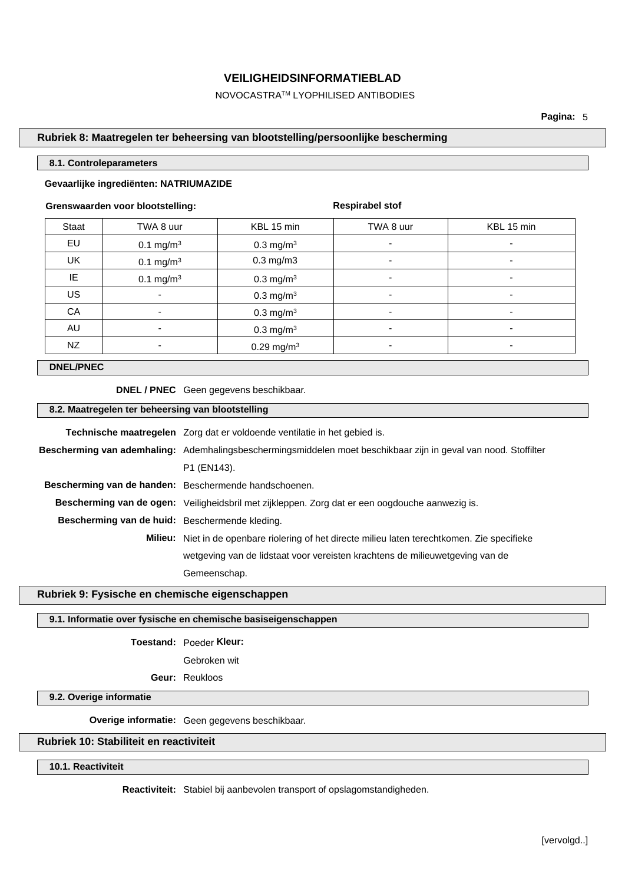NOVOCASTRATM LYOPHILISED ANTIBODIES

### **Rubriek 8: Maatregelen ter beheersing van blootstelling/persoonlijke bescherming**

### **8.1. Controleparameters**

# **Gevaarlijke ingrediënten: NATRIUMAZIDE**

### **Grenswaarden voor blootstelling:**

**Respirabel stof**

| Staat     | TWA 8 uur            | KBL 15 min              | TWA 8 uur                | KBL 15 min               |
|-----------|----------------------|-------------------------|--------------------------|--------------------------|
| EU        | $0.1 \text{ mg/m}^3$ | $0.3 \text{ mg/m}^3$    | ۰                        |                          |
| <b>UK</b> | $0.1 \text{ mg/m}^3$ | $0.3$ mg/m $3$          | $\overline{\phantom{0}}$ |                          |
| IE        | $0.1 \text{ mg/m}^3$ | $0.3$ mg/m <sup>3</sup> | $\overline{\phantom{0}}$ |                          |
| <b>US</b> | ۰                    | $0.3$ mg/m <sup>3</sup> | ۰.                       | ۰                        |
| CA        |                      | 0.3 mg/m <sup>3</sup>   | $\overline{\phantom{0}}$ | $\overline{\phantom{0}}$ |
| AU        |                      | $0.3 \text{ mg/m}^3$    | $\overline{\phantom{0}}$ |                          |
| NZ        | ۰                    | 0.29 mg/m <sup>3</sup>  | ۰                        | ۰                        |

### **DNEL/PNEC**

# **DNEL / PNEC** Geen gegevens beschikbaar.

### **8.2. Maatregelen ter beheersing van blootstelling**

|                                                       | <b>Technische maatregelen</b> Zorg dat er voldoende ventilatie in het gebied is.                                |  |
|-------------------------------------------------------|-----------------------------------------------------------------------------------------------------------------|--|
|                                                       | Bescherming van ademhaling: Ademhalingsbeschermingsmiddelen moet beschikbaar zijn in geval van nood. Stoffilter |  |
|                                                       | P1 (EN143).                                                                                                     |  |
| Bescherming van de handen: Beschermende handschoenen. |                                                                                                                 |  |
|                                                       | Bescherming van de ogen: Veiligheidsbril met zijkleppen. Zorg dat er een oogdouche aanwezig is.                 |  |
| Bescherming van de huid: Beschermende kleding.        |                                                                                                                 |  |
|                                                       | <b>Milieu:</b> Niet in de openbare riolering of het directe milieu laten terechtkomen. Zie specifieke           |  |
|                                                       | wetgeving van de lidstaat voor vereisten krachtens de milieuwetgeving van de                                    |  |
|                                                       | Gemeenschap.                                                                                                    |  |

### **Rubriek 9: Fysische en chemische eigenschappen**

#### **9.1. Informatie over fysische en chemische basiseigenschappen**

**Toestand:** Poeder **Kleur:**

Gebroken wit

**Geur:** Reukloos

### **9.2. Overige informatie**

**Overige informatie:** Geen gegevens beschikbaar.

# **Rubriek 10: Stabiliteit en reactiviteit**

# **10.1. Reactiviteit**

**Reactiviteit:** Stabiel bij aanbevolen transport of opslagomstandigheden.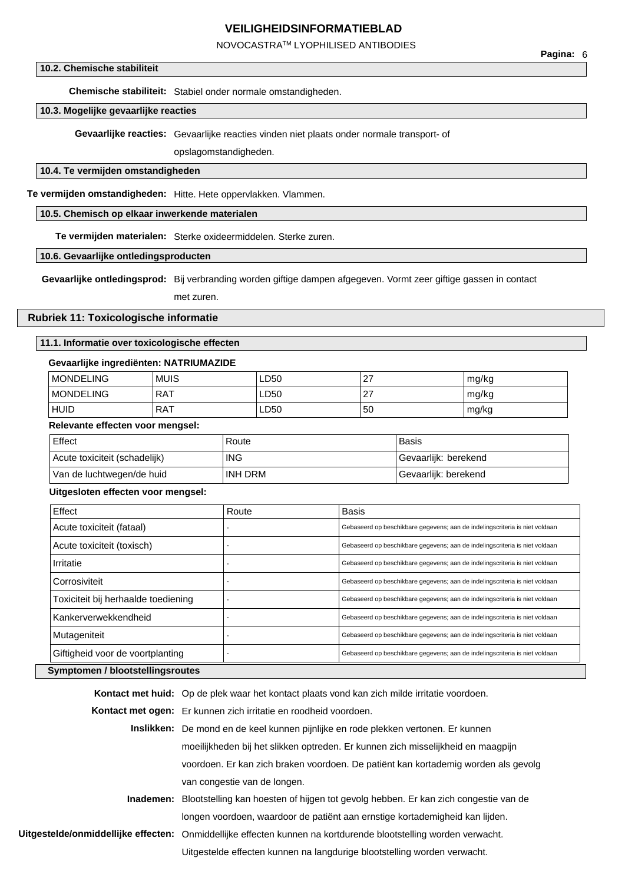# NOVOCASTRATM LYOPHILISED ANTIBODIES

### **10.2. Chemische stabiliteit**

**Chemische stabiliteit:** Stabiel onder normale omstandigheden.

# **10.3. Mogelijke gevaarlijke reacties**

**Gevaarlijke reacties:** Gevaarlijke reacties vinden niet plaats onder normale transport- of

opslagomstandigheden.

# **10.4. Te vermijden omstandigheden**

**Te vermijden omstandigheden:** Hitte. Hete oppervlakken. Vlammen.

### **10.5. Chemisch op elkaar inwerkende materialen**

**Te vermijden materialen:** Sterke oxideermiddelen. Sterke zuren.

#### **10.6. Gevaarlijke ontledingsproducten**

**Gevaarlijke ontledingsprod:** Bij verbranding worden giftige dampen afgegeven. Vormt zeer giftige gassen in contact

met zuren.

### **Rubriek 11: Toxicologische informatie**

### **11.1. Informatie over toxicologische effecten**

# **Gevaarlijke ingrediënten: NATRIUMAZIDE**

| <b>MONDELING</b> | <b>MUIS</b> | LD50 | 27                   | mg/kg |
|------------------|-------------|------|----------------------|-------|
| <b>MONDELING</b> | <b>RAT</b>  | LD50 | $\sim$<br>$\epsilon$ | mg/kg |
| <b>HUID</b>      | <b>RAT</b>  | LD50 | 50                   | mg/kg |

### **Relevante effecten voor mengsel:**

| Effect                        | Route      | <b>Basis</b>         |
|-------------------------------|------------|----------------------|
| Acute toxiciteit (schadelijk) | <b>ING</b> | Gevaarlijk: berekend |
| Van de luchtwegen/de huid     | INH DRM    | Gevaarlijk: berekend |

#### **Uitgesloten effecten voor mengsel:**

| Effect                              | Route | <b>Basis</b>                                                                |
|-------------------------------------|-------|-----------------------------------------------------------------------------|
| Acute toxiciteit (fataal)           |       | Gebaseerd op beschikbare gegevens; aan de indelingscriteria is niet voldaan |
| Acute toxiciteit (toxisch)          |       | Gebaseerd op beschikbare gegevens; aan de indelingscriteria is niet voldaan |
| Irritatie                           |       | Gebaseerd op beschikbare gegevens; aan de indelingscriteria is niet voldaan |
| Corrosiviteit                       |       | Gebaseerd op beschikbare gegevens; aan de indelingscriteria is niet voldaan |
| Toxiciteit bij herhaalde toediening |       | Gebaseerd op beschikbare gegevens; aan de indelingscriteria is niet voldaan |
| Kankerverwekkendheid                |       | Gebaseerd op beschikbare gegevens; aan de indelingscriteria is niet voldaan |
| Mutageniteit                        |       | Gebaseerd op beschikbare gegevens; aan de indelingscriteria is niet voldaan |
| Giftigheid voor de voortplanting    |       | Gebaseerd op beschikbare gegevens; aan de indelingscriteria is niet voldaan |
| Symptomen / blootstellingsroutes    |       |                                                                             |

# **Kontact met huid:** Op de plek waar het kontact plaats vond kan zich milde irritatie voordoen. **Kontact met ogen:** Er kunnen zich irritatie en roodheid voordoen. **Inslikken:** De mond en de keel kunnen pijnlijke en rode plekken vertonen. Er kunnen moeilijkheden bij het slikken optreden. Er kunnen zich misselijkheid en maagpijn voordoen. Er kan zich braken voordoen. De patiënt kan kortademig worden als gevolg van congestie van de longen. **Inademen:** Blootstelling kan hoesten of hijgen tot gevolg hebben. Er kan zich congestie van de longen voordoen, waardoor de patiënt aan ernstige kortademigheid kan lijden. **Uitgestelde/onmiddellijke effecten:** Onmiddellijke effecten kunnen na kortdurende blootstelling worden verwacht. Uitgestelde effecten kunnen na langdurige blootstelling worden verwacht.

**Pagina:** 6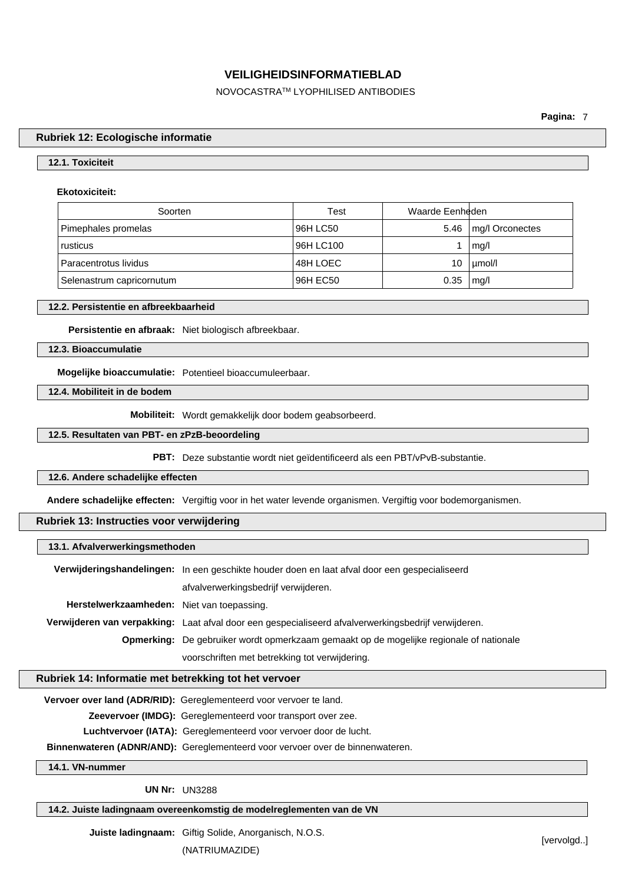NOVOCASTRATM LYOPHILISED ANTIBODIES

**Pagina:** 7

### **Rubriek 12: Ecologische informatie**

# **12.1. Toxiciteit**

### **Ekotoxiciteit:**

| Soorten                   | Test      | Waarde Eenheden |                 |
|---------------------------|-----------|-----------------|-----------------|
| Pimephales promelas       | 96H LC50  | 5.46            | mg/l Orconectes |
| rusticus                  | 96H LC100 |                 | mq/l            |
| Paracentrotus lividus     | 48H LOEC  | 10              | µmol/l          |
| Selenastrum capricornutum | 96H EC50  | 0.35            | mq/l            |

### **12.2. Persistentie en afbreekbaarheid**

**Persistentie en afbraak:** Niet biologisch afbreekbaar.

**12.3. Bioaccumulatie**

**Mogelijke bioaccumulatie:** Potentieel bioaccumuleerbaar.

**12.4. Mobiliteit in de bodem**

**Mobiliteit:** Wordt gemakkelijk door bodem geabsorbeerd.

### **12.5. Resultaten van PBT- en zPzB-beoordeling**

**PBT:** Deze substantie wordt niet geïdentificeerd als een PBT/vPvB-substantie.

### **12.6. Andere schadelijke effecten**

**Andere schadelijke effecten:** Vergiftig voor in het water levende organismen. Vergiftig voor bodemorganismen.

# **Rubriek 13: Instructies voor verwijdering**

#### **13.1. Afvalverwerkingsmethoden**

|                                            | Verwijderingshandelingen: In een geschikte houder doen en laat afval door een gespecialiseerd        |  |
|--------------------------------------------|------------------------------------------------------------------------------------------------------|--|
|                                            | afvalverwerkingsbedrijf verwijderen.                                                                 |  |
| Herstelwerkzaamheden: Niet van toepassing. |                                                                                                      |  |
|                                            | Verwijderen van verpakking: Laat afval door een gespecialiseerd afvalverwerkingsbedrijf verwijderen. |  |
|                                            | Opmerking: De gebruiker wordt opmerkzaam gemaakt op de mogelijke regionale of nationale              |  |
|                                            | voorschriften met betrekking tot verwijdering.                                                       |  |

### **Rubriek 14: Informatie met betrekking tot het vervoer**

**Vervoer over land (ADR/RID):** Gereglementeerd voor vervoer te land.

**Zeevervoer (IMDG):** Gereglementeerd voor transport over zee.

**Luchtvervoer (IATA):** Gereglementeerd voor vervoer door de lucht.

**Binnenwateren (ADNR/AND):** Gereglementeerd voor vervoer over de binnenwateren.

**14.1. VN-nummer**

**UN Nr:** UN3288

**14.2. Juiste ladingnaam overeenkomstig de modelreglementen van de VN**

**Juiste ladingnaam:** Giftig Solide, Anorganisch, N.O.S.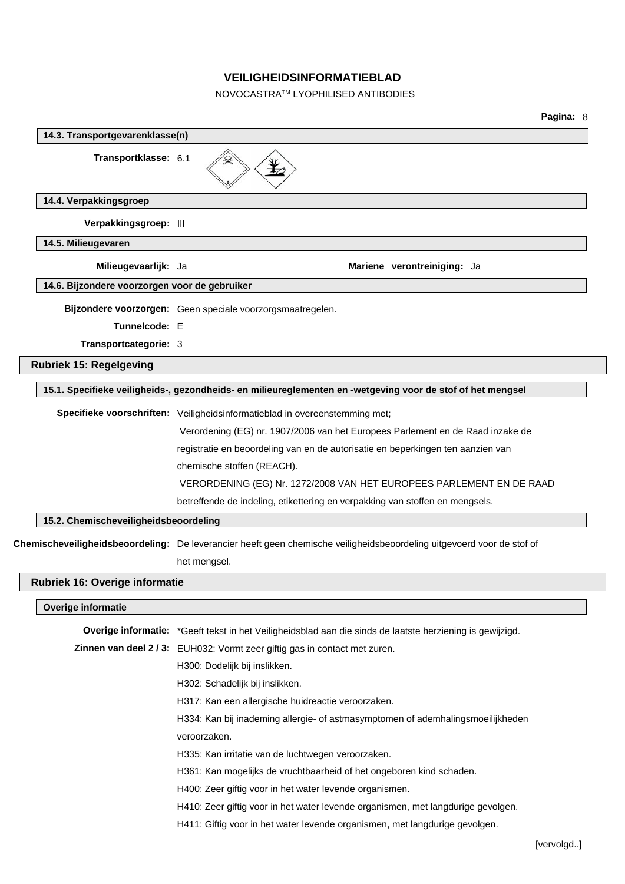# NOVOCASTRATM LYOPHILISED ANTIBODIES

| 14.3. Transportgevarenklasse(n)               |                                                                                                                        |
|-----------------------------------------------|------------------------------------------------------------------------------------------------------------------------|
| Transportklasse: 6.1                          |                                                                                                                        |
| 14.4. Verpakkingsgroep                        |                                                                                                                        |
| Verpakkingsgroep: III                         |                                                                                                                        |
| 14.5. Milieugevaren                           |                                                                                                                        |
| Milieugevaarlijk: Ja                          | Mariene verontreiniging: Ja                                                                                            |
| 14.6. Bijzondere voorzorgen voor de gebruiker |                                                                                                                        |
|                                               | Bijzondere voorzorgen: Geen speciale voorzorgsmaatregelen.                                                             |
| Tunnelcode: E                                 |                                                                                                                        |
| Transportcategorie: 3                         |                                                                                                                        |
| <b>Rubriek 15: Regelgeving</b>                |                                                                                                                        |
|                                               | 15.1. Specifieke veiligheids-, gezondheids- en milieureglementen en -wetgeving voor de stof of het mengsel             |
|                                               | Specifieke voorschriften: Veiligheidsinformatieblad in overeenstemming met;                                            |
|                                               | Verordening (EG) nr. 1907/2006 van het Europees Parlement en de Raad inzake de                                         |
|                                               | registratie en beoordeling van en de autorisatie en beperkingen ten aanzien van                                        |
|                                               | chemische stoffen (REACH).                                                                                             |
|                                               | VERORDENING (EG) Nr. 1272/2008 VAN HET EUROPEES PARLEMENT EN DE RAAD                                                   |
|                                               | betreffende de indeling, etikettering en verpakking van stoffen en mengsels.                                           |
| 15.2. Chemischeveiligheidsbeoordeling         |                                                                                                                        |
|                                               | Chemischeveiligheidsbeoordeling: De leverancier heeft geen chemische veiligheidsbeoordeling uitgevoerd voor de stof of |
|                                               | het mengsel.                                                                                                           |
| Rubriek 16: Overige informatie                |                                                                                                                        |
| Overige informatie                            |                                                                                                                        |
|                                               | Overige informatie: *Geeft tekst in het Veiligheidsblad aan die sinds de laatste herziening is gewijzigd.              |
|                                               | Zinnen van deel 2 / 3: EUH032: Vormt zeer giftig gas in contact met zuren.                                             |
|                                               | H300: Dodelijk bij inslikken.                                                                                          |
|                                               | H302: Schadelijk bij inslikken.                                                                                        |
|                                               | H317: Kan een allergische huidreactie veroorzaken.                                                                     |
|                                               | H334: Kan bij inademing allergie- of astmasymptomen of ademhalingsmoeilijkheden                                        |
|                                               | veroorzaken.                                                                                                           |
|                                               | H335: Kan irritatie van de luchtwegen veroorzaken.                                                                     |
|                                               | H361: Kan mogelijks de vruchtbaarheid of het ongeboren kind schaden.                                                   |
|                                               | H400: Zeer giftig voor in het water levende organismen.                                                                |
|                                               | H410: Zeer giftig voor in het water levende organismen, met langdurige gevolgen.                                       |
|                                               | H411: Giftig voor in het water levende organismen, met langdurige gevolgen.                                            |
|                                               | [vervolgd]                                                                                                             |
|                                               |                                                                                                                        |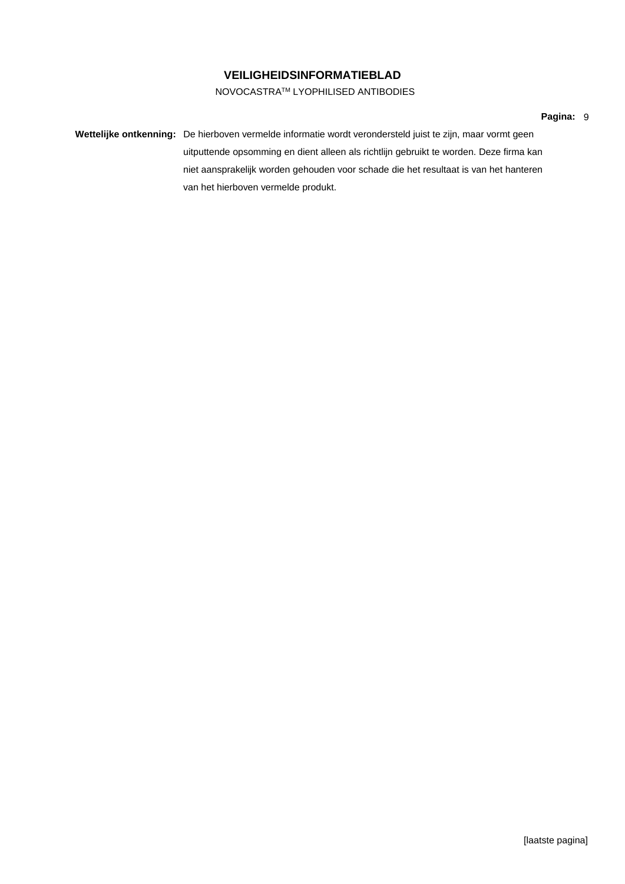# NOVOCASTRATM LYOPHILISED ANTIBODIES

### **Pagina:** 9

**Wettelijke ontkenning:** De hierboven vermelde informatie wordt verondersteld juist te zijn, maar vormt geen uitputtende opsomming en dient alleen als richtlijn gebruikt te worden. Deze firma kan niet aansprakelijk worden gehouden voor schade die het resultaat is van het hanteren van het hierboven vermelde produkt.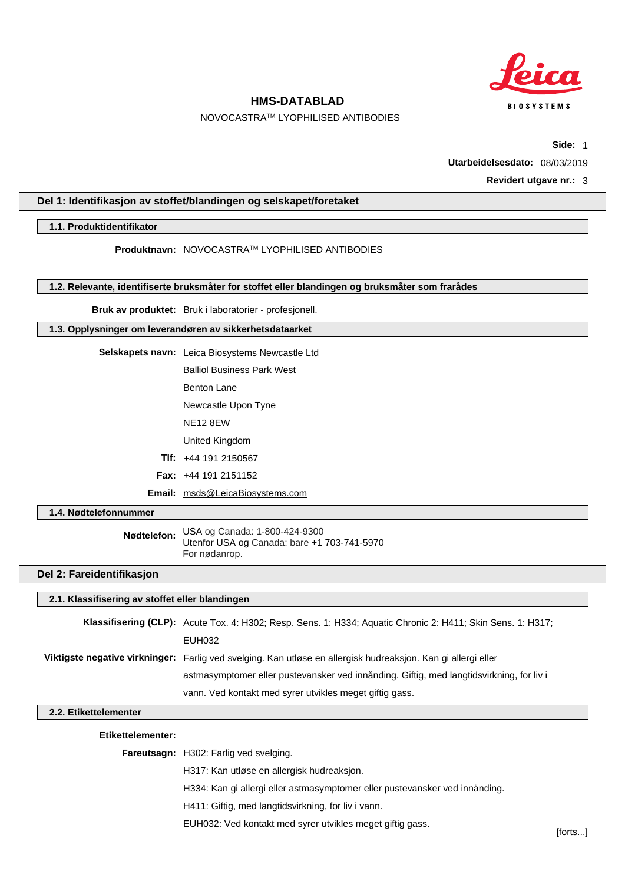

### NOVOCASTRATM LYOPHILISED ANTIBODIES

**Side:** 1

**Utarbeidelsesdato:** 08/03/2019

### **Revidert utgave nr.:** 3

# **Del 1: Identifikasjon av stoffet/blandingen og selskapet/foretaket**

### **1.1. Produktidentifikator**

**Produktnavn:** NOVOCASTRATM LYOPHILISED ANTIBODIES

**1.2. Relevante, identifiserte bruksmåter for stoffet eller blandingen og bruksmåter som frarådes**

**Bruk av produktet:** Bruk i laboratorier - profesjonell.

### **1.3. Opplysninger om leverandøren av sikkerhetsdataarket**

- **Selskapets navn:** Leica Biosystems Newcastle Ltd Balliol Business Park West
	- Benton Lane
	- Newcastle Upon Tyne
	- NE12 8EW
	- United Kingdom
	- **Tlf:** +44 191 2150567
	- **Fax:** +44 191 2151152
	- **Email:** msds@LeicaBiosystems.com

### **1.4. Nødtelefonnummer**

**Nødtelefon:** USA og Canada: 1-800-424-9300 Utenfor USA og Canada: bare +1 703-741-5970 For nødanrop.

# **Del 2: Fareidentifikasjon**

# **2.1. Klassifisering av stoffet eller blandingen**

| Klassifisering (CLP): Acute Tox. 4: H302; Resp. Sens. 1: H334; Aquatic Chronic 2: H411; Skin Sens. 1: H317;   |
|---------------------------------------------------------------------------------------------------------------|
| EUH032                                                                                                        |
| Viktigste negative virkninger: Farlig ved svelging. Kan utløse en allergisk hudreaksjon. Kan gi allergi eller |
| astmasymptomer eller pustevansker ved innånding. Giftig, med langtidsvirkning, for liv i                      |
| vann. Ved kontakt med syrer utvikles meget giftig gass.                                                       |

### **2.2. Etikettelementer**

### **Etikettelementer:**

**Fareutsagn:** H302: Farlig ved svelging.

H317: Kan utløse en allergisk hudreaksjon.

H334: Kan gi allergi eller astmasymptomer eller pustevansker ved innånding.

H411: Giftig, med langtidsvirkning, for liv i vann.

EUH032: Ved kontakt med syrer utvikles meget giftig gass.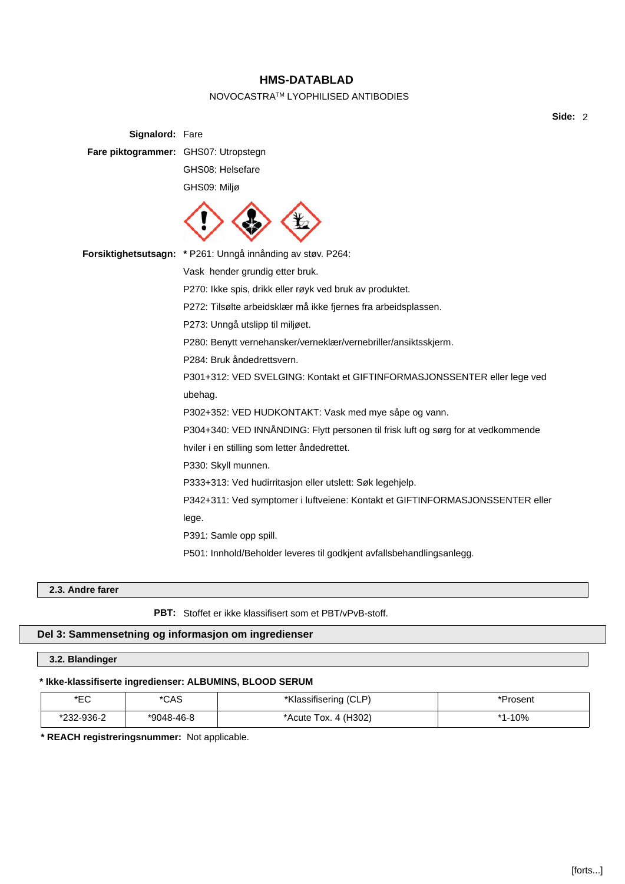# NOVOCASTRATM LYOPHILISED ANTIBODIES

**Side:** 2

| Signalord: Fare                      |                                                                                   |
|--------------------------------------|-----------------------------------------------------------------------------------|
| Fare piktogrammer: GHS07: Utropstegn |                                                                                   |
|                                      | GHS08: Helsefare                                                                  |
|                                      | GHS09: Miljø                                                                      |
|                                      |                                                                                   |
|                                      | Forsiktighetsutsagn: * P261: Unngå innånding av støv. P264:                       |
|                                      | Vask hender grundig etter bruk.                                                   |
|                                      | P270: Ikke spis, drikk eller røyk ved bruk av produktet.                          |
|                                      | P272: Tilsølte arbeidsklær må ikke fjernes fra arbeidsplassen.                    |
|                                      | P273: Unngå utslipp til miljøet.                                                  |
|                                      | P280: Benytt vernehansker/verneklær/vernebriller/ansiktsskjerm.                   |
|                                      | P284: Bruk åndedrettsvern.                                                        |
|                                      | P301+312: VED SVELGING: Kontakt et GIFTINFORMASJONSSENTER eller lege ved          |
|                                      | ubehag.                                                                           |
|                                      | P302+352: VED HUDKONTAKT: Vask med mye såpe og vann.                              |
|                                      | P304+340: VED INNÅNDING: Flytt personen til frisk luft og sørg for at vedkommende |
|                                      | hviler i en stilling som letter åndedrettet.                                      |
|                                      | P330: Skyll munnen.                                                               |
|                                      | P333+313: Ved hudirritasjon eller utslett: Søk legehjelp.                         |
|                                      | P342+311: Ved symptomer i luftveiene: Kontakt et GIFTINFORMASJONSSENTER eller     |
|                                      | lege.                                                                             |
|                                      | P391: Samle opp spill.                                                            |
|                                      | P501: Innhold/Beholder leveres til godkjent avfallsbehandlingsanlegg.             |

# **2.3. Andre farer**

**PBT:** Stoffet er ikke klassifisert som et PBT/vPvB-stoff.

# **Del 3: Sammensetning og informasjon om ingredienser**

**3.2. Blandinger**

# **\* Ikke-klassifiserte ingredienser: ALBUMINS, BLOOD SERUM**

| ∗⊏∩<br>└         | *CAS       | Klassifisering (CLP)   | ాrosent |
|------------------|------------|------------------------|---------|
| 232-936-2<br>∼מי | *9048-46-8 | *Acute Tox. $4$ (H302) | $-10%$  |

**\* REACH registreringsnummer:** Not applicable.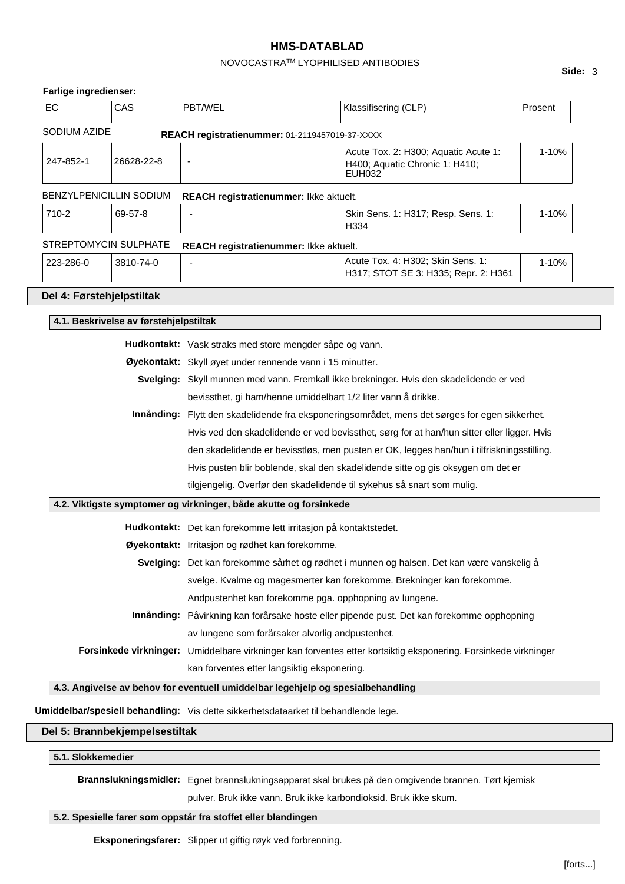# NOVOCASTRATM LYOPHILISED ANTIBODIES

# **Farlige ingredienser:**

| EC                                                                                                | CAS                                    | PBT/WEL                                                                                                            | Klassifisering (CLP)                                                      | Prosent |  |  |
|---------------------------------------------------------------------------------------------------|----------------------------------------|--------------------------------------------------------------------------------------------------------------------|---------------------------------------------------------------------------|---------|--|--|
| SODIUM AZIDE                                                                                      |                                        | REACH registratienummer: 01-2119457019-37-XXXX                                                                     |                                                                           |         |  |  |
| 247-852-1                                                                                         | 26628-22-8                             | 1-10%<br>Acute Tox. 2: H300; Aquatic Acute 1:<br>$\blacksquare$<br>H400; Aquatic Chronic 1: H410;<br><b>EUH032</b> |                                                                           |         |  |  |
|                                                                                                   | <b>BENZYLPENICILLIN SODIUM</b>         | REACH registratienummer: Ikke aktuelt.                                                                             |                                                                           |         |  |  |
| 710-2<br>69-57-8                                                                                  |                                        |                                                                                                                    | Skin Sens. 1: H317; Resp. Sens. 1:<br>H334                                | 1-10%   |  |  |
|                                                                                                   | STREPTOMYCIN SULPHATE                  | REACH registratienummer: Ikke aktuelt.                                                                             |                                                                           |         |  |  |
| 223-286-0                                                                                         | 3810-74-0                              | ٠                                                                                                                  | Acute Tox. 4: H302; Skin Sens. 1:<br>H317; STOT SE 3: H335; Repr. 2: H361 | 1-10%   |  |  |
| Del 4: Førstehjelpstiltak                                                                         |                                        |                                                                                                                    |                                                                           |         |  |  |
|                                                                                                   | 4.1. Beskrivelse av førstehjelpstiltak |                                                                                                                    |                                                                           |         |  |  |
|                                                                                                   |                                        | Hudkontakt: Vask straks med store mengder såpe og vann.                                                            |                                                                           |         |  |  |
| Øyekontakt: Skyll øyet under rennende vann i 15 minutter.                                         |                                        |                                                                                                                    |                                                                           |         |  |  |
| Svelging: Skyll munnen med vann. Fremkall ikke brekninger. Hvis den skadelidende er ved           |                                        |                                                                                                                    |                                                                           |         |  |  |
| bevissthet, gi ham/henne umiddelbart 1/2 liter vann å drikke.                                     |                                        |                                                                                                                    |                                                                           |         |  |  |
| Flytt den skadelidende fra eksponeringsområdet, mens det sørges for egen sikkerhet.<br>Innånding: |                                        |                                                                                                                    |                                                                           |         |  |  |
|                                                                                                   |                                        | Hvis ved den skadelidende er ved bevissthet, sørg for at han/hun sitter eller ligger. Hvis                         |                                                                           |         |  |  |
|                                                                                                   |                                        | den skadelidende er bevisstløs, men pusten er OK, legges han/hun i tilfriskningsstilling.                          |                                                                           |         |  |  |
|                                                                                                   |                                        | Hvis pusten blir boblende, skal den skadelidende sitte og gis oksygen om det er                                    |                                                                           |         |  |  |
| tilgjengelig. Overfør den skadelidende til sykehus så snart som mulig.                            |                                        |                                                                                                                    |                                                                           |         |  |  |
|                                                                                                   |                                        | 4.2. Viktigste symptomer og virkninger, både akutte og forsinkede                                                  |                                                                           |         |  |  |
|                                                                                                   |                                        | Hudkontakt: Det kan forekomme lett irritasjon på kontaktstedet.                                                    |                                                                           |         |  |  |
|                                                                                                   |                                        | Øyekontakt: Irritasjon og rødhet kan forekomme.                                                                    |                                                                           |         |  |  |
|                                                                                                   |                                        | Svelging: Det kan forekomme sårhet og rødhet i munnen og halsen. Det kan være vanskelig å                          |                                                                           |         |  |  |
|                                                                                                   |                                        | svelge. Kvalme og magesmerter kan forekomme. Brekninger kan forekomme.                                             |                                                                           |         |  |  |
|                                                                                                   |                                        | Andpustenhet kan forekomme pga. opphopning av lungene.                                                             |                                                                           |         |  |  |
|                                                                                                   |                                        | Innånding: Påvirkning kan forårsake hoste eller pipende pust. Det kan forekomme opphopning                         |                                                                           |         |  |  |
|                                                                                                   |                                        | av lungene som forårsaker alvorlig andpustenhet.                                                                   |                                                                           |         |  |  |
|                                                                                                   |                                        | Forsinkede virkninger: Umiddelbare virkninger kan forventes etter kortsiktig eksponering. Forsinkede virkninger    |                                                                           |         |  |  |
|                                                                                                   |                                        | kan forventes etter langsiktig eksponering.                                                                        |                                                                           |         |  |  |
|                                                                                                   |                                        | 4.3. Angivelse av behov for eventuell umiddelbar legehjelp og spesialbehandling                                    |                                                                           |         |  |  |
|                                                                                                   |                                        | Umiddelbar/spesiell behandling: Vis dette sikkerhetsdataarket til behandlende lege.                                |                                                                           |         |  |  |
|                                                                                                   |                                        |                                                                                                                    |                                                                           |         |  |  |

# **Del 5: Brannbekjempelsestiltak**

# **5.1. Slokkemedier**

**Brannslukningsmidler:** Egnet brannslukningsapparat skal brukes på den omgivende brannen. Tørt kjemisk

pulver. Bruk ikke vann. Bruk ikke karbondioksid. Bruk ikke skum.

# **5.2. Spesielle farer som oppstår fra stoffet eller blandingen**

**Eksponeringsfarer:** Slipper ut giftig røyk ved forbrenning.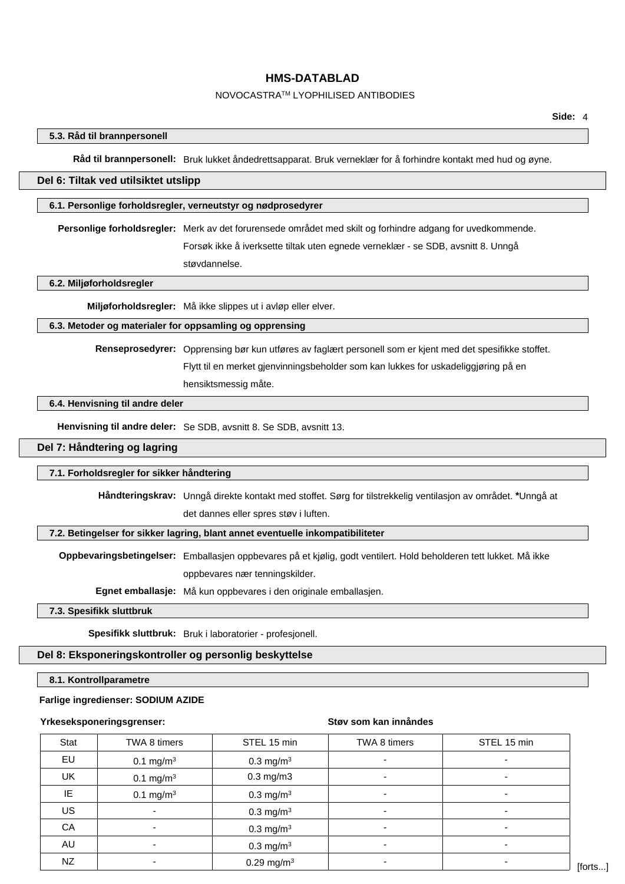# NOVOCASTRATM LYOPHILISED ANTIBODIES

# **5.3. Råd til brannpersonell**

**Råd til brannpersonell:** Bruk lukket åndedrettsapparat. Bruk verneklær for å forhindre kontakt med hud og øyne.

# **Del 6: Tiltak ved utilsiktet utslipp**

#### **6.1. Personlige forholdsregler, verneutstyr og nødprosedyrer**

**Personlige forholdsregler:** Merk av det forurensede området med skilt og forhindre adgang for uvedkommende. Forsøk ikke å iverksette tiltak uten egnede verneklær - se SDB, avsnitt 8. Unngå

støvdannelse.

### **6.2. Miljøforholdsregler**

**Miljøforholdsregler:** Må ikke slippes ut i avløp eller elver.

## **6.3. Metoder og materialer for oppsamling og opprensing**

**Renseprosedyrer:** Opprensing bør kun utføres av faglært personell som er kjent med det spesifikke stoffet. Flytt til en merket gjenvinningsbeholder som kan lukkes for uskadeliggjøring på en hensiktsmessig måte.

#### **6.4. Henvisning til andre deler**

**Henvisning til andre deler:** Se SDB, avsnitt 8. Se SDB, avsnitt 13.

### **Del 7: Håndtering og lagring**

#### **7.1. Forholdsregler for sikker håndtering**

**Håndteringskrav:** Unngå direkte kontakt med stoffet. Sørg for tilstrekkelig ventilasjon av området. **\***Unngå at det dannes eller spres støv i luften.

### **7.2. Betingelser for sikker lagring, blant annet eventuelle inkompatibiliteter**

**Oppbevaringsbetingelser:** Emballasjen oppbevares på et kjølig, godt ventilert. Hold beholderen tett lukket. Må ikke oppbevares nær tenningskilder.

**Egnet emballasje:** Må kun oppbevares i den originale emballasjen.

### **7.3. Spesifikk sluttbruk**

**Spesifikk sluttbruk:** Bruk i laboratorier - profesjonell.

### **Del 8: Eksponeringskontroller og personlig beskyttelse**

#### **8.1. Kontrollparametre**

#### **Farlige ingredienser: SODIUM AZIDE**

#### **Yrkeseksponeringsgrenser:**

#### **Støv som kan innåndes**

| Stat      | TWA 8 timers         | STEL 15 min              | TWA 8 timers             | STEL 15 min              |
|-----------|----------------------|--------------------------|--------------------------|--------------------------|
| EU        | $0.1 \text{ mg/m}^3$ | $0.3 \text{ mg/m}^3$     | $\overline{\phantom{0}}$ | ۰                        |
| UK        | 0.1 mg/m $3$         | $0.3$ mg/m $3$           |                          | ٠                        |
| IE.       | $0.1 \text{ mg/m}^3$ | $0.3 \text{ mg/m}^3$     | $\overline{\phantom{0}}$ | $\overline{\phantom{0}}$ |
| <b>US</b> | ٠                    | $0.3 \text{ mg/m}^3$     | $\overline{\phantom{0}}$ | ۰                        |
| CA        | ۰                    | $0.3 \text{ mg/m}^3$     |                          |                          |
| AU        | ۰                    | $0.3 \text{ mg/m}^3$     | $\overline{\phantom{0}}$ | ۰                        |
| NZ        |                      | $0.29$ mg/m <sup>3</sup> |                          |                          |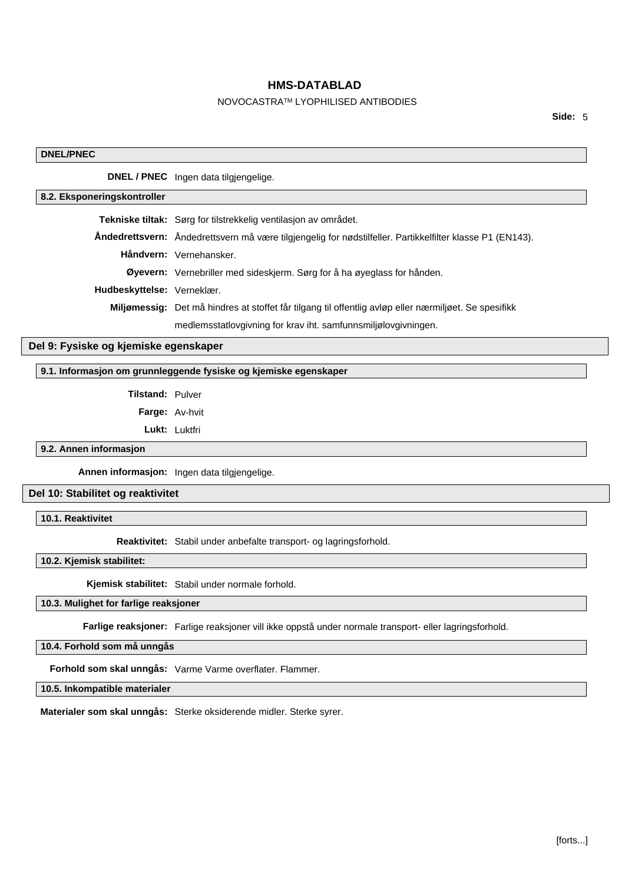# NOVOCASTRATM LYOPHILISED ANTIBODIES

**Side:** 5

# **DNEL/PNEC DNEL / PNEC** Ingen data tilgjengelige. **8.2. Eksponeringskontroller Tekniske tiltak:** Sørg for tilstrekkelig ventilasjon av området. **Åndedrettsvern:** Åndedrettsvern må være tilgjengelig for nødstilfeller. Partikkelfilter klasse P1 (EN143). **Håndvern:** Vernehansker. **Øyevern:** Vernebriller med sideskjerm. Sørg for å ha øyeglass for hånden. **Hudbeskyttelse:** Verneklær. **Miljømessig:** Det må hindres at stoffet får tilgang til offentlig avløp eller nærmiljøet. Se spesifikk medlemsstatlovgivning for krav iht. samfunnsmiljølovgivningen. **Del 9: Fysiske og kjemiske egenskaper 9.1. Informasjon om grunnleggende fysiske og kjemiske egenskaper**

**Tilstand:** Pulver

**Farge:** Av-hvit

**Lukt:** Luktfri

**9.2. Annen informasjon**

**Annen informasjon:** Ingen data tilgjengelige.

### **Del 10: Stabilitet og reaktivitet**

**10.1. Reaktivitet**

**Reaktivitet:** Stabil under anbefalte transport- og lagringsforhold.

**10.2. Kjemisk stabilitet:**

**Kjemisk stabilitet:** Stabil under normale forhold.

## **10.3. Mulighet for farlige reaksjoner**

**Farlige reaksjoner:** Farlige reaksjoner vill ikke oppstå under normale transport- eller lagringsforhold.

**10.4. Forhold som må unngås**

**Forhold som skal unngås:** Varme Varme overflater. Flammer.

**10.5. Inkompatible materialer**

**Materialer som skal unngås:** Sterke oksiderende midler. Sterke syrer.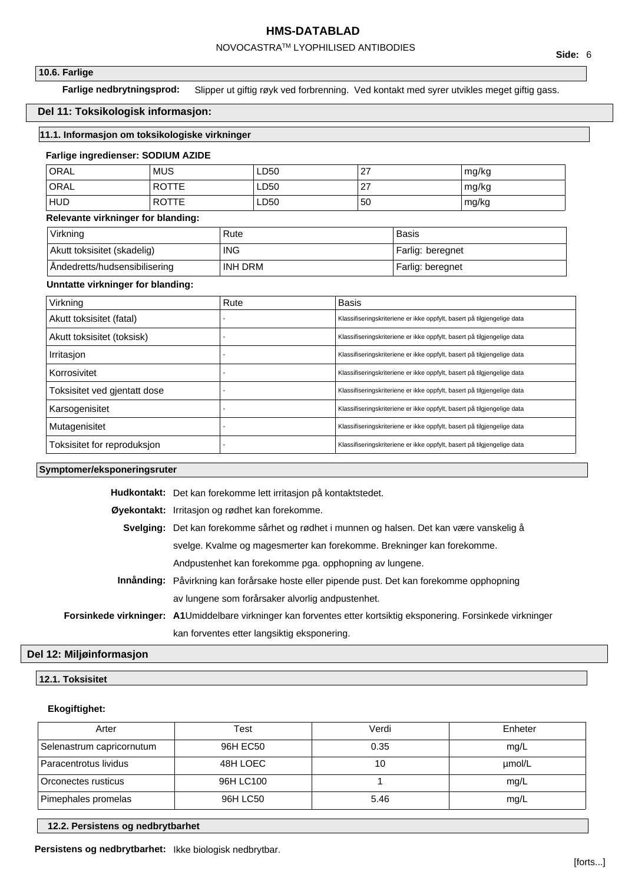# NOVOCASTRATM LYOPHILISED ANTIBODIES

### **10.6. Farlige**

**Farlige nedbrytningsprod:** Slipper ut giftig røyk ved forbrenning. Ved kontakt med syrer utvikles meget giftig gass.

# **Del 11: Toksikologisk informasjon:**

# **11.1. Informasjon om toksikologiske virkninger**

#### **Farlige ingredienser: SODIUM AZIDE**

| ORAL       | <b>MUS</b>   | LD50 | ົ<br>21         | mg/kg |
|------------|--------------|------|-----------------|-------|
| ORAL       | <b>ROTTE</b> | LD50 | ົ<br>$\epsilon$ | mg/kg |
| <b>HUD</b> | <b>ROTTE</b> | LD50 | 50              | mg/kg |

# **Relevante virkninger for blanding:**

| Virkning                      | Rute       | Basis            |
|-------------------------------|------------|------------------|
| Akutt toksisitet (skadelig)   | <b>ING</b> | Farlig: beregnet |
| Andedretts/hudsensibilisering | INH DRM    | Farlig: beregnet |

### **Unntatte virkninger for blanding:**

| Virkning                     | Rute | <b>Basis</b>                                                            |
|------------------------------|------|-------------------------------------------------------------------------|
| Akutt toksisitet (fatal)     |      | Klassifiseringskriteriene er ikke oppfylt, basert på tilgjengelige data |
| Akutt toksisitet (toksisk)   |      | Klassifiseringskriteriene er ikke oppfylt, basert på tilgjengelige data |
| Irritasion                   |      | Klassifiseringskriteriene er ikke oppfylt, basert på tilgjengelige data |
| Korrosivitet                 |      | Klassifiseringskriteriene er ikke oppfylt, basert på tilgjengelige data |
| Toksisitet ved gjentatt dose |      | Klassifiseringskriteriene er ikke oppfylt, basert på tilgjengelige data |
| Karsogenisitet               |      | Klassifiseringskriteriene er ikke oppfylt, basert på tilgjengelige data |
| Mutagenisitet                |      | Klassifiseringskriteriene er ikke oppfylt, basert på tilgjengelige data |
| Toksisitet for reproduksjon  |      | Klassifiseringskriteriene er ikke oppfylt, basert på tilgjengelige data |

## **Symptomer/eksponeringsruter**

| Hudkontakt: Det kan forekomme lett irritasjon på kontaktstedet.                                                   |  |  |  |
|-------------------------------------------------------------------------------------------------------------------|--|--|--|
| Øyekontakt: Irritasjon og rødhet kan forekomme.                                                                   |  |  |  |
| Svelging: Det kan forekomme sårhet og rødhet i munnen og halsen. Det kan være vanskelig å                         |  |  |  |
| svelge. Kvalme og magesmerter kan forekomme. Brekninger kan forekomme.                                            |  |  |  |
| Andpustenhet kan forekomme pga. opphopning av lungene.                                                            |  |  |  |
| Innånding: Påvirkning kan forårsake hoste eller pipende pust. Det kan forekomme opphopning                        |  |  |  |
| av lungene som forårsaker alvorlig andpustenhet.                                                                  |  |  |  |
| Forsinkede virkninger: A1Umiddelbare virkninger kan forventes etter kortsiktig eksponering. Forsinkede virkninger |  |  |  |
| kan forventes etter langsiktig eksponering.                                                                       |  |  |  |
|                                                                                                                   |  |  |  |

# **Del 12: Miljøinformasjon**

# **12.1. Toksisitet**

# **Ekogiftighet:**

| Arter                     | Test      | Verdi | Enheter |
|---------------------------|-----------|-------|---------|
| Selenastrum capricornutum | 96H EC50  | 0.35  | mg/L    |
| Paracentrotus lividus     | 48H LOEC  | 10    | umol/L  |
| Orconectes rusticus       | 96H LC100 |       | mg/L    |
| Pimephales promelas       | 96H LC50  | 5.46  | mg/L    |

### **12.2. Persistens og nedbrytbarhet**

**Persistens og nedbrytbarhet:** Ikke biologisk nedbrytbar.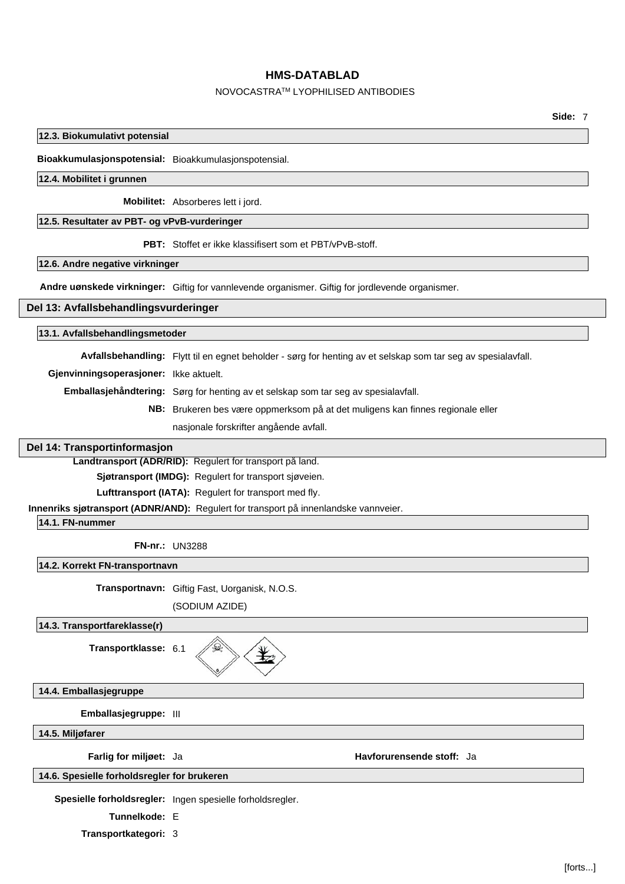### NOVOCASTRATM LYOPHILISED ANTIBODIES

### **12.3. Biokumulativt potensial**

**Bioakkumulasjonspotensial:** Bioakkumulasjonspotensial.

### **12.4. Mobilitet i grunnen**

**Mobilitet:** Absorberes lett i jord.

### **12.5. Resultater av PBT- og vPvB-vurderinger**

**PBT:** Stoffet er ikke klassifisert som et PBT/vPvB-stoff.

#### **12.6. Andre negative virkninger**

**Andre uønskede virkninger:** Giftig for vannlevende organismer. Giftig for jordlevende organismer.

### **Del 13: Avfallsbehandlingsvurderinger**

#### **13.1. Avfallsbehandlingsmetoder**

**Avfallsbehandling:** Flytt til en egnet beholder - sørg for henting av et selskap som tar seg av spesialavfall.

**Gjenvinningsoperasjoner:** Ikke aktuelt.

**Emballasjehåndtering:** Sørg for henting av et selskap som tar seg av spesialavfall.

**NB:** Brukeren bes være oppmerksom på at det muligens kan finnes regionale eller

nasjonale forskrifter angående avfall.

### **Del 14: Transportinformasjon**

**Landtransport (ADR/RID):** Regulert for transport på land.

**Sjøtransport (IMDG):** Regulert for transport sjøveien.

Lufttransport (IATA): Regulert for transport med fly.

**Innenriks sjøtransport (ADNR/AND):** Regulert for transport på innenlandske vannveier.

**14.1. FN-nummer**

**FN-nr.:** UN3288

**14.2. Korrekt FN-transportnavn**

**Transportnavn:** Giftig Fast, Uorganisk, N.O.S.

(SODIUM AZIDE)

# **14.3. Transportfareklasse(r)**

**Transportklasse:** 6.1

**14.4. Emballasjegruppe**

**Emballasjegruppe:** III

**14.5. Miljøfarer**

**Farlig for miljøet:** Ja **Havforurensende stoff:** Ja

### **14.6. Spesielle forholdsregler for brukeren**

**Spesielle forholdsregler:** Ingen spesielle forholdsregler.

**Tunnelkode:** E

**Transportkategori:** 3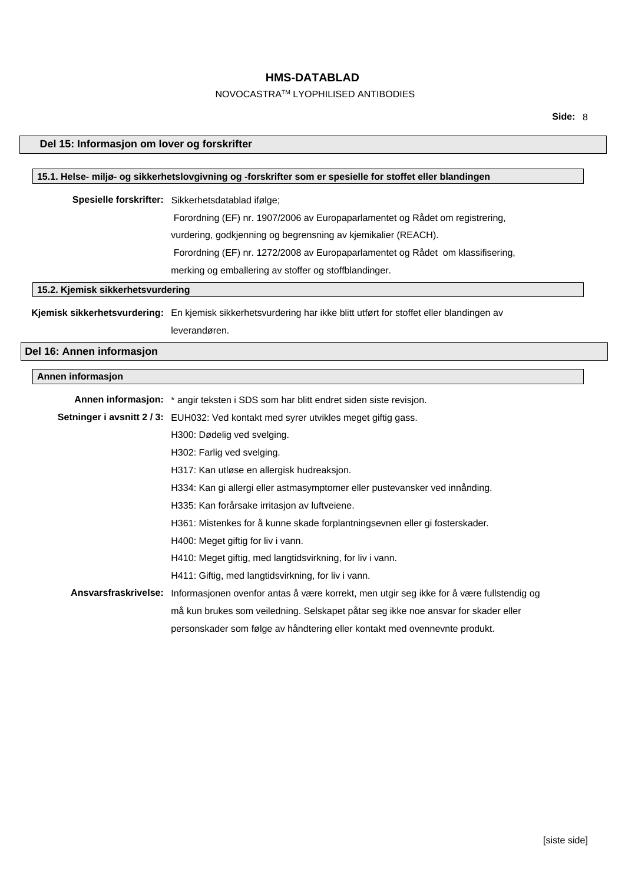# NOVOCASTRATM LYOPHILISED ANTIBODIES

**Side:** 8

|                                                                              | Del 15: Informasjon om lover og forskrifter                                                                       |  |  |
|------------------------------------------------------------------------------|-------------------------------------------------------------------------------------------------------------------|--|--|
|                                                                              |                                                                                                                   |  |  |
|                                                                              | 15.1. Helse- miljø- og sikkerhetslovgivning og -forskrifter som er spesielle for stoffet eller blandingen         |  |  |
|                                                                              | Spesielle forskrifter: Sikkerhetsdatablad ifølge;                                                                 |  |  |
| Forordning (EF) nr. 1907/2006 av Europaparlamentet og Rådet om registrering, |                                                                                                                   |  |  |
|                                                                              | vurdering, godkjenning og begrensning av kjemikalier (REACH).                                                     |  |  |
|                                                                              | Forordning (EF) nr. 1272/2008 av Europaparlamentet og Rådet om klassifisering,                                    |  |  |
|                                                                              | merking og emballering av stoffer og stoffblandinger.                                                             |  |  |
| 15.2. Kjemisk sikkerhetsvurdering                                            |                                                                                                                   |  |  |
|                                                                              | Kjemisk sikkerhetsvurdering: En kjemisk sikkerhetsvurdering har ikke blitt utført for stoffet eller blandingen av |  |  |
|                                                                              | leverandøren.                                                                                                     |  |  |
| Del 16: Annen informasjon                                                    |                                                                                                                   |  |  |
|                                                                              |                                                                                                                   |  |  |
| Annen informasjon                                                            |                                                                                                                   |  |  |
|                                                                              | Annen informasjon: * angir teksten i SDS som har blitt endret siden siste revisjon.                               |  |  |
|                                                                              | Setninger i avsnitt 2/3: EUH032: Ved kontakt med syrer utvikles meget giftig gass.                                |  |  |
|                                                                              | H300: Dødelig ved svelging.                                                                                       |  |  |
|                                                                              | H302: Farlig ved svelging.                                                                                        |  |  |
|                                                                              | H317: Kan utløse en allergisk hudreaksjon.                                                                        |  |  |
|                                                                              | H334: Kan gi allergi eller astmasymptomer eller pustevansker ved innånding.                                       |  |  |
|                                                                              | H335: Kan forårsake irritasjon av luftveiene.                                                                     |  |  |
|                                                                              | H361: Mistenkes for å kunne skade forplantningsevnen eller gi fosterskader.                                       |  |  |
|                                                                              | H400: Meget giftig for liv i vann.                                                                                |  |  |
|                                                                              | H410: Meget giftig, med langtidsvirkning, for liv i vann.                                                         |  |  |
|                                                                              | H411: Giftig, med langtidsvirkning, for liv i vann.                                                               |  |  |
|                                                                              | Ansvarsfraskrivelse: Informasjonen ovenfor antas å være korrekt, men utgir seg ikke for å være fullstendig og     |  |  |
|                                                                              | må kun brukes som veiledning. Selskapet påtar seg ikke noe ansvar for skader eller                                |  |  |
|                                                                              | personskader som følge av håndtering eller kontakt med ovennevnte produkt.                                        |  |  |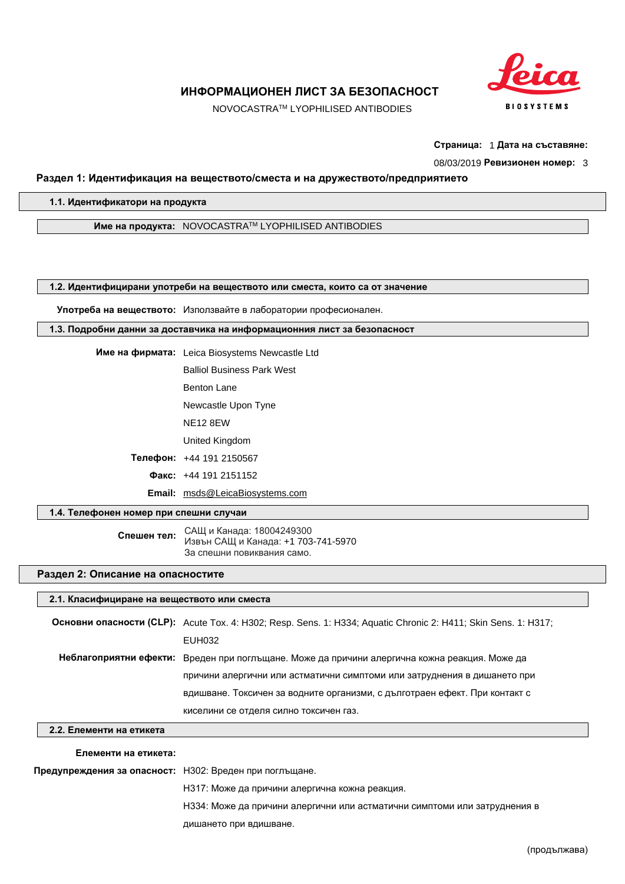

NOVOCASTRATM LYOPHILISED ANTIBODIES

**Страница:** 1 **Дата на съставяне:**

08/03/2019 **Ревизионен номер:** 3

### **Раздел 1: Идентификация на веществото/сместа и на дружеството/предприятието**

**1.1. Идентификатори на продукта**

**Име на продукта:** NOVOCASTRATM LYOPHILISED ANTIBODIES

**1.2. Идентифицирани употреби на веществото или сместа, които са от значение**

**Употреба на веществото:** Използвайте в лаборатории професионален.

**1.3. Подробни данни за доставчика на информационния лист за безопасност**

| Име на фирмата: Leica Biosystems Newcastle Ltd |  |  |  |  |
|------------------------------------------------|--|--|--|--|
|                                                |  |  |  |  |

Balliol Business Park West Benton Lane

Newcastle Upon Tyne

NE12 8EW

United Kingdom

**Телефон:** +44 191 2150567

**Факс:** +44 191 2151152

**Email:** msds@LeicaBiosystems.com

# **1.4. Телефонен номер при спешни случаи**

**Спешен тел:** САЩ и Канада: 18004249300 Извън САЩ и Канада: +1 703-741-5970 За спешни повиквания само.

### **Раздел 2: Описание на опасностите**

### **2.1. Класифициране на веществото или сместа**

**Основни опасности (CLP):** Acute Tox. 4: H302; Resp. Sens. 1: H334; Aquatic Chronic 2: H411; Skin Sens. 1: H317; EUH032 **Неблагоприятни ефекти:** Вреден при поглъщане. Може да причини алергична кожна реакция. Може да причини алергични или астматични симптоми или затруднения в дишането при вдишване. Токсичен за водните организми, с дълготраен ефект. При контакт с киселини се отделя силно токсичен газ.

### **2.2. Елементи на етикета**

#### **Елементи на етикета:**

**Предупреждения за опасност:** H302: Вреден при поглъщане.

H317: Може да причини алергична кожна реакция.

H334: Може да причини алергични или астматични симптоми или затруднения в

дишането при вдишване.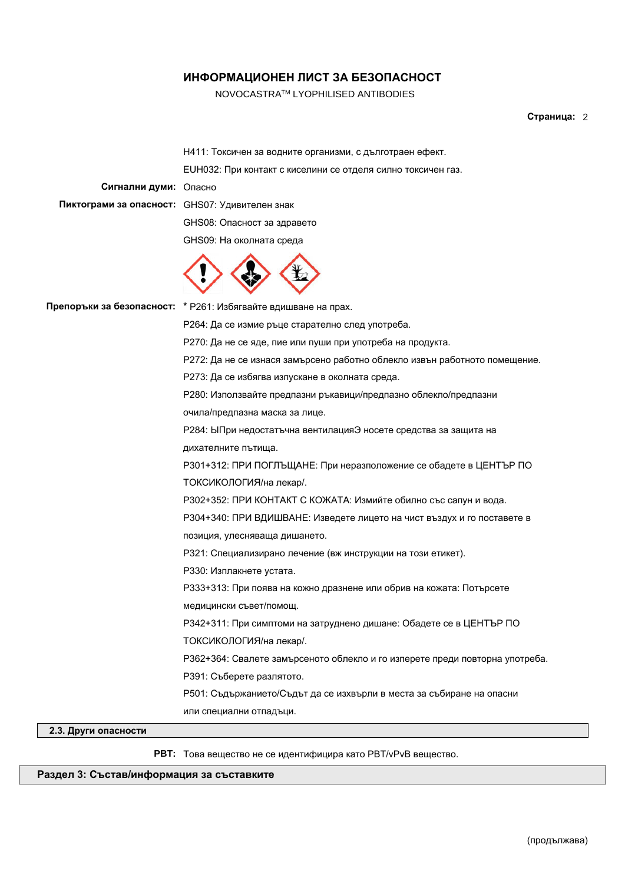NOVOCASTRATM LYOPHILISED ANTIBODIES

# **Страница:** 2

|                                                | Н411: Токсичен за водните организми, с дълготраен ефект.                     |
|------------------------------------------------|------------------------------------------------------------------------------|
|                                                | EUH032: При контакт с киселини се отделя силно токсичен газ.                 |
| Сигнални думи: Опасно                          |                                                                              |
| Пиктограми за опасност: GHS07: Удивителен знак |                                                                              |
|                                                | GHS08: Опасност за здравето                                                  |
|                                                | GHS09: На околната среда                                                     |
|                                                |                                                                              |
|                                                | Препоръки за безопасност: * Р261: Избягвайте вдишване на прах.               |
|                                                | Р264: Да се измие ръце старателно след употреба.                             |
|                                                | Р270: Да не се яде, пие или пуши при употреба на продукта.                   |
|                                                | Р272: Да не се изнася замърсено работно облекло извън работното помещение.   |
|                                                | Р273: Да се избягва изпускане в околната среда.                              |
|                                                | Р280: Използвайте предпазни ръкавици/предпазно облекло/предпазни             |
|                                                | очила/предпазна маска за лице.                                               |
|                                                | Р284: ЫПри недостатъчна вентилацияЭ носете средства за защита на             |
|                                                | дихателните пътища.                                                          |
|                                                | РЗ01+312: ПРИ ПОГЛЪЩАНЕ: При неразположение се обадете в ЦЕНТЪР ПО           |
|                                                | ТОКСИКОЛОГИЯ/на лекар/.                                                      |
|                                                | РЗ02+352: ПРИ КОНТАКТ С КОЖАТА: Измийте обилно със сапун и вода.             |
|                                                | РЗ04+340: ПРИ ВДИШВАНЕ: Изведете лицето на чист въздух и го поставете в      |
|                                                | позиция, улесняваща дишането.                                                |
|                                                | Р321: Специализирано лечение (вж инструкции на този етикет).                 |
|                                                | РЗЗО: Изплакнете устата.                                                     |
|                                                | РЗЗЗ+313: При поява на кожно дразнене или обрив на кожата: Потърсете         |
|                                                | медицински съвет/помощ.                                                      |
|                                                | РЗ42+311: При симптоми на затруднено дишане: Обадете се в ЦЕНТЪР ПО          |
|                                                | ТОКСИКОЛОГИЯ/на лекар/.                                                      |
|                                                | РЗ62+364: Свалете замърсеното облекло и го изперете преди повторна употреба. |
|                                                | РЗ91: Съберете разлятото.                                                    |
|                                                | Р501: Съдържанието/Съдът да се изхвърли в места за събиране на опасни        |
|                                                | или специални отпадъци.                                                      |
|                                                |                                                                              |

# **2.3. Други опасности**

**PBT:** Това вещество не се идентифицира като PBT/vPvB вещество.

# **Раздел 3: Състав/информация за съставките**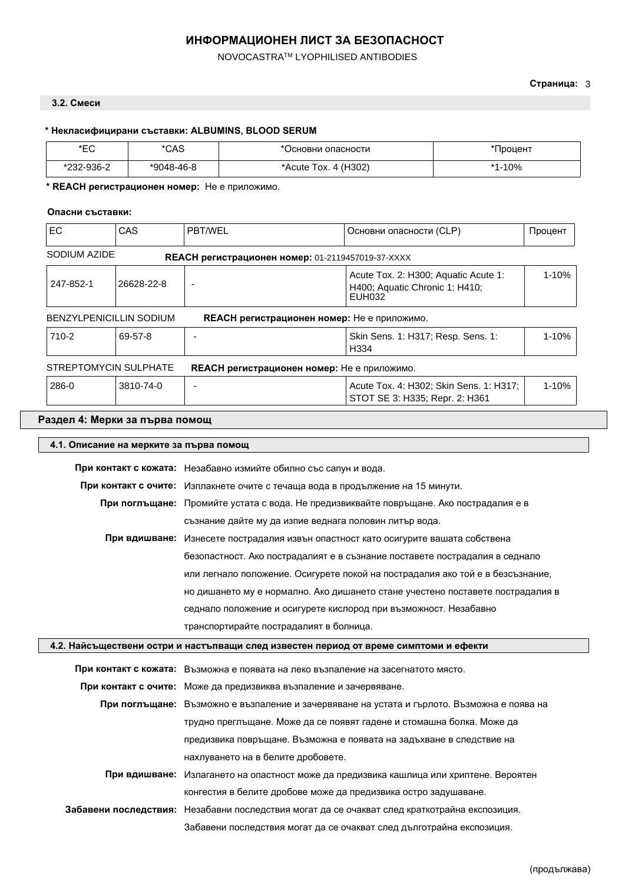NOVOCASTRATM LYOPHILISED ANTIBODIES

# **3.2. Смеси**

# **\* Некласифицирани съставки: ALBUMINS, BLOOD SERUM**

| *EC               | $* \cap \wedge \cap$<br>ں∧ر | Јсновни опасности                        | <b>Іроцент</b> |
|-------------------|-----------------------------|------------------------------------------|----------------|
| 232-936-2<br>ະ∩∩∩ | *9048-46-8                  | 4 (H <sub>302</sub> )<br>*Acute_<br>lox. | .10%<br>$*4$   |

# **\* REACH регистрационен номер:** Не е приложимо.

## **Опасни съставки:**

| <b>EC</b>    | CAS                            | PBT/WEL                  | Основни опасности (CLP)                                                                 | Процент   |
|--------------|--------------------------------|--------------------------|-----------------------------------------------------------------------------------------|-----------|
| SODIUM AZIDE |                                |                          | REACH регистрационен номер: 01-2119457019-37-XXXX                                       |           |
| 247-852-1    | 26628-22-8                     | $\overline{\phantom{a}}$ | Acute Tox. 2: H300; Aquatic Acute 1:<br>H400; Aquatic Chronic 1: H410;<br><b>EUH032</b> | $1 - 10%$ |
|              | <b>BENZYLPENICILLIN SODIUM</b> |                          | <b>REACH регистрационен номер:</b> Не е приложимо.                                      |           |
| $710 - 2$    | 69-57-8                        |                          | Skin Sens. 1: H317; Resp. Sens. 1:<br>H334                                              | $1 - 10%$ |
|              | STREPTOMYCIN SULPHATE          |                          | <b>REACH регистрационен номер:</b> Не е приложимо.                                      |           |
| 286-0        | 3810-74-0                      |                          | Acute Tox. 4: H302; Skin Sens. 1: H317;<br>STOT SE 3: H335; Repr. 2: H361               | $1 - 10%$ |

# **Раздел 4: Мерки за първа помощ**

| 4.1. Описание на мерките за първа помощ |                                                                                               |
|-----------------------------------------|-----------------------------------------------------------------------------------------------|
|                                         | При контакт с кожата: Незабавно измийте обилно със сапун и вода.                              |
|                                         | При контакт с очите: Изплакнете очите с течаща вода в продължение на 15 минути.               |
|                                         | При поглъщане: Промийте устата с вода. Не предизвиквайте повръщане. Ако пострадалия е в       |
|                                         | съзнание дайте му да изпие веднага половин литър вода.                                        |
|                                         | При вдишване: Изнесете пострадалия извън опастност като осигурите вашата собствена            |
|                                         | безопастност. Ако пострадалият е в съзнание поставете пострадалия в седнало                   |
|                                         | или легнало положение. Осигурете покой на пострадалия ако той е в безсъзнание,                |
|                                         | но дишането му е нормално. Ако дишането стане учестено поставете пострадалия в                |
|                                         | седнало положение и осигурете кислород при възможност. Незабавно                              |
|                                         | транспортирайте пострадалият в болница.                                                       |
|                                         | 4.2. Найсъществени остри и настъпващи след известен период от време симптоми и ефекти         |
|                                         | При контакт с кожата: Възможна е появата на леко възпаление на засегнатото място.             |
|                                         | При контакт с очите: Може да предизвиква възпаление и зачервяване.                            |
|                                         | При поглъщане: Възможно е възпаление и зачервяване на устата и гърлото. Възможна е поява на   |
|                                         | трудно преглъщане. Може да се появят гадене и стомашна болка. Може да                         |
|                                         | предизвика повръщане. Възможна е появата на задъхване в следствие на                          |
|                                         | нахлуването на в белите дробовете.                                                            |
| При вдишване:                           | Излагането на опастност може да предизвика кашлица или хриптене. Вероятен                     |
|                                         | конгестия в белите дробове може да предизвика остро задушаване.                               |
|                                         | Забавени последствия: Незабавни последствия могат да се очакват след краткотрайна експозиция. |
|                                         | Забавени последствия могат да се очакват след дълготрайна експозиция.                         |
|                                         |                                                                                               |

# **Страница:** 3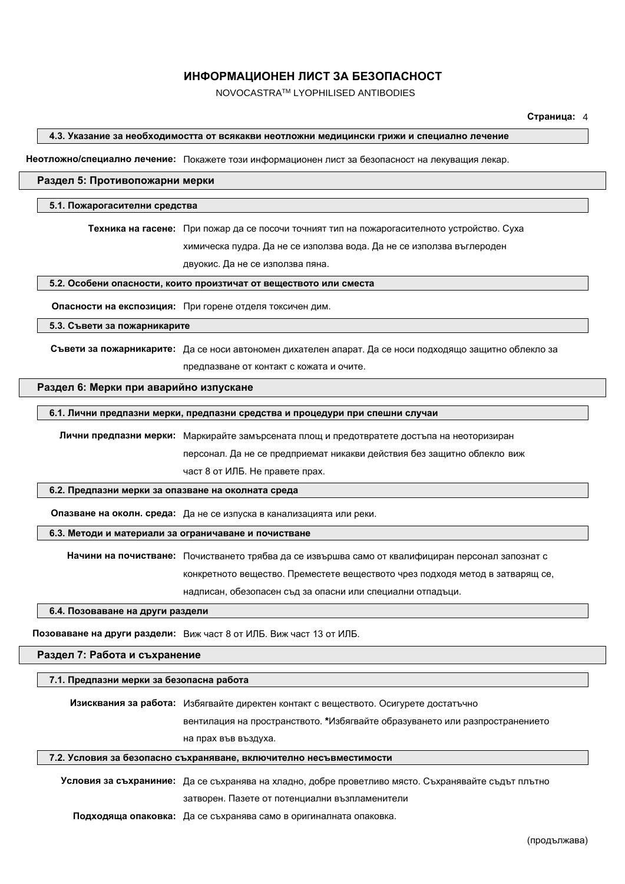NOVOCASTRATM LYOPHILISED ANTIBODIES

#### **Страница:** 4

#### **4.3. Указание за необходимостта от всякакви неотложни медицински грижи и специално лечение**

**Неотложно/специално лечение:** Покажете този информационен лист за безопасност на лекуващия лекар.

### **Раздел 5: Противопожарни мерки**

#### **5.1. Пожарогасителни средства**

**Техника на гасене:** При пожар да се посочи точният тип на пожарогасителното устройство. Суха

химическа пудра. Да не се използва вода. Да не се използва въглероден

двуокис. Да не се използва пяна.

#### **5.2. Особени опасности, които произтичат от веществото или сместа**

**Опасности на експозиция:** При горене отделя токсичен дим.

**5.3. Съвети за пожарникарите**

**Съвети за пожарникарите:** Да се носи автономен дихателен апарат. Да се носи подходящо защитно облекло за предпазване от контакт с кожата и очите.

#### **Раздел 6: Мерки при аварийно изпускане**

### **6.1. Лични предпазни мерки, предпазни средства и процедури при спешни случаи**

**Лични предпазни мерки:** Маркирайте замърсената площ и предотвратете достъпа на неоторизиран персонал. Да не се предприемат никакви действия без защитно облекло виж част 8 от ИЛБ. Не правете прах.

#### **6.2. Предпазни мерки за опазване на околната среда**

**Опазване на околн. среда:** Да не се изпуска в канализацията или реки.

#### **6.3. Методи и материали за ограничаване и почистване**

**Начини на почистване:** Почистването трябва да се извършва само от квалифициран персонал запознат с конкретното вещество. Преместете веществото чрез подходя метод в затварящ се, надписан, обезопасен съд за опасни или специални отпадъци.

**6.4. Позоваване на други раздели**

**Позоваване на други раздели:** Виж част 8 от ИЛБ. Виж част 13 от ИЛБ.

#### **Раздел 7: Работа и съхранение**

#### **7.1. Предпазни мерки за безопасна работа**

**Изисквания за работа:** Избягвайте директен контакт с веществото. Осигурете достатъчно вентилация на пространството. **\***Избягвайте образуването или разпространението на прах във въздуха.

#### **7.2. Условия за безопасно съхраняване, включително несъвместимости**

**Условия за съхраниние:** Да се съхранява на хладно, добре проветливо място. Съхранявайте съдът плътно затворен. Пазете от потенциални възпламенители

**Подходяща опаковка:** Да се съхранява само в оригиналната опаковка.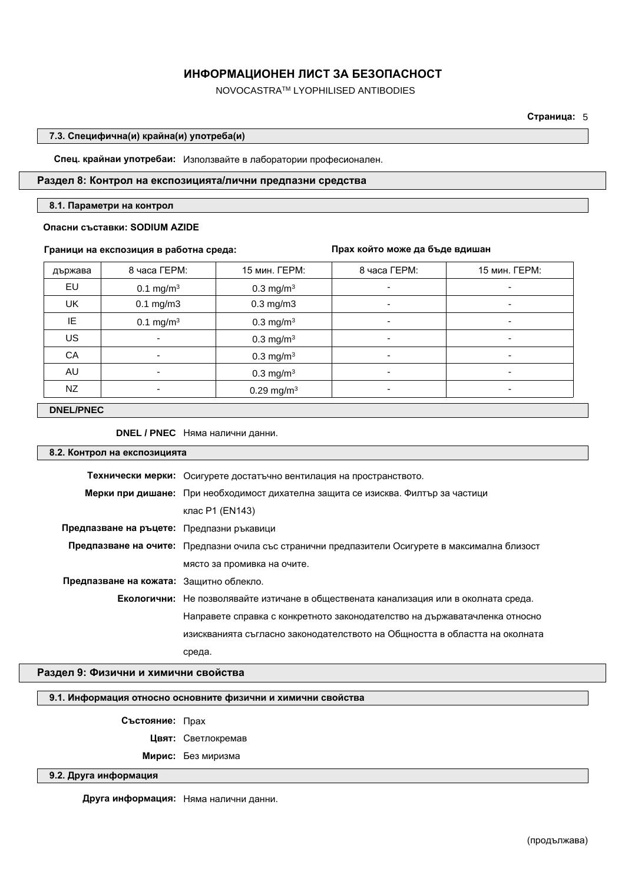NOVOCASTRATM LYOPHILISED ANTIBODIES

**Страница:** 5

### **7.3. Специфична(и) крайна(и) употреба(и)**

**Спец. крайнаи употребаи:** Използвайте в лаборатории професионален.

# **Раздел 8: Контрол на експозицията/лични предпазни средства**

#### **8.1. Параметри на контрол**

### **Опасни съставки: SODIUM AZIDE**

### **Граници на експозиция в работна среда:**

**Прах който може да бъде вдишан**

| държава | 8 часа ГЕРМ:             | 15 мин. ГЕРМ:            | 8 часа ГЕРМ: | 15 мин. ГЕРМ:            |
|---------|--------------------------|--------------------------|--------------|--------------------------|
| EU      | 0.1 mg/m <sup>3</sup>    | $0.3$ mg/m <sup>3</sup>  | ٠            | ۰                        |
| UK      | $0.1$ mg/m $3$           | $0.3$ mg/m $3$           | ۰            | $\overline{\phantom{a}}$ |
| IE      | 0.1 mg/m <sup>3</sup>    | $0.3$ mg/m <sup>3</sup>  | ٠            | ۰                        |
| US.     |                          | $0.3$ mg/m <sup>3</sup>  | ۰            | ۰                        |
| CA      |                          | $0.3 \text{ mg/m}^3$     | ٠            | ۰                        |
| AU      | $\overline{\phantom{0}}$ | $0.3 \text{ mg/m}^3$     | ۰            | $\overline{\phantom{a}}$ |
| NZ      | $\overline{\phantom{0}}$ | $0.29$ mg/m <sup>3</sup> | ۰            | ۰                        |

## **DNEL/PNEC**

### **DNEL / PNEC** Няма налични данни.

# **8.2. Контрол на експозицията**

|                                           | Технически мерки: Осигурете достатъчно вентилация на пространството.                            |
|-------------------------------------------|-------------------------------------------------------------------------------------------------|
|                                           | Мерки при дишане: При необходимост дихателна защита се изисква. Филтър за частици               |
|                                           | клас P1 (EN143)                                                                                 |
| Предпазване на ръцете: Предпазни ръкавици |                                                                                                 |
|                                           | Предпазване на очите: Предпазни очила със странични предпазители Осигурете в максимална близост |
|                                           | място за промивка на очите.                                                                     |
| Предпазване на кожата: Защитно облекло.   |                                                                                                 |
|                                           | Екологични: Не позволявайте изтичане в обществената канализация или в околната среда.           |
|                                           | Направете справка с конкретното законодателство на държаватачленка относно                      |
|                                           | изискванията съгласно законодателството на Общността в областта на околната                     |
|                                           | среда.                                                                                          |

# **Раздел 9: Физични и химични свойства**

#### **9.1. Информация относно основните физични и химични свойства**

**Състояние:** Прах

**Цвят:** Светлокремав

**Мирис:** Без миризма

### **9.2. Друга информация**

**Друга информация:** Няма налични данни.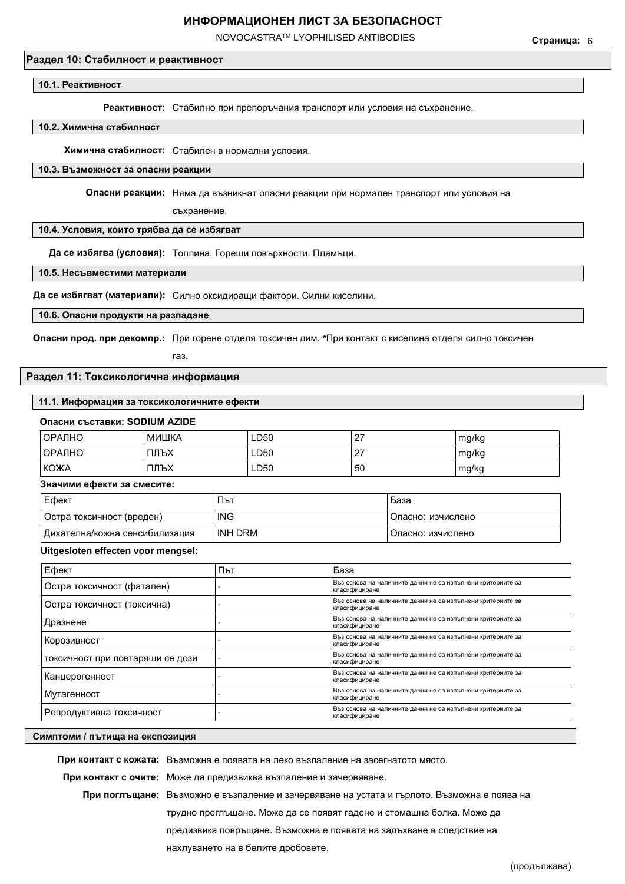NOVOCASTRATM LYOPHILISED ANTIBODIES

# **Раздел 10: Стабилност и реактивност**

#### **10.1. Реактивност**

**Реактивност:** Стабилно при препоръчания транспорт или условия на съхранение.

#### **10.2. Химична стабилност**

**Химична стабилност:** Стабилен в нормални условия.

#### **10.3. Възможност за опасни реакции**

**Опасни реакции:** Няма да възникнат опасни реакции при нормален транспорт или условия на

съхранение.

#### **10.4. Условия, които трябва да се избягват**

**Да се избягва (условия):** Топлина. Горещи повърхности. Пламъци.

**10.5. Несъвместими материали**

**Да се избягват (материали):** Силно оксидиращи фактори. Силни киселини.

### **10.6. Опасни продукти на разпадане**

**Опасни прод. при декомпр.:** При горене отделя токсичен дим. **\***При контакт с киселина отделя силно токсичен

газ.

### **Раздел 11: Токсикологична информация**

#### **11.1. Информация за токсикологичните ефекти**

| ОРАЛНО      | МИШКА | LD50 | . 27 | mg/kg |
|-------------|-------|------|------|-------|
| ∣ОРАЛНО     | ПЛЪХ  | LD50 | . 27 | mg/kg |
| <b>КОЖА</b> | ПЛЪХ  | LD50 | 50   | mg/kg |

#### **Значими ефекти за смесите:**

| Ефект                          | ٦ът        | База              |
|--------------------------------|------------|-------------------|
| Остра токсичност (вреден)      | <b>ING</b> | Опасно: изчислено |
| Дихателна/кожна сенсибилизация | INH DRM    | Опасно: изчислено |

### **Uitgesloten effecten voor mengsel:**

| Ефект                            | Път | База                                                                         |
|----------------------------------|-----|------------------------------------------------------------------------------|
| Остра токсичност (фатален)       |     | Въз основа на наличните данни не са изпълнени критериите за<br>класифициране |
| Остра токсичност (токсична)      |     | Въз основа на наличните данни не са изпълнени критериите за<br>класифициране |
| Дразнене                         |     | Въз основа на наличните данни не са изпълнени критериите за<br>класифициране |
| Корозивност                      |     | Въз основа на наличните данни не са изпълнени критериите за<br>класифициране |
| токсичност при повтарящи се дози |     | Въз основа на наличните данни не са изпълнени критериите за<br>класифициране |
| Канцерогенност                   |     | Въз основа на наличните данни не са изпълнени критериите за<br>класифициране |
| Мутагенност                      |     | Въз основа на наличните данни не са изпълнени критериите за<br>класифициране |
| Репродуктивна токсичност         |     | Въз основа на наличните данни не са изпълнени критериите за<br>класифициране |

#### **Симптоми / пътища на експозиция**

**При контакт с кожата:** Възможна е появата на леко възпаление на засегнатото място. **При контакт с очите:** Може да предизвиква възпаление и зачервяване. **При поглъщане:** Възможно е възпаление и зачервяване на устата и гърлото. Възможна е поява на трудно преглъщане. Може да се появят гадене и стомашна болка. Може да предизвика повръщане. Възможна е появата на задъхване в следствие на нахлуването на в белите дробовете.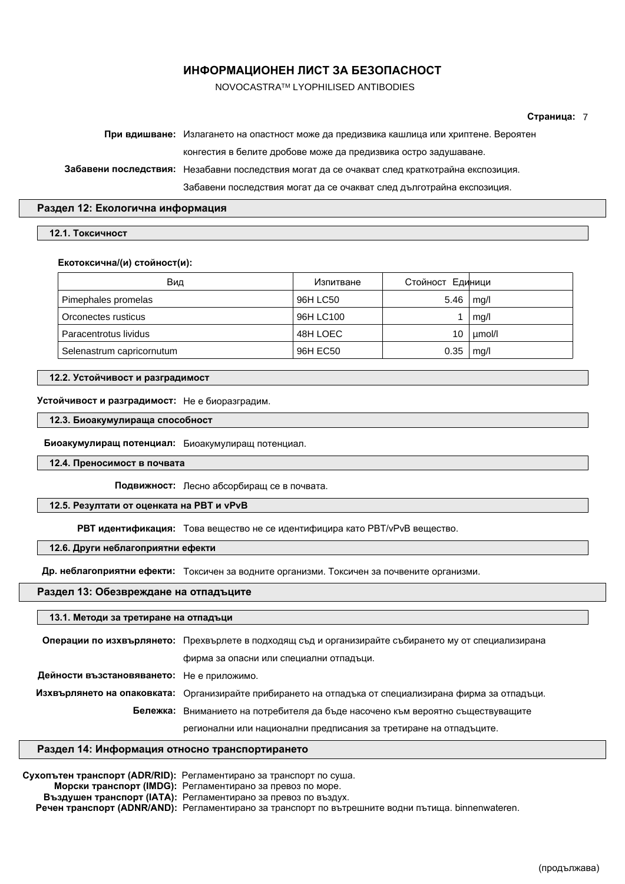NOVOCASTRATM LYOPHILISED ANTIBODIES

#### **Страница:** 7

| При вдишване: Излагането на опастност може да предизвика кашлица или хриптене. Вероятен       |
|-----------------------------------------------------------------------------------------------|
| конгестия в белите дробове може да предизвика остро задушаване.                               |
| Забавени последствия: Незабавни последствия могат да се очакват след краткотрайна експозиция. |
| Забавени последствия могат да се очакват след дълготрайна експозиция.                         |
|                                                                                               |

#### **Раздел 12: Екологична информация**

#### **12.1. Токсичност**

#### **Екотоксична/(и) стойност(и):**

| Вид                       | Изпитване | Стойност Единици |        |
|---------------------------|-----------|------------------|--------|
| Pimephales promelas       | 96H LC50  | 5.46             | mq/l   |
| Orconectes rusticus       | 96H LC100 |                  | mg/l   |
| Paracentrotus lividus     | 48H LOEC  | 10               | umol/l |
| Selenastrum capricornutum | 96H EC50  | 0.35             | mq/l   |

# **12.2. Устойчивост и разградимост**

### **Устойчивост и разградимост:** Не e биоразградим.

**12.3. Биоакумулираща способност**

**Биоакумулиращ потенциал:** Биоакумулиращ потенциал.

**12.4. Преносимост в почвата**

**Подвижност:** Лесно абсорбиращ се в почвата.

### **12.5. Резултати от оценката на PBT и vPvB**

**РВТ идентификация:** Това вещество не се идентифицира като PBT/vPvB вещество.

### **12.6. Други неблагоприятни ефекти**

**Др. неблагоприятни ефекти:** Токсичен за водните организми. Токсичен за почвените организми.

### **Раздел 13: Обезвреждане на отпадъците**

# **13.1. Методи за третиране на отпадъци Операции по изхвърлянето:** Прехвърлете в подходящ съд и организирайте събирането му от специализирана фирма за опасни или специални отпадъци. **Дейности възстановяването:** Не е приложимо. **Изхвърлянето на опаковката:** Организирайте прибирането на отпадъка от специализирана фирма за отпадъци. **Бележка:** Вниманието на потребителя да бъде насочено към вероятно съществуващите регионални или национални предписания за третиране на отпадъците.

### **Раздел 14: Информация относно транспортирането**

**Сухопътен транспорт (ADR/RID):** Регламентирано за транспорт по суша. **Морски транспорт (IMDG):** Регламентирано за превоз по море. **Въздушен транспорт (IATA):** Регламентирано за превоз по въздух. **Речен транспорт (ADNR/AND):** Pегламентирано за транспорт по вътрешните водни пътища. binnenwateren.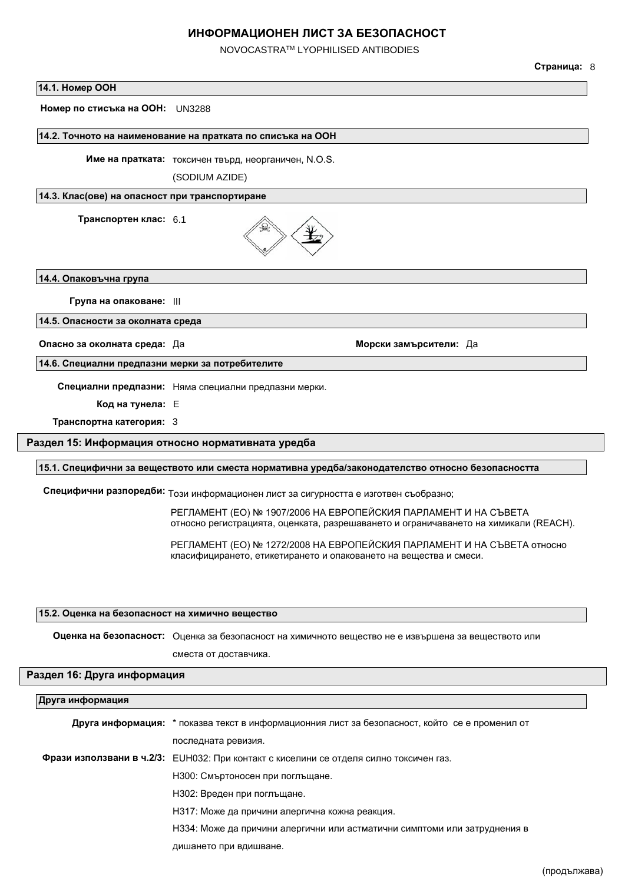NOVOCASTRATM LYOPHILISED ANTIBODIES

#### **Страница:** 8

#### **14.1. Номер ООН**

**Номер по стисъка на ООН:** UN3288

#### **14.2. Точното на наименование на пратката по списъка на ООН**

**Име на пратката:** токсичен твърд, неорганичен, N.O.S.

(SODIUM AZIDE)

### **14.3. Клас(ове) на опасност при транспортиране**

**Транспортен клас:** 6.1



**14.4. Опаковъчна група**

**Група на опаковане:** III

**14.5. Опасности за околната среда**

**Опасно за околната среда:** Да **Морски замърсители:** Да

**14.6. Специални предпазни мерки за потребителите**

**Специални предпазни:** Няма специални предпазни мерки.

**Код на тунела:** E

**Транспортна категория:** 3

## **Раздел 15: Информация относно нормативната уредба**

#### **15.1. Специфични за веществото или сместа нормативна уредба/законодателство относно безопасността**

**Специфични разпоредби:** Този информационен лист за сигурността е изготвен съобразно;

РЕГЛАМЕНТ (ЕО) № 1907/2006 НА ЕВРОПЕЙСКИЯ ПАРЛАМЕНТ И НА СЪВЕТА относно регистрацията, оценката, разрешаването и ограничаването на химикали (REACH).

РЕГЛАМЕНТ (ЕО) № 1272/2008 НА ЕВРОПЕЙСКИЯ ПАРЛАМЕНТ И НА СЪВЕТА относно класифицирането, етикетирането и опаковането на вещества и смеси.

### **15.2. Оценка на безопасност на химично вещество**

**Оценка на безопасност:** Оценка за безопасност на химичното вещество не е извършена за веществото или

сместа от доставчика.

## **Раздел 16: Друга информация**

#### **Друга информация**

**Друга информация:** \* показва текст в информационния лист за безопасност, който се е променил от последната ревизия. **Фрази използвани в ч.2/3:** EUH032: При контакт с киселини се отделя силно токсичен газ. H300: Смъртоносен при поглъщане. H302: Вреден при поглъщане. H317: Може да причини алергична кожна реакция. H334: Може да причини алергични или астматични симптоми или затруднения в дишането при вдишване.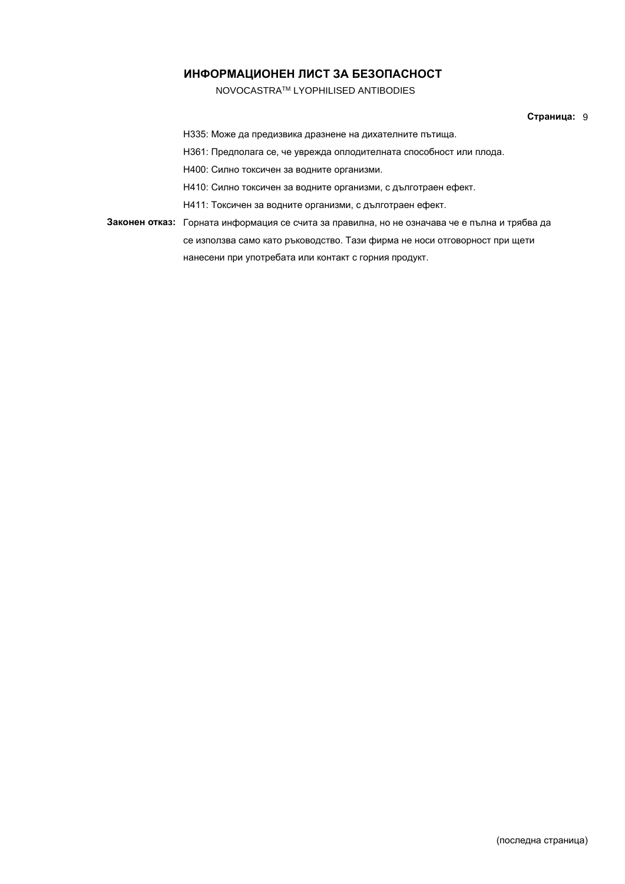NOVOCASTRATM LYOPHILISED ANTIBODIES

### **Страница:** 9

H335: Може да предизвика дразнене на дихателните пътища.

H361: Предполага се, че уврежда оплодителната способност или плода.

H400: Силно токсичен за водните организми.

H410: Силно токсичен за водните организми, с дълготраен ефект.

H411: Токсичен за водните организми, с дълготраен ефект.

**Законен отказ:** Горната информация се счита за правилна, но не означава че е пълна и трябва да се използва само като ръководство. Тази фирма не носи отговорност при щети нанесени при употребата или контакт с горния продукт.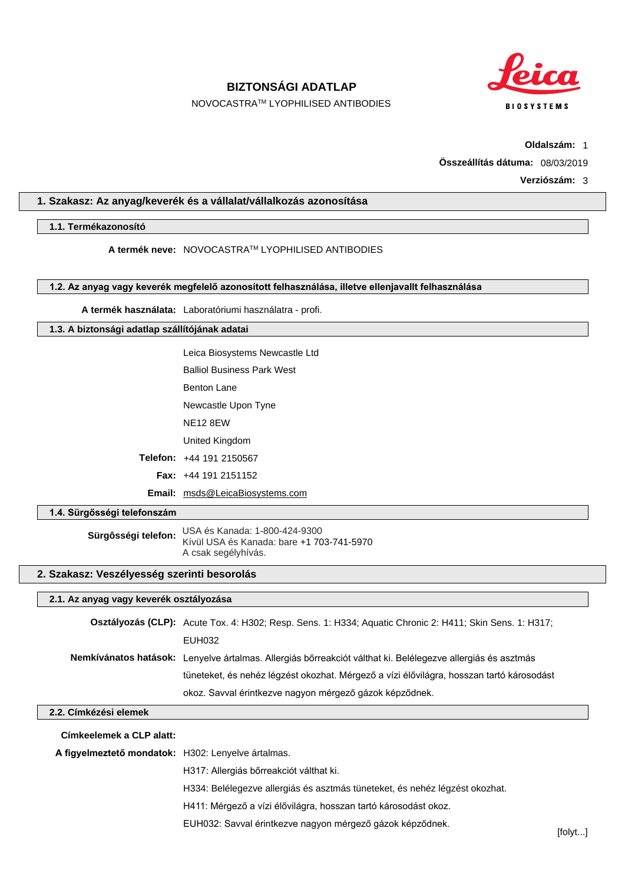**BIZTONSÁGI ADATLAP**

**BIOSYSTEMS** 

NOVOCASTRATM LYOPHILISED ANTIBODIES

**Oldalszám:** 1

**Összeállítás dátuma:** 08/03/2019

### **Verziószám:** 3

# **1. Szakasz: Az anyag/keverék és a vállalat/vállalkozás azonosítása**

### **1.1. Termékazonosító**

**A termék neve:** NOVOCASTRATM LYOPHILISED ANTIBODIES

### **1.2. Az anyag vagy keverék megfelelő azonosított felhasználása, illetve ellenjavallt felhasználása**

**A termék használata:** Laboratóriumi használatra - profi.

### **1.3. A biztonsági adatlap szállítójának adatai**

| Leica Biosystems Newcastle Ltd         |
|----------------------------------------|
| <b>Balliol Business Park West</b>      |
| Benton Lane                            |
| Newcastle Upon Tyne                    |
| NE12 8FW                               |
| United Kingdom                         |
| Telefon: +44 191 2150567               |
| <b>Fax:</b> $+44$ 191 2151152          |
| <b>Email:</b> msds@LeicaBiosystems.com |

### **1.4. Sürgősségi telefonszám**

**Sürgôsségi telefon:** USA és Kanada: 1-800-424-9300 Kívül USA és Kanada: bare +1 703-741-5970 A csak segélyhívás.

# **2. Szakasz: Veszélyesség szerinti besorolás**

#### **2.1. Az anyag vagy keverék osztályozása**

| <b>Osztályozás (CLP):</b> Acute Tox. 4: H302; Resp. Sens. 1: H334; Aquatic Chronic 2: H411; Skin Sens. 1: H317;    |
|--------------------------------------------------------------------------------------------------------------------|
| EUH032                                                                                                             |
| <b>Nemkívánatos hatások:</b> Lenyelve ártalmas. Allergiás bőrreakciót válthat ki. Belélegezve allergiás és asztmás |
| tüneteket, és nehéz légzést okozhat. Mérgező a vízi élővilágra, hosszan tartó károsodást                           |
| okoz. Savval érintkezve nagyon mérgező gázok képződnek.                                                            |

# **2.2. Címkézési elemek**

| Címkeelemek a CLP alatt: |  |
|--------------------------|--|
|--------------------------|--|

**A figyelmeztető mondatok:** H302: Lenyelve ártalmas.

H317: Allergiás bőrreakciót válthat ki.

H334: Belélegezve allergiás és asztmás tüneteket, és nehéz légzést okozhat.

H411: Mérgező a vízi élővilágra, hosszan tartó károsodást okoz.

EUH032: Savval érintkezve nagyon mérgező gázok képződnek.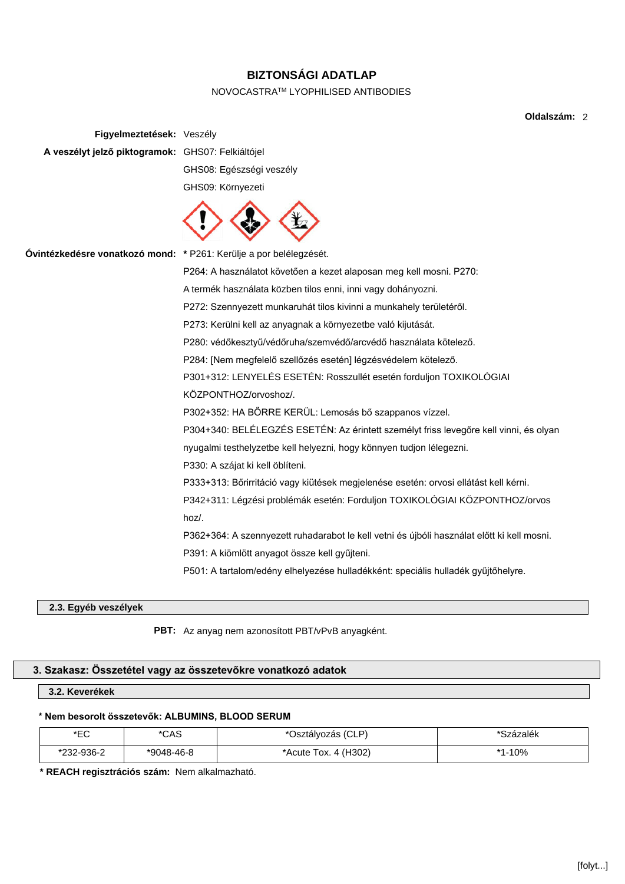# **BIZTONSÁGI ADATLAP**

# NOVOCASTRATM LYOPHILISED ANTIBODIES

**Oldalszám:** 2

| Figyelmeztetések: Veszély                                          |                                                                                            |
|--------------------------------------------------------------------|--------------------------------------------------------------------------------------------|
| A veszélyt jelző piktogramok: GHS07: Felkiáltójel                  |                                                                                            |
|                                                                    | GHS08: Egészségi veszély                                                                   |
|                                                                    | GHS09: Környezeti                                                                          |
|                                                                    |                                                                                            |
| Óvintézkedésre vonatkozó mond: * P261: Kerülje a por belélegzését. |                                                                                            |
|                                                                    | P264: A használatot követően a kezet alaposan meg kell mosni. P270:                        |
|                                                                    | A termék használata közben tilos enni, inni vagy dohányozni.                               |
|                                                                    | P272: Szennyezett munkaruhát tilos kivinni a munkahely területéről.                        |
|                                                                    | P273: Kerülni kell az anyagnak a környezetbe való kijutását.                               |
|                                                                    | P280: védőkesztyű/védőruha/szemvédő/arcvédő használata kötelező.                           |
|                                                                    | P284: [Nem megfelelő szellőzés esetén] légzésvédelem kötelező.                             |
|                                                                    | P301+312: LENYELÉS ESETÉN: Rosszullét esetén forduljon TOXIKOLÓGIAI                        |
|                                                                    | KÖZPONTHOZ/orvoshoz/.                                                                      |
|                                                                    | P302+352: HA BŐRRE KERÜL: Lemosás bő szappanos vízzel.                                     |
|                                                                    | P304+340: BELÉLEGZÉS ESETÉN: Az érintett személyt friss levegőre kell vinni, és olyan      |
|                                                                    | nyugalmi testhelyzetbe kell helyezni, hogy könnyen tudjon lélegezni.                       |
|                                                                    | P330: A szájat ki kell öblíteni.                                                           |
|                                                                    | P333+313: Bőrirritáció vagy kiütések megjelenése esetén: orvosi ellátást kell kérni.       |
|                                                                    | P342+311: Légzési problémák esetén: Forduljon TOXIKOLÓGIAI KÖZPONTHOZ/orvos                |
|                                                                    | hoz/.                                                                                      |
|                                                                    | P362+364: A szennyezett ruhadarabot le kell vetni és újbóli használat előtt ki kell mosni. |
|                                                                    | P391: A kiömlött anyagot össze kell gyűjteni.                                              |
|                                                                    | P501: A tartalom/edény elhelyezése hulladékként: speciális hulladék gyűjtőhelyre.          |
|                                                                    |                                                                                            |

# **2.3. Egyéb veszélyek**

**PBT:** Az anyag nem azonosított PBT/vPvB anyagként.

# **3. Szakasz: Összetétel vagy az összetevőkre vonatkozó adatok**

# **3.2. Keverékek**

# **\* Nem besorolt összetevők: ALBUMINS, BLOOD SERUM**

| ∗⊏∩<br>∽  | *CAS         | Osztályozás (CLP)     | Százalék |
|-----------|--------------|-----------------------|----------|
| 232-936-2 | $*9048-46-8$ | 4 (H <sub>3</sub> 02) | l-10%    |
| .<br>noo  |              | Acute Tox. د          | * 4      |

**\* REACH regisztrációs szám:** Nem alkalmazható.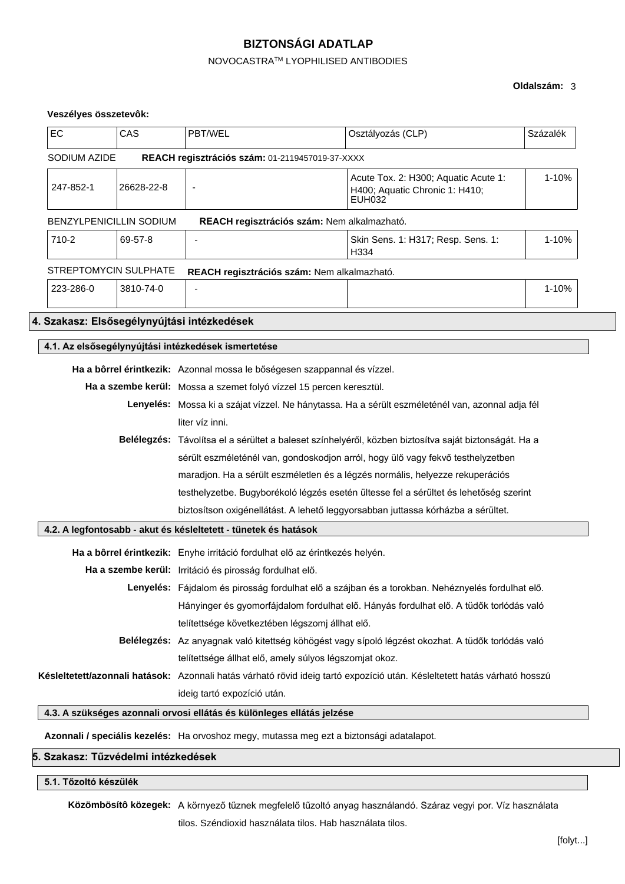# **BIZTONSÁGI ADATLAP**

# NOVOCASTRATM LYOPHILISED ANTIBODIES

# **Oldalszám:** 3

# **Veszélyes összetevôk:**

| EC                                                                          | CAS        | PBT/WEL                                                                                                                   | Osztályozás (CLP)                                                                                     | Százalék |
|-----------------------------------------------------------------------------|------------|---------------------------------------------------------------------------------------------------------------------------|-------------------------------------------------------------------------------------------------------|----------|
| SODIUM AZIDE                                                                |            | REACH regisztrációs szám: 01-2119457019-37-XXXX                                                                           |                                                                                                       |          |
| 247-852-1                                                                   | 26628-22-8 | $\blacksquare$                                                                                                            | Acute Tox. 2: H300; Aquatic Acute 1:<br>H400; Aquatic Chronic 1: H410;<br><b>EUH032</b>               | 1-10%    |
| BENZYLPENICILLIN SODIUM                                                     |            | REACH regisztrációs szám: Nem alkalmazható.                                                                               |                                                                                                       |          |
| 710-2                                                                       | 69-57-8    |                                                                                                                           | Skin Sens. 1: H317; Resp. Sens. 1:<br>H334                                                            | 1-10%    |
| STREPTOMYCIN SULPHATE                                                       |            | REACH regisztrációs szám: Nem alkalmazható.                                                                               |                                                                                                       |          |
| 223-286-0                                                                   | 3810-74-0  |                                                                                                                           |                                                                                                       | 1-10%    |
|                                                                             |            | 4. Szakasz: Elsősegélynyújtási intézkedések                                                                               |                                                                                                       |          |
|                                                                             |            | 4.1. Az elsősegélynyújtási intézkedések ismertetése                                                                       |                                                                                                       |          |
|                                                                             |            | Ha a bôrrel érintkezik: Azonnal mossa le bőségesen szappannal és vízzel.                                                  |                                                                                                       |          |
| Ha a szembe kerül: Mossa a szemet folyó vízzel 15 percen keresztül.         |            |                                                                                                                           |                                                                                                       |          |
|                                                                             |            | Lenyelés: Mossa ki a szájat vízzel. Ne hánytassa. Ha a sérült eszméleténél van, azonnal adja fél                          |                                                                                                       |          |
|                                                                             |            | liter víz inni.                                                                                                           |                                                                                                       |          |
|                                                                             |            |                                                                                                                           | Belélegzés: Távolítsa el a sérültet a baleset színhelyéről, közben biztosítva saját biztonságát. Ha a |          |
|                                                                             |            | sérült eszméleténél van, gondoskodjon arról, hogy ülő vagy fekvő testhelyzetben                                           |                                                                                                       |          |
|                                                                             |            | maradjon. Ha a sérült eszméletlen és a légzés normális, helyezze rekuperációs                                             |                                                                                                       |          |
|                                                                             |            | testhelyzetbe. Bugyborékoló légzés esetén ültesse fel a sérültet és lehetőség szerint                                     |                                                                                                       |          |
|                                                                             |            |                                                                                                                           | biztosítson oxigénellátást. A lehető leggyorsabban juttassa kórházba a sérültet.                      |          |
|                                                                             |            | 4.2. A legfontosabb - akut és késleltetett - tünetek és hatások                                                           |                                                                                                       |          |
| Ha a bôrrel érintkezik: Enyhe irritáció fordulhat elő az érintkezés helyén. |            |                                                                                                                           |                                                                                                       |          |
|                                                                             |            | Ha a szembe kerül: Irritáció és pirosság fordulhat elő.                                                                   |                                                                                                       |          |
|                                                                             |            |                                                                                                                           | Lenyelés: Fájdalom és pirosság fordulhat elő a szájban és a torokban. Nehéznyelés fordulhat elő.      |          |
|                                                                             |            |                                                                                                                           | Hányinger és gyomorfájdalom fordulhat elő. Hányás fordulhat elő. A tüdők torlódás való                |          |
|                                                                             |            | telítettsége következtében légszomj állhat elő.                                                                           |                                                                                                       |          |
|                                                                             |            | Belélegzés: Az anyagnak való kitettség köhögést vagy sípoló légzést okozhat. A tüdők torlódás való                        |                                                                                                       |          |
|                                                                             |            | telítettsége állhat elő, amely súlyos légszomjat okoz.                                                                    |                                                                                                       |          |
|                                                                             |            | Késleltetett/azonnali hatások: Azonnali hatás várható rövid ideig tartó expozíció után. Késleltetett hatás várható hosszú |                                                                                                       |          |
|                                                                             |            | ideig tartó expozíció után.                                                                                               |                                                                                                       |          |
|                                                                             |            | 4.3. A szükséges azonnali orvosi ellátás és különleges ellátás jelzése                                                    |                                                                                                       |          |

**Azonnali / speciális kezelés:** Ha orvoshoz megy, mutassa meg ezt a biztonsági adatalapot.

# **5. Szakasz: Tűzvédelmi intézkedések**

# **5.1. Tőzoltó készülék**

**Közömbösítô közegek:** A környező tűznek megfelelő tűzoltó anyag használandó. Száraz vegyi por. Víz használata

tilos. Széndioxid használata tilos. Hab használata tilos.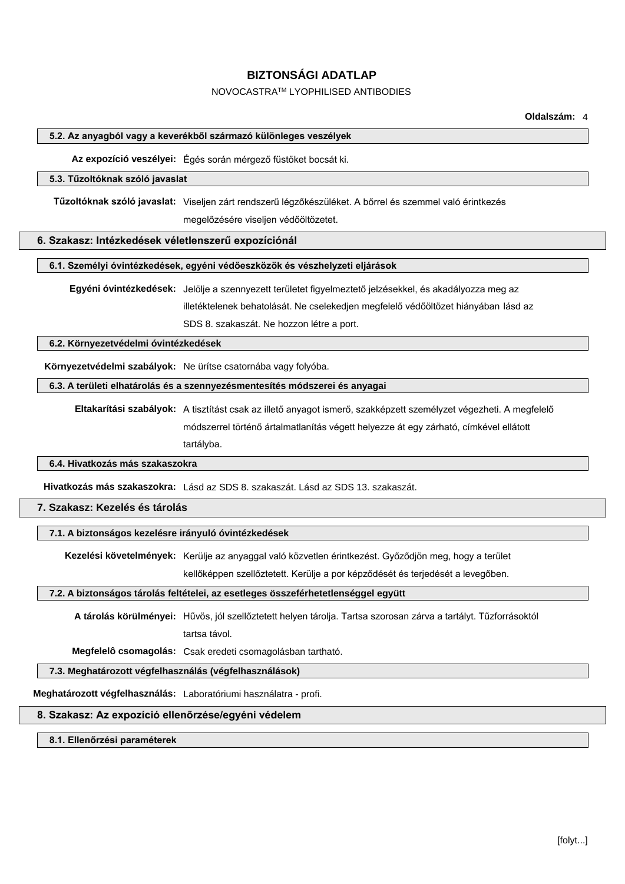#### NOVOCASTRATM LYOPHILISED ANTIBODIES

**Oldalszám:** 4

#### **5.2. Az anyagból vagy a keverékből származó különleges veszélyek**

**Az expozíció veszélyei:** Égés során mérgező füstöket bocsát ki.

#### **5.3. Tűzoltóknak szóló javaslat**

**Tűzoltóknak szóló javaslat:** Viseljen zárt rendszerű légzőkészüléket. A bőrrel és szemmel való érintkezés megelőzésére viseljen védőöltözetet.

#### **6. Szakasz: Intézkedések véletlenszerű expozíciónál**

**6.1. Személyi óvintézkedések, egyéni védőeszközök és vészhelyzeti eljárások**

**Egyéni óvintézkedések:** Jelölje a szennyezett területet figyelmeztető jelzésekkel, és akadályozza meg az illetéktelenek behatolását. Ne cselekedjen megfelelő védőöltözet hiányában lásd az SDS 8. szakaszát. Ne hozzon létre a port.

**6.2. Környezetvédelmi óvintézkedések**

**Környezetvédelmi szabályok:** Ne ürítse csatornába vagy folyóba.

**6.3. A területi elhatárolás és a szennyezésmentesítés módszerei és anyagai**

**Eltakarítási szabályok:** A tisztítást csak az illető anyagot ismerő, szakképzett személyzet végezheti. A megfelelő módszerrel történő ártalmatlanítás végett helyezze át egy zárható, címkével ellátott

tartályba.

#### **6.4. Hivatkozás más szakaszokra**

**Hivatkozás más szakaszokra:** Lásd az SDS 8. szakaszát. Lásd az SDS 13. szakaszát.

#### **7. Szakasz: Kezelés és tárolás**

#### **7.1. A biztonságos kezelésre irányuló óvintézkedések**

**Kezelési követelmények:** Kerülje az anyaggal való közvetlen érintkezést. Győződjön meg, hogy a terület kellőképpen szellőztetett. Kerülje a por képződését és terjedését a levegőben.

#### **7.2. A biztonságos tárolás feltételei, az esetleges összeférhetetlenséggel együtt**

**A tárolás körülményei:** Hűvös, jól szellőztetett helyen tárolja. Tartsa szorosan zárva a tartályt. Tűzforrásoktól tartsa távol.

**Megfelelô csomagolás:** Csak eredeti csomagolásban tartható.

#### **7.3. Meghatározott végfelhasználás (végfelhasználások)**

**Meghatározott végfelhasználás:** Laboratóriumi használatra - profi.

#### **8. Szakasz: Az expozíció ellenőrzése/egyéni védelem**

#### **8.1. Ellenőrzési paraméterek**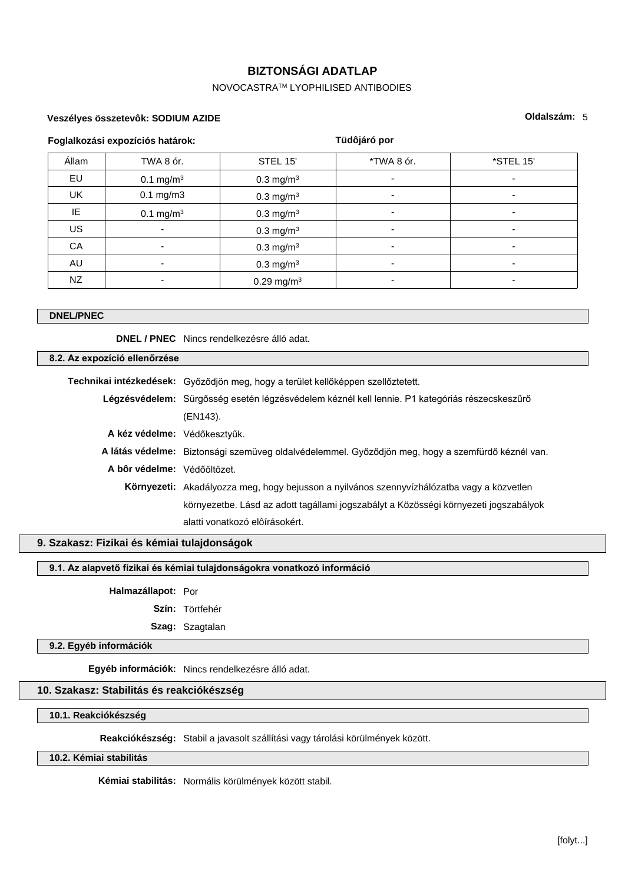## NOVOCASTRATM LYOPHILISED ANTIBODIES

#### **Veszélyes összetevôk: SODIUM AZIDE**

#### **Oldalszám:** 5

|           | Foglalkozási expozíciós határok: | Tüdôjáró por            |                          |           |  |
|-----------|----------------------------------|-------------------------|--------------------------|-----------|--|
| Állam     | TWA 8 ór.                        | STEL 15'                | *TWA 8 ór.               | *STEL 15' |  |
| EU        | $0.1 \text{ mg/m}^3$             | $0.3$ mg/m <sup>3</sup> | $\overline{\phantom{0}}$ |           |  |
| UK        | $0.1$ mg/m $3$                   | $0.3$ mg/m <sup>3</sup> | -                        |           |  |
| IE        | $0.1 \text{ mg/m}^3$             | $0.3 \text{ mg/m}^3$    | $\overline{\phantom{0}}$ |           |  |
| <b>US</b> | ۰                                | $0.3 \text{ mg/m}^3$    | -                        |           |  |
| CA        | ۰                                | 0.3 mg/m <sup>3</sup>   | $\overline{\phantom{0}}$ |           |  |
| AU        | ۰                                | 0.3 mg/m <sup>3</sup>   | -                        |           |  |
| NZ.       |                                  | 0.29 mg/m <sup>3</sup>  |                          |           |  |

#### **DNEL/PNEC**

**DNEL / PNEC** Nincs rendelkezésre álló adat.

#### **8.2. Az expozíció ellenőrzése**

| Technikai intézkedések: Győződjön meg, hogy a terület kellőképpen szellőztetett. |                                                                                                   |
|----------------------------------------------------------------------------------|---------------------------------------------------------------------------------------------------|
|                                                                                  | Légzésvédelem: Sürgősség esetén légzésvédelem kéznél kell lennie. P1 kategóriás részecskeszűrő    |
|                                                                                  | (EN143).                                                                                          |
| A kéz védelme: Védőkesztvűk.                                                     |                                                                                                   |
|                                                                                  | A látás védelme: Biztonsági szemüveg oldalvédelemmel. Győződjön meg, hogy a szemfürdő kéznél van. |
| A bôr védelme: Védőöltözet.                                                      |                                                                                                   |
|                                                                                  | <b>Környezeti:</b> Akadályozza meg, hogy bejusson a nyilvános szennyvízhálózatba vagy a közvetlen |
|                                                                                  | környezetbe. Lásd az adott tagállami jogszabályt a Közösségi környezeti jogszabályok              |
|                                                                                  | alatti vonatkozó elôírásokért.                                                                    |
|                                                                                  |                                                                                                   |

#### **9. Szakasz: Fizikai és kémiai tulajdonságok**

**9.1. Az alapvető fizikai és kémiai tulajdonságokra vonatkozó információ**

#### **Halmazállapot:** Por

**Szín:** Törtfehér

**Szag:** Szagtalan

#### **9.2. Egyéb információk**

**Egyéb információk:** Nincs rendelkezésre álló adat.

#### **10. Szakasz: Stabilitás és reakciókészség**

**10.1. Reakciókészség**

**Reakciókészség:** Stabil a javasolt szállítási vagy tárolási körülmények között.

#### **10.2. Kémiai stabilitás**

**Kémiai stabilitás:** Normális körülmények között stabil.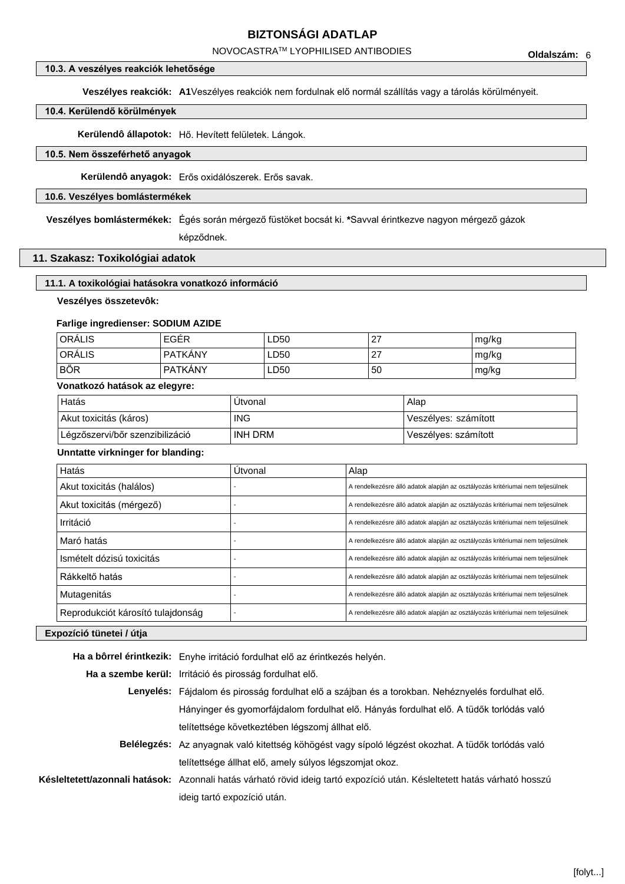NOVOCASTRATM LYOPHILISED ANTIBODIES

#### **10.3. A veszélyes reakciók lehetősége**

**Veszélyes reakciók: A1**Veszélyes reakciók nem fordulnak elő normál szállítás vagy a tárolás körülményeit.

#### **10.4. Kerülendő körülmények**

**Kerülendô állapotok:** Hő. Hevített felületek. Lángok.

#### **10.5. Nem összeférhető anyagok**

**Kerülendô anyagok:** Erős oxidálószerek. Erős savak.

#### **10.6. Veszélyes bomlástermékek**

**Veszélyes bomlástermékek:** Égés során mérgező füstöket bocsát ki. **\***Savval érintkezve nagyon mérgező gázok

képződnek.

#### **11. Szakasz: Toxikológiai adatok**

#### **11.1. A toxikológiai hatásokra vonatkozó információ**

**Veszélyes összetevôk:**

#### **Farlige ingredienser: SODIUM AZIDE**

| ORALIS     | EGÉR           | LD50 | דר<br>$\epsilon$ | mg/kg |
|------------|----------------|------|------------------|-------|
| ORÁLIS     | <b>PATKANY</b> | LD50 | דר<br>$\sim$     | mg/kg |
| <b>BŐR</b> | PATKÁNY        | LD50 | 50               | mg/kg |

#### **Vonatkozó hatások az elegyre:**

| Hatás                           | Utvonal    | Alap                 |
|---------------------------------|------------|----------------------|
| Akut toxicitás (káros)          | <b>ING</b> | Veszélyes: számított |
| Légzőszervi/bőr szenzibilizáció | INH DRM    | Veszélyes: számított |

#### **Unntatte virkninger for blanding:**

| Hatás                             | Útvonal | Alap                                                                           |  |
|-----------------------------------|---------|--------------------------------------------------------------------------------|--|
| Akut toxicitás (halálos)          |         | A rendelkezésre álló adatok alapján az osztályozás kritériumai nem teljesülnek |  |
| Akut toxicitás (mérgező)          |         | A rendelkezésre álló adatok alapján az osztályozás kritériumai nem teljesülnek |  |
| Irritáció                         |         | A rendelkezésre álló adatok alapján az osztályozás kritériumai nem teljesülnek |  |
| Maró hatás                        |         | A rendelkezésre álló adatok alapján az osztályozás kritériumai nem teljesülnek |  |
| Ismételt dózisú toxicitás         |         | A rendelkezésre álló adatok alapján az osztályozás kritériumai nem teljesülnek |  |
| Rákkeltő hatás                    |         | A rendelkezésre álló adatok alapján az osztályozás kritériumai nem teljesülnek |  |
| Mutagenitás                       |         | A rendelkezésre álló adatok alapján az osztályozás kritériumai nem teljesülnek |  |
| Reprodukciót károsító tulajdonság |         | A rendelkezésre álló adatok alapján az osztályozás kritériumai nem teljesülnek |  |
| .<br>.                            |         |                                                                                |  |

#### **Expozíció tünetei / útja**

| Ha a bôrrel érintkezik: Enyhe irritáció fordulhat elő az érintkezés helyén.                                               |
|---------------------------------------------------------------------------------------------------------------------------|
| Ha a szembe kerül: Irritáció és pirosság fordulhat elő.                                                                   |
| Lenyelés: Fájdalom és pirosság fordulhat elő a szájban és a torokban. Nehéznyelés fordulhat elő.                          |
| Hányinger és gyomorfájdalom fordulhat elő. Hányás fordulhat elő. A tüdők torlódás való                                    |
| telítettsége következtében légszomi állhat elő.                                                                           |
| Belélegzés: Az anyagnak való kitettség köhögést vagy sípoló légzést okozhat. A tüdők torlódás való                        |
| telítettsége állhat elő, amely súlyos légszomjat okoz.                                                                    |
| Késleltetett/azonnali hatások: Azonnali hatás várható rövid ideig tartó expozíció után. Késleltetett hatás várható hosszú |
| ideig tartó expozíció után.                                                                                               |
|                                                                                                                           |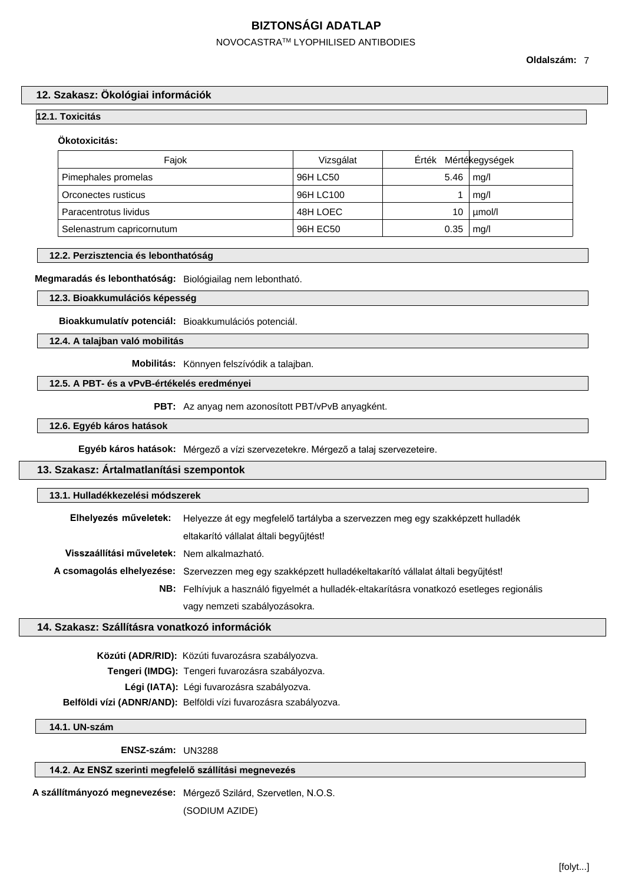## NOVOCASTRATM LYOPHILISED ANTIBODIES

**Oldalszám:** 7

#### **12. Szakasz: Ökológiai információk**

#### **12.1. Toxicitás**

#### **Ökotoxicitás:**

| Faiok                     | Vizsgálat | Érték Mértékegységek |        |
|---------------------------|-----------|----------------------|--------|
| Pimephales promelas       | 96H LC50  | 5.46                 | mq/l   |
| Orconectes rusticus       | 96H LC100 |                      | mq/l   |
| Paracentrotus lividus     | 48H LOEC  | 10                   | umol/l |
| Selenastrum capricornutum | 96H EC50  | 0.35                 | mq/l   |

#### **12.2. Perzisztencia és lebonthatóság**

#### **Megmaradás és lebonthatóság:** Biológiailag nem lebontható.

#### **12.3. Bioakkumulációs képesség**

**Bioakkumulatív potenciál:** Bioakkumulációs potenciál.

#### **12.4. A talajban való mobilitás**

**Mobilitás:** Könnyen felszívódik a talajban.

#### **12.5. A PBT- és a vPvB-értékelés eredményei**

**PBT:** Az anyag nem azonosított PBT/vPvB anyagként.

#### **12.6. Egyéb káros hatások**

**Egyéb káros hatások:** Mérgező a vízi szervezetekre. Mérgező a talaj szervezeteire.

#### **13. Szakasz: Ártalmatlanítási szempontok**

| 13.1. Hulladékkezelési módszerek            |                                                                                                         |  |
|---------------------------------------------|---------------------------------------------------------------------------------------------------------|--|
| Elhelyezés műveletek:                       | Helyezze át egy megfelelő tartályba a szervezzen meg egy szakképzett hulladék                           |  |
|                                             | eltakarító vállalat általi begyűjtést!                                                                  |  |
| Visszaállítási műveletek: Nem alkalmazható. |                                                                                                         |  |
|                                             | A csomagolás elhelyezése: Szervezzen meg egy szakképzett hulladékeltakarító vállalat általi begyűjtést! |  |
|                                             | <b>NB:</b> Felhívjuk a használó figyelmét a hulladék-eltakarításra vonatkozó esetleges regionális       |  |
|                                             | vagy nemzeti szabályozásokra.                                                                           |  |

#### **14. Szakasz: Szállításra vonatkozó információk**

**Közúti (ADR/RID):** Közúti fuvarozásra szabályozva.

**Tengeri (IMDG):** Tengeri fuvarozásra szabályozva.

**Légi (IATA):** Légi fuvarozásra szabályozva.

**Belföldi vízi (ADNR/AND):** Belföldi vízi fuvarozásra szabályozva.

#### **14.1. UN-szám**

**ENSZ-szám:** UN3288

#### **14.2. Az ENSZ szerinti megfelelő szállítási megnevezés**

**A szállítmányozó megnevezése:** Mérgező Szilárd, Szervetlen, N.O.S.

(SODIUM AZIDE)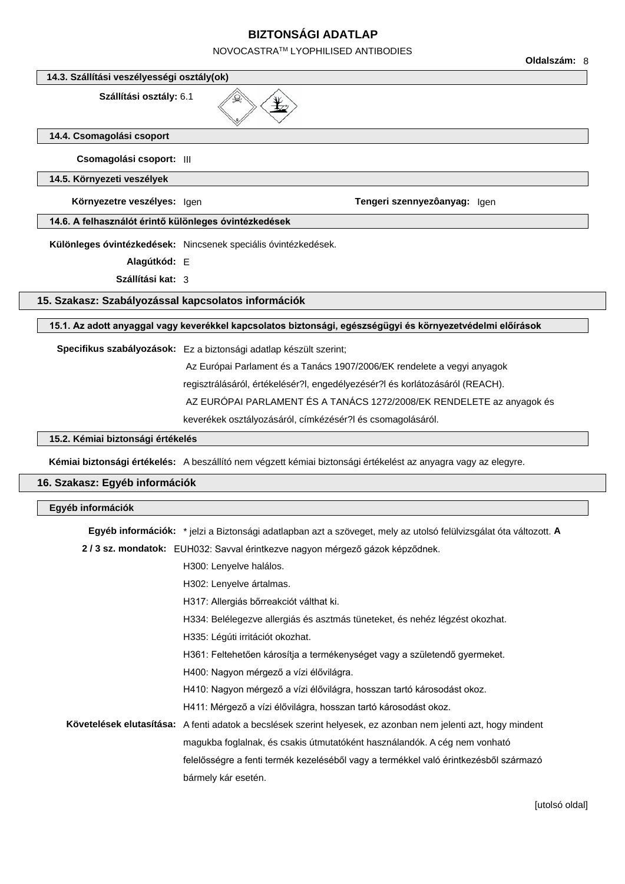NOVOCASTRATM LYOPHILISED ANTIBODIES

**Oldalszám:** 8 **14.3. Szállítási veszélyességi osztály(ok) Szállítási osztály:** 6.1 $\frac{1}{2}$ **14.4. Csomagolási csoport Csomagolási csoport:** III **14.5. Környezeti veszélyek Környezetre veszélyes:** Igen **Tengeri szennyezôanyag:** Igen **14.6. A felhasználót érintő különleges óvintézkedések Különleges óvintézkedések:** Nincsenek speciális óvintézkedések. **Alagútkód:** E **Szállítási kat:** 3 **15. Szakasz: Szabályozással kapcsolatos információk 15.1. Az adott anyaggal vagy keverékkel kapcsolatos biztonsági, egészségügyi és környezetvédelmi előírások Specifikus szabályozások:** Ez a biztonsági adatlap készült szerint; Az Európai Parlament és a Tanács 1907/2006/EK rendelete a vegyi anyagok regisztrálásáról, értékelésér?l, engedélyezésér?l és korlátozásáról (REACH). AZ EURÓPAI PARLAMENT ÉS A TANÁCS 1272/2008/EK RENDELETE az anyagok és keverékek osztályozásáról, címkézésér?l és csomagolásáról. **15.2. Kémiai biztonsági értékelés Kémiai biztonsági értékelés:** A beszállító nem végzett kémiai biztonsági értékelést az anyagra vagy az elegyre. **16. Szakasz: Egyéb információk Egyéb információk**

**Egyéb információk:** \* jelzi a Biztonsági adatlapban azt a szöveget, mely az utolsó felülvizsgálat óta változott. **A**

|  | 2/3 sz. mondatok: EUH032: Savval érintkezve nagyon mérgező gázok képződnek.                                    |
|--|----------------------------------------------------------------------------------------------------------------|
|  | H <sub>300</sub> : Lenyelve halálos.                                                                           |
|  | H302: Lenyelve ártalmas.                                                                                       |
|  | H317: Allergiás bőrreakciót válthat ki.                                                                        |
|  | H334: Belélegezve allergiás és asztmás tüneteket, és nehéz légzést okozhat.                                    |
|  | H335: Légúti irritációt okozhat.                                                                               |
|  | H361: Feltehetően károsítja a termékenységet vagy a születendő gyermeket.                                      |
|  | H400: Nagyon mérgező a vízi élővilágra.                                                                        |
|  | H410: Nagyon mérgező a vízi élővilágra, hosszan tartó károsodást okoz.                                         |
|  | H411: Mérgező a vízi élővilágra, hosszan tartó károsodást okoz.                                                |
|  | Követelések elutasítása: A fenti adatok a becslések szerint helyesek, ez azonban nem jelenti azt, hogy mindent |
|  | magukba foglalnak, és csakis útmutatóként használandók. A cég nem vonható                                      |
|  | felelősségre a fenti termék kezeléséből vagy a termékkel való érintkezésből származó                           |
|  | bármely kár esetén.                                                                                            |
|  |                                                                                                                |

[utolsó oldal]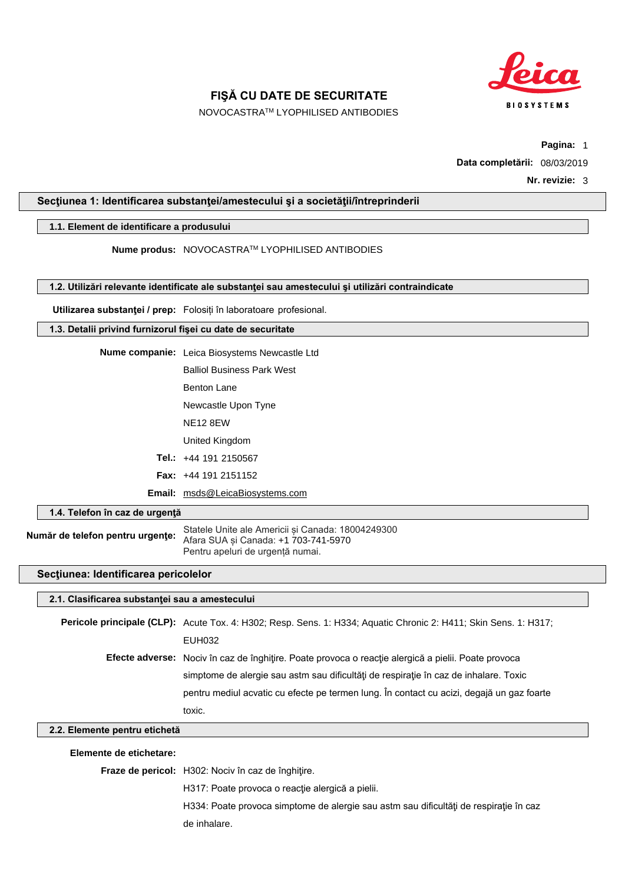

NOVOCASTRATM LYOPHILISED ANTIBODIES

**Pagina:** 1

**Data completării:** 08/03/2019

#### **Secţiunea 1: Identificarea substanţei/amestecului şi a societăţii/întreprinderii**

#### **1.1. Element de identificare a produsului**

**Nume produs:** NOVOCASTRATM LYOPHILISED ANTIBODIES

**1.2. Utilizări relevante identificate ale substanţei sau amestecului şi utilizări contraindicate**

**Utilizarea substanţei / prep:** Folosiți în laboratoare profesional.

#### **1.3. Detalii privind furnizorul fişei cu date de securitate**

| <b>Nume companie:</b> Leica Biosystems Newcastle Ltd |
|------------------------------------------------------|
| <b>Balliol Business Park West</b>                    |
| <b>Benton Lane</b>                                   |
| Newcastle Upon Tyne                                  |
| <b>NE12 8EW</b>                                      |
| United Kingdom                                       |
| <b>Tel.:</b> $+44$ 191 2150567                       |
| <b>Fax:</b> $+44$ 191 2151152                        |
| <b>Email:</b> msds@LeicaBiosystems.com               |

**1.4. Telefon în caz de urgenţă**

**Număr de telefon pentru urgenţe:** Statele Unite ale Americii și Canada: 18004249300 Afara SUA și Canada: +1 703-741-5970 Pentru apeluri de urgență numai.

#### **Secţiunea: Identificarea pericolelor**

#### **2.1. Clasificarea substanţei sau a amestecului**

**Pericole principale (CLP):** Acute Tox. 4: H302; Resp. Sens. 1: H334; Aquatic Chronic 2: H411; Skin Sens. 1: H317; EUH032 **Efecte adverse:** Nociv în caz de înghiţire. Poate provoca o reacţie alergică a pielii. Poate provoca simptome de alergie sau astm sau dificultăți de respirație în caz de inhalare. Toxic pentru mediul acvatic cu efecte pe termen lung. În contact cu acizi, degajă un gaz foarte toxic.

#### **2.2. Elemente pentru etichetă**

#### **Elemente de etichetare:**

**Fraze de pericol:** H302: Nociv în caz de înghiţire.

H317: Poate provoca o reacție alergică a pielii.

H334: Poate provoca simptome de alergie sau astm sau dificultăți de respirație în caz de inhalare.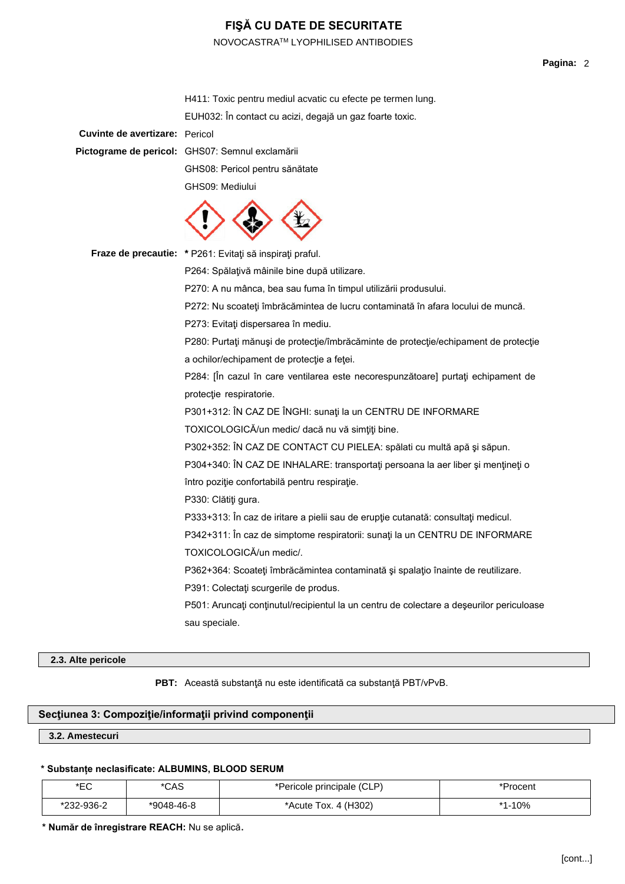NOVOCASTRATM LYOPHILISED ANTIBODIES

|                                       | H411: Toxic pentru mediul acvatic cu efecte pe termen lung.                                                 |
|---------------------------------------|-------------------------------------------------------------------------------------------------------------|
|                                       | EUH032: În contact cu acizi, degajă un gaz foarte toxic.                                                    |
| <b>Cuvinte de avertizare: Pericol</b> |                                                                                                             |
|                                       | Pictograme de pericol: GHS07: Semnul exclamării                                                             |
|                                       | GHS08: Pericol pentru sănătate                                                                              |
|                                       | GHS09: Mediului                                                                                             |
|                                       |                                                                                                             |
|                                       | Fraze de precautie: * P261: Evitați să inspirați praful.                                                    |
|                                       | P264: Spălațivă mâinile bine după utilizare.                                                                |
|                                       | P270: A nu mânca, bea sau fuma în timpul utilizării produsului.                                             |
|                                       | P272: Nu scoateți îmbrăcămintea de lucru contaminată în afara locului de muncă.                             |
|                                       | P273: Evitați dispersarea în mediu.                                                                         |
|                                       | P280: Purtați mănuși de protecție/îmbrăcăminte de protecție/echipament de protecție                         |
|                                       | a ochilor/echipament de protecție a feței.                                                                  |
|                                       | P284: [În cazul în care ventilarea este necorespunzătoare] purtați echipament de<br>protecție respiratorie. |
|                                       | P301+312: ÎN CAZ DE ÎNGHI: sunați la un CENTRU DE INFORMARE                                                 |
|                                       | TOXICOLOGICĂ/un medic/ dacă nu vă simțiți bine.                                                             |
|                                       | P302+352: ÎN CAZ DE CONTACT CU PIELEA: spălati cu multă apă și săpun.                                       |
|                                       | P304+340: ÎN CAZ DE INHALARE: transportați persoana la aer liber și mențineți o                             |
|                                       | întro poziție confortabilă pentru respirație.                                                               |
|                                       | P330: Clătiți gura.                                                                                         |
|                                       | P333+313: În caz de iritare a pielii sau de erupție cutanată: consultați medicul.                           |
|                                       | P342+311: În caz de simptome respiratorii: sunați la un CENTRU DE INFORMARE                                 |
|                                       | TOXICOLOGICĂ/un medic/.                                                                                     |
|                                       | P362+364: Scoateți îmbrăcămintea contaminată și spalațio înainte de reutilizare.                            |
|                                       | P391: Colectați scurgerile de produs.                                                                       |
|                                       | P501: Aruncați conținutul/recipientul la un centru de colectare a deșeurilor periculoase                    |
|                                       | sau speciale.                                                                                               |
|                                       |                                                                                                             |

#### **2.3. Alte pericole**

**PBT:** Această substanţă nu este identificată ca substanţă PBT/vPvB.

#### **Secţiunea 3: Compoziţie/informaţii privind componenţii**

#### **3.2. Amestecuri**

#### **\* Substanțe neclasificate: ALBUMINS, BLOOD SERUM**

| $*$ $\Gamma$ $\cap$<br>┕ | م م<br>ىمر | *Pericole principale (CLP) |            |
|--------------------------|------------|----------------------------|------------|
| 32-936-2                 | *9048-46-8 | Tox. 4 (H302)<br>`Acute .  | 10%<br>* 4 |

**\* Număr de înregistrare REACH:** Nu se aplică.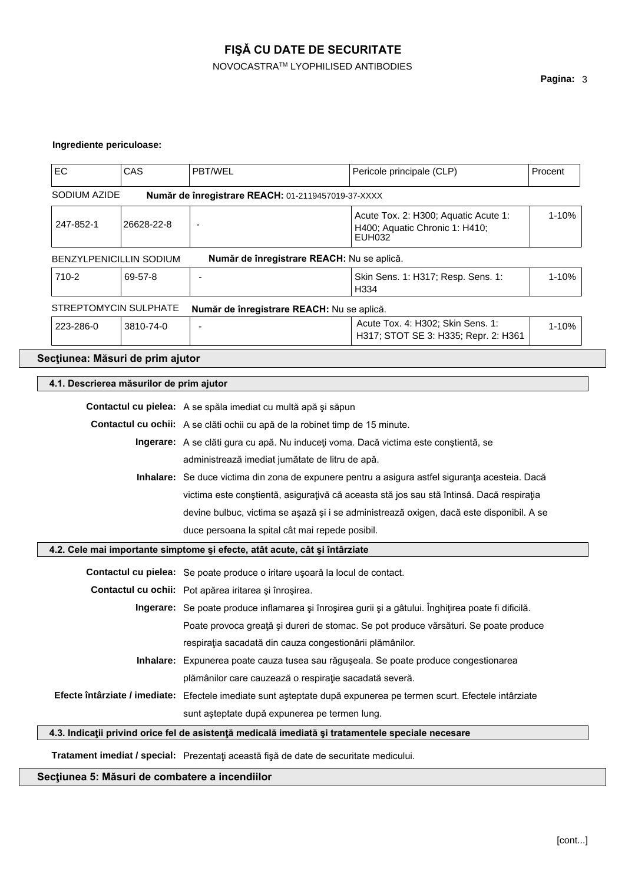## NOVOCASTRATM LYOPHILISED ANTIBODIES

### **Ingrediente periculoase:**

| EC                                       | CAS        | PBT/WEL                                                                                                                                            | Pericole principale (CLP)                                                            | Procent |  |
|------------------------------------------|------------|----------------------------------------------------------------------------------------------------------------------------------------------------|--------------------------------------------------------------------------------------|---------|--|
| SODIUM AZIDE                             |            | Număr de înregistrare REACH: 01-2119457019-37-XXXX                                                                                                 |                                                                                      |         |  |
| 247-852-1                                | 26628-22-8 | Acute Tox. 2: H300; Aquatic Acute 1:<br>H400; Aquatic Chronic 1: H410;<br>EUH032                                                                   |                                                                                      | 1-10%   |  |
| <b>BENZYLPENICILLIN SODIUM</b>           |            | Număr de înregistrare REACH: Nu se aplică.                                                                                                         |                                                                                      |         |  |
| 710-2<br>69-57-8                         |            |                                                                                                                                                    | Skin Sens. 1: H317; Resp. Sens. 1:<br>H334                                           | 1-10%   |  |
| STREPTOMYCIN SULPHATE                    |            | Număr de înregistrare REACH: Nu se aplică.                                                                                                         |                                                                                      |         |  |
| 223-286-0                                | 3810-74-0  |                                                                                                                                                    | Acute Tox. 4: H302; Skin Sens. 1:<br>H317; STOT SE 3: H335; Repr. 2: H361            | 1-10%   |  |
| Secțiunea: Măsuri de prim ajutor         |            |                                                                                                                                                    |                                                                                      |         |  |
| 4.1. Descrierea măsurilor de prim ajutor |            |                                                                                                                                                    |                                                                                      |         |  |
|                                          |            |                                                                                                                                                    |                                                                                      |         |  |
|                                          |            | Contactul cu pielea: A se spăla imediat cu multă apă și săpun                                                                                      |                                                                                      |         |  |
|                                          |            | Contactul cu ochii: A se clăti ochii cu apă de la robinet timp de 15 minute.                                                                       |                                                                                      |         |  |
|                                          |            | Ingerare: A se clăti gura cu apă. Nu induceți voma. Dacă victima este conștientă, se                                                               |                                                                                      |         |  |
|                                          |            | administrează imediat jumătate de litru de apă.<br>Inhalare: Se duce victima din zona de expunere pentru a asigura astfel siguranța acesteia. Dacă |                                                                                      |         |  |
|                                          |            |                                                                                                                                                    |                                                                                      |         |  |
|                                          |            | victima este conștientă, asigurațivă că aceasta stă jos sau stă întinsă. Dacă respirația                                                           |                                                                                      |         |  |
|                                          |            | devine bulbuc, victima se așază și i se administrează oxigen, dacă este disponibil. A se                                                           |                                                                                      |         |  |
|                                          |            | duce persoana la spital cât mai repede posibil.                                                                                                    |                                                                                      |         |  |
|                                          |            | 4.2. Cele mai importante simptome și efecte, atât acute, cât și întârziate                                                                         |                                                                                      |         |  |
|                                          |            | Contactul cu pielea: Se poate produce o iritare usoară la locul de contact.                                                                        |                                                                                      |         |  |
|                                          |            | Contactul cu ochii: Pot apărea iritarea și înroșirea.                                                                                              |                                                                                      |         |  |
|                                          |            | Ingerare: Se poate produce inflamarea și înroșirea gurii și a gâtului. Înghițirea poate fi dificilă.                                               |                                                                                      |         |  |
|                                          |            |                                                                                                                                                    | Poate provoca greață și dureri de stomac. Se pot produce vărsături. Se poate produce |         |  |
|                                          |            | respirația sacadată din cauza congestionării plămânilor.                                                                                           |                                                                                      |         |  |
|                                          |            | Inhalare: Expunerea poate cauza tusea sau răgușeala. Se poate produce congestionarea                                                               |                                                                                      |         |  |
|                                          |            | plămânilor care cauzează o respirație sacadată severă.                                                                                             |                                                                                      |         |  |
|                                          |            | Efecte întârziate / imediate: Efectele imediate sunt așteptate după expunerea pe termen scurt. Efectele intârziate                                 |                                                                                      |         |  |
|                                          |            | sunt asteptate după expunerea pe termen lung.                                                                                                      |                                                                                      |         |  |
|                                          |            | 4.3. Indicații privind orice fel de asistență medicală imediată și tratamentele speciale necesare                                                  |                                                                                      |         |  |
|                                          |            | Tratament imediat / special: Prezentați această fișă de date de securitate medicului.                                                              |                                                                                      |         |  |
|                                          |            |                                                                                                                                                    |                                                                                      |         |  |

## **Secţiunea 5: Măsuri de combatere a incendiilor**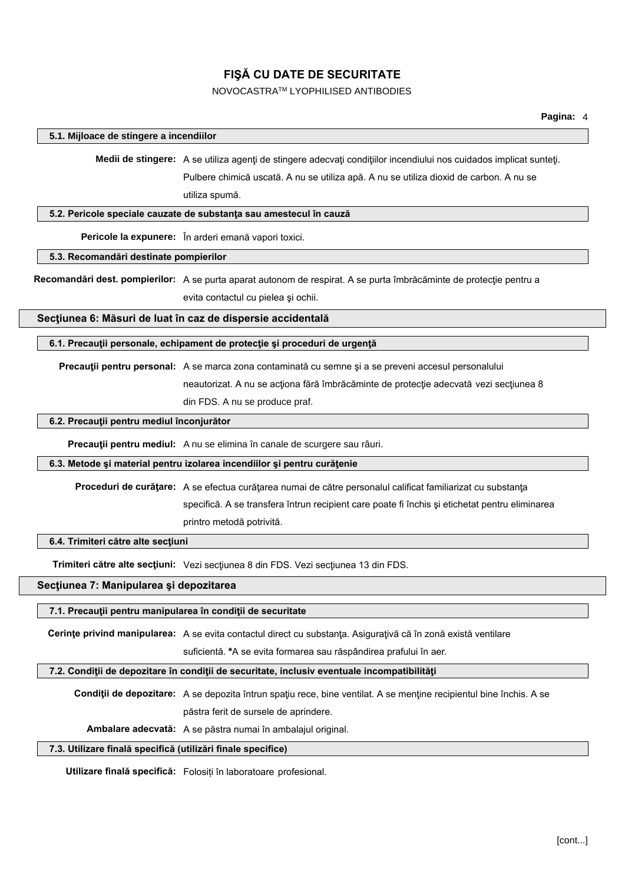#### NOVOCASTRATM LYOPHILISED ANTIBODIES

#### **5.1. Mijloace de stingere a incendiilor**

**Medii de stingere:** A se utiliza agenţi de stingere adecvaţi condiţiilor incendiului nos cuidados implicat sunteţi. Pulbere chimică uscată. A nu se utiliza apă. A nu se utiliza dioxid de carbon. A nu se utiliza spumă.

#### **5.2. Pericole speciale cauzate de substanţa sau amestecul în cauză**

**Pericole la expunere:** În arderi emană vapori toxici.

**5.3. Recomandări destinate pompierilor**

**Recomandări dest. pompierilor:** A se purta aparat autonom de respirat. A se purta îmbrăcăminte de protecţie pentru a evita contactul cu pielea şi ochii.

#### **Secţiunea 6: Măsuri de luat în caz de dispersie accidentală**

**6.1. Precauţii personale, echipament de protecţie şi proceduri de urgenţă**

**Precauţii pentru personal:** A se marca zona contaminată cu semne şi a se preveni accesul personalului

neautorizat. A nu se acționa fără îmbrăcăminte de protecție adecvată vezi secțiunea 8

din FDS. A nu se produce praf.

#### **6.2. Precauţii pentru mediul înconjurător**

**Precauţii pentru mediul:** A nu se elimina în canale de scurgere sau râuri.

#### **6.3. Metode şi material pentru izolarea incendiilor şi pentru curăţenie**

**Proceduri de curăţare:** A se efectua curăţarea numai de către personalul calificat familiarizat cu substanţa

specifică. A se transfera întrun recipient care poate fi închis şi etichetat pentru eliminarea

printro metodă potrivită.

#### **6.4. Trimiteri către alte secţiuni**

**Trimiteri către alte secţiuni:** Vezi secţiunea 8 din FDS. Vezi secţiunea 13 din FDS.

#### **Secţiunea 7: Manipularea şi depozitarea**

#### **7.1. Precauţii pentru manipularea în condiţii de securitate**

**Cerinţe privind manipularea:** A se evita contactul direct cu substanţa. Asiguraţivă că în zonă există ventilare

suficientă. **\***A se evita formarea sau răspândirea prafului în aer.

#### **7.2. Condiţii de depozitare în condiţii de securitate, inclusiv eventuale incompatibilităţi**

**Condiţii de depozitare:** A se depozita întrun spaţiu rece, bine ventilat. A se menţine recipientul bine închis. A se păstra ferit de sursele de aprindere.

**Ambalare adecvată:** A se păstra numai în ambalajul original.

#### **7.3. Utilizare finală specifică (utilizări finale specifice)**

**Utilizare finală specifică:** Folosiți în laboratoare profesional.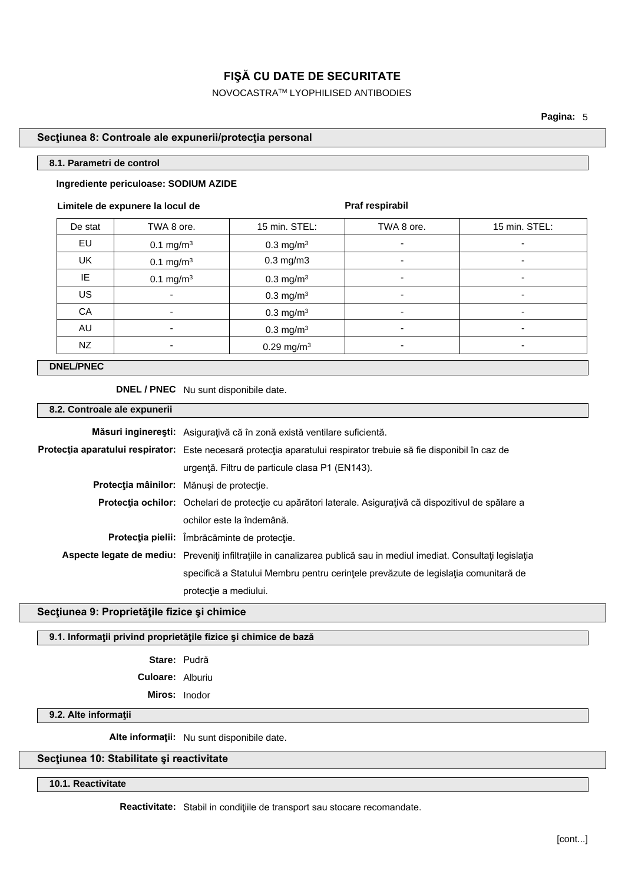NOVOCASTRATM LYOPHILISED ANTIBODIES

**Pagina:** 5

#### **Secţiunea 8: Controale ale expunerii/protecţia personal**

#### **8.1. Parametri de control**

#### **Ingrediente periculoase: SODIUM AZIDE**

#### **Limitele de expunere la locul de**

**Praf respirabil**

| De stat   | TWA 8 ore.               | 15 min. STEL:           | TWA 8 ore. | 15 min. STEL: |
|-----------|--------------------------|-------------------------|------------|---------------|
| EU        | 0.1 mg/m <sup>3</sup>    | $0.3 \text{ mg/m}^3$    | ۰          | ۰             |
| <b>UK</b> | 0.1 mg/m <sup>3</sup>    | $0.3$ mg/m $3$          | ٠          | ۰             |
| IE        | $0.1 \text{ mg/m}^3$     | $0.3 \text{ mg/m}^3$    | -          |               |
| US        | $\overline{\phantom{a}}$ | $0.3$ mg/m <sup>3</sup> | ٠          | -             |
| CA        | ٠                        | $0.3 \text{ mg/m}^3$    | ٠          | ٠             |
| AU        | ۰                        | $0.3 \text{ mg/m}^3$    | -          | -             |
| NZ        | ۰                        | 0.29 mg/m <sup>3</sup>  |            |               |

#### **DNEL/PNEC**

**DNEL / PNEC** Nu sunt disponibile date.

#### **8.2. Controale ale expunerii**

| Măsuri inginerești: Asigurațivă că în zonă există ventilare suficientă.                                              |  |
|----------------------------------------------------------------------------------------------------------------------|--|
| Protecția aparatului respirator: Este necesară protecția aparatului respirator trebuie să fie disponibil în caz de   |  |
| urgență. Filtru de particule clasa P1 (EN143).                                                                       |  |
| Protecția mâinilor: Mănuși de protecție.                                                                             |  |
| <b>Protecția ochilor:</b> Ochelari de protecție cu apărători laterale. Asigurațivă că dispozitivul de spălare a      |  |
| ochilor este la îndemână.                                                                                            |  |
| Protecția pielii: Îmbrăcăminte de protecție.                                                                         |  |
| Aspecte legate de mediu: Preveniți infiltrațiile in canalizarea publică sau in mediul imediat. Consultați legislația |  |
| specifică a Statului Membru pentru cerințele prevăzute de legislația comunitară de                                   |  |
| protectie a mediului.                                                                                                |  |
|                                                                                                                      |  |

#### **Secţiunea 9: Proprietăţile fizice şi chimice**

**9.1. Informaţii privind proprietăţile fizice şi chimice de bază**

**Stare:** Pudră **Culoare:** Alburiu

**Miros:** Inodor

#### **9.2. Alte informaţii**

**Alte informaţii:** Nu sunt disponibile date.

## **Secţiunea 10: Stabilitate şi reactivitate**

**10.1. Reactivitate**

**Reactivitate:** Stabil in condiţiile de transport sau stocare recomandate.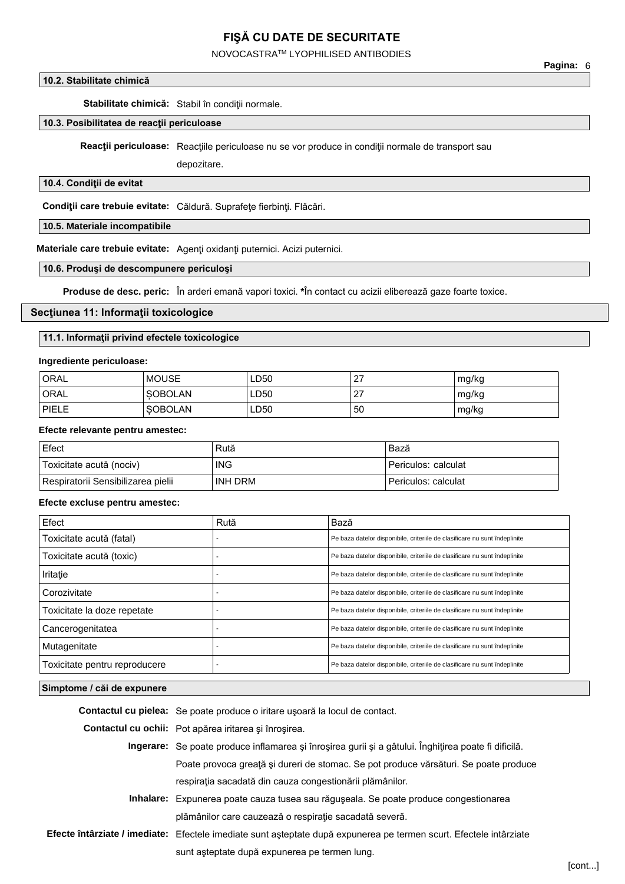NOVOCASTRATM LYOPHILISED ANTIBODIES

#### **10.2. Stabilitate chimică**

Stabilitate chimică: Stabil în condiții normale.

#### **10.3. Posibilitatea de reacţii periculoase**

**Reacții periculoase:** Reacțiile periculoase nu se vor produce in condiții normale de transport sau

depozitare.

#### **10.4. Condiţii de evitat**

**Condiţii care trebuie evitate:** Căldură. Suprafeţe fierbinţi. Flăcări.

#### **10.5. Materiale incompatibile**

**Materiale care trebuie evitate:** Agenţi oxidanţi puternici. Acizi puternici.

#### **10.6. Produşi de descompunere periculoşi**

**Produse de desc. peric:** În arderi emană vapori toxici. **\***În contact cu acizii eliberează gaze foarte toxice.

#### **Secţiunea 11: Informaţii toxicologice**

#### **11.1. Informaţii privind efectele toxicologice**

#### **Ingrediente periculoase:**

| <b>ORAL</b>  | <b>MOUSE</b>   | LD50 | 27 | mg/kg |
|--------------|----------------|------|----|-------|
| <b>ORAL</b>  | <b>SOBOLAN</b> | LD50 | 27 | mg/kg |
| <b>PIELE</b> | <b>SOBOLAN</b> | LD50 | 50 | mg/kg |

#### **Efecte relevante pentru amestec:**

| Efect                              | Rută       | Bază                |
|------------------------------------|------------|---------------------|
| Toxicitate acută (nociv)           | <b>ING</b> | Periculos: calculat |
| Respiratorii Sensibilizarea pielii | INH DRM    | Periculos: calculat |

#### **Efecte excluse pentru amestec:**

| Efect                         | Rută | Bază                                                                       |
|-------------------------------|------|----------------------------------------------------------------------------|
| Toxicitate acută (fatal)      |      | Pe baza datelor disponibile, criteriile de clasificare nu sunt îndeplinite |
| Toxicitate acută (toxic)      |      | Pe baza datelor disponibile, criteriile de clasificare nu sunt îndeplinite |
| Iritație                      |      | Pe baza datelor disponibile, criteriile de clasificare nu sunt îndeplinite |
| Corozivitate                  |      | Pe baza datelor disponibile, criteriile de clasificare nu sunt îndeplinite |
| Toxicitate la doze repetate   |      | Pe baza datelor disponibile, criteriile de clasificare nu sunt îndeplinite |
| Cancerogenitatea              |      | Pe baza datelor disponibile, criteriile de clasificare nu sunt îndeplinite |
| Mutagenitate                  |      | Pe baza datelor disponibile, criteriile de clasificare nu sunt îndeplinite |
| Toxicitate pentru reproducere |      | Pe baza datelor disponibile, criteriile de clasificare nu sunt îndeplinite |

#### **Simptome / căi de expunere**

**Contactul cu pielea:** Se poate produce o iritare uşoară la locul de contact.

**Contactul cu ochii:** Pot apărea iritarea şi înroşirea.

- **Ingerare:** Se poate produce inflamarea şi înroşirea gurii şi a gâtului. Înghiţirea poate fi dificilă. Poate provoca greaţă şi dureri de stomac. Se pot produce vărsături. Se poate produce respiraţia sacadată din cauza congestionării plămânilor.
- **Inhalare:** Expunerea poate cauza tusea sau răguşeala. Se poate produce congestionarea plămânilor care cauzează o respiraţie sacadată severă.
- **Efecte întârziate / imediate:** Efectele imediate sunt aşteptate după expunerea pe termen scurt. Efectele intârziate sunt aşteptate după expunerea pe termen lung.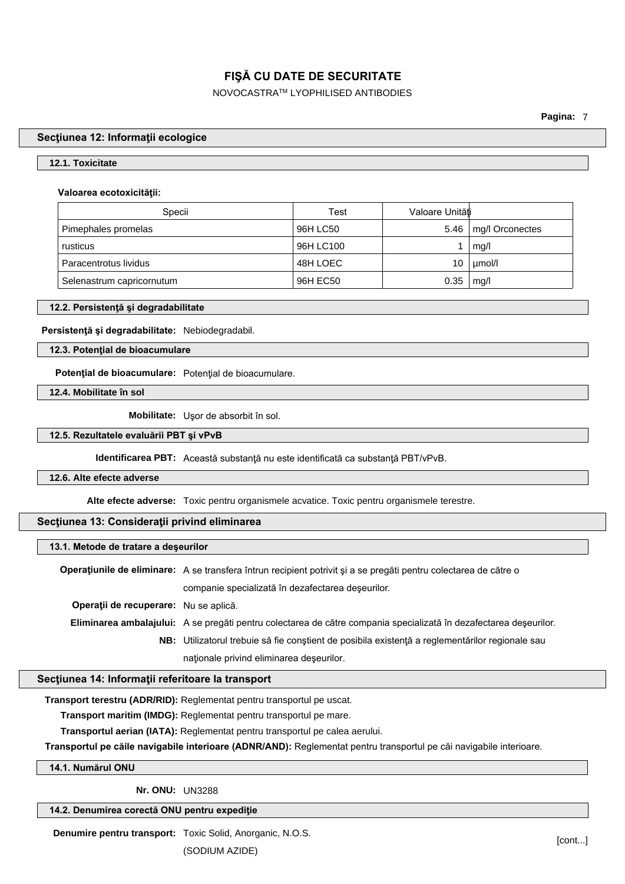NOVOCASTRATM LYOPHILISED ANTIBODIES

**Pagina:** 7

## **Secţiunea 12: Informaţii ecologice**

#### **12.1. Toxicitate**

#### **Valoarea ecotoxicităţii:**

| Specii                    | Test      | Valoare Unităti |                 |
|---------------------------|-----------|-----------------|-----------------|
| Pimephales promelas       | 96H LC50  | 5.46            | mg/l Orconectes |
| rusticus                  | 96H LC100 |                 | mq/l            |
| Paracentrotus lividus     | 48H LOEC  | 10              | umol/l          |
| Selenastrum capricornutum | 96H EC50  | 0.35            | mq/l            |

#### **12.2. Persistenţă şi degradabilitate**

#### **Persistenţă şi degradabilitate:** Nebiodegradabil.

#### **12.3. Potenţial de bioacumulare**

**Potenţial de bioacumulare:** Potenţial de bioacumulare.

**12.4. Mobilitate în sol**

**Mobilitate:** Uşor de absorbit în sol.

#### **12.5. Rezultatele evaluării PBT şi vPvB**

**Identificarea PBT:** Această substanţă nu este identificată ca substanţă PBT/vPvB.

#### **12.6. Alte efecte adverse**

**Alte efecte adverse:** Toxic pentru organismele acvatice. Toxic pentru organismele terestre.

#### **Secţiunea 13: Consideraţii privind eliminarea**

#### **13.1. Metode de tratare a deşeurilor**

**Operaţiunile de eliminare:** A se transfera întrun recipient potrivit şi a se pregăti pentru colectarea de către o companie specializată în dezafectarea deşeurilor. **Operaţii de recuperare:** Nu se aplică. **Eliminarea ambalajului:** A se pregăti pentru colectarea de către compania specializată în dezafectarea deşeurilor. **NB:** Utilizatorul trebuie să fie conştient de posibila existenţă a reglementărilor regionale sau naţionale privind eliminarea deşeurilor.

#### **Secţiunea 14: Informaţii referitoare la transport**

**Transport terestru (ADR/RID):** Reglementat pentru transportul pe uscat.

**Transport maritim (IMDG):** Reglementat pentru transportul pe mare.

**Transportul aerian (IATA):** Reglementat pentru transportul pe calea aerului.

**Transportul pe căile navigabile interioare (ADNR/AND):** Reglementat pentru transportul pe căi navigabile interioare.

#### **14.1. Numărul ONU**

**Nr. ONU:** UN3288

**14.2. Denumirea corectă ONU pentru expediţie**

**Denumire pentru transport:** Toxic Solid, Anorganic, N.O.S.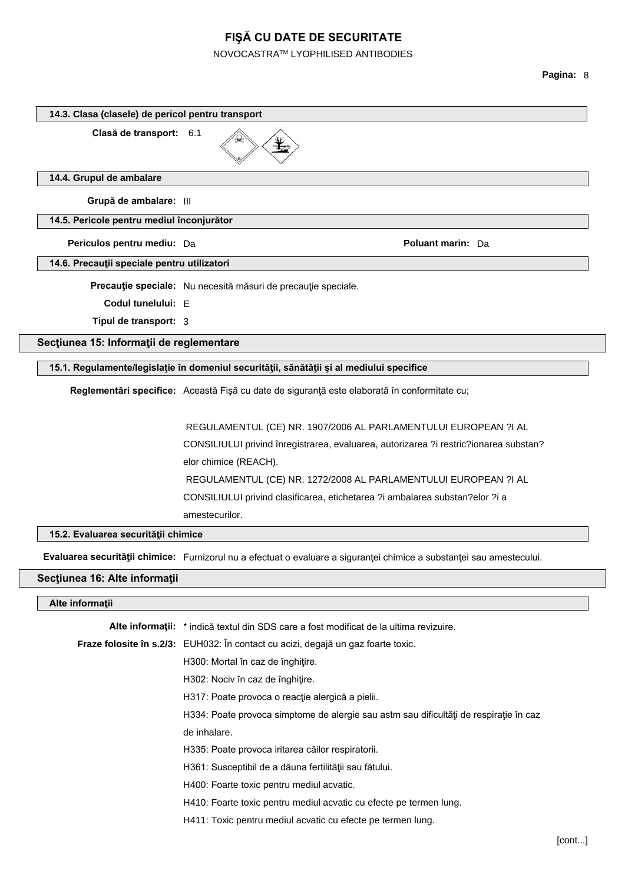## NOVOCASTRATM LYOPHILISED ANTIBODIES

| Clasă de transport: 6.1                     |                                                                                                                                           |
|---------------------------------------------|-------------------------------------------------------------------------------------------------------------------------------------------|
| 14.4. Grupul de ambalare                    |                                                                                                                                           |
| Grupă de ambalare: III                      |                                                                                                                                           |
| 14.5. Pericole pentru mediul înconjurător   |                                                                                                                                           |
| Periculos pentru mediu: Da                  | <b>Poluant marin: Da</b>                                                                                                                  |
| 14.6. Precauții speciale pentru utilizatori |                                                                                                                                           |
|                                             | Precauție speciale: Nu necesită măsuri de precauție speciale.                                                                             |
| Codul tunelului: E                          |                                                                                                                                           |
| Tipul de transport: 3                       |                                                                                                                                           |
| Secțiunea 15: Informații de reglementare    |                                                                                                                                           |
|                                             | 15.1. Regulamente/legislație în domeniul securității, sănătății și al mediului specifice                                                  |
|                                             | Reglementări specifice: Această Fișă cu date de siguranță este elaborată în conformitate cu;                                              |
|                                             |                                                                                                                                           |
|                                             | REGULAMENTUL (CE) NR. 1907/2006 AL PARLAMENTULUI EUROPEAN ?I AL                                                                           |
|                                             | CONSILIULUI privind înregistrarea, evaluarea, autorizarea ?i restric?ionarea substan?                                                     |
|                                             | elor chimice (REACH).                                                                                                                     |
|                                             | REGULAMENTUL (CE) NR. 1272/2008 AL PARLAMENTULUI EUROPEAN ?I AL                                                                           |
|                                             | CONSILIULUI privind clasificarea, etichetarea ?i ambalarea substan?elor ?i a                                                              |
|                                             | amestecurilor.                                                                                                                            |
| 15.2. Evaluarea securității chimice         |                                                                                                                                           |
|                                             | Evaluarea securității chimice: Furnizorul nu a efectuat o evaluare a siguranței chimice a substanței sau amestecului.                     |
| Secțiunea 16: Alte informații               |                                                                                                                                           |
| Alte informații                             |                                                                                                                                           |
|                                             | Alte informații: * indică textul din SDS care a fost modificat de la ultima revizuire.                                                    |
|                                             |                                                                                                                                           |
|                                             |                                                                                                                                           |
|                                             | Fraze folosite în s.2/3: EUH032: În contact cu acizi, degajă un gaz foarte toxic.                                                         |
|                                             | H300: Mortal în caz de înghițire.                                                                                                         |
|                                             | H302: Nociv în caz de înghițire.                                                                                                          |
|                                             | H317: Poate provoca o reacție alergică a pielii.<br>H334: Poate provoca simptome de alergie sau astm sau dificultăți de respirație în caz |
|                                             | de inhalare.                                                                                                                              |
|                                             | H335: Poate provoca iritarea căilor respiratorii.                                                                                         |
|                                             | H361: Susceptibil de a dăuna fertilității sau fătului.                                                                                    |
|                                             | H400: Foarte toxic pentru mediul acvatic.                                                                                                 |
|                                             | H410: Foarte toxic pentru mediul acvatic cu efecte pe termen lung.                                                                        |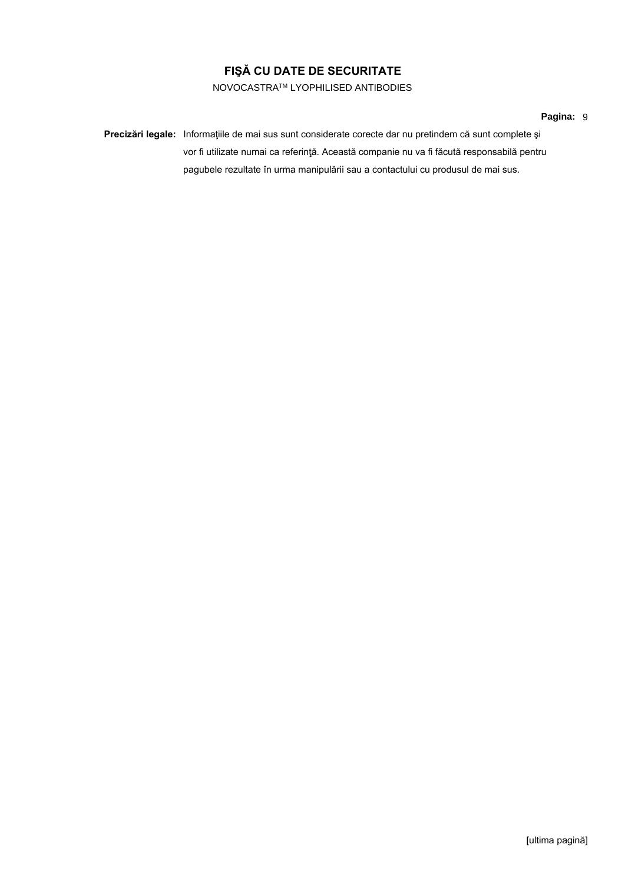NOVOCASTRATM LYOPHILISED ANTIBODIES

#### **Pagina:** 9

**Precizări legale:** Informaţiile de mai sus sunt considerate corecte dar nu pretindem că sunt complete şi vor fi utilizate numai ca referinţă. Această companie nu va fi făcută responsabilă pentru pagubele rezultate în urma manipulării sau a contactului cu produsul de mai sus.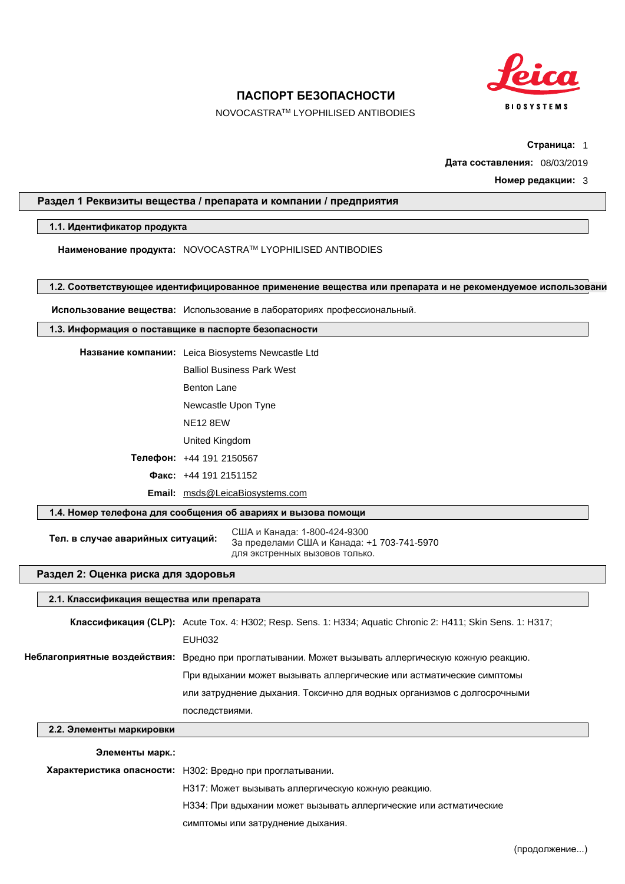

NOVOCASTRATM LYOPHILISED ANTIBODIES

**Страница:** 1

**Дата составления:** 08/03/2019

**Номер редакции:** 3

#### **Раздел 1 Реквизиты вещества / препарата и компании / предприятия**

#### **1.1. Идентификатор продукта**

**Наименование продукта:** NOVOCASTRATM LYOPHILISED ANTIBODIES

#### 1.2. Соответствующее идентифицированное применение вещества или препарата и не рекомендуемое использовани

**Использование вещества:** Использование в лабораториях профессиональный.

#### **1.3. Информация о поставщике в паспорте безопасности**

**Название компании:** Leica Biosystems Newcastle Ltd Balliol Business Park West Benton Lane Newcastle Upon Tyne NE12 8EW United Kingdom

**Телефон:** +44 191 2150567

**Факс:** +44 191 2151152

**Email:** msds@LeicaBiosystems.com

#### **1.4. Номер телефона для сообщения об авариях и вызова помощи**

**Тел. в случае аварийных ситуаций:** США и Канада: 1-800-424-9300 За пределами США и Канада: +1 703-741-5970 для экстренных вызовов только.

#### **Раздел 2: Оценка риска для здоровья**

#### **2.1. Классификация вещества или препарата**

|                              | Классификация (CLP): Acute Tox. 4: H302; Resp. Sens. 1: H334; Aquatic Chronic 2: H411; Skin Sens. 1: H317; |
|------------------------------|------------------------------------------------------------------------------------------------------------|
| EUH032                       |                                                                                                            |
| Неблагоприятные воздействия: | Вредно при проглатывании. Может вызывать аллергическую кожную реакцию.                                     |
|                              | При вдыхании может вызывать аллергические или астматические симптомы                                       |
|                              | или затруднение дыхания. Токсично для водных организмов с долгосрочными                                    |
| последствиями.               |                                                                                                            |

## **2.2. Элементы маркировки**

#### **Элементы марк.:**

**Характеристика опасности:** H302: Вредно при проглатывании.

H317: Может вызывать аллергическую кожную реакцию.

H334: При вдыхании может вызывать аллергические или астматические

симптомы или затруднение дыхания.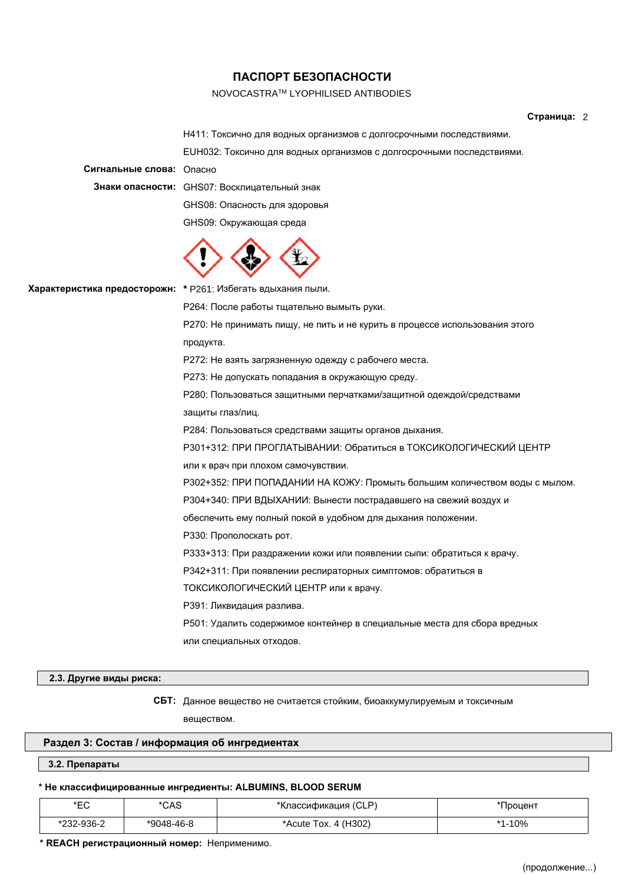#### NOVOCASTRATM LYOPHILISED ANTIBODIES

#### **Страница:** 2

H411: Токсично для водных организмов с долгосрочными последствиями.

EUH032: Токсично для водных организмов с долгосрочными последствиями.

**Сигнальные слова:** Опасно

**Знаки опасности:** GHS07: Восклицательный знак

GHS08: Опасность для здоровья

GHS09: Окружающая среда



**Характеристика предосторожн: \*** P261: Избегать вдыхания пыли.

P264: После работы тщательно вымыть руки.

P270: Не принимать пищу, не пить и не курить в процессе использования этого продукта.

P272: Не взять загрязненную одежду с рабочего места.

P273: Не допускать попадания в окружающую среду.

P280: Пользоваться защитными перчатками/защитной одеждой/средствами

защиты глаз/лиц.

P284: Пользоваться средствами защиты органов дыхания.

P301+312: ПРИ ПРОГЛАТЫВАНИИ: Обратиться в ТОКСИКОЛОГИЧЕСКИЙ ЦЕНТР

или к врач при плохом самочувствии.

P302+352: ПРИ ПОПАДАНИИ НА КОЖУ: Промыть большим количеством воды с мылом.

P304+340: ПРИ ВДЫХАНИИ: Вынести пострадавшего на свежий воздух и

обеспечить ему полный покой в удобном для дыхания положении.

P330: Прополоскать рот.

P333+313: При раздражении кожи или появлении сыпи: обратиться к врачу.

P342+311: При появлении респираторных симптомов: обратиться в

ТОКСИКОЛОГИЧЕСКИЙ ЦЕНТР или к врачу.

P391: Ликвидация разлива.

P501: Удалить содержимое контейнер в специальные места для сбора вредных или специальных отходов.

#### **2.3. Другие виды риска:**

**СБТ:** Данное вещество не считается стойким, биоаккумулируемым и токсичным веществом.

#### **Раздел 3: Состав / информация об ингредиентах**

#### **3.2. Препараты**

#### **\* Не классифицированные ингредиенты: ALBUMINS, BLOOD SERUM**

| *EC        | *CAS       | *Классификация (CLP) | Процент |
|------------|------------|----------------------|---------|
| *232-936-2 | *9048-46-8 | *Acute Tox. 4 (H302) | $-10%$  |

**\* REACH регистрационный номер:** Неприменимо.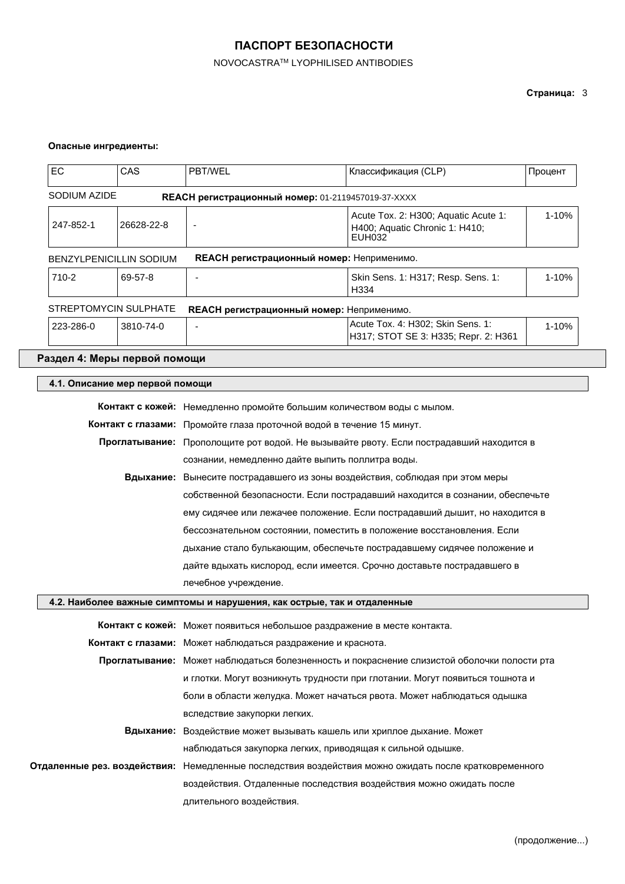## NOVOCASTRATM LYOPHILISED ANTIBODIES

## **Страница:** 3

#### **Опасные ингредиенты:**

| EC                     | CAS                             | PBT/WEL                                                                                 | Классификация (CLP)                                                                         | Процент |
|------------------------|---------------------------------|-----------------------------------------------------------------------------------------|---------------------------------------------------------------------------------------------|---------|
| SODIUM AZIDE           |                                 |                                                                                         | REACH регистрационный номер: 01-2119457019-37-XXXX                                          |         |
| 247-852-1              | 26628-22-8                      |                                                                                         | Acute Tox. 2: H300; Aquatic Acute 1:<br>H400; Aquatic Chronic 1: H410;<br><b>EUH032</b>     | 1-10%   |
|                        | BENZYLPENICILLIN SODIUM         |                                                                                         | <b>REACH регистрационный номер: Неприменимо.</b>                                            |         |
| 710-2                  | 69-57-8                         |                                                                                         | Skin Sens. 1: H317; Resp. Sens. 1:<br>H334                                                  | 1-10%   |
|                        | STREPTOMYCIN SULPHATE           |                                                                                         | <b>REACH регистрационный номер: Неприменимо.</b>                                            |         |
| 223-286-0<br>3810-74-0 |                                 |                                                                                         | Acute Tox. 4: H302; Skin Sens. 1:<br>H317; STOT SE 3: H335; Repr. 2: H361                   | 1-10%   |
|                        | Раздел 4: Меры первой помощи    |                                                                                         |                                                                                             |         |
|                        | 4.1. Описание мер первой помощи |                                                                                         |                                                                                             |         |
|                        |                                 |                                                                                         | Контакт с кожей: Немедленно промойте большим количеством воды с мылом.                      |         |
|                        |                                 |                                                                                         | Контакт с глазами: Промойте глаза проточной водой в течение 15 минут.                       |         |
|                        |                                 | Проглатывание: Прополощите рот водой. Не вызывайте рвоту. Если пострадавший находится в |                                                                                             |         |
|                        |                                 | сознании, немедленно дайте выпить поллитра воды.                                        |                                                                                             |         |
|                        | Вдыхание:                       | Вынесите пострадавшего из зоны воздействия, соблюдая при этом меры                      |                                                                                             |         |
|                        |                                 | собственной безопасности. Если пострадавший находится в сознании, обеспечьте            |                                                                                             |         |
|                        |                                 |                                                                                         | ему сидячее или лежачее положение. Если пострадавший дышит, но находится в                  |         |
|                        |                                 |                                                                                         | бессознательном состоянии, поместить в положение восстановления. Если                       |         |
|                        |                                 |                                                                                         | дыхание стало булькающим, обеспечьте пострадавшему сидячее положение и                      |         |
|                        |                                 |                                                                                         | дайте вдыхать кислород, если имеется. Срочно доставьте пострадавшего в                      |         |
|                        |                                 | лечебное учреждение.                                                                    |                                                                                             |         |
|                        |                                 | 4.2. Наиболее важные симптомы и нарушения, как острые, так и отдаленные                 |                                                                                             |         |
|                        |                                 |                                                                                         | Контакт с кожей: Может появиться небольшое раздражение в месте контакта.                    |         |
|                        |                                 | Контакт с глазами: Может наблюдаться раздражение и краснота.                            |                                                                                             |         |
|                        |                                 |                                                                                         | Проглатывание: Может наблюдаться болезненность и покраснение слизистой оболочки полости рта |         |
|                        |                                 | и глотки. Могут возникнуть трудности при глотании. Могут появиться тошнота и            |                                                                                             |         |
|                        |                                 |                                                                                         | боли в области желудка. Может начаться рвота. Может наблюдаться одышка                      |         |
|                        |                                 | вследствие закупорки легких.                                                            |                                                                                             |         |
|                        |                                 | Вдыхание: Воздействие может вызывать кашель или хриплое дыхание. Может                  |                                                                                             |         |
|                        |                                 |                                                                                         | наблюдаться закупорка легких, приводящая к сильной одышке.                                  |         |
|                        | Отдаленные рез. воздействия:    |                                                                                         | Немедленные последствия воздействия можно ожидать после кратковременного                    |         |
|                        |                                 |                                                                                         | воздействия. Отдаленные последствия воздействия можно ожидать после                         |         |
|                        |                                 | длительного воздействия.                                                                |                                                                                             |         |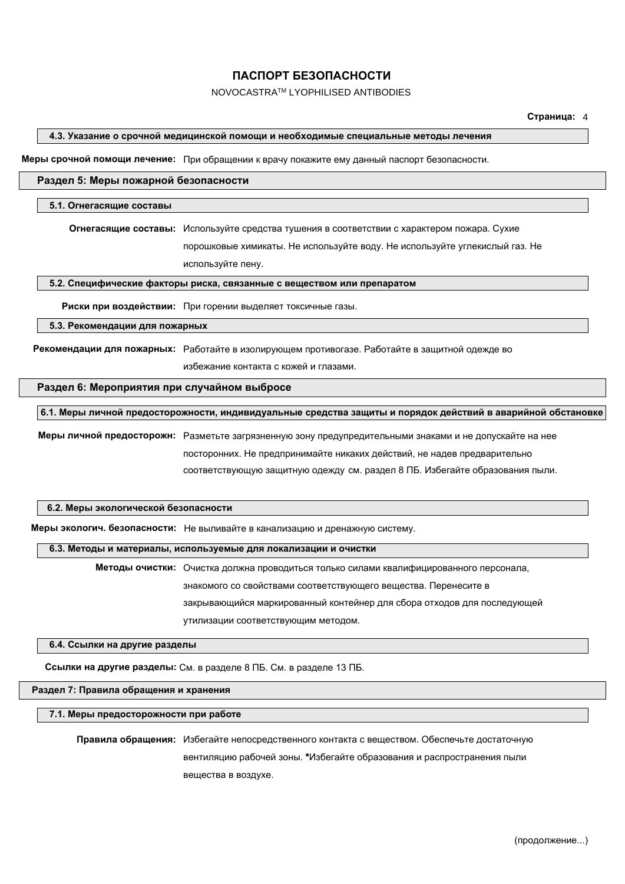#### NOVOCASTRATM LYOPHILISED ANTIBODIES

#### **4.3. Указание о срочной медицинской помощи и необходимые специальные методы лечения**

**Меры срочной помощи лечение:** При обращении к врачу покажите ему данный паспорт безопасности.

#### **Раздел 5: Меры пожарной безопасности**

#### **5.1. Огнегасящие составы**

**Огнегасящие составы:** Используйте средства тушения в соответствии с характером пожара. Сухие порошковые химикаты. Не используйте воду. Не используйте углекислый газ. Не используйте пену.

**5.2. Специфические факторы риска, связанные с веществом или препаратом**

**Риски при воздействии:** При горении выделяет токсичные газы.

**5.3. Рекомендации для пожарных**

**Рекомендации для пожарных:** Работайте в изолирующем противогазе. Работайте в защитной одежде во избежание контакта с кожей и глазами.

#### **Раздел 6: Мероприятия при случайном выбросе**

**6.1. Меры личной предосторожности, индивидуальные средства защиты и порядок действий в аварийной обстановке**

**Меры личной предосторожн:** Разметьте загрязненную зону предупредительными знаками и не допускайте на нее посторонних. Не предпринимайте никаких действий, не надев предварительно соответствующую защитную одежду см. раздел 8 ПБ. Избегайте образования пыли.

#### **6.2. Меры экологической безопасности**

**Меры экологич. безопасности:** Не выливайте в канализацию и дренажную систему.

#### **6.3. Методы и материалы, используемые для локализации и очистки**

**Методы очистки:** Очистка должна проводиться только силами квалифицированного персонала, знакомого со свойствами соответствующего вещества. Перенесите в закрывающийся маркированный контейнер для сбора отходов для последующей утилизации соответствующим методом.

**6.4. Ссылки на другие разделы**

**Ссылки на другие разделы:** См. в разделе 8 ПБ. См. в разделе 13 ПБ.

#### **Раздел 7: Правила обращения и хранения**

**7.1. Меры предосторожности при работе**

**Правила обращения:** Избегайте непосредственного контакта с веществом. Обеспечьте достаточную вентиляцию рабочей зоны. **\***Избегайте образования и распространения пыли вещества в воздухе.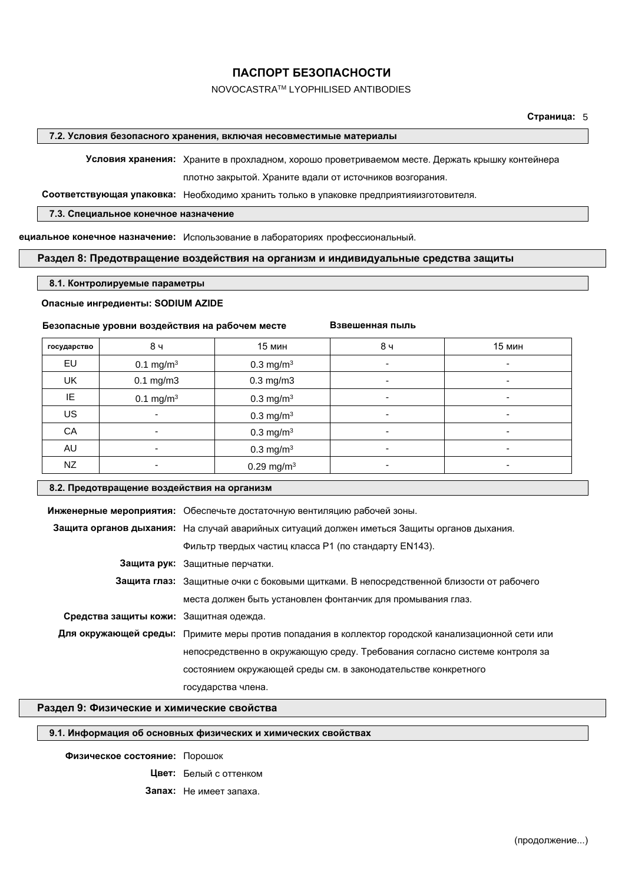#### NOVOCASTRATM LYOPHILISED ANTIBODIES

**Страница:** 5

#### **7.2. Условия безопасного хранения, включая несовместимые материалы**

**Условия хранения:** Храните в прохладном, хорошо проветриваемом месте. Держать крышку контейнера плотно закрытой. Храните вдали от источников возгорания.

**Взвешенная пыль**

**Соответствующая упаковка:** Необходимо хранить только в упаковке предприятияизготовителя.

#### **7.3. Специальное конечное назначение**

**Специальное конечное назначение:** Использование в лабораториях профессиональный.

#### **Раздел 8: Предотвращение воздействия на организм и индивидуальные средства защиты**

#### **8.1. Контролируемые параметры**

#### **Опасные ингредиенты: SODIUM AZIDE**

#### **Безопасные уровни воздействия на рабочем месте**

государство | 8ч | 15 мин | 8ч | 15 мин EU  $0.1 \text{ mg/m}^3$  $0.3 \text{ mg/m}^3$  -  $-$  -  $-$  -UK | 0.1 mg/m3 | 0.3 mg/m3 | - - | - -IE  $0.1 \text{ mg/m}^3$  $0.3 \text{ mg/m}^3$  -  $-$  -  $-$  - $\mathsf{US}$  and  $\mathsf{US}$  . In the contract of  $\mathsf{O}.3 \, \mathsf{mg/m^3}$  . The contract of  $\mathsf{O}.3 \, \mathsf{mg/m^3}$  is the contract of  $\mathsf{O}.3 \, \mathsf{mg/m^3}$  is the contract of  $\mathsf{O}.3 \, \mathsf{mg/m^3}$  is the contract of  $\mathsf{O}.3 \, \mathsf{mg/m^3}$  $\mathsf{CA}$  - and  $\mathsf{CA}$  -  $\mathsf{CA}$  -  $\mathsf{OA}$  -  $\mathsf{CA}$  -  $\mathsf{CA}$  -  $\mathsf{CA}$  -  $\mathsf{CA}$  -  $\mathsf{CA}$  -  $\mathsf{CA}$  -  $\mathsf{CA}$  -  $\mathsf{CA}$  -  $\mathsf{CA}$  -  $\mathsf{CA}$  -  $\mathsf{CA}$  -  $\mathsf{CA}$  -  $\mathsf{CA}$  -  $\mathsf{CA}$  -  $\mathsf{CA}$  -  $\mathsf{CA}$  $\mathsf{A}\mathsf{U}$  and  $\mathsf{I}$  . The contract of  $\mathsf{O}.3 \ \mathsf{mg/m^3}$  is a set of  $\mathsf{I}$  . The contract of  $\mathsf{I}$  $NZ$  - 0.29 mg/m<sup>3</sup> - 0.29 mg/m<sup>3</sup>

#### **8.2. Предотвращение воздействия на организм**

|                                        | Инженерные мероприятия: Обеспечьте достаточную вентиляцию рабочей зоны.                            |  |  |  |
|----------------------------------------|----------------------------------------------------------------------------------------------------|--|--|--|
|                                        | Защита органов дыхания: На случай аварийных ситуаций должен иметься Защиты органов дыхания.        |  |  |  |
|                                        | Фильтр твердых частиц класса P1 (по стандарту EN143).                                              |  |  |  |
|                                        | Защита рук: Защитные перчатки.                                                                     |  |  |  |
|                                        | Защита глаз: Защитные очки с боковыми щитками. В непосредственной близости от рабочего             |  |  |  |
|                                        | места должен быть установлен фонтанчик для промывания глаз.                                        |  |  |  |
| Средства защиты кожи: Защитная одежда. |                                                                                                    |  |  |  |
|                                        | Для окружающей среды: Примите меры против попадания в коллектор городской канализационной сети или |  |  |  |
|                                        | непосредственно в окружающую среду. Требования согласно системе контроля за                        |  |  |  |
|                                        | состоянием окружающей среды см. в законодательстве конкретного                                     |  |  |  |
|                                        | государства члена.                                                                                 |  |  |  |

#### **Раздел 9: Физические и химические свойства**

#### **9.1. Информация об основных физических и химических свойствах**

#### **Физическое состояние:** Порошок

**Цвет:** Белый с оттенком

**Запах:** Не имеет запаха.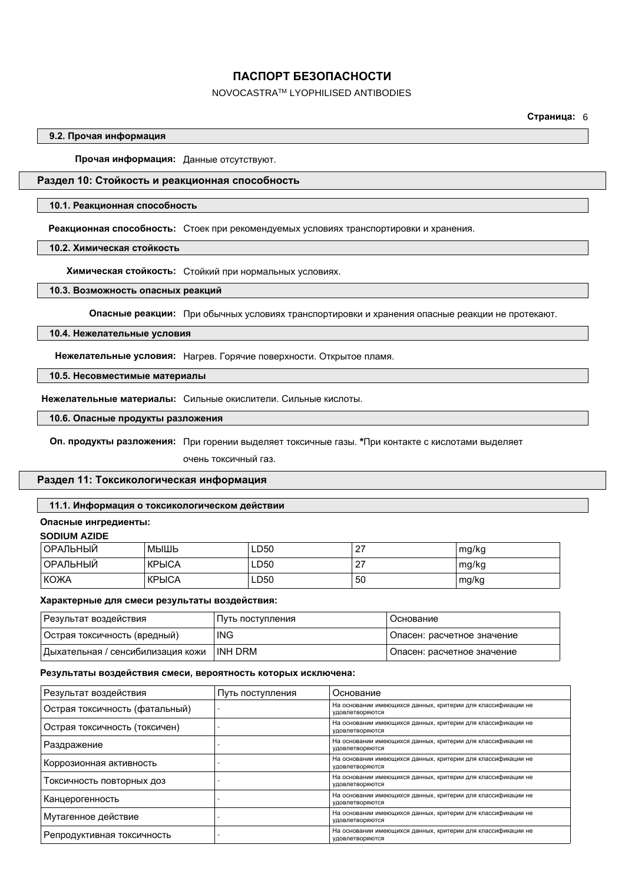#### NOVOCASTRATM LYOPHILISED ANTIBODIES

**Страница:** 6

#### **9.2. Прочая информация**

**Прочая информация:** Данные отсутствуют.

#### **Раздел 10: Стойкость и реакционная способность**

#### **10.1. Реакционная способность**

**Реакционная способность:** Стоек при рекомендуемых условиях транспортировки и хранения.

**10.2. Химическая стойкость**

**Химическая стойкость:** Стойкий при нормальных условиях.

#### **10.3. Возможность опасных реакций**

**Опасные реакции:** При обычных условиях транспортировки и хранения опасные реакции не протекают.

#### **10.4. Нежелательные условия**

**Нежелательные условия:** Нагрев. Горячие поверхности. Открытое пламя.

#### **10.5. Несовместимые материалы**

**Нежелательные материалы:** Сильные окислители. Сильные кислоты.

**10.6. Опасные продукты разложения**

**Оп. продукты разложения:** При горении выделяет токсичные газы. **\***При контакте с кислотами выделяет

очень токсичный газ.

#### **Раздел 11: Токсикологическая информация**

#### **11.1. Информация о токсикологическом действии**

#### **Опасные ингредиенты:**

#### **SODIUM AZIDE**

| ' ОРАЛЬНЫЙ | МЫШЬ         | LD50 | <u>.</u> | mg/kg |
|------------|--------------|------|----------|-------|
| ' ОРАЛЬНЫЙ | <b>КРЫСА</b> | LD50 |          | mg/kg |
| KOXA       | <b>КРЫСА</b> | LD50 | 50       | mg/kg |

#### **Характерные для смеси результаты воздействия:**

| Результат воздействия             | Путь поступления | Основание                  |
|-----------------------------------|------------------|----------------------------|
| ∣Острая токсичность (вредный)     | <b>ING</b>       | Опасен: расчетное значение |
| Дыхательная / сенсибилизация кожи | INH DRM          | Опасен: расчетное значение |

#### **Результаты воздействия смеси, вероятность которых исключена:**

| Результат воздействия          | Путь поступления | Основание                                                                                       |
|--------------------------------|------------------|-------------------------------------------------------------------------------------------------|
| Острая токсичность (фатальный) |                  | На основании имеющихся данных, критерии для классификации не<br>удовлетворяются                 |
| Острая токсичность (токсичен)  |                  | На основании имеющихся данных, критерии для классификации не<br>удовлетворяются                 |
| Раздражение                    |                  | На основании имеющихся данных, критерии для классификации не<br><b>УДОВЛЕТВОРЯЮТСЯ</b>          |
| Коррозионная активность        |                  | На основании имеющихся данных, критерии для классификации не<br>удовлетворяются                 |
| Токсичность повторных доз      |                  | На основании имеющихся данных, критерии для классификации не<br>удовлетворяются                 |
| Канцерогенность                |                  | На основании имеющихся данных, критерии для классификации не<br>удовлетворяются                 |
| Мутагенное действие            |                  | На основании имеющихся данных, критерии для классификации не<br>удовлетворяются                 |
| Репродуктивная токсичность     |                  | На основании имеющихся данных, критерии для классификации не<br><b>УДОВЛ</b> ЕТВО <b>РЯЮТСЯ</b> |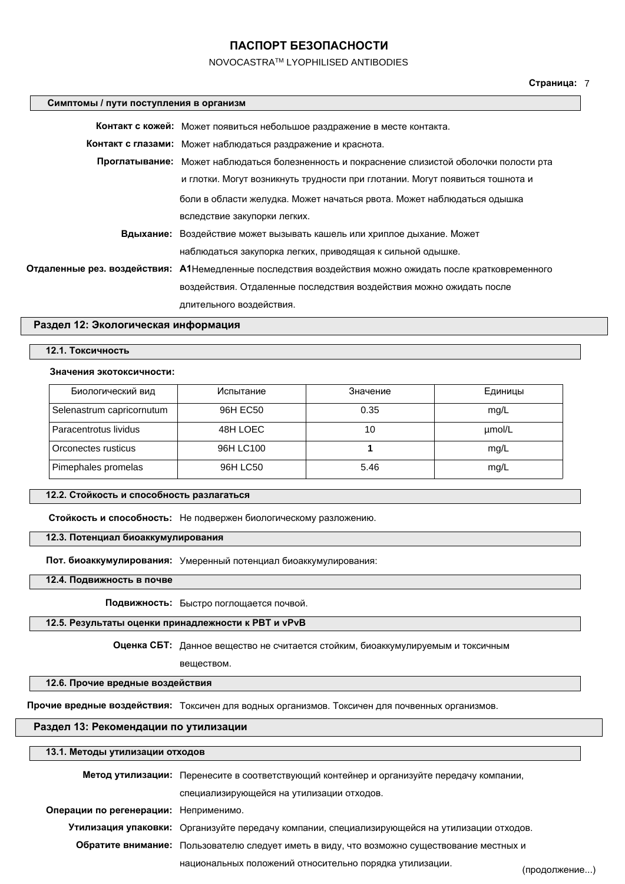#### NOVOCASTRATM LYOPHILISED ANTIBODIES

#### **Симптомы / пути поступления в организм**

| Контакт с кожей: Может появиться небольшое раздражение в месте контакта.                                |  |
|---------------------------------------------------------------------------------------------------------|--|
| Контакт с глазами: Может наблюдаться раздражение и краснота.                                            |  |
| Проглатывание: Может наблюдаться болезненность и покраснение слизистой оболочки полости рта             |  |
| и глотки. Могут возникнуть трудности при глотании. Могут появиться тошнота и                            |  |
| боли в области желудка. Может начаться рвота. Может наблюдаться одышка                                  |  |
| вследствие закупорки легких.                                                                            |  |
| Вдыхание: Воздействие может вызывать кашель или хриплое дыхание. Может                                  |  |
| наблюдаться закупорка легких, приводящая к сильной одышке.                                              |  |
| Отдаленные рез. воздействия: А1Немедленные последствия воздействия можно ожидать после кратковременного |  |
| воздействия. Отдаленные последствия воздействия можно ожидать после                                     |  |
| длительного воздействия.                                                                                |  |

#### **Раздел 12: Экологическая информация**

#### **12.1. Токсичность**

#### **Значения экотоксичности:**

| Биологический вид         | Испытание | Значение | Единицы |
|---------------------------|-----------|----------|---------|
| Selenastrum capricornutum | 96H EC50  | 0.35     | mg/L    |
| Paracentrotus lividus     | 48H LOEC  | 10       | µmol/L  |
| Orconectes rusticus       | 96H LC100 |          | mg/L    |
| Pimephales promelas       | 96H LC50  | 5.46     | mg/L    |

#### **12.2. Стойкость и способность разлагаться**

**Стойкость и способность:** Не подвержен биологическому разложению.

#### **12.3. Потенциал биоаккумулирования**

**Пот. биоаккумулирования:** Умеренный потенциал биоаккумулирования:

**12.4. Подвижность в почве**

 $\overline{\phantom{a}}$ 

**Подвижность:** Быстро поглощается почвой.

#### **12.5. Результаты оценки принадлежности к PBT и vPvB**

**Оценка СБТ:** Данное вещество не считается стойким, биоаккумулируемым и токсичным

# веществом.

**12.6. Прочие вредные воздействия**

**Прочие вредные воздействия:** Токсичен для водных организмов. Токсичен для почвенных организмов.

#### **Раздел 13: Рекомендации по утилизации**

| 13.1. Методы утилизации отходов       |                                                                                               |               |
|---------------------------------------|-----------------------------------------------------------------------------------------------|---------------|
|                                       | Метод утилизации: Перенесите в соответствующий контейнер и организуйте передачу компании,     |               |
|                                       | специализирующейся на утилизации отходов.                                                     |               |
| Операции по регенерации: Неприменимо. |                                                                                               |               |
|                                       | Утилизация упаковки: Организуйте передачу компании, специализирующейся на утилизации отходов. |               |
|                                       | Обратите внимание: Пользователю следует иметь в виду, что возможно существование местных и    |               |
|                                       | национальных положений относительно порядка утилизации.                                       | (продолжение) |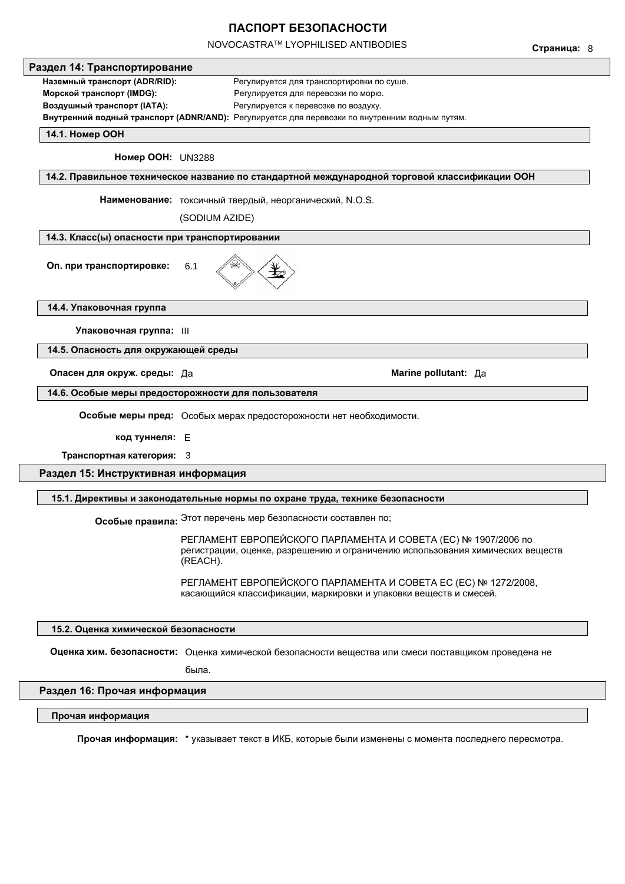NOVOCASTRATM LYOPHILISED ANTIBODIES

**Страница:** 8 **14.4. Упаковочная группа Упаковочная группа:** III **14.5. Опасность для окружающей среды Опасен для окруж. среды:** Да **Marine pollutant:** Да **14.6. Особые меры предосторожности для пользователя Особые меры пред:** Oсобых мерах предосторожности нет необходимости. **код туннеля:** E **Раздел 15: Инструктивная информация 15.1. Директивы и законодательные нормы по охране труда, технике безопасности Особые правила:** Этот перечень мер безопасности составлен по; **15.2. Оценка химической безопасности Оценка хим. безопасности:** Оценка химической безопасности вещества или смеси поставщиком проведена не была. **Раздел 16: Прочая информация Прочая информация Прочая информация:** \* указывает текст в ИКБ, которые были изменены с момента последнего пересмотра. **14.1. Номер ООН Номер ООН:** UN3288 **14.2. Правильное техническое название по стандартной международной торговой классификации ООН Наименование:** токсичный твердый, неорганический, N.O.S. (SODIUM AZIDE) **14.3. Класс(ы) опасности при транспортировании Оп. при транспортировке:** 6.1 **Раздел 14: Транспортирование Наземный транспорт (ADR/RID):** Регулируется для транспортировки по суше. **Морской транспорт (IMDG):** Регулируется для перевозки по морю. **Воздушный транспорт (IATA):** Регулируется к перевозке по воздуху. **Внутренний водный транспорт (ADNR/AND):** Pегулируется для перевозки по внутренним водным путям. РЕГЛАМЕНТ ЕВРОПЕЙСКОГО ПАРЛАМЕНТА И СОВЕТА (ЕС) № 1907/2006 по регистрации, оценке, разрешению и ограничению использования химических веществ (REACH). РЕГЛАМЕНТ ЕВРОПЕЙСКОГО ПАРЛАМЕНТА И СОВЕТА ЕС (ЕС) № 1272/2008, касающийся классификации, маркировки и упаковки веществ и смесей. **Транспортная категория:** 3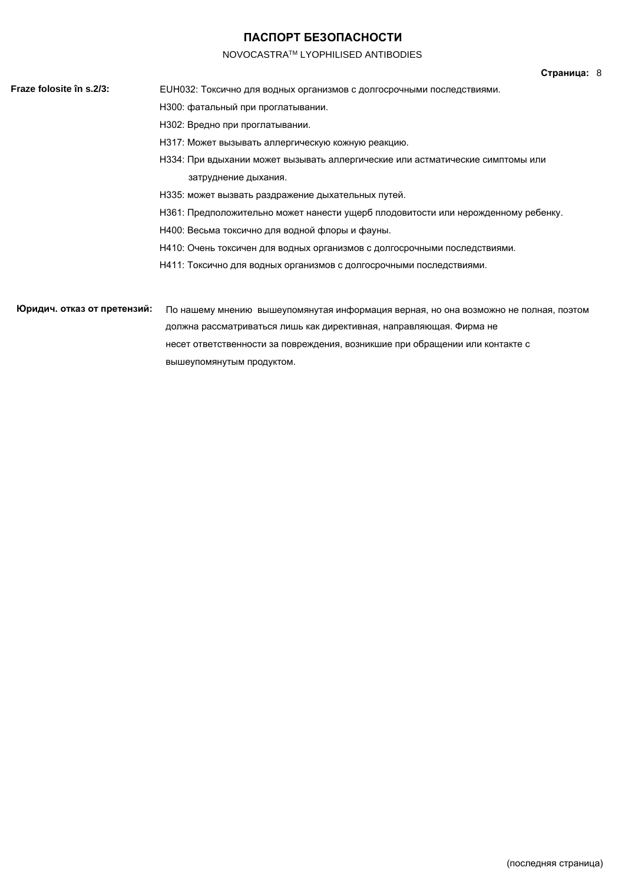#### **Страница:** 8

- NOVOCASTRATM LYOPHILISED ANTIBODIES **Fraze folosite în s.2/3:** EUH032: Токсично для водных организмов с долгосрочными последствиями. H300: фатальный при проглатывании. H302: Вредно при проглатывании. H317: Может вызывать аллергическую кожную реакцию. H334: При вдыхании может вызывать аллергические или астматические симптомы или затруднение дыхания. H335: может вызвать раздражение дыхательных путей. H361: Предположительно может нанести ущерб плодовитости или нерожденному ребенку. H400: Весьма токсично для водной флоры и фауны. H410: Очень токсичен для водных организмов с долгосрочными последствиями. H411: Токсично для водных организмов с долгосрочными последствиями.
- **Юридич. отказ от претензий:** По нашему мнению вышеупомянутая информация верная, но она возможно не полная, поэтому должна рассматриваться лишь как директивная, направляющая. Фирма не несет ответственности за повреждения, возникшие при обращении или контакте с вышеупомянутым продуктом.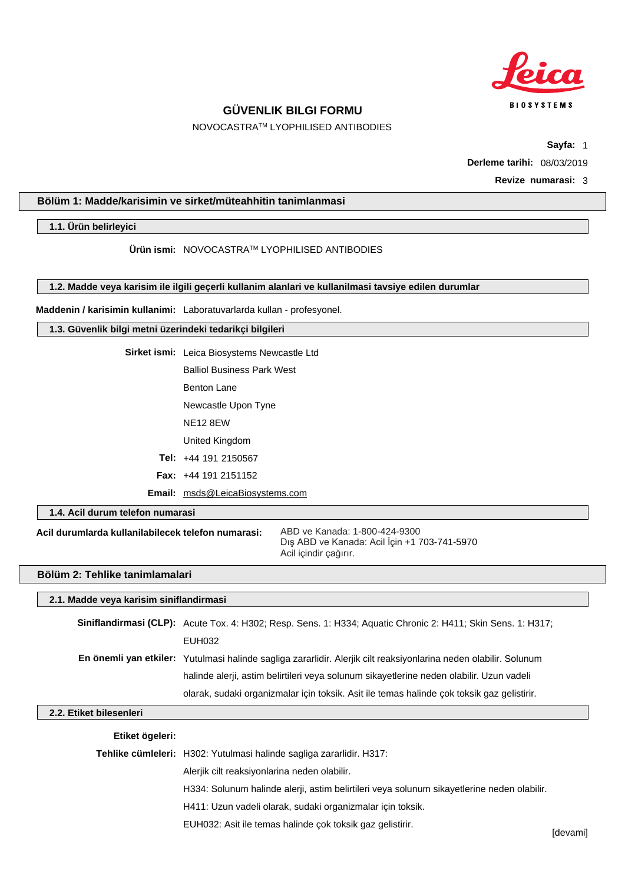

NOVOCASTRATM LYOPHILISED ANTIBODIES

**Sayfa:** 1

**Derleme tarihi:** 08/03/2019

**Revize numarasi:** 3

## **Bölüm 1: Madde/karisimin ve sirket/müteahhitin tanimlanmasi**

**1.1. Ürün belirleyici**

**Ürün ismi:** NOVOCASTRATM LYOPHILISED ANTIBODIES

**1.2. Madde veya karisim ile ilgili geçerli kullanim alanlari ve kullanilmasi tavsiye edilen durumlar**

**Maddenin / karisimin kullanimi:** Laboratuvarlarda kullan - profesyonel.

#### **1.3. Güvenlik bilgi metni üzerindeki tedarikçi bilgileri**

**Sirket ismi:** Leica Biosystems Newcastle Ltd Balliol Business Park West Benton Lane Newcastle Upon Tyne NE12 8EW United Kingdom **Tel:** +44 191 2150567 **Fax:** +44 191 2151152

**Email:** msds@LeicaBiosystems.com

**1.4. Acil durum telefon numarasi**

**Acil durumlarda kullanilabilecek telefon numarasi:**

ABD ve Kanada: 1-800-424-9300 Dış ABD ve Kanada: Acil İçin +1 703-741-5970 Acil içindir çağırır.

#### **Bölüm 2: Tehlike tanimlamalari**

#### **2.1. Madde veya karisim siniflandirmasi**

| Siniflandirmasi (CLP): Acute Tox. 4: H302; Resp. Sens. 1: H334; Aquatic Chronic 2: H411; Skin Sens. 1: H317;      |
|-------------------------------------------------------------------------------------------------------------------|
| EUH032                                                                                                            |
| En önemli yan etkiler: Yutulmasi halinde sagliga zararlidir. Alerjik cilt reaksiyonlarina neden olabilir. Solunum |
| halinde alerii, astim belirtileri veya solunum sikayetlerine neden olabilir. Uzun vadeli                          |
| olarak, sudaki organizmalar için toksik. Asit ile temas halinde çok toksik gaz gelistirir.                        |

#### **2.2. Etiket bilesenleri**

#### **Etiket ögeleri:**

| Tehlike cümleleri: H302: Yutulmasi halinde sagliga zararlidir. H317:                       |  |
|--------------------------------------------------------------------------------------------|--|
| Aleriik cilt reaksiyonlarina neden olabilir.                                               |  |
| H334: Solunum halinde alerji, astim belirtileri veya solunum sikayetlerine neden olabilir. |  |
| H411: Uzun vadeli olarak, sudaki organizmalar için toksik.                                 |  |
| EUH032: Asit ile temas halinde çok toksik gaz gelistirir.                                  |  |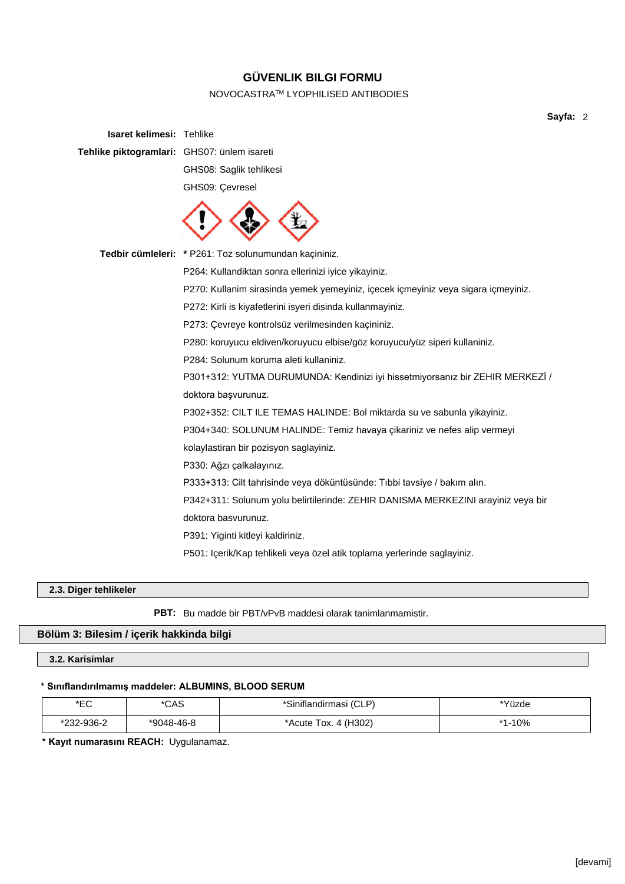## NOVOCASTRATM LYOPHILISED ANTIBODIES

**Sayfa:** 2

| <b>Isaret kelimesi: Tehlike</b>             |                                                                                   |
|---------------------------------------------|-----------------------------------------------------------------------------------|
| Tehlike piktogramlari: GHS07: ünlem isareti |                                                                                   |
|                                             | GHS08: Saglik tehlikesi                                                           |
|                                             | GHS09: Çevresel                                                                   |
|                                             |                                                                                   |
|                                             | Tedbir cümleleri: * P261: Toz solunumundan kaçininiz.                             |
|                                             | P264: Kullandiktan sonra ellerinizi iyice yikayiniz.                              |
|                                             | P270: Kullanim sirasinda yemek yemeyiniz, içecek içmeyiniz veya sigara içmeyiniz. |
|                                             | P272: Kirli is kiyafetlerini isyeri disinda kullanmayiniz.                        |
|                                             | P273: Çevreye kontrolsüz verilmesinden kaçininiz.                                 |
|                                             | P280: koruyucu eldiven/koruyucu elbise/göz koruyucu/yüz siperi kullaniniz.        |
|                                             | P284: Solunum koruma aleti kullaniniz.                                            |
|                                             | P301+312: YUTMA DURUMUNDA: Kendinizi iyi hissetmiyorsanız bir ZEHIR MERKEZİ /     |
|                                             | doktora başvurunuz.                                                               |
|                                             | P302+352: CILT ILE TEMAS HALINDE: Bol miktarda su ve sabunla yikayiniz.           |
|                                             | P304+340: SOLUNUM HALINDE: Temiz havaya çikariniz ve nefes alip vermeyi           |
|                                             | kolaylastiran bir pozisyon saglayiniz.                                            |
|                                             | P330: Ağzı çalkalayınız.                                                          |
|                                             | P333+313: Cilt tahrisinde veya döküntüsünde: Tıbbi tavsiye / bakım alın.          |
|                                             | P342+311: Solunum yolu belirtilerinde: ZEHIR DANISMA MERKEZINI arayiniz veya bir  |
|                                             | doktora basvurunuz.                                                               |
|                                             | P391: Yiginti kitleyi kaldiriniz.                                                 |
|                                             | P501: Içerik/Kap tehlikeli veya özel atik toplama yerlerinde saglayiniz.          |
|                                             |                                                                                   |

## **2.3. Diger tehlikeler**

**PBT:** Bu madde bir PBT/vPvB maddesi olarak tanimlanmamistir.

## **Bölüm 3: Bilesim / içerik hakkinda bilgi**

**3.2. Karisimlar**

#### **\* Sınıflandırılmamış maddeler: ALBUMINS, BLOOD SERUM**

| ∗⊏∩<br>└            | *CAS       | *Siniflandirmasi (CLP)               | *Yüzde |
|---------------------|------------|--------------------------------------|--------|
| 232-936-2<br>້∗ດດດ∴ | *9048-46-8 | 4 (H <sub>3</sub> 02)<br>*Acute Tox. | 10%    |

**\* Kayıt numarasını REACH:** Uygulanamaz.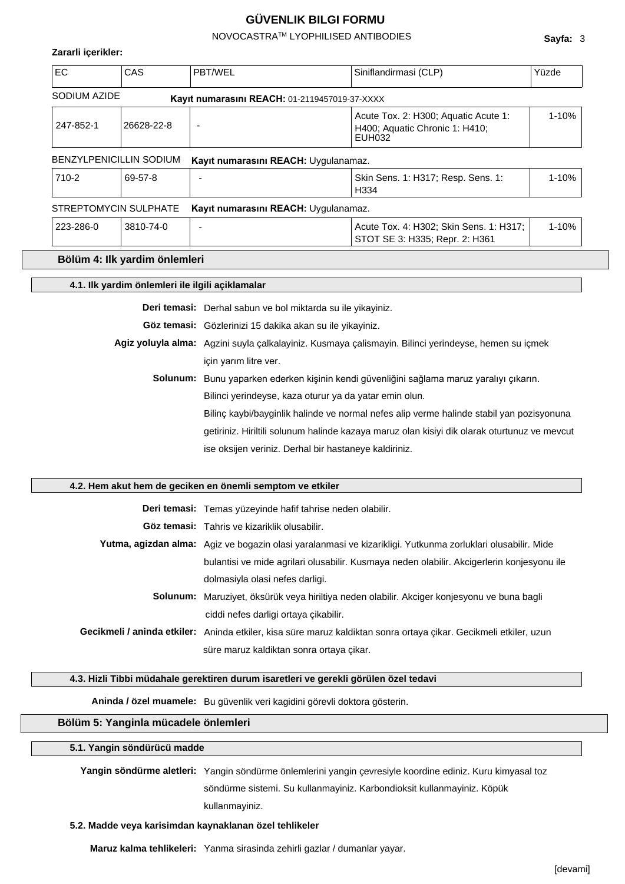#### NOVOCASTRATM LYOPHILISED ANTIBODIES

#### **Zararli içerikler:**

| <b>EC</b>    | CAS                     | <b>PBT/WFL</b>                                | Siniflandirmasi (CLP)                                                            | Yüzde     |
|--------------|-------------------------|-----------------------------------------------|----------------------------------------------------------------------------------|-----------|
| SODIUM AZIDE |                         | Kayıt numarasını REACH: 01-2119457019-37-XXXX |                                                                                  |           |
| 247-852-1    | 26628-22-8              |                                               | Acute Tox. 2: H300; Aquatic Acute 1:<br>H400; Aquatic Chronic 1: H410;<br>EUH032 | $1 - 10%$ |
|              | BENZYLPENICILLIN SODIUM | Kayıt numarasını REACH: Uygulanamaz.          |                                                                                  |           |
| 710-2        | 69-57-8                 |                                               | Skin Sens. 1: H317; Resp. Sens. 1:<br>H334                                       | $1 - 10%$ |
|              | STREPTOMYCIN SULPHATE   | Kayıt numarasını REACH: Uygulanamaz.          |                                                                                  |           |
| 223-286-0    | $3810 - 74 - 0$         |                                               | Acute Tox. 4: H302; Skin Sens. 1: H317;<br>STOT SE 3: H335; Repr. 2: H361        | $1 - 10%$ |

**Bölüm 4: Ilk yardim önlemleri**

#### **4.1. Ilk yardim önlemleri ile ilgili açiklamalar**

**Deri temasi:** Derhal sabun ve bol miktarda su ile yikayiniz.

**Göz temasi:** Gözlerinizi 15 dakika akan su ile yikayiniz.

**Agiz yoluyla alma:** Agzini suyla çalkalayiniz. Kusmaya çalismayin. Bilinci yerindeyse, hemen su içmek için yarım litre ver.

**Solunum:** Bunu yaparken ederken kişinin kendi güvenliğini sağlama maruz yaralıyı çıkarın.

Bilinci yerindeyse, kaza oturur ya da yatar emin olun.

Bilinç kaybi/bayginlik halinde ve normal nefes alip verme halinde stabil yan pozisyonuna getiriniz. Hiriltili solunum halinde kazaya maruz olan kisiyi dik olarak oturtunuz ve mevcut ise oksijen veriniz. Derhal bir hastaneye kaldiriniz.

#### **4.2. Hem akut hem de geciken en önemli semptom ve etkiler**

| Deri temasi: Temas yüzeyinde hafif tahrise neden olabilir.                                                        |  |
|-------------------------------------------------------------------------------------------------------------------|--|
| <b>Göz temasi:</b> Tahris ve kizariklik olusabilir.                                                               |  |
| Yutma, agizdan alma: Agiz ve bogazin olasi yaralanmasi ve kizarikligi. Yutkunma zorluklari olusabilir. Mide       |  |
| bulantisi ve mide agrilari olusabilir. Kusmaya neden olabilir. Akcigerlerin konjesyonu ile                        |  |
| dolmasiyla olasi nefes darligi.                                                                                   |  |
| <b>Solunum:</b> Maruziyet, öksürük veya hiriltiya neden olabilir. Akciger konjesyonu ve buna bagli                |  |
| ciddi nefes darligi ortaya çikabilir.                                                                             |  |
| Gecikmeli / aninda etkiler: Aninda etkiler, kisa süre maruz kaldiktan sonra ortaya çikar. Gecikmeli etkiler, uzun |  |
| süre maruz kaldiktan sonra ortaya çikar.                                                                          |  |

#### **4.3. Hizli Tibbi müdahale gerektiren durum isaretleri ve gerekli görülen özel tedavi**

**Aninda / özel muamele:** Bu güvenlik veri kagidini görevli doktora gösterin.

#### **Bölüm 5: Yanginla mücadele önlemleri**

#### **5.1. Yangin söndürücü madde**

**Yangin söndürme aletleri:** Yangin söndürme önlemlerini yangin çevresiyle koordine ediniz. Kuru kimyasal toz söndürme sistemi. Su kullanmayiniz. Karbondioksit kullanmayiniz. Köpük kullanmayiniz.

#### **5.2. Madde veya karisimdan kaynaklanan özel tehlikeler**

**Maruz kalma tehlikeleri:** Yanma sirasinda zehirli gazlar / dumanlar yayar.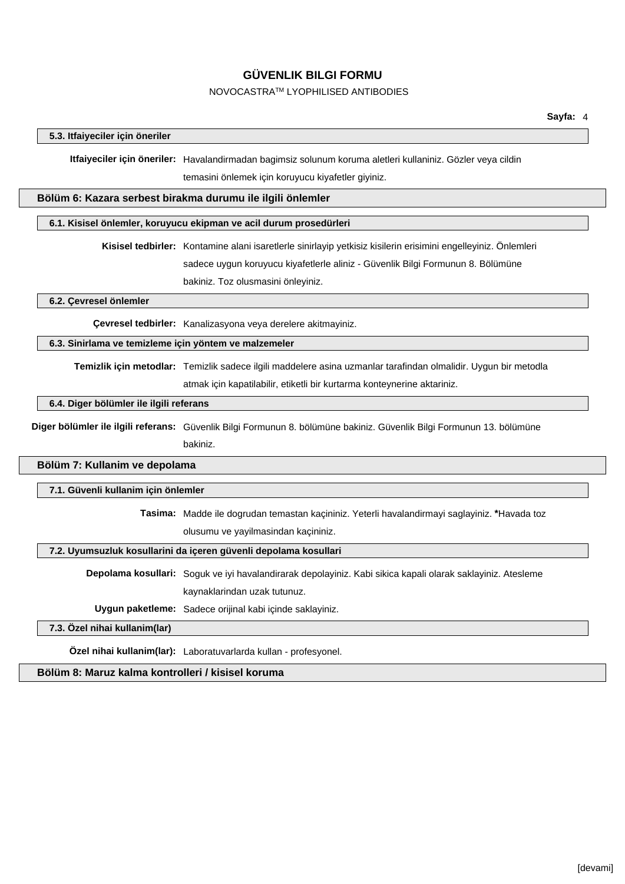#### NOVOCASTRATM LYOPHILISED ANTIBODIES

#### **5.3. Itfaiyeciler için öneriler**

**Itfaiyeciler için öneriler:** Havalandirmadan bagimsiz solunum koruma aletleri kullaniniz. Gözler veya cildin temasini önlemek için koruyucu kiyafetler giyiniz.

#### **Bölüm 6: Kazara serbest birakma durumu ile ilgili önlemler**

#### **6.1. Kisisel önlemler, koruyucu ekipman ve acil durum prosedürleri**

**Kisisel tedbirler:** Kontamine alani isaretlerle sinirlayip yetkisiz kisilerin erisimini engelleyiniz. Önlemleri

sadece uygun koruyucu kiyafetlerle aliniz - Güvenlik Bilgi Formunun 8. Bölümüne

bakiniz. Toz olusmasini önleyiniz.

**6.2. Çevresel önlemler**

**Çevresel tedbirler:** Kanalizasyona veya derelere akitmayiniz.

#### **6.3. Sinirlama ve temizleme için yöntem ve malzemeler**

**Temizlik için metodlar:** Temizlik sadece ilgili maddelere asina uzmanlar tarafindan olmalidir. Uygun bir metodla atmak için kapatilabilir, etiketli bir kurtarma konteynerine aktariniz.

#### **6.4. Diger bölümler ile ilgili referans**

**Diger bölümler ile ilgili referans:** Güvenlik Bilgi Formunun 8. bölümüne bakiniz. Güvenlik Bilgi Formunun 13. bölümüne bakiniz.

#### **Bölüm 7: Kullanim ve depolama**

#### **7.1. Güvenli kullanim için önlemler**

**Tasima:** Madde ile dogrudan temastan kaçininiz. Yeterli havalandirmayi saglayiniz. **\***Havada toz olusumu ve yayilmasindan kaçininiz.

#### **7.2. Uyumsuzluk kosullarini da içeren güvenli depolama kosullari**

**Depolama kosullari:** Soguk ve iyi havalandirarak depolayiniz. Kabi sikica kapali olarak saklayiniz. Atesleme kaynaklarindan uzak tutunuz.

**Uygun paketleme:** Sadece orijinal kabi içinde saklayiniz.

#### **7.3. Özel nihai kullanim(lar)**

**Özel nihai kullanim(lar):** Laboratuvarlarda kullan - profesyonel.

#### **Bölüm 8: Maruz kalma kontrolleri / kisisel koruma**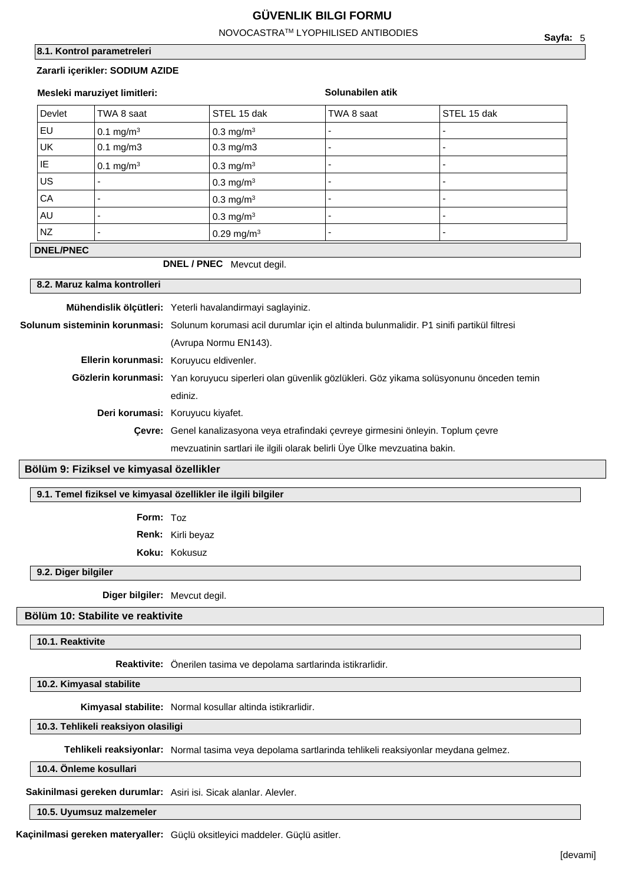#### NOVOCASTRATM LYOPHILISED ANTIBODIES

#### **8.1. Kontrol parametreleri**

#### **Zararli içerikler: SODIUM AZIDE**

| Mesleki maruziyet limitleri: |                       | Solunabilen atik        |                          |                          |
|------------------------------|-----------------------|-------------------------|--------------------------|--------------------------|
| Devlet                       | TWA 8 saat            | STEL 15 dak             | TWA 8 saat               | STEL 15 dak              |
| EU                           | 0.1 mg/m <sup>3</sup> | $0.3 \text{ mg/m}^3$    |                          |                          |
| UK                           | $0.1$ mg/m $3$        | $0.3$ mg/m $3$          | $\overline{\phantom{0}}$ |                          |
| ΙE                           | $0.1 \text{ mg/m}^3$  | $0.3$ mg/m <sup>3</sup> | $\overline{\phantom{0}}$ | $\overline{\phantom{0}}$ |
| US                           |                       | $0.3$ mg/m <sup>3</sup> |                          |                          |
| CA                           |                       | $0.3$ mg/m <sup>3</sup> | $\overline{\phantom{0}}$ |                          |
| AU                           |                       | $0.3$ mg/m <sup>3</sup> | $\overline{\phantom{0}}$ |                          |
| <b>NZ</b>                    |                       | 0.29 mg/m <sup>3</sup>  | $\overline{\phantom{0}}$ |                          |
| <b>DNEL/PNEC</b>             |                       |                         |                          |                          |

## **DNEL / PNEC** Mevcut degil.

#### **8.2. Maruz kalma kontrolleri**

**Mühendislik ölçütleri:** Yeterli havalandirmayi saglayiniz.

**Solunum sisteminin korunmasi:** Solunum korumasi acil durumlar için el altinda bulunmalidir. P1 sinifi partikül filtresi (Avrupa Normu EN143). **Ellerin korunmasi:** Koruyucu eldivenler. **Gözlerin korunmasi:** Yan koruyucu siperleri olan güvenlik gözlükleri. Göz yikama solüsyonunu önceden temin ediniz. **Deri korumasi:** Koruyucu kiyafet. **Çevre:** Genel kanalizasyona veya etrafindaki çevreye girmesini önleyin. Toplum çevre mevzuatinin sartlari ile ilgili olarak belirli Üye Ülke mevzuatina bakin.

#### **Bölüm 9: Fiziksel ve kimyasal özellikler**

#### **9.1. Temel fiziksel ve kimyasal özellikler ile ilgili bilgiler**

**Form:** Toz

**Renk:** Kirli beyaz

**Koku:** Kokusuz

#### **9.2. Diger bilgiler**

**Diger bilgiler:** Mevcut degil.

#### **Bölüm 10: Stabilite ve reaktivite**

**10.1. Reaktivite**

**Reaktivite:** Önerilen tasima ve depolama sartlarinda istikrarlidir.

**10.2. Kimyasal stabilite**

**Kimyasal stabilite:** Normal kosullar altinda istikrarlidir.

**10.3. Tehlikeli reaksiyon olasiligi**

**Tehlikeli reaksiyonlar:** Normal tasima veya depolama sartlarinda tehlikeli reaksiyonlar meydana gelmez.

**10.4. Önleme kosullari**

**Sakinilmasi gereken durumlar:** Asiri isi. Sicak alanlar. Alevler.

**10.5. Uyumsuz malzemeler**

**Kaçinilmasi gereken materyaller:** Güçlü oksitleyici maddeler. Güçlü asitler.

**Sayfa:** 5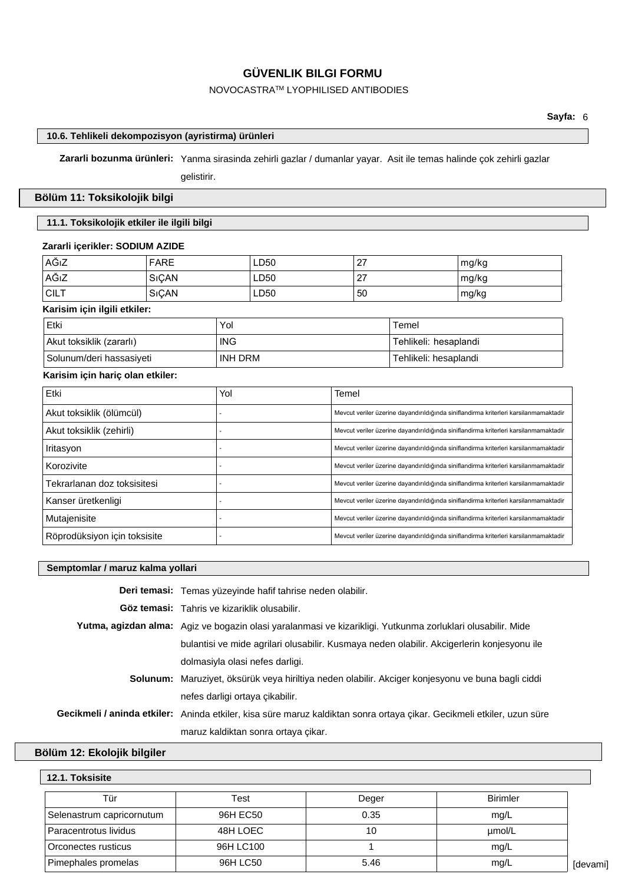#### NOVOCASTRATM LYOPHILISED ANTIBODIES

#### **10.6. Tehlikeli dekompozisyon (ayristirma) ürünleri**

**Zararli bozunma ürünleri:** Yanma sirasinda zehirli gazlar / dumanlar yayar. Asit ile temas halinde çok zehirli gazlar

gelistirir.

#### **Bölüm 11: Toksikolojik bilgi**

#### **11.1. Toksikolojik etkiler ile ilgili bilgi**

#### **Zararli içerikler: SODIUM AZIDE**

| AĞıZ        | <b>FARE</b> | LD50 | -27 | mg/kg |
|-------------|-------------|------|-----|-------|
| AĞıZ        | SIÇAN       | LD50 |     | mg/kg |
| <b>CILT</b> | SIÇAN       | LD50 | 50  | mg/kg |

## **Karisim için ilgili etkiler:**

| ⊦Etki                    | Yol        | Temel                 |
|--------------------------|------------|-----------------------|
| Akut toksiklik (zararlı) | <b>ING</b> | Tehlikeli: hesaplandi |
| Solunum/deri hassasiyeti | INH DRM    | Tehlikeli: hesaplandi |

#### **Karisim için hariç olan etkiler:**

| Etki                         | Yol | Temel                                                                                |
|------------------------------|-----|--------------------------------------------------------------------------------------|
| Akut toksiklik (ölümcül)     |     | Mevcut veriler üzerine dayandırıldığında siniflandirma kriterleri karsilanmamaktadir |
| Akut toksiklik (zehirli)     |     | Mevcut veriler üzerine dayandırıldığında siniflandirma kriterleri karsilanmamaktadir |
| Iritasyon                    |     | Mevcut veriler üzerine dayandırıldığında siniflandirma kriterleri karsilanmamaktadir |
| Korozivite                   |     | Mevcut veriler üzerine dayandırıldığında siniflandirma kriterleri karsilanmamaktadir |
| Tekrarlanan doz toksisitesi  |     | Mevcut veriler üzerine dayandırıldığında siniflandirma kriterleri karsilanmamaktadir |
| Kanser üretkenligi           |     | Mevcut veriler üzerine dayandırıldığında siniflandirma kriterleri karsilanmamaktadir |
| Mutajenisite                 |     | Mevcut veriler üzerine dayandırıldığında siniflandirma kriterleri karsilanmamaktadir |
| Röprodüksiyon için toksisite |     | Mevcut veriler üzerine dayandırıldığında siniflandirma kriterleri karsilanmamaktadir |

#### **Semptomlar / maruz kalma yollari**

| Deri temasi: Temas yüzeyinde hafif tahrise neden olabilir.                                                             |  |  |
|------------------------------------------------------------------------------------------------------------------------|--|--|
| <b>Göz temasi:</b> Tahris ve kizariklik olusabilir.                                                                    |  |  |
| <b>Yutma, agizdan alma:</b> Agiz ve bogazin olasi yaralanmasi ve kizarikligi. Yutkunma zorluklari olusabilir. Mide     |  |  |
| bulantisi ve mide agrilari olusabilir. Kusmaya neden olabilir. Akcigerlerin konjesyonu ile                             |  |  |
| dolmasiyla olasi nefes darligi.                                                                                        |  |  |
| Solunum: Maruziyet, öksürük veya hiriltiya neden olabilir. Akciger konjesyonu ve buna bagli ciddi                      |  |  |
| nefes darligi ortaya çikabilir.                                                                                        |  |  |
| Gecikmeli / aninda etkiler: Aninda etkiler, kisa süre maruz kaldiktan sonra ortaya çikar. Gecikmeli etkiler, uzun süre |  |  |
| maruz kaldiktan sonra ortaya çikar.                                                                                    |  |  |

#### **Bölüm 12: Ekolojik bilgiler**

## **12.1. Toksisite** [devami] Tür Test Deger Birimler Selenastrum capricornutum 96H EC50 0.35 mg/L Paracentrotus lividus and the 48H LOEC 10 and 10 pmol/L Orconectes rusticus 96H LC100 1 mg/L Pimephales promelas and the set of the set of the 96H LC50 mg/L and the set of the set of the set of the set of the set of the set of the set of the set of the set of the set of the set of the set of the set of the set of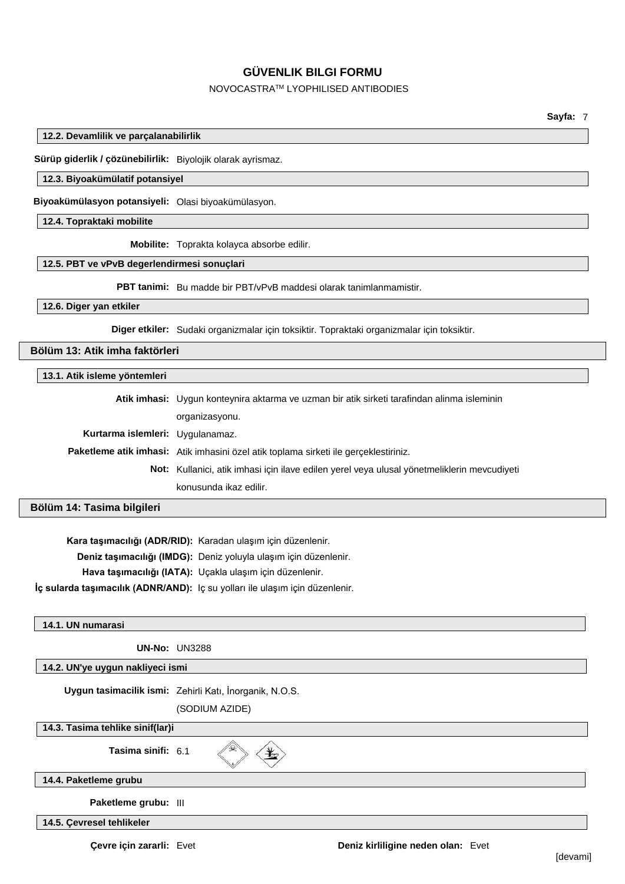#### NOVOCASTRATM LYOPHILISED ANTIBODIES

**Sayfa:** 7

#### **12.2. Devamlilik ve parçalanabilirlik**

**Sürüp giderlik / çözünebilirlik:** Biyolojik olarak ayrismaz.

## **12.3. Biyoakümülatif potansiyel**

**Biyoakümülasyon potansiyeli:** Olasi biyoakümülasyon.

#### **12.4. Topraktaki mobilite**

**Mobilite:** Toprakta kolayca absorbe edilir.

#### **12.5. PBT ve vPvB degerlendirmesi sonuçlari**

**PBT tanimi:** Bu madde bir PBT/vPvB maddesi olarak tanimlanmamistir.

#### **12.6. Diger yan etkiler**

**Diger etkiler:** Sudaki organizmalar için toksiktir. Topraktaki organizmalar için toksiktir.

## **Bölüm 13: Atik imha faktörleri**

#### **13.1. Atik isleme yöntemleri**

|                                  | Atik imhasi: Uygun konteynira aktarma ve uzman bir atik sirketi tarafindan alinma isleminin |  |
|----------------------------------|---------------------------------------------------------------------------------------------|--|
|                                  | organizasyonu.                                                                              |  |
| Kurtarma islemleri: Uygulanamaz. |                                                                                             |  |
|                                  | Paketleme atik imhasi: Atik imhasini özel atik toplama sirketi ile gerçeklestiriniz.        |  |
|                                  | Not: Kullanici, atik imhasi için ilave edilen yerel veya ulusal yönetmeliklerin mevcudiyeti |  |
|                                  | konusunda ikaz edilir.                                                                      |  |

#### **Bölüm 14: Tasima bilgileri**

**Kara taşımacılığı (ADR/RID):** Karadan ulaşım için düzenlenir.

**Deniz taşımacılığı (IMDG):** Deniz yoluyla ulaşım için düzenlenir.

**Hava taşımacılığı (IATA):** Uçakla ulaşım için düzenlenir.

**İç sularda taşımacılık (ADNR/AND):** Iç su yolları ile ulaşım için düzenlenir.

#### **14.1. UN numarasi**

**UN-No:** UN3288

#### **14.2. UN'ye uygun nakliyeci ismi**

**Uygun tasimacilik ismi:** Zehirli Katı, İnorganik, N.O.S.

(SODIUM AZIDE)

**14.3. Tasima tehlike sinif(lar)i**

**Tasima sinifi:** 6.1

类

#### **14.4. Paketleme grubu**

**Paketleme grubu:** III

**14.5. Çevresel tehlikeler**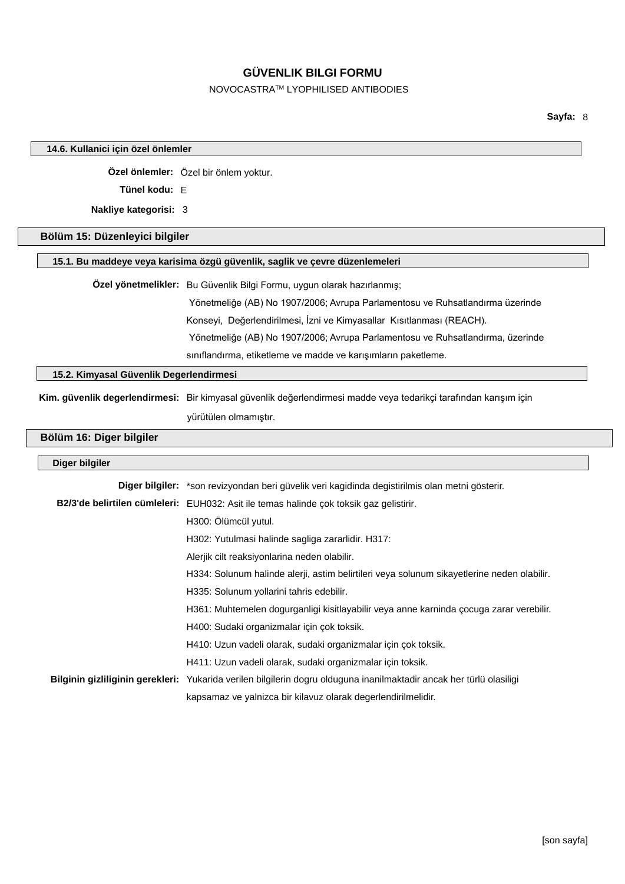## NOVOCASTRATM LYOPHILISED ANTIBODIES

**Sayfa:** 8

| 14.6. Kullanici için özel önlemler      |                                                                                                                      |  |  |  |
|-----------------------------------------|----------------------------------------------------------------------------------------------------------------------|--|--|--|
|                                         | Özel önlemler: Özel bir önlem yoktur.                                                                                |  |  |  |
| Tünel kodu: E                           |                                                                                                                      |  |  |  |
| Nakliye kategorisi: 3                   |                                                                                                                      |  |  |  |
|                                         |                                                                                                                      |  |  |  |
| Bölüm 15: Düzenleyici bilgiler          |                                                                                                                      |  |  |  |
|                                         | 15.1. Bu maddeye veya karisima özgü güvenlik, saglik ve çevre düzenlemeleri                                          |  |  |  |
|                                         | Özel yönetmelikler: Bu Güvenlik Bilgi Formu, uygun olarak hazırlanmış;                                               |  |  |  |
|                                         | Yönetmeliğe (AB) No 1907/2006; Avrupa Parlamentosu ve Ruhsatlandırma üzerinde                                        |  |  |  |
|                                         | Konseyi, Değerlendirilmesi, İzni ve Kimyasallar Kısıtlanması (REACH).                                                |  |  |  |
|                                         | Yönetmeliğe (AB) No 1907/2006; Avrupa Parlamentosu ve Ruhsatlandırma, üzerinde                                       |  |  |  |
|                                         | sınıflandırma, etiketleme ve madde ve karışımların paketleme.                                                        |  |  |  |
| 15.2. Kimyasal Güvenlik Degerlendirmesi |                                                                                                                      |  |  |  |
|                                         | Kim. güvenlik degerlendirmesi: Bir kimyasal güvenlik değerlendirmesi madde veya tedarikçi tarafından karışım için    |  |  |  |
|                                         | yürütülen olmamıştır.                                                                                                |  |  |  |
| Bölüm 16: Diger bilgiler                |                                                                                                                      |  |  |  |
|                                         |                                                                                                                      |  |  |  |
| Diger bilgiler                          |                                                                                                                      |  |  |  |
|                                         | Diger bilgiler: *son revizyondan beri güvelik veri kagidinda degistirilmis olan metni gösterir.                      |  |  |  |
|                                         | B2/3'de belirtilen cümleleri: EUH032: Asit ile temas halinde çok toksik gaz gelistirir.                              |  |  |  |
|                                         | H300: Ölümcül yutul.                                                                                                 |  |  |  |
|                                         | H302: Yutulmasi halinde sagliga zararlidir. H317:                                                                    |  |  |  |
|                                         | Alerjik cilt reaksiyonlarina neden olabilir.                                                                         |  |  |  |
|                                         | H334: Solunum halinde alerji, astim belirtileri veya solunum sikayetlerine neden olabilir.                           |  |  |  |
|                                         | H335: Solunum yollarini tahris edebilir.                                                                             |  |  |  |
|                                         | H361: Muhtemelen dogurganligi kisitlayabilir veya anne karninda çocuga zarar verebilir.                              |  |  |  |
|                                         | H400: Sudaki organizmalar için çok toksik.                                                                           |  |  |  |
|                                         | H410: Uzun vadeli olarak, sudaki organizmalar için çok toksik.                                                       |  |  |  |
|                                         | H411: Uzun vadeli olarak, sudaki organizmalar için toksik.                                                           |  |  |  |
|                                         | Bilginin gizliliginin gerekleri: Yukarida verilen bilgilerin dogru olduguna inanilmaktadir ancak her türlü olasiligi |  |  |  |
|                                         | kapsamaz ve yalnizca bir kilavuz olarak degerlendirilmelidir.                                                        |  |  |  |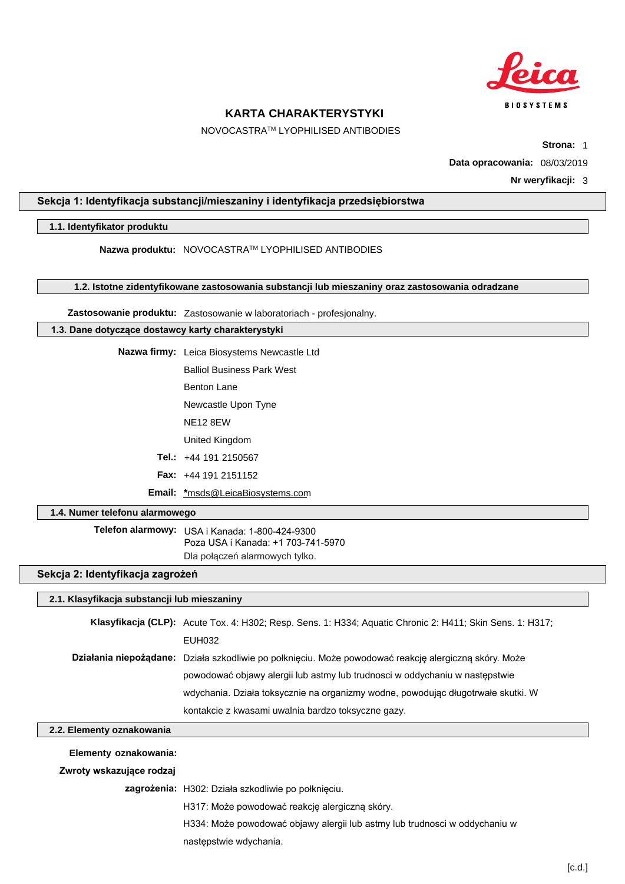

NOVOCASTRATM LYOPHILISED ANTIBODIES

**Strona:** 1

**Data opracowania:** 08/03/2019

**Nr weryfikacji:** 3

#### **Sekcja 1: Identyfikacja substancji/mieszaniny i identyfikacja przedsiębiorstwa**

#### **1.1. Identyfikator produktu**

**Nazwa produktu:** NOVOCASTRATM LYOPHILISED ANTIBODIES

**1.2. Istotne zidentyfikowane zastosowania substancji lub mieszaniny oraz zastosowania odradzane**

**Zastosowanie produktu:** Zastosowanie w laboratoriach - profesjonalny.

#### **1.3. Dane dotyczące dostawcy karty charakterystyki**

**Nazwa firmy:** Leica Biosystems Newcastle Ltd Balliol Business Park West Benton Lane Newcastle Upon Tyne NE12 8EW United Kingdom

**Tel.:** +44 191 2150567

- **Fax:** +44 191 2151152
- **Email: \***msds@LeicaBiosystems.com

#### **1.4. Numer telefonu alarmowego**

**Telefon alarmowy:** USA i Kanada: 1-800-424-9300 Dla połączeń alarmowych tylko. Poza USA i Kanada: +1 703-741-5970

#### **Sekcja 2: Identyfikacja zagrożeń**

#### **2.1. Klasyfikacja substancji lub mieszaniny**

| Klasyfikacja (CLP): Acute Tox. 4: H302; Resp. Sens. 1: H334; Aquatic Chronic 2: H411; Skin Sens. 1: H317; |
|-----------------------------------------------------------------------------------------------------------|
| EUH032                                                                                                    |
| Działania niepożądane: Działa szkodliwie po połknięciu. Może powodować reakcję alergiczną skóry. Może     |
| powodować objawy alergii lub astmy lub trudnosci w oddychaniu w nastepstwie                               |
| wdychania. Działa toksycznie na organizmy wodne, powodując długotrwałe skutki. W                          |
| kontakcie z kwasami uwalnia bardzo toksyczne gazy.                                                        |

#### **2.2. Elementy oznakowania**

**Elementy oznakowania:**

**Zwroty wskazujące rodzaj**

**zagrożenia:** H302: Działa szkodliwie po połknięciu.

H317: Może powodować reakcję alergiczną skóry.

H334: Może powodować objawy alergii lub astmy lub trudnosci w oddychaniu w

następstwie wdychania.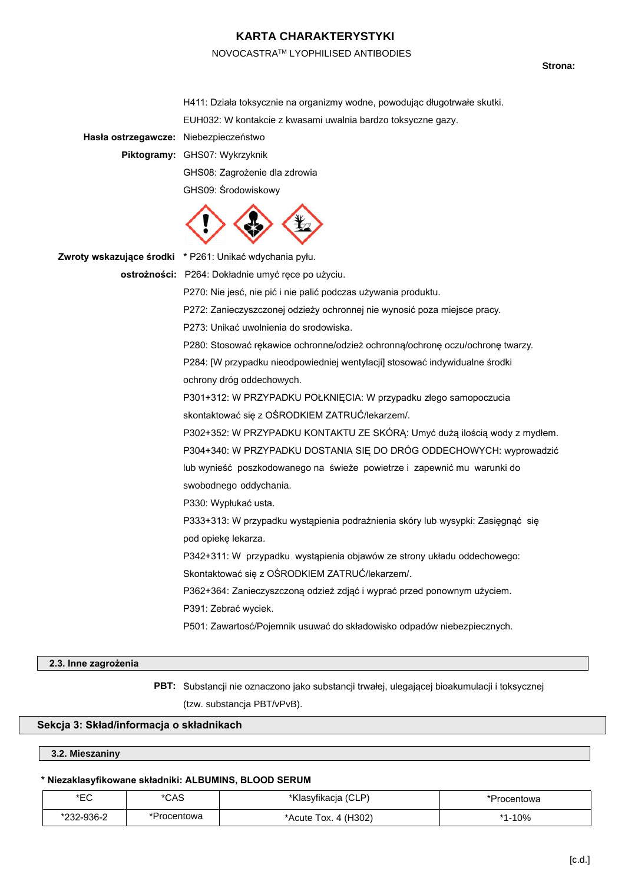#### NOVOCASTRATM LYOPHILISED ANTIBODIES

Strona:

H411: Działa toksycznie na organizmy wodne, powodując długotrwałe skutki. EUH032: W kontakcie z kwasami uwalnia bardzo toksyczne gazy.

**Hasła ostrzegawcze:** Niebezpieczeństwo

**Piktogramy:** GHS07: Wykrzyknik GHS08: Zagrożenie dla zdrowia GHS09: Środowiskowy



**Zwroty wskazujące środki \*** P261: Unikać wdychania pyłu.

**ostrożności:** P264: Dokładnie umyć ręce po użyciu.

P270: Nie jesć, nie pić i nie palić podczas używania produktu.

P272: Zanieczyszczonej odzieży ochronnej nie wynosić poza miejsce pracy.

P273: Unikać uwolnienia do srodowiska.

P280: Stosować rękawice ochronne/odzież ochronną/ochronę oczu/ochronę twarzy. P284: [W przypadku nieodpowiedniej wentylacji] stosować indywidualne środki ochrony dróg oddechowych.

P301+312: W PRZYPADKU POŁKNIĘCIA: W przypadku złego samopoczucia skontaktować się z OŚRODKIEM ZATRUĆ/lekarzem/.

P302+352: W PRZYPADKU KONTAKTU ZE SKÓRĄ: Umyć dużą ilością wody z mydłem.

P304+340: W PRZYPADKU DOSTANIA SIĘ DO DRÓG ODDECHOWYCH: wyprowadzić

lub wynieść poszkodowanego na świeże powietrze i zapewnić mu warunki do swobodnego oddychania.

P330: Wypłukać usta.

P333+313: W przypadku wystąpienia podrażnienia skóry lub wysypki: Zasięgnąć się pod opiekę lekarza.

P342+311: W przypadku wystąpienia objawów ze strony układu oddechowego:

Skontaktować się z OŚRODKIEM ZATRUĆ/lekarzem/.

P362+364: Zanieczyszczoną odzież zdjąć i wyprać przed ponownym użyciem.

P391: Zebrać wyciek.

P501: Zawartosć/Pojemnik usuwać do składowisko odpadów niebezpiecznych.

#### **2.3. Inne zagrożenia**

**PBT:** Substancji nie oznaczono jako substancji trwałej, ulegającej bioakumulacji i toksycznej (tzw. substancja PBT/vPvB).

#### **Sekcja 3: Skład/informacja o składnikach**

**3.2. Mieszaniny**

#### **\* Niezaklasyfikowane składniki: ALBUMINS, BLOOD SERUM**

| *EC        | *CAS        | *Klasyfikacja (CLP)  | *Procentowa |
|------------|-------------|----------------------|-------------|
| *232-936-2 | *Procentowa | *Acute Tox. 4 (H302) | l-10%       |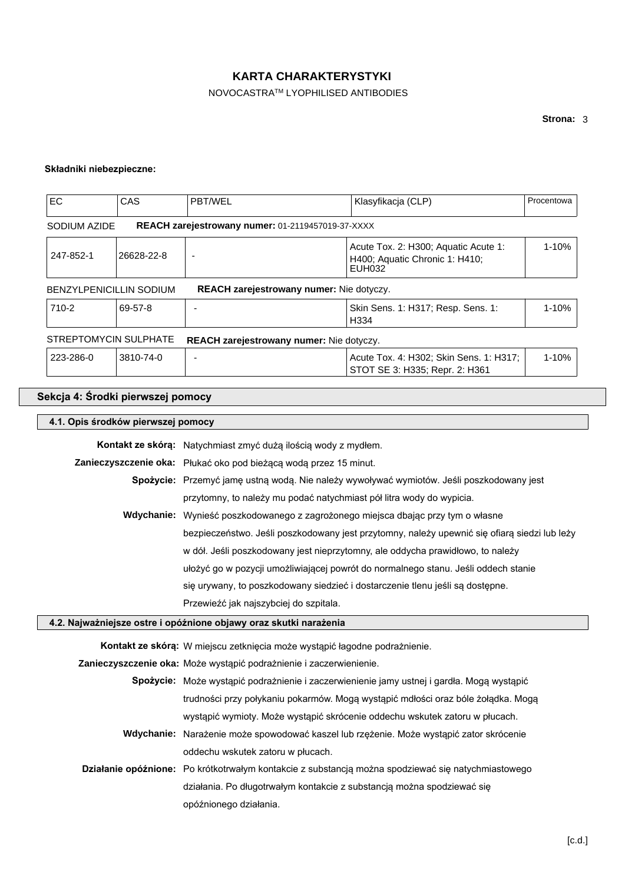## NOVOCASTRATM LYOPHILISED ANTIBODIES

## **Składniki niebezpieczne:**

| <b>EC</b>                                                                | CAS        | PBT/WEL                                                  | Klasyfikacja (CLP)                                                               | Procentowa |
|--------------------------------------------------------------------------|------------|----------------------------------------------------------|----------------------------------------------------------------------------------|------------|
| SODIUM AZIDE                                                             |            | <b>REACH zarejestrowany numer: 01-2119457019-37-XXXX</b> |                                                                                  |            |
| 247-852-1                                                                | 26628-22-8 | $\overline{\phantom{0}}$                                 | Acute Tox. 2: H300; Aquatic Acute 1:<br>H400; Aquatic Chronic 1: H410;<br>EUH032 | $1 - 10%$  |
| <b>BENZYLPENICILLIN SODIUM</b>                                           |            | REACH zarejestrowany numer: Nie dotyczy.                 |                                                                                  |            |
| 710-2                                                                    | 69-57-8    |                                                          | Skin Sens. 1: H317; Resp. Sens. 1:<br>H334                                       | $1 - 10%$  |
| STREPTOMYCIN SULPHATE<br><b>REACH zarejestrowany numer:</b> Nie dotyczy. |            |                                                          |                                                                                  |            |
| 223-286-0                                                                | 3810-74-0  |                                                          | Acute Tox. 4: H302; Skin Sens. 1: H317;<br>STOT SE 3: H335; Repr. 2: H361        | $1 - 10%$  |

## **Sekcja 4: Środki pierwszej pomocy**

| 4.1. Opis środków pierwszej pomocy                                |                                                                                                    |  |
|-------------------------------------------------------------------|----------------------------------------------------------------------------------------------------|--|
|                                                                   | Kontakt ze skórą: Natychmiast zmyć dużą ilością wody z mydłem.                                     |  |
|                                                                   | Zanieczyszczenie oka: Płukać oko pod bieżącą wodą przez 15 minut.                                  |  |
|                                                                   | Spożycie: Przemyć jamę ustną wodą. Nie należy wywoływać wymiotów. Jeśli poszkodowany jest          |  |
|                                                                   | przytomny, to należy mu podać natychmiast pół litra wody do wypicia.                               |  |
|                                                                   | Wdychanie: Wynieść poszkodowanego z zagrożonego miejsca dbając przy tym o własne                   |  |
|                                                                   | bezpieczeństwo. Jeśli poszkodowany jest przytomny, należy upewnić się ofiarą siedzi lub leży       |  |
|                                                                   | w dół. Jeśli poszkodowany jest nieprzytomny, ale oddycha prawidłowo, to należy                     |  |
|                                                                   | ułożyć go w pozycji umożliwiającej powrót do normalnego stanu. Jeśli oddech stanie                 |  |
|                                                                   | się urywany, to poszkodowany siedzieć i dostarczenie tlenu jeśli są dostępne.                      |  |
|                                                                   | Przewieźć jak najszybciej do szpitala.                                                             |  |
| 4.2. Najważniejsze ostre i opóźnione objawy oraz skutki narażenia |                                                                                                    |  |
|                                                                   | Kontakt ze skórą: W miejscu zetknięcia może wystąpić łagodne podrażnienie.                         |  |
|                                                                   |                                                                                                    |  |
|                                                                   | Zanieczyszczenie oka: Może wystąpić podrażnienie i zaczerwienienie.                                |  |
|                                                                   | <b>Spożycie:</b> Może wystąpić podrażnienie i zaczerwienienie jamy ustnej i gardła. Mogą wystąpić  |  |
|                                                                   | trudności przy połykaniu pokarmów. Mogą wystąpić mdłości oraz bóle żołądka. Mogą                   |  |
|                                                                   | wystąpić wymioty. Może wystąpić skrócenie oddechu wskutek zatoru w płucach.                        |  |
|                                                                   | Wdychanie: Narażenie może spowodować kaszel lub rzężenie. Może wystąpić zator skrócenie            |  |
|                                                                   | oddechu wskutek zatoru w płucach.                                                                  |  |
|                                                                   | Działanie opóźnione: Po krótkotrwałym kontakcie z substancją można spodziewać się natychmiastowego |  |
|                                                                   | działania. Po długotrwałym kontakcie z substancją można spodziewać się                             |  |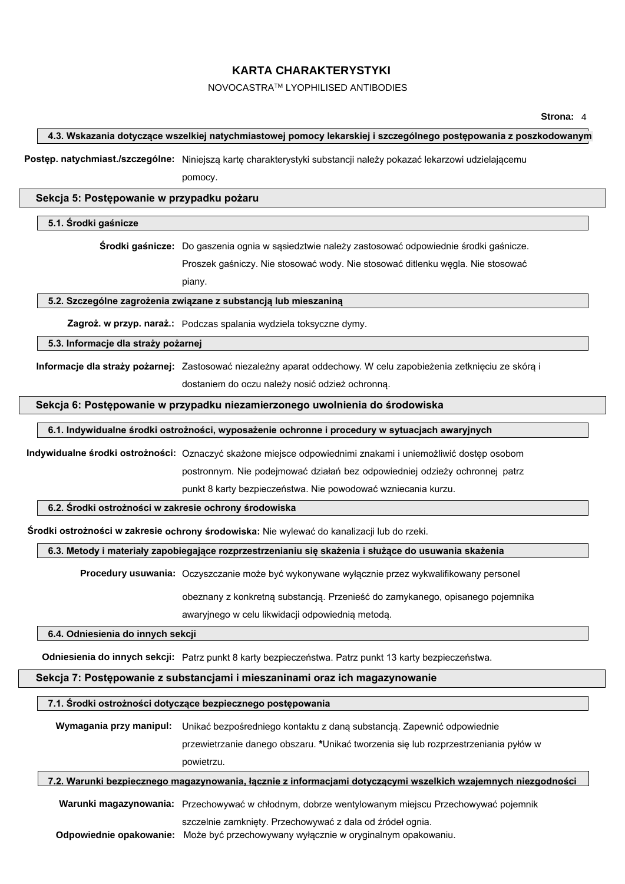#### NOVOCASTRATM LYOPHILISED ANTIBODIES

#### **4.3. Wskazania dotyczące wszelkiej natychmiastowej pomocy lekarskiej i szczególnego postępowania z poszkodowanym**

**Postęp. natychmiast./szczególne:** Niniejszą kartę charakterystyki substancji należy pokazać lekarzowi udzielającemu

pomocy.

#### **Sekcja 5: Postępowanie w przypadku pożaru**

#### **5.1. Środki gaśnicze**

**Środki gaśnicze:** Do gaszenia ognia w sąsiedztwie należy zastosować odpowiednie środki gaśnicze.

Proszek gaśniczy. Nie stosować wody. Nie stosować ditlenku węgla. Nie stosować

piany.

#### **5.2. Szczególne zagrożenia związane z substancją lub mieszaniną**

**Zagroż. w przyp. naraż.:** Podczas spalania wydziela toksyczne dymy.

**5.3. Informacje dla straży pożarnej**

**Informacje dla straży pożarnej:** Zastosować niezależny aparat oddechowy. W celu zapobieżenia zetknięciu ze skórą i dostaniem do oczu należy nosić odzież ochronną.

#### **Sekcja 6: Postępowanie w przypadku niezamierzonego uwolnienia do środowiska**

#### **6.1. Indywidualne środki ostrożności, wyposażenie ochronne i procedury w sytuacjach awaryjnych**

**Indywidualne środki ostrożności:** Oznaczyć skażone miejsce odpowiednimi znakami i uniemożliwić dostęp osobom postronnym. Nie podejmować działań bez odpowiedniej odzieży ochronnej patrz

punkt 8 karty bezpieczeństwa. Nie powodować wzniecania kurzu.

#### **6.2. Środki ostrożności w zakresie ochrony środowiska**

**Środki ostrożności w zakresie ochrony środowiska:** Nie wylewać do kanalizacji lub do rzeki.

#### **6.3. Metody i materiały zapobiegające rozprzestrzenianiu się skażenia i służące do usuwania skażenia**

**Procedury usuwania:** Oczyszczanie może być wykonywane wyłącznie przez wykwalifikowany personel

obeznany z konkretną substancją. Przenieść do zamykanego, opisanego pojemnika

awaryjnego w celu likwidacji odpowiednią metodą.

#### **6.4. Odniesienia do innych sekcji**

**Odniesienia do innych sekcji:** Patrz punkt 8 karty bezpieczeństwa. Patrz punkt 13 karty bezpieczeństwa.

## **Sekcja 7: Postępowanie z substancjami i mieszaninami oraz ich magazynowanie**

#### **7.1. Środki ostrożności dotyczące bezpiecznego postępowania**

| 7.2 Warunki hazniacznago manazynowania, łacznia z informacjami dotyczącymi wszalkich wzajemnych niezgodno |                                                                                                |  |
|-----------------------------------------------------------------------------------------------------------|------------------------------------------------------------------------------------------------|--|
|                                                                                                           | powietrzu.                                                                                     |  |
|                                                                                                           | przewietrzanie danego obszaru. *Unikać tworzenia się lub rozprzestrzeniania pyłów w            |  |
|                                                                                                           | Wymagania przy manipul: Unikać bezpośredniego kontaktu z daną substancją. Zapewnić odpowiednie |  |
|                                                                                                           |                                                                                                |  |
|                                                                                                           |                                                                                                |  |

znego magazynowania, łącznie z informacjami dotyczącymi wszelkich wzajemnych niezgodności

**Warunki magazynowania:** Przechowywać w chłodnym, dobrze wentylowanym miejscu Przechowywać pojemnik

szczelnie zamknięty. Przechowywać z dala od źródeł ognia.

**Odpowiednie opakowanie:** Może być przechowywany wyłącznie w oryginalnym opakowaniu.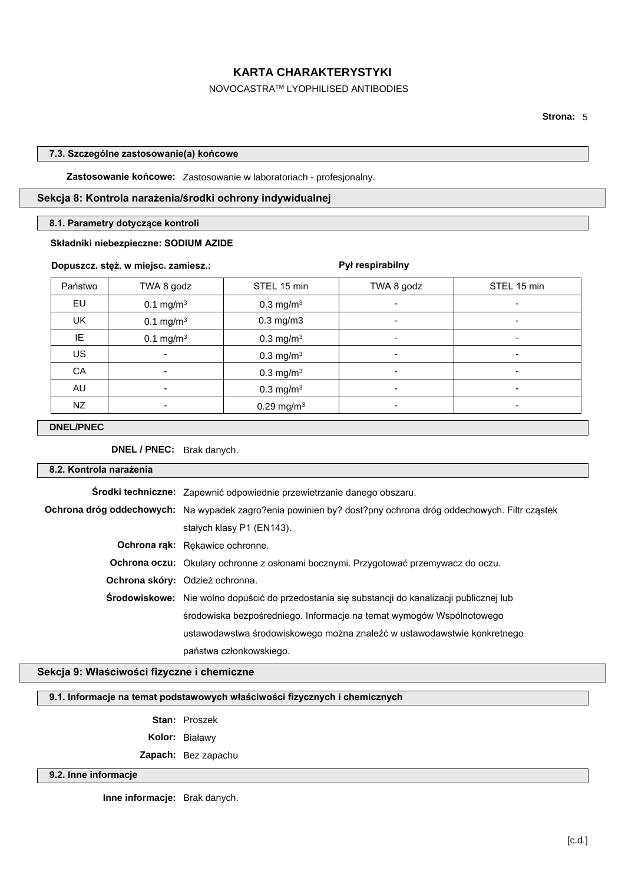#### NOVOCASTRATM LYOPHILISED ANTIBODIES

#### **7.3. Szczególne zastosowanie(a) końcowe**

**Zastosowanie końcowe:** Zastosowanie w laboratoriach - profesjonalny.

#### **Sekcja 8: Kontrola narażenia/środki ochrony indywidualnej**

#### **8.1. Parametry dotyczące kontroli**

#### **Składniki niebezpieczne: SODIUM AZIDE**

#### **Dopuszcz. stęż. w miejsc. zamiesz.:**

## **Pył respirabilny** Państwo | TWA 8 godz | STEL 15 min | TWA 8 godz | STEL 15 min EU  $0.1 \text{ mg/m}^3$  $0.3 \text{ mg/m}^3$  |  $\blacksquare$ UK 0.1 mg/m<sup>3</sup> 0.3 mg/m3 - - IE  $0.1 \text{ mg/m}^3$  $0.3 \text{ mg/m}^3$  -  $-$  -  $-$  -  $\mathsf{US}$  and  $\mathsf{US}$  . In the contract of  $\mathsf{O}.3 \, \mathsf{mg}/\mathsf{m}^3$  . The contract of  $\mathsf{O}.3 \, \mathsf{mg}/\mathsf{m}^3$  . The contract of  $\mathsf{O}.3 \, \mathsf{mg}/\mathsf{m}^3$  . In the contract of  $\mathsf{O}.3 \, \mathsf{mg}/\mathsf{m}^3$  . In the contract CA - 0.3 mg/m<sup>3</sup> - -  $\mathsf{A}\mathsf{U}$  and  $\mathsf{I}$  . The contract of  $\mathsf{O}.3 \ \mathsf{mg/m^3}$  is the contract of  $\mathsf{I}$  . The contract of  $\mathsf{O}.3 \ \mathsf{mg/m^3}$  $NZ$   $0.29 \text{ mg/m}^3$   $-$

#### **DNEL/PNEC**

**DNEL / PNEC:** Brak danych.

| 8.2. Kontrola narażenia |                                                                                                               |
|-------------------------|---------------------------------------------------------------------------------------------------------------|
|                         | Środki techniczne: Zapewnić odpowiednie przewietrzanie danego obszaru.                                        |
|                         | Ochrona dróg oddechowych: Na wypadek zagro?enia powinien by? dost?pny ochrona dróg oddechowych. Filtr cząstek |
|                         | stałych klasy P1 (EN143).                                                                                     |
|                         | Ochrona rąk: Rękawice ochronne.                                                                               |
|                         | <b>Ochrona oczu:</b> Okulary ochronne z osłonami bocznymi. Przygotować przemywacz do oczu.                    |
|                         | <b>Ochrona skóry:</b> Odzież ochronna.                                                                        |
|                         | Srodowiskowe: Nie wolno dopuścić do przedostania się substancji do kanalizacji publicznej lub                 |
|                         | środowiska bezpośredniego. Informacje na temat wymogów Wspólnotowego                                          |
|                         | ustawodawstwa środowiskowego można znaleźć w ustawodawstwie konkretnego                                       |
|                         | państwa członkowskiego.                                                                                       |
|                         |                                                                                                               |

## **Sekcja 9: Właściwości fizyczne i chemiczne**

#### **9.1. Informacje na temat podstawowych właściwości fizycznych i chemicznych**

**Stan:** Proszek

**Kolor:** Białawy

**Zapach:** Bez zapachu

#### **9.2. Inne informacje**

**Inne informacje:** Brak danych.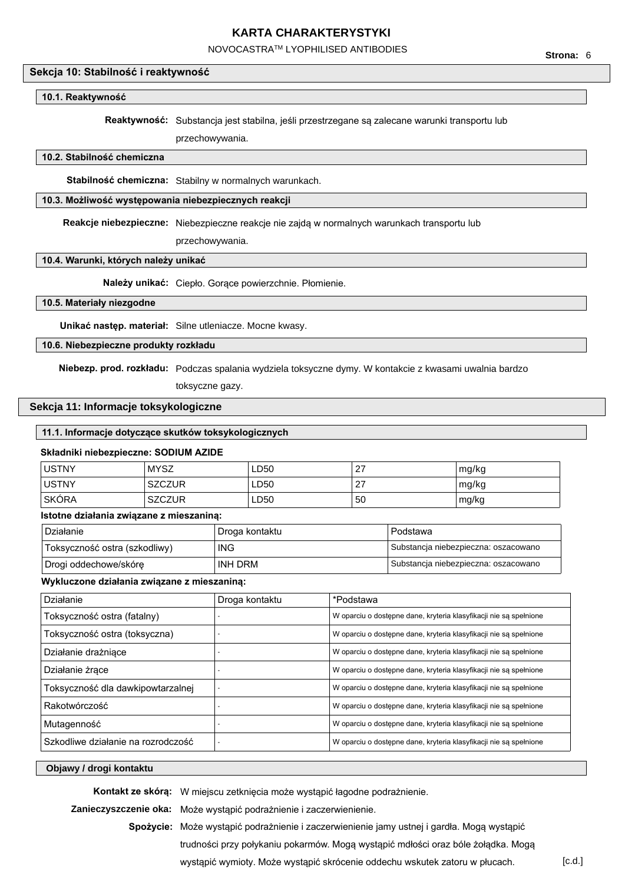## NOVOCASTRATM LYOPHILISED ANTIBODIES

## **Sekcja 10: Stabilność i reaktywność**

## **10.1. Reaktywność**

**Reaktywność:** Substancja jest stabilna, jeśli przestrzegane są zalecane warunki transportu lub

przechowywania.

## **10.2. Stabilność chemiczna**

**Stabilność chemiczna:** Stabilny w normalnych warunkach.

# **10.3. Możliwość występowania niebezpiecznych reakcji**

**Reakcje niebezpieczne:** Niebezpieczne reakcje nie zajdą w normalnych warunkach transportu lub

przechowywania.

## **10.4. Warunki, których należy unikać**

**Należy unikać:** Ciepło. Gorące powierzchnie. Płomienie.

## **10.5. Materiały niezgodne**

**Unikać następ. materiał:** Silne utleniacze. Mocne kwasy.

#### **10.6. Niebezpieczne produkty rozkładu**

**Niebezp. prod. rozkładu:** Podczas spalania wydziela toksyczne dymy. W kontakcie z kwasami uwalnia bardzo

toksyczne gazy.

## **Sekcja 11: Informacje toksykologiczne**

## **11.1. Informacje dotyczące skutków toksykologicznych**

#### **Składniki niebezpieczne: SODIUM AZIDE**

| <b>USTNY</b> | <b>MYSZ</b>   | LD50 | 27 | mg/kg |
|--------------|---------------|------|----|-------|
| <b>USTNY</b> | <b>SZCZUR</b> | ∟D50 | 27 | mg/kg |
| <b>SKÓRA</b> | <b>SZCZUR</b> | LD50 | 50 | mg/kg |

## **Istotne działania związane z mieszaniną:**

| Działanie                     | Droga kontaktu | Podstawa                             |
|-------------------------------|----------------|--------------------------------------|
| Toksyczność ostra (szkodliwy) | <b>ING</b>     | Substancia niebezpieczna: oszacowano |
| Drogi oddechowe/skóre         | INH DRM        | Substancia niebezpieczna: oszacowano |

## **Wykluczone działania związane z mieszaniną:**

| Działanie                          | Droga kontaktu | *Podstawa                                                         |
|------------------------------------|----------------|-------------------------------------------------------------------|
| Toksyczność ostra (fatalny)        |                | W oparciu o dostępne dane, kryteria klasyfikacji nie są spełnione |
| Toksyczność ostra (toksyczna)      |                | W oparciu o dostępne dane, kryteria klasyfikacji nie są spełnione |
| Działanie drażniace                |                | W oparciu o dostępne dane, kryteria klasyfikacji nie są spełnione |
| Działanie żrące                    |                | W oparciu o dostępne dane, kryteria klasyfikacji nie są spełnione |
| Toksyczność dla dawkipowtarzalnej  |                | W oparciu o dostępne dane, kryteria klasyfikacji nie są spełnione |
| Rakotwórczość                      |                | W oparciu o dostępne dane, kryteria klasyfikacji nie są spełnione |
| Mutagenność                        |                | W oparciu o dostępne dane, kryteria klasyfikacji nie są spełnione |
| Szkodliwe działanie na rozrodczość |                | W oparciu o dostępne dane, kryteria klasyfikacji nie są spełnione |

#### **Objawy / drogi kontaktu**

**Kontakt ze skórą:** W miejscu zetknięcia może wystąpić łagodne podrażnienie.

**Zanieczyszczenie oka:** Może wystąpić podrażnienie i zaczerwienienie.

**Spożycie:** Może wystąpić podrażnienie i zaczerwienienie jamy ustnej i gardła. Mogą wystąpić trudności przy połykaniu pokarmów. Mogą wystąpić mdłości oraz bóle żołądka. Mogą wystąpić wymioty. Może wystąpić skrócenie oddechu wskutek zatoru w płucach. [c.d.]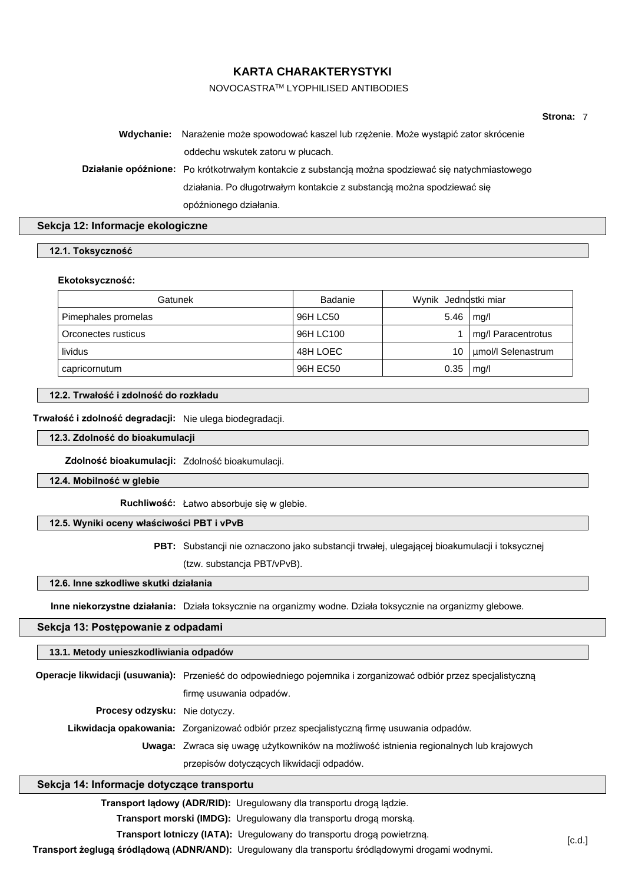## NOVOCASTRATM LYOPHILISED ANTIBODIES

| Strona: |  |
|---------|--|
|---------|--|

| Wdychanie: Narażenie może spowodować kaszel lub rzężenie. Może wystąpić zator skrócenie            |
|----------------------------------------------------------------------------------------------------|
| oddechu wskutek zatoru w płucach.                                                                  |
| Działanie opóźnione: Po krótkotrwałym kontakcie z substancją można spodziewać się natychmiastowego |
| działania. Po długotrwałym kontakcie z substancją można spodziewać się                             |
| opóźnionego działania.                                                                             |

# **Sekcja 12: Informacje ekologiczne**

| 12.1. Toksyczność |
|-------------------|
|-------------------|

#### **Ekotoksyczność:**

| Gatunek             | <b>Badanie</b> | Wynik Jednostki miar |                    |
|---------------------|----------------|----------------------|--------------------|
| Pimephales promelas | 96H LC50       | 5.46                 | mq/l               |
| Orconectes rusticus | 96H LC100      |                      | mg/l Paracentrotus |
| lividus             | 48H LOEC       | 10                   | umol/l Selenastrum |
| capricornutum       | 96H EC50       | 0.35                 | mg/l               |

# **12.2. Trwałość i zdolność do rozkładu**

**Trwałość i zdolność degradacji:** Nie ulega biodegradacji.

**12.3. Zdolność do bioakumulacji**

**Zdolność bioakumulacji:** Zdolność bioakumulacji.

**12.4. Mobilność w glebie**

**Ruchliwość:** Łatwo absorbuje się w glebie.

## **12.5. Wyniki oceny właściwości PBT i vPvB**

**PBT:** Substancji nie oznaczono jako substancji trwałej, ulegającej bioakumulacji i toksycznej

(tzw. substancja PBT/vPvB).

## **12.6. Inne szkodliwe skutki działania**

**Inne niekorzystne działania:** Działa toksycznie na organizmy wodne. Działa toksycznie na organizmy glebowe.

## **Sekcja 13: Postępowanie z odpadami**

# **13.1. Metody unieszkodliwiania odpadów**

|                                      | Operacje likwidacji (usuwania): Przenieść do odpowiedniego pojemnika i zorganizować odbiór przez specjalistyczną |  |
|--------------------------------------|------------------------------------------------------------------------------------------------------------------|--|
|                                      | firme usuwania odpadów.                                                                                          |  |
| <b>Procesy odzysku:</b> Nie dotyczy. |                                                                                                                  |  |
|                                      | Likwidacja opakowania: Zorganizować odbiór przez specjalistyczną firmę usuwania odpadów.                         |  |
|                                      | Uwaga: Zwraca się uwagę użytkowników na możliwość istnienia regionalnych lub krajowych                           |  |
|                                      | przepisów dotyczących likwidacji odpadów.                                                                        |  |

## **Sekcja 14: Informacje dotyczące transportu**

**Transport lądowy (ADR/RID):** Uregulowany dla transportu drogą lądzie.

**Transport morski (IMDG):** Uregulowany dla transportu drogą morską.

**Transport lotniczy (IATA):** Uregulowany do transportu drogą powietrzną.

**Transport żeglugą śródlądową (ADNR/AND):** Uregulowany dla transportu śródlądowymi drogami wodnymi.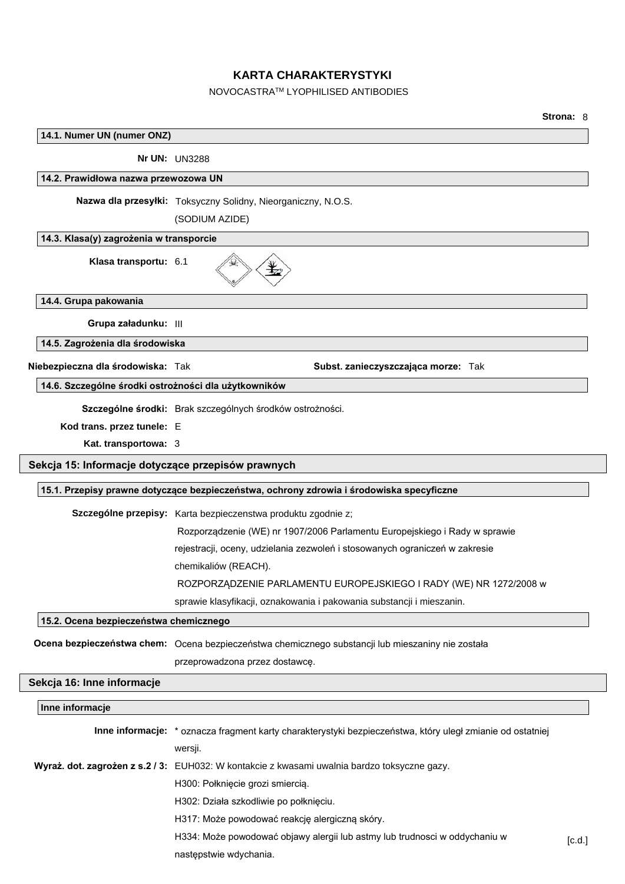# NOVOCASTRATM LYOPHILISED ANTIBODIES

|                                                      |                                                                                                            | <b>Strona: 8</b> |
|------------------------------------------------------|------------------------------------------------------------------------------------------------------------|------------------|
| 14.1. Numer UN (numer ONZ)                           |                                                                                                            |                  |
|                                                      | <b>Nr UN: UN3288</b>                                                                                       |                  |
| 14.2. Prawidłowa nazwa przewozowa UN                 |                                                                                                            |                  |
|                                                      | Nazwa dla przesyłki: Toksyczny Solidny, Nieorganiczny, N.O.S.                                              |                  |
|                                                      | (SODIUM AZIDE)                                                                                             |                  |
| 14.3. Klasa(y) zagrożenia w transporcie              |                                                                                                            |                  |
| Klasa transportu: 6.1                                |                                                                                                            |                  |
| 14.4. Grupa pakowania                                |                                                                                                            |                  |
| Grupa załadunku: III                                 |                                                                                                            |                  |
| 14.5. Zagrożenia dla środowiska                      |                                                                                                            |                  |
| Niebezpieczna dla środowiska: Tak                    | Subst. zanieczyszczająca morze: Tak                                                                        |                  |
| 14.6. Szczególne środki ostrożności dla użytkowników |                                                                                                            |                  |
|                                                      | Szczególne środki: Brak szczególnych środków ostrożności.                                                  |                  |
| Kod trans. przez tunele: E                           |                                                                                                            |                  |
| Kat. transportowa: 3                                 |                                                                                                            |                  |
| Sekcja 15: Informacje dotyczące przepisów prawnych   |                                                                                                            |                  |
|                                                      |                                                                                                            |                  |
|                                                      | 15.1. Przepisy prawne dotyczące bezpieczeństwa, ochrony zdrowia i środowiska specyficzne                   |                  |
|                                                      | Szczególne przepisy: Karta bezpieczenstwa produktu zgodnie z;                                              |                  |
|                                                      | Rozporządzenie (WE) nr 1907/2006 Parlamentu Europejskiego i Rady w sprawie                                 |                  |
|                                                      | rejestracji, oceny, udzielania zezwoleń i stosowanych ograniczeń w zakresie                                |                  |
|                                                      | chemikaliów (REACH).                                                                                       |                  |
|                                                      | ROZPORZĄDZENIE PARLAMENTU EUROPEJSKIEGO I RADY (WE) NR 1272/2008 w                                         |                  |
|                                                      | sprawie klasyfikacji, oznakowania i pakowania substancji i mieszanin.                                      |                  |
| 15.2. Ocena bezpieczeństwa chemicznego               |                                                                                                            |                  |
|                                                      | Ocena bezpieczeństwa chem: Ocena bezpieczeństwa chemicznego substancji lub mieszaniny nie została          |                  |
|                                                      | przeprowadzona przez dostawcę.                                                                             |                  |
| Sekcja 16: Inne informacje                           |                                                                                                            |                  |
| Inne informacje                                      |                                                                                                            |                  |
|                                                      |                                                                                                            |                  |
|                                                      | Inne informacje: * oznacza fragment karty charakterystyki bezpieczeństwa, który uległ zmianie od ostatniej |                  |
|                                                      | wersji.                                                                                                    |                  |
|                                                      | Wyraż. dot. zagrożen z s.2 / 3: EUH032: W kontakcie z kwasami uwalnia bardzo toksyczne gazy.               |                  |
|                                                      | H300: Połknięcie grozi smiercią.                                                                           |                  |
|                                                      | H302: Działa szkodliwie po połknięciu.                                                                     |                  |
|                                                      | H317: Może powodować reakcję alergiczną skóry.                                                             |                  |
|                                                      | H334: Może powodować objawy alergii lub astmy lub trudnosci w oddychaniu w                                 | [c.d.]           |
|                                                      | następstwie wdychania.                                                                                     |                  |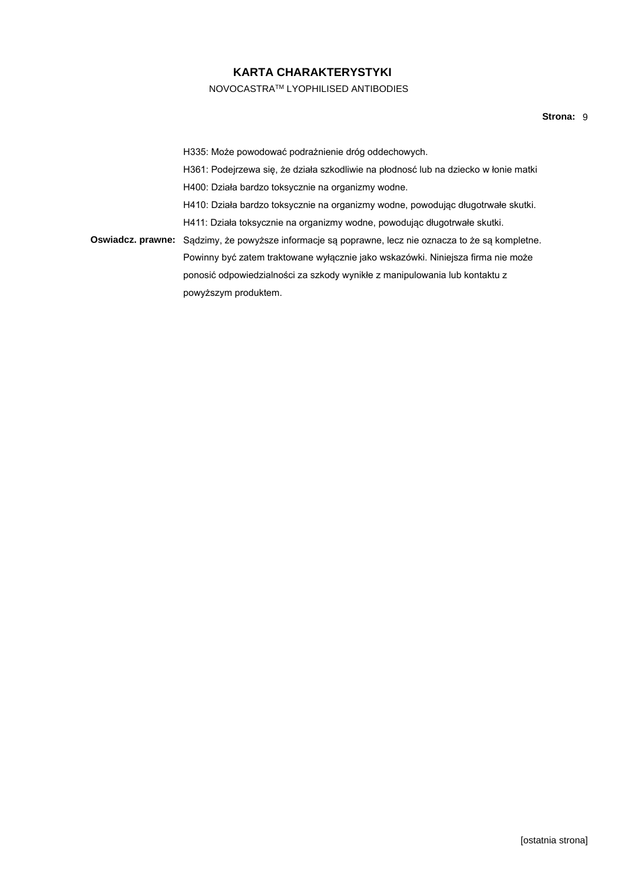NOVOCASTRATM LYOPHILISED ANTIBODIES

H335: Może powodować podrażnienie dróg oddechowych. H361: Podejrzewa się, że działa szkodliwie na płodnosć lub na dziecko w łonie matki H400: Działa bardzo toksycznie na organizmy wodne. H410: Działa bardzo toksycznie na organizmy wodne, powodując długotrwałe skutki. H411: Działa toksycznie na organizmy wodne, powodując długotrwałe skutki. **Oswiadcz. prawne:** Sądzimy, że powyższe informacje są poprawne, lecz nie oznacza to że są kompletne. Powinny być zatem traktowane wyłącznie jako wskazówki. Niniejsza firma nie może ponosić odpowiedzialności za szkody wynikłe z manipulowania lub kontaktu z powyższym produktem.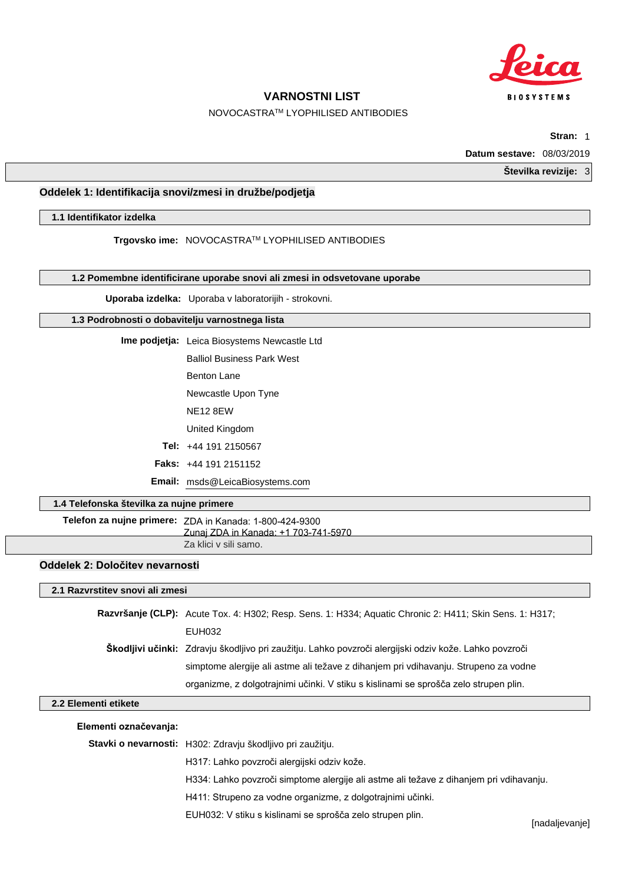

# NOVOCASTRATM LYOPHILISED ANTIBODIES

**Stran:** 1

**Datum sestave:** 08/03/2019

**Številka revizije:** 3

# **Oddelek 1: Identifikacija snovi/zmesi in družbe/podjetja**

**1.1 Identifikator izdelka**

**Trgovsko ime:** NOVOCASTRATM LYOPHILISED ANTIBODIES

**1.2 Pomembne identificirane uporabe snovi ali zmesi in odsvetovane uporabe**

**Uporaba izdelka:** Uporaba v laboratorijih - strokovni.

## **1.3 Podrobnosti o dobavitelju varnostnega lista**

**Ime podjetja:** Leica Biosystems Newcastle Ltd Balliol Business Park West

Benton Lane

Newcastle Upon Tyne

NE12 8EW

United Kingdom

**Tel:** +44 191 2150567

**Faks:** +44 191 2151152

**Email:** msds@LeicaBiosystems.com

# **1.4 Telefonska številka za nujne primere**

**Telefon za nujne primere:** ZDA in Kanada: 1-800-424-9300 Za klici v sili samo. Zunaj ZDA in Kanada: +1 703-741-5970

# **Oddelek 2: Določitev nevarnosti**

| 2.1 Razvrstitev snovi ali zmesi |                                                                                                         |  |
|---------------------------------|---------------------------------------------------------------------------------------------------------|--|
|                                 | Razvršanje (CLP): Acute Tox. 4: H302; Resp. Sens. 1: H334; Aquatic Chronic 2: H411; Skin Sens. 1: H317; |  |
|                                 | EUH032                                                                                                  |  |
|                                 | Škodljivi učinki: Zdravju škodljivo pri zaužitju. Lahko povzroči alergijski odziv kože. Lahko povzroči  |  |
|                                 | simptome alergije ali astme ali težave z dihanjem pri vdihavanju. Strupeno za vodne                     |  |
|                                 | organizme, z dolgotrajnimi učinki. V stiku s kislinami se sprošča zelo strupen plin.                    |  |

## **2.2 Elementi etikete**

**Stavki o nevarnosti:** H302: Zdravju škodljivo pri zaužitju.

H317: Lahko povzroči alergijski odziv kože.

H334: Lahko povzroči simptome alergije ali astme ali težave z dihanjem pri vdihavanju.

H411: Strupeno za vodne organizme, z dolgotrajnimi učinki.

EUH032: V stiku s kislinami se sprošča zelo strupen plin.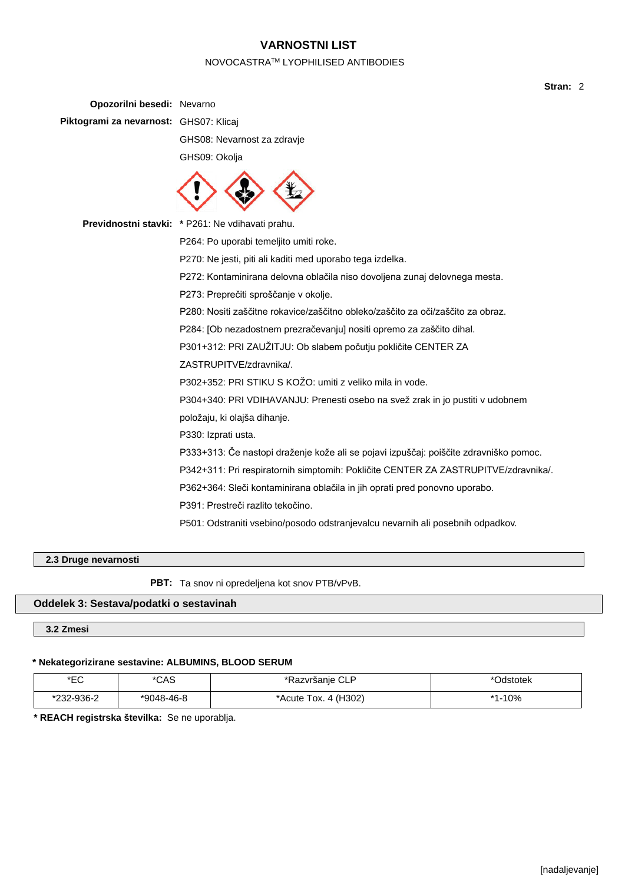# NOVOCASTRATM LYOPHILISED ANTIBODIES

| Opozorilni besedi: Nevarno             |                                                                                       |
|----------------------------------------|---------------------------------------------------------------------------------------|
| Piktogrami za nevarnost: GHS07: Klicaj |                                                                                       |
|                                        | GHS08: Nevarnost za zdravje                                                           |
|                                        | GHS09: Okolja                                                                         |
|                                        |                                                                                       |
|                                        | Previdnostni stavki: * P261: Ne vdihavati prahu.                                      |
|                                        | P264: Po uporabi temeljito umiti roke.                                                |
|                                        | P270: Ne jesti, piti ali kaditi med uporabo tega izdelka.                             |
|                                        | P272: Kontaminirana delovna oblačila niso dovoljena zunaj delovnega mesta.            |
|                                        | P273: Preprečiti sproščanje v okolje.                                                 |
|                                        | P280: Nositi zaščitne rokavice/zaščitno obleko/zaščito za oči/zaščito za obraz.       |
|                                        | P284: [Ob nezadostnem prezračevanju] nositi opremo za zaščito dihal.                  |
|                                        | P301+312: PRI ZAUŽITJU: Ob slabem počutju pokličite CENTER ZA                         |
|                                        | ZASTRUPITVE/zdravnika/.                                                               |
|                                        | P302+352: PRI STIKU S KOŽO: umiti z veliko mila in vode.                              |
|                                        | P304+340: PRI VDIHAVANJU: Prenesti osebo na svež zrak in jo pustiti v udobnem         |
|                                        | položaju, ki olajša dihanje.                                                          |
|                                        | P330: Izprati usta.                                                                   |
|                                        | P333+313: Če nastopi draženje kože ali se pojavi izpuščaj: poiščite zdravniško pomoc. |
|                                        | P342+311: Pri respiratornih simptomih: Pokličite CENTER ZA ZASTRUPITVE/zdravnika/.    |
|                                        | P362+364: Sleči kontaminirana oblačila in jih oprati pred ponovno uporabo.            |
|                                        | P391: Prestreči razlito tekočino.                                                     |
|                                        | P501: Odstraniti vsebino/posodo odstranjevalcu nevarnih ali posebnih odpadkov.        |
|                                        |                                                                                       |

# **2.3 Druge nevarnosti**

**PBT:** Ta snov ni opredeljena kot snov PTB/vPvB.

# **Oddelek 3: Sestava/podatki o sestavinah**

# **3.2 Zmesi**

# **\* Nekategorizirane sestavine: ALBUMINS, BLOOD SERUM**

| *EC        | *CAS       | *Razvršanje CLP      | റ <sub>dstotek</sub> |
|------------|------------|----------------------|----------------------|
| *232-936-2 | *9048-46-8 | *Acute Tox. 4 (H302) | 1-10%<br>$*$ 4       |

**\* REACH registrska številka:** Se ne uporablja.

**Stran:** 2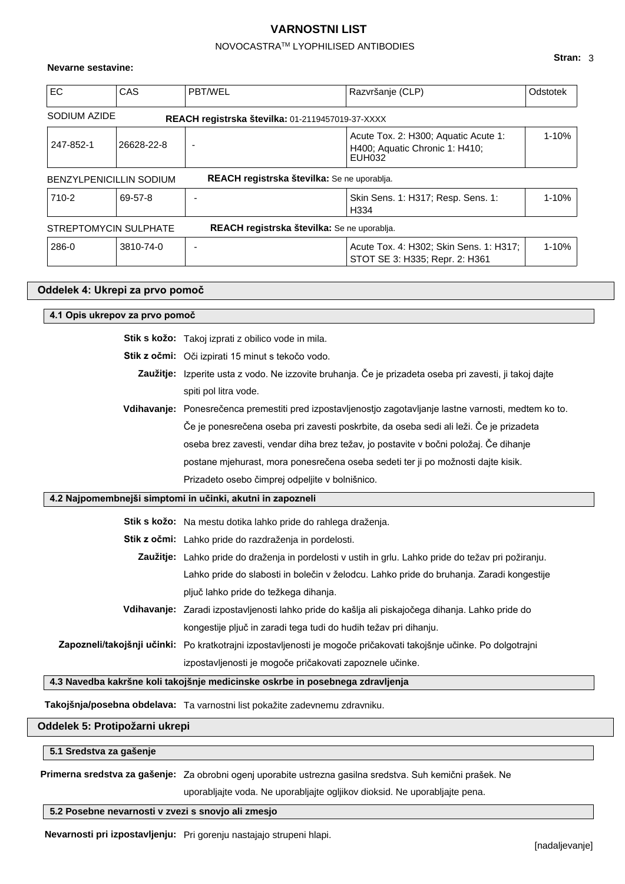# NOVOCASTRATM LYOPHILISED ANTIBODIES

## **Nevarne sestavine:**

| EC.          | CAS                            | <b>PBT/WEL</b>                                   | Razvršanje (CLP)                                                                 | Odstotek  |
|--------------|--------------------------------|--------------------------------------------------|----------------------------------------------------------------------------------|-----------|
| SODIUM AZIDE |                                | REACH registrska številka: 01-2119457019-37-XXXX |                                                                                  |           |
| 247-852-1    | 26628-22-8                     |                                                  | Acute Tox. 2: H300; Aquatic Acute 1:<br>H400; Aquatic Chronic 1: H410;<br>EUH032 | $1 - 10%$ |
|              | <b>BENZYLPENICILLIN SODIUM</b> | REACH registrska številka: Se ne uporablja.      |                                                                                  |           |
| 710-2        | 69-57-8                        |                                                  | Skin Sens. 1: H317; Resp. Sens. 1:<br>H334                                       | $1 - 10%$ |
|              | STREPTOMYCIN SULPHATE          | REACH registrska številka: Se ne uporablja.      |                                                                                  |           |
| 286-0        | 3810-74-0                      |                                                  | Acute Tox. 4: H302; Skin Sens. 1: H317;<br>STOT SE 3: H335; Repr. 2: H361        | $1 - 10%$ |

| Oddelek 4: Ukrepi za prvo pomoč                                                                      |                                                                                                                     |  |  |  |
|------------------------------------------------------------------------------------------------------|---------------------------------------------------------------------------------------------------------------------|--|--|--|
| 4.1 Opis ukrepov za prvo pomoč                                                                       |                                                                                                                     |  |  |  |
|                                                                                                      | Stik s kožo: Takoj izprati z obilico vode in mila.                                                                  |  |  |  |
|                                                                                                      | Stik z očmi: Oči izpirati 15 minut s tekočo vodo.                                                                   |  |  |  |
|                                                                                                      | Zaužitje: Izperite usta z vodo. Ne izzovite bruhanja. Če je prizadeta oseba pri zavesti, ji takoj dajte             |  |  |  |
|                                                                                                      | spiti pol litra vode.                                                                                               |  |  |  |
|                                                                                                      | Vdihavanje: Ponesrečenca premestiti pred izpostavljenostjo zagotavljanje lastne varnosti, medtem ko to.             |  |  |  |
|                                                                                                      | Če je ponesrečena oseba pri zavesti poskrbite, da oseba sedi ali leži. Če je prizadeta                              |  |  |  |
|                                                                                                      | oseba brez zavesti, vendar diha brez težav, jo postavite v bočni položaj. Če dihanje                                |  |  |  |
|                                                                                                      | postane mjehurast, mora ponesrečena oseba sedeti ter ji po možnosti dajte kisik.                                    |  |  |  |
|                                                                                                      | Prizadeto osebo čimprej odpeljite v bolnišnico.                                                                     |  |  |  |
|                                                                                                      | 4.2 Najpomembnejši simptomi in učinki, akutni in zapozneli                                                          |  |  |  |
|                                                                                                      | Stik s kožo: Na mestu dotika lahko pride do rahlega draženja.                                                       |  |  |  |
|                                                                                                      | Stik z očmi: Lahko pride do razdraženja in pordelosti.                                                              |  |  |  |
| Zaužitje: Lahko pride do draženja in pordelosti v ustih in grlu. Lahko pride do težav pri požiranju. |                                                                                                                     |  |  |  |
| Lahko pride do slabosti in bolečin v želodcu. Lahko pride do bruhanja. Zaradi kongestije             |                                                                                                                     |  |  |  |
|                                                                                                      | pljuč lahko pride do težkega dihanja.                                                                               |  |  |  |
|                                                                                                      | Vdihavanje: Zaradi izpostavljenosti lahko pride do kašlja ali piskajočega dihanja. Lahko pride do                   |  |  |  |
|                                                                                                      | kongestije pljuč in zaradi tega tudi do hudih težav pri dihanju.                                                    |  |  |  |
|                                                                                                      | Zapozneli/takojšnji učinki: Po kratkotrajni izpostavljenosti je mogoče pričakovati takojšnje učinke. Po dolgotrajni |  |  |  |
|                                                                                                      | izpostavljenosti je mogoče pričakovati zapoznele učinke.                                                            |  |  |  |
|                                                                                                      | 4.3 Navedba kakršne koli takojšnje medicinske oskrbe in posebnega zdravljenja                                       |  |  |  |
|                                                                                                      | Takojšnja/posebna obdelava: Ta varnostni list pokažite zadevnemu zdravniku.                                         |  |  |  |
|                                                                                                      | Oddelek 5: Protipožarni ukrepi                                                                                      |  |  |  |

**5.1 Sredstva za gašenje**

**Primerna sredstva za gašenje:** Za obrobni ogenj uporabite ustrezna gasilna sredstva. Suh kemični prašek. Ne

uporabljajte voda. Ne uporabljajte ogljikov dioksid. Ne uporabljajte pena.

# **5.2 Posebne nevarnosti v zvezi s snovjo ali zmesjo**

**Nevarnosti pri izpostavljenju:** Pri gorenju nastajajo strupeni hlapi.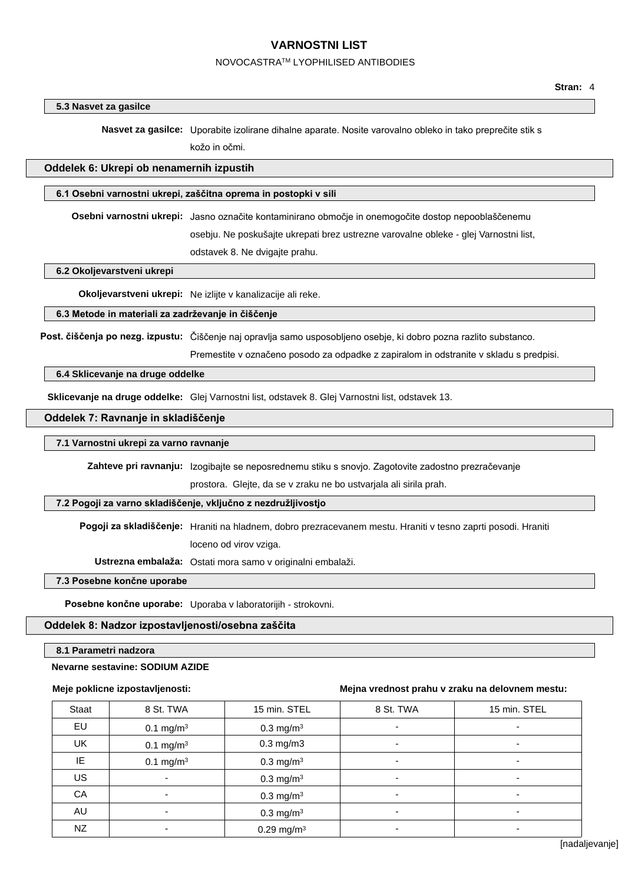## NOVOCASTRATM LYOPHILISED ANTIBODIES

| Stran: |  |
|--------|--|
|--------|--|

## **5.3 Nasvet za gasilce**

**Nasvet za gasilce:** Uporabite izolirane dihalne aparate. Nosite varovalno obleko in tako preprečite stik s

kožo in očmi.

## **Oddelek 6: Ukrepi ob nenamernih izpustih**

#### **6.1 Osebni varnostni ukrepi, zaščitna oprema in postopki v sili**

**Osebni varnostni ukrepi:** Jasno označite kontaminirano območje in onemogočite dostop nepooblaščenemu osebju. Ne poskušajte ukrepati brez ustrezne varovalne obleke - glej Varnostni list, odstavek 8. Ne dvigajte prahu.

**6.2 Okoljevarstveni ukrepi**

**Okoljevarstveni ukrepi:** Ne izlijte v kanalizacije ali reke.

## **6.3 Metode in materiali za zadrževanje in čiščenje**

**Post. čiščenja po nezg. izpustu:** Čiščenje naj opravlja samo usposobljeno osebje, ki dobro pozna razlito substanco.

Premestite v označeno posodo za odpadke z zapiralom in odstranite v skladu s predpisi.

## **6.4 Sklicevanje na druge oddelke**

**Sklicevanje na druge oddelke:** Glej Varnostni list, odstavek 8. Glej Varnostni list, odstavek 13.

## **Oddelek 7: Ravnanje in skladiščenje**

## **7.1 Varnostni ukrepi za varno ravnanje**

**Zahteve pri ravnanju:** Izogibajte se neposrednemu stiku s snovjo. Zagotovite zadostno prezračevanje

prostora. Glejte, da se v zraku ne bo ustvarjala ali sirila prah.

## **7.2 Pogoji za varno skladiščenje, vključno z nezdružljivostjo**

**Pogoji za skladiščenje:** Hraniti na hladnem, dobro prezracevanem mestu. Hraniti v tesno zaprti posodi. Hraniti

loceno od virov vziga.

**Ustrezna embalaža:** Ostati mora samo v originalni embalaži.

**7.3 Posebne končne uporabe**

**Posebne končne uporabe:** Uporaba v laboratorijih - strokovni.

# **Oddelek 8: Nadzor izpostavljenosti/osebna zaščita**

## **8.1 Parametri nadzora**

## **Nevarne sestavine: SODIUM AZIDE**

#### **Meje poklicne izpostavljenosti:**

#### **Mejna vrednost prahu v zraku na delovnem mestu:**

| Staat | 8 St. TWA             | 15 min. STEL             | 8 St. TWA                | 15 min. STEL             |
|-------|-----------------------|--------------------------|--------------------------|--------------------------|
| EU    | 0.1 mg/m <sup>3</sup> | 0.3 mg/m <sup>3</sup>    |                          |                          |
| UK    | 0.1 mg/m <sup>3</sup> | $0.3$ mg/m $3$           |                          | -                        |
| IE.   | 0.1 mg/m <sup>3</sup> | $0.3 \text{ mg/m}^3$     | $\overline{\phantom{a}}$ | ٠                        |
| US    |                       | 0.3 mg/m <sup>3</sup>    |                          |                          |
| CA    |                       | $0.3$ mg/m <sup>3</sup>  |                          | -                        |
| AU    |                       | $0.3$ mg/m <sup>3</sup>  | $\overline{\phantom{0}}$ | $\overline{\phantom{a}}$ |
| NZ    |                       | $0.29$ mg/m <sup>3</sup> |                          |                          |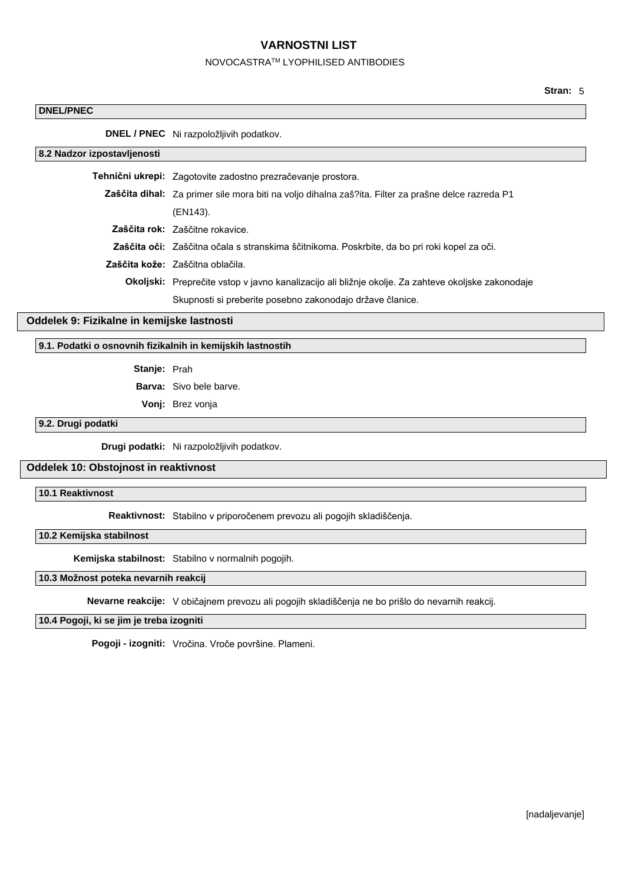## NOVOCASTRATM LYOPHILISED ANTIBODIES

## **DNEL/PNEC**

**DNEL / PNEC** Ni razpoložljivih podatkov.

**8.2 Nadzor izpostavljenosti**

**Tehnični ukrepi:** Zagotovite zadostno prezračevanje prostora. **Zaščita dihal:** Za primer sile mora biti na voljo dihalna zaš?ita. Filter za prašne delce razreda P1 (EN143). **Zaščita rok:** Zaščitne rokavice. **Zaščita oči:** Zaščitna očala s stranskima ščitnikoma. Poskrbite, da bo pri roki kopel za oči.

**Zaščita kože:** Zaščitna oblačila.

**Okoljski:** Preprečite vstop v javno kanalizacijo ali bližnje okolje. Za zahteve okoljske zakonodaje Skupnosti si preberite posebno zakonodajo države članice.

## **Oddelek 9: Fizikalne in kemijske lastnosti**

**9.1. Podatki o osnovnih fizikalnih in kemijskih lastnostih**

**Stanje:** Prah

**Barva:** Sivo bele barve.

**Vonj:** Brez vonja

# **9.2. Drugi podatki**

**Drugi podatki:** Ni razpoložljivih podatkov.

## **Oddelek 10: Obstojnost in reaktivnost**

## **10.1 Reaktivnost**

**Reaktivnost:** Stabilno v priporočenem prevozu ali pogojih skladiščenja.

## **10.2 Kemijska stabilnost**

**Kemijska stabilnost:** Stabilno v normalnih pogojih.

# **10.3 Možnost poteka nevarnih reakcij**

**Nevarne reakcije:** V običajnem prevozu ali pogojih skladiščenja ne bo prišlo do nevarnih reakcij.

## **10.4 Pogoji, ki se jim je treba izogniti**

**Pogoji - izogniti:** Vročina. Vroče površine. Plameni.

**Stran:** 5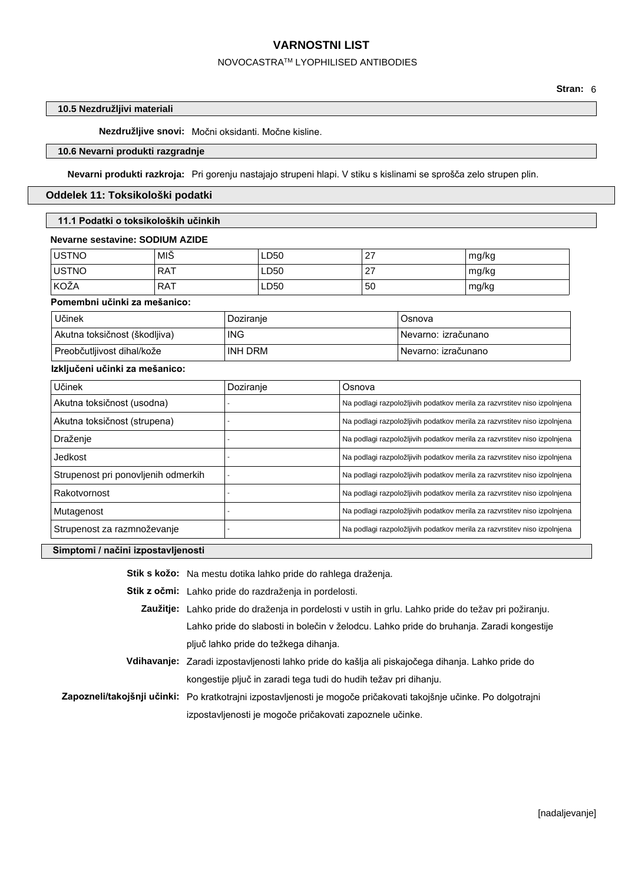## NOVOCASTRATM LYOPHILISED ANTIBODIES

## **10.5 Nezdružljivi materiali**

**Nezdružljive snovi:** Močni oksidanti. Močne kisline.

## **10.6 Nevarni produkti razgradnje**

**Nevarni produkti razkroja:** Pri gorenju nastajajo strupeni hlapi. V stiku s kislinami se sprošča zelo strupen plin.

## **Oddelek 11: Toksikološki podatki**

## **11.1 Podatki o toksikoloških učinkih**

## **Nevarne sestavine: SODIUM AZIDE**

| <b>USTNO</b> | MIŠ        | LD50 | 27 | mg/kg |
|--------------|------------|------|----|-------|
| <b>USTNO</b> | . RAT      | LD50 | 27 | mg/kg |
| <b>KOŽA</b>  | <b>RAT</b> | LD50 | 50 | mg/kg |

## **Pomembni učinki za mešanico:**

| Učinek                                  | Doziranje  | Osnova               |
|-----------------------------------------|------------|----------------------|
| Akutna toksičnost (škodljiva)           | <b>ING</b> | Nevarno: izračunano  |
| <sup>∣</sup> Preobčutljivost dihal/kože | INH DRM    | ⊥Nevarno: izračunano |

## **Izključeni učinki za mešanico:**

| Učinek                              | Doziranje | Osnova                                                                   |
|-------------------------------------|-----------|--------------------------------------------------------------------------|
| Akutna toksičnost (usodna)          |           | Na podlagi razpoložljivih podatkov merila za razvrstitev niso izpolnjena |
| Akutna toksičnost (strupena)        |           | Na podlagi razpoložljivih podatkov merila za razvrstitev niso izpolnjena |
| Draženje                            |           | Na podlagi razpoložljivih podatkov merila za razvrstitev niso izpolnjena |
| Jedkost                             |           | Na podlagi razpoložljivih podatkov merila za razvrstitev niso izpolnjena |
| Strupenost pri ponovljenih odmerkih |           | Na podlagi razpoložljivih podatkov merila za razvrstitev niso izpolnjena |
| Rakotvornost                        |           | Na podlagi razpoložljivih podatkov merila za razvrstitev niso izpolnjena |
| Mutagenost                          |           | Na podlagi razpoložljivih podatkov merila za razvrstitev niso izpolnjena |
| Strupenost za razmnoževanje         |           | Na podlagi razpoložljivih podatkov merila za razvrstitev niso izpolnjena |

## **Simptomi / načini izpostavljenosti**

**Stik s kožo:** Na mestu dotika lahko pride do rahlega draženja.

**Stik z očmi:** Lahko pride do razdraženja in pordelosti.

- **Zaužitje:** Lahko pride do draženja in pordelosti v ustih in grlu. Lahko pride do težav pri požiranju. Lahko pride do slabosti in bolečin v želodcu. Lahko pride do bruhanja. Zaradi kongestije pljuč lahko pride do težkega dihanja.
- **Vdihavanje:** Zaradi izpostavljenosti lahko pride do kašlja ali piskajočega dihanja. Lahko pride do kongestije pljuč in zaradi tega tudi do hudih težav pri dihanju.

**Zapozneli/takojšnji učinki:** Po kratkotrajni izpostavljenosti je mogoče pričakovati takojšnje učinke. Po dolgotrajni izpostavljenosti je mogoče pričakovati zapoznele učinke.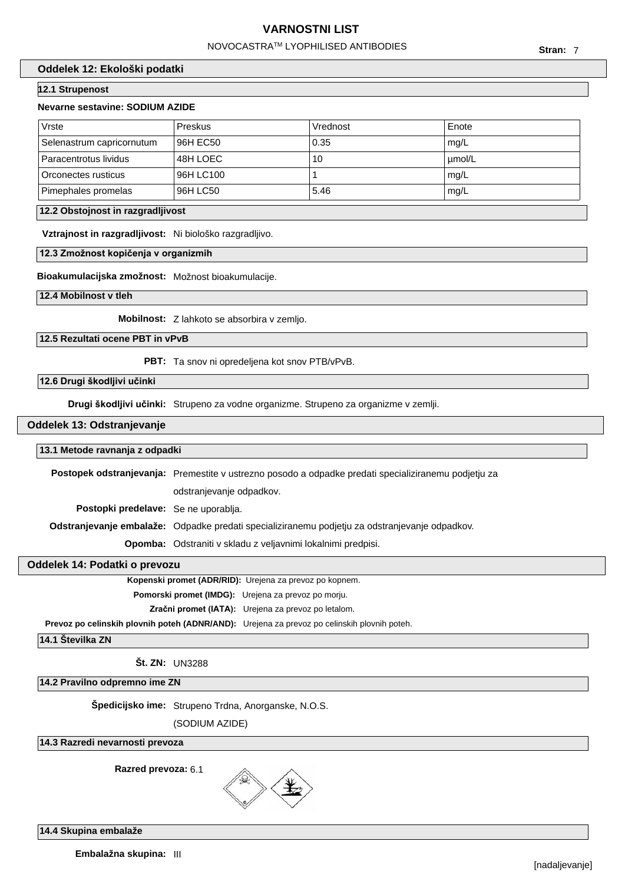# NOVOCASTRATM LYOPHILISED ANTIBODIES

## **Oddelek 12: Ekološki podatki**

# **12.1 Strupenost**

#### **Nevarne sestavine: SODIUM AZIDE**

| Vrste                     | Preskus   | Vrednost | Enote  |
|---------------------------|-----------|----------|--------|
| Selenastrum capricornutum | 96H EC50  | 0.35     | mq/L   |
| Paracentrotus lividus     | 48H LOEC  | 10       | µmol/L |
| Orconectes rusticus       | 96H LC100 |          | mg/L   |
| Pimephales promelas       | 96H LC50  | 5.46     | mg/L   |

#### **12.2 Obstojnost in razgradljivost**

**Vztrajnost in razgradljivost:** Ni biološko razgradljivo.

#### **12.3 Zmožnost kopičenja v organizmih**

**Bioakumulacijska zmožnost:** Možnost bioakumulacije.

**12.4 Mobilnost v tleh**

**Mobilnost:** Z lahkoto se absorbira v zemljo.

## **12.5 Rezultati ocene PBT in vPvB**

**PBT:** Ta snov ni opredeljena kot snov PTB/vPvB.

## **12.6 Drugi škodljivi učinki**

**Drugi škodljivi učinki:** Strupeno za vodne organizme. Strupeno za organizme v zemlji.

## **Oddelek 13: Odstranjevanje**

#### **13.1 Metode ravnanja z odpadki**

**Postopek odstranjevanja:** Premestite v ustrezno posodo a odpadke predati specializiranemu podjetju za

odstranjevanje odpadkov.

**Postopki predelave:** Se ne uporablja.

**Odstranjevanje embalaže:** Odpadke predati specializiranemu podjetju za odstranjevanje odpadkov.

**Opomba:** Odstraniti v skladu z veljavnimi lokalnimi predpisi.

## **Oddelek 14: Podatki o prevozu**

**Kopenski promet (ADR/RID):** Urejena za prevoz po kopnem.

**Pomorski promet (IMDG):** Urejena za prevoz po morju.

**Zračni promet (IATA):** Urejena za prevoz po letalom.

**Prevoz po celinskih plovnih poteh (ADNR/AND):** Urejena za prevoz po celinskih plovnih poteh.

**14.1 Številka ZN**

**Št. ZN:** UN3288

**14.2 Pravilno odpremno ime ZN**

**Špedicijsko ime:** Strupeno Trdna, Anorganske, N.O.S.

(SODIUM AZIDE)

## **14.3 Razredi nevarnosti prevoza**

**Razred prevoza:** 6.1



**14.4 Skupina embalaže**

**Embalažna skupina:** III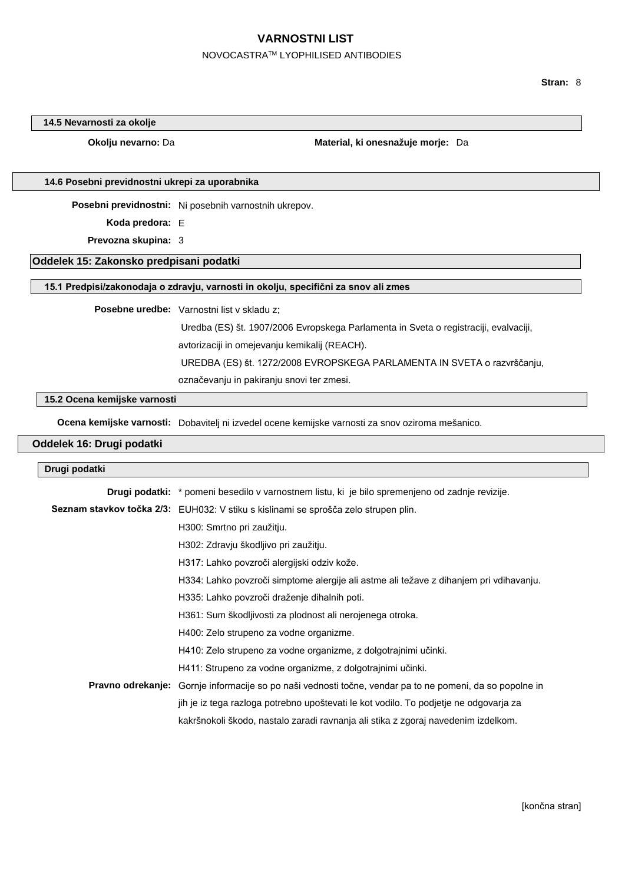# NOVOCASTRATM LYOPHILISED ANTIBODIES

**Stran:** 8

## **14.5 Nevarnosti za okolje**

**Okolju nevarno:** Da **Material, ki onesnažuje morje:** Da

#### **14.6 Posebni previdnostni ukrepi za uporabnika**

**Posebni previdnostni:** Ni posebnih varnostnih ukrepov.

**Koda predora:** E

**Prevozna skupina:** 3

## **Oddelek 15: Zakonsko predpisani podatki**

## **15.1 Predpisi/zakonodaja o zdravju, varnosti in okolju, specifični za snov ali zmes**

**Posebne uredbe:** Varnostni list v skladu z;

Uredba (ES) št. 1907/2006 Evropskega Parlamenta in Sveta o registraciji, evalvaciji,

avtorizaciji in omejevanju kemikalij (REACH).

UREDBA (ES) št. 1272/2008 EVROPSKEGA PARLAMENTA IN SVETA o razvrščanju,

označevanju in pakiranju snovi ter zmesi.

## **15.2 Ocena kemijske varnosti**

**Ocena kemijske varnosti:** Dobavitelj ni izvedel ocene kemijske varnosti za snov oziroma mešanico.

# **Oddelek 16: Drugi podatki**

## **Drugi podatki**

| <b>Drugi podatki:</b> * pomeni besedilo v varnostnem listu, ki je bilo spremenjeno od zadnje revizije.          |  |
|-----------------------------------------------------------------------------------------------------------------|--|
| <b>Seznam stavkov točka 2/3:</b> EUH032: V stiku s kislinami se sprošča zelo strupen plin.                      |  |
| H300: Smrtno pri zaužitju.                                                                                      |  |
| H302: Zdravju škodljivo pri zaužitju.                                                                           |  |
| H317: Lahko povzroči alergijski odziv kože.                                                                     |  |
| H334: Lahko povzroči simptome alergije ali astme ali težave z dihanjem pri vdihavanju.                          |  |
| H335: Lahko povzroči draženje dihalnih poti.                                                                    |  |
| H361: Sum škodljivosti za plodnost ali nerojenega otroka.                                                       |  |
| H400: Zelo strupeno za vodne organizme.                                                                         |  |
| H410: Zelo strupeno za vodne organizme, z dolgotrajnimi učinki.                                                 |  |
| H411: Strupeno za vodne organizme, z dolgotrajnimi učinki.                                                      |  |
| <b>Pravno odrekanje:</b> Gornje informacije so po naši vednosti točne, vendar pa to ne pomeni, da so popolne in |  |
| jih je iz tega razloga potrebno upoštevati le kot vodilo. To podjetje ne odgovarja za                           |  |
| kakršnokoli škodo, nastalo zaradi ravnanja ali stika z zgoraj navedenim izdelkom.                               |  |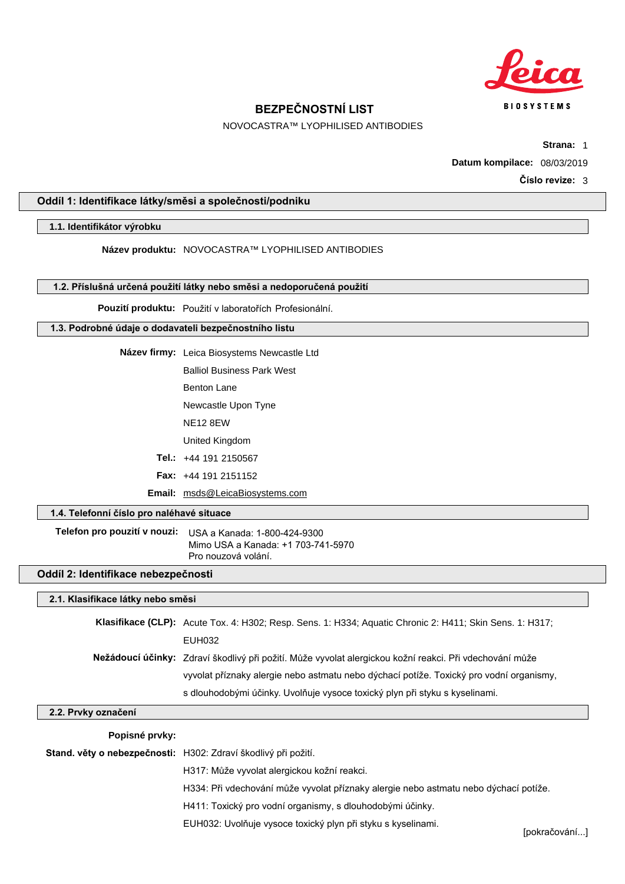

NOVOCASTRA™ LYOPHILISED ANTIBODIES

**Strana:** 1

**Datum kompilace:** 08/03/2019

**Číslo revize:** 3

# **Oddíl 1: Identifikace látky/směsi a společnosti/podniku**

# **1.1. Identifikátor výrobku**

**Název produktu:** NOVOCASTRA™ LYOPHILISED ANTIBODIES

## **1.2. Příslušná určená použití látky nebo směsi a nedoporučená použití**

**Pouzití produktu:** Použití v laboratořích Profesionální.

## **1.3. Podrobné údaje o dodavateli bezpečnostního listu**

**Název firmy:** Leica Biosystems Newcastle Ltd

Balliol Business Park West

Benton Lane

Newcastle Upon Tyne

NE12 8EW

United Kingdom

**Tel.:** +44 191 2150567

**Fax:** +44 191 2151152

**Email:** msds@LeicaBiosystems.com

# **1.4. Telefonní číslo pro naléhavé situace**

**Telefon pro pouzití v nouzi:** USA a Kanada: 1-800-424-9300 Mimo USA a Kanada: +1 703-741-5970 Pro nouzová volání.

# **Oddíl 2: Identifikace nebezpečnosti**

## **2.1. Klasifikace látky nebo směsi**

| Klasifikace (CLP): Acute Tox. 4: H302; Resp. Sens. 1: H334; Aquatic Chronic 2: H411; Skin Sens. 1: H317; |
|----------------------------------------------------------------------------------------------------------|
| EUH032                                                                                                   |
| Nežádoucí účinky: Zdraví škodlivý při požití. Může vyvolat alergickou kožní reakci. Při vdechování může  |
| vyvolat příznaky alergie nebo astmatu nebo dýchací potíže. Toxický pro vodní organismy,                  |
| s dlouhodobými účinky. Uvolňuje vysoce toxický plyn při styku s kyselinami.                              |

## **2.2. Prvky označení**

## **Popisné prvky:**

**Stand. věty o nebezpečnosti:** H302: Zdraví škodlivý při požití.

H317: Může vyvolat alergickou kožní reakci.

H334: Při vdechování může vyvolat příznaky alergie nebo astmatu nebo dýchací potíže.

H411: Toxický pro vodní organismy, s dlouhodobými účinky.

EUH032: Uvolňuje vysoce toxický plyn při styku s kyselinami.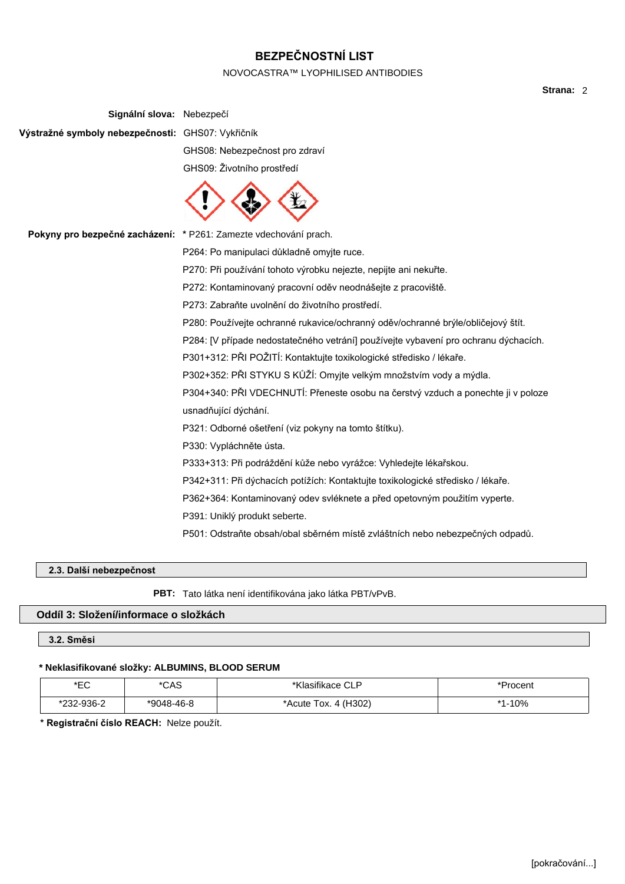## NOVOCASTRA™ LYOPHILISED ANTIBODIES

**Signální slova:** Nebezpečí **Výstražné symboly nebezpečnosti:** GHS07: Vykřičník GHS08: Nebezpečnost pro zdraví GHS09: Životního prostředí **Pokyny pro bezpečné zacházení: \*** P261: Zamezte vdechování prach. P264: Po manipulaci důkladně omyjte ruce. P270: Při používání tohoto výrobku nejezte, nepijte ani nekuřte. P272: Kontaminovaný pracovní oděv neodnášejte z pracoviště. P273: Zabraňte uvolnění do životního prostředí. P280: Používejte ochranné rukavice/ochranný oděv/ochranné brýle/obličejový štít. P284: [V případe nedostatečného vetrání] používejte vybavení pro ochranu dýchacích. P301+312: PŘI POŽITÍ: Kontaktujte toxikologické středisko / lékaře. P302+352: PŘI STYKU S KŮŽÍ: Omyjte velkým množstvím vody a mýdla. P304+340: PŘI VDECHNUTÍ: Přeneste osobu na čerstvý vzduch a ponechte ji v poloze usnadňující dýchání. P321: Odborné ošetření (viz pokyny na tomto štítku). P330: Vypláchněte ústa. P333+313: Při podráždění kůže nebo vyrážce: Vyhledejte lékařskou. P342+311: Při dýchacích potížích: Kontaktujte toxikologické středisko / lékaře. P362+364: Kontaminovaný odev svléknete a před opetovným použitím vyperte. P391: Uniklý produkt seberte. P501: Odstraňte obsah/obal sběrném místě zvláštních nebo nebezpečných odpadů.

# **2.3. Další nebezpečnost**

**PBT:** Tato látka není identifikována jako látka PBT/vPvB.

# **Oddíl 3: Složení/informace o složkách**

## **3.2. Směsi**

## **\* Neklasifikované složky: ALBUMINS, BLOOD SERUM**

| *EC      | $* \cap \wedge \cap$ | $\sim$ $\sim$ $\sim$ $\sim$ $\sim$ | Procent |
|----------|----------------------|------------------------------------|---------|
| $\sim$   | ⊂∧ب                  | sıtıkace CLI                       |         |
| 32-936-2 | *9048-46-8           | H(H302)<br>*Acute :<br>Tox. 4      | $-10%$  |

**\* Registrační číslo REACH:** Nelze použít.

**Strana:** 2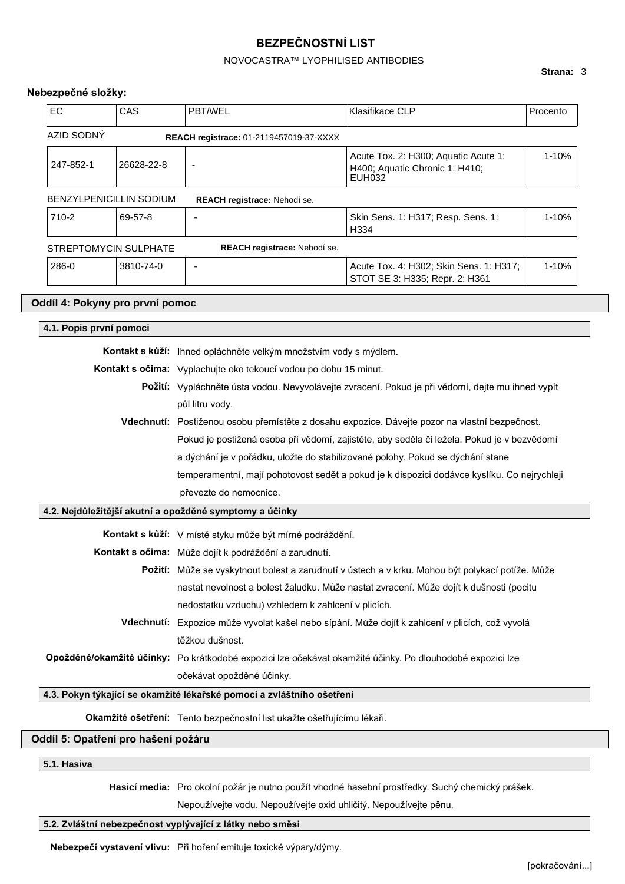# NOVOCASTRA™ LYOPHILISED ANTIBODIES

## **Strana:** 3

# **Nebezpečné složky:**

| <b>EC</b>  | CAS                             | <b>PBT/WEL</b>                                 | Klasifikace CLP                                                                  | Procento  |
|------------|---------------------------------|------------------------------------------------|----------------------------------------------------------------------------------|-----------|
| AZID SODNÝ |                                 | <b>REACH registrace: 01-2119457019-37-XXXX</b> |                                                                                  |           |
| 247-852-1  | 26628-22-8                      | $\overline{\phantom{0}}$                       | Acute Tox. 2: H300; Aquatic Acute 1:<br>H400; Aquatic Chronic 1: H410;<br>EUH032 | 1-10%     |
|            | BENZYLPENICILLIN SODIUM         | REACH registrace: Nehodí se.                   |                                                                                  |           |
| 710-2      | 69-57-8                         |                                                | Skin Sens. 1: H317; Resp. Sens. 1:<br>H334                                       | $1 - 10%$ |
|            | STREPTOMYCIN SULPHATE           | REACH registrace: Nehodí se.                   |                                                                                  |           |
| 286-0      | 3810-74-0                       | $\overline{\phantom{0}}$                       | Acute Tox. 4: H302; Skin Sens. 1: H317;<br>STOT SE 3: H335; Repr. 2: H361        | 1-10%     |
|            | Oddíl 4: Pokyny pro první pomoc |                                                |                                                                                  |           |

|                                                         | <b>Kontakt s kůží:</b> Ihned opláchněte velkým množstvím vody s mýdlem.                           |
|---------------------------------------------------------|---------------------------------------------------------------------------------------------------|
|                                                         | <b>Kontakt s očima:</b> Vyplachujte oko tekoucí vodou po dobu 15 minut.                           |
|                                                         | Požití: Vypláchněte ústa vodou. Nevyvolávejte zvracení. Pokud je při vědomí, dejte mu ihned vypít |
|                                                         | půl litru vody.                                                                                   |
|                                                         | Vdechnutí: Postiženou osobu přemístěte z dosahu expozice. Dávejte pozor na vlastní bezpečnost.    |
|                                                         | Pokud je postižená osoba při vědomí, zajistěte, aby seděla či ležela. Pokud je v bezvědomí        |
|                                                         | a dýchání je v pořádku, uložte do stabilizované polohy. Pokud se dýchání stane                    |
|                                                         | temperamentní, mají pohotovost sedět a pokud je k dispozici dodávce kyslíku. Co nejrychleji       |
|                                                         | převezte do nemocnice.                                                                            |
|                                                         |                                                                                                   |
| 4.2. Nejdůležitější akutní a opožděné symptomy a účinky |                                                                                                   |
|                                                         | <b>Kontakt s kůží:</b> V místě styku může být mírné podráždění.                                   |
|                                                         | Kontakt s očima: Může dojít k podráždění a zarudnutí.                                             |
|                                                         | Požití: Může se vyskytnout bolest a zarudnutí v ústech a v krku. Mohou být polykací potíže. Může  |
|                                                         | nastat nevolnost a bolest žaludku. Může nastat zvracení. Může dojít k dušnosti (pocitu            |
|                                                         | nedostatku vzduchu) vzhledem k zahlcení v plicích.                                                |
|                                                         | Vdechnutí: Expozice může vyvolat kašel nebo sípání. Může dojít k zahlcení v plicích, což vyvolá   |
|                                                         | těžkou dušnost.                                                                                   |

očekávat opožděné účinky.

# **4.3. Pokyn týkající se okamžité lékařské pomoci a zvláštního ošetření**

**Okamžité ošetření:** Tento bezpečnostní list ukažte ošetřujícímu lékaři.

# **Oddíl 5: Opatření pro hašení požáru**

# **5.1. Hasiva**

**Hasicí media:** Pro okolní požár je nutno použít vhodné hasební prostředky. Suchý chemický prášek.

Nepoužívejte vodu. Nepoužívejte oxid uhličitý. Nepoužívejte pěnu.

## **5.2. Zvláštní nebezpečnost vyplývající z látky nebo směsi**

**Nebezpečí vystavení vlivu:** Při hoření emituje toxické výpary/dýmy.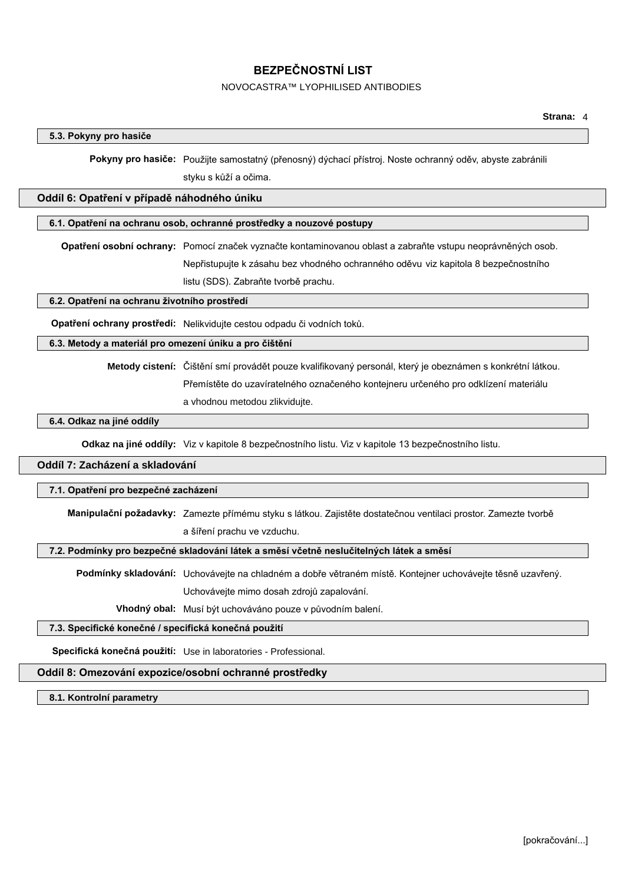# NOVOCASTRA™ LYOPHILISED ANTIBODIES

# **5.3. Pokyny pro hasiče**

**Pokyny pro hasiče:** Použijte samostatný (přenosný) dýchací přístroj. Noste ochranný oděv, abyste zabránili styku s kůží a očima.

## **Oddíl 6: Opatření v případě náhodného úniku**

## **6.1. Opatření na ochranu osob, ochranné prostředky a nouzové postupy**

**Opatření osobní ochrany:** Pomocí značek vyznačte kontaminovanou oblast a zabraňte vstupu neoprávněných osob. Nepřistupujte k zásahu bez vhodného ochranného oděvu viz kapitola 8 bezpečnostního listu (SDS). Zabraňte tvorbě prachu.

## **6.2. Opatření na ochranu životního prostředí**

**Opatření ochrany prostředí:** Nelikvidujte cestou odpadu či vodních toků.

## **6.3. Metody a materiál pro omezení úniku a pro čištění**

**Metody cistení:** Čištění smí provádět pouze kvalifikovaný personál, který je obeznámen s konkrétní látkou. Přemístěte do uzavíratelného označeného kontejneru určeného pro odklízení materiálu a vhodnou metodou zlikvidujte.

## **6.4. Odkaz na jiné oddíly**

**Odkaz na jiné oddíly:** Viz v kapitole 8 bezpečnostního listu. Viz v kapitole 13 bezpečnostního listu.

# **Oddíl 7: Zacházení a skladování**

# **7.1. Opatření pro bezpečné zacházení**

**Manipulační požadavky:** Zamezte přímému styku s látkou. Zajistěte dostatečnou ventilaci prostor. Zamezte tvorbě a šíření prachu ve vzduchu.

## **7.2. Podmínky pro bezpečné skladování látek a směsí včetně neslučitelných látek a směsí**

**Podmínky skladování:** Uchovávejte na chladném a dobře větraném místě. Kontejner uchovávejte těsně uzavřený.

Uchovávejte mimo dosah zdrojů zapalování.

**Vhodný obal:** Musí být uchováváno pouze v původním balení.

## **7.3. Specifické konečné / specifická konečná použití**

**Specifická konečná použití:** Use in laboratories - Professional.

# **Oddíl 8: Omezování expozice/osobní ochranné prostředky**

**8.1. Kontrolní parametry**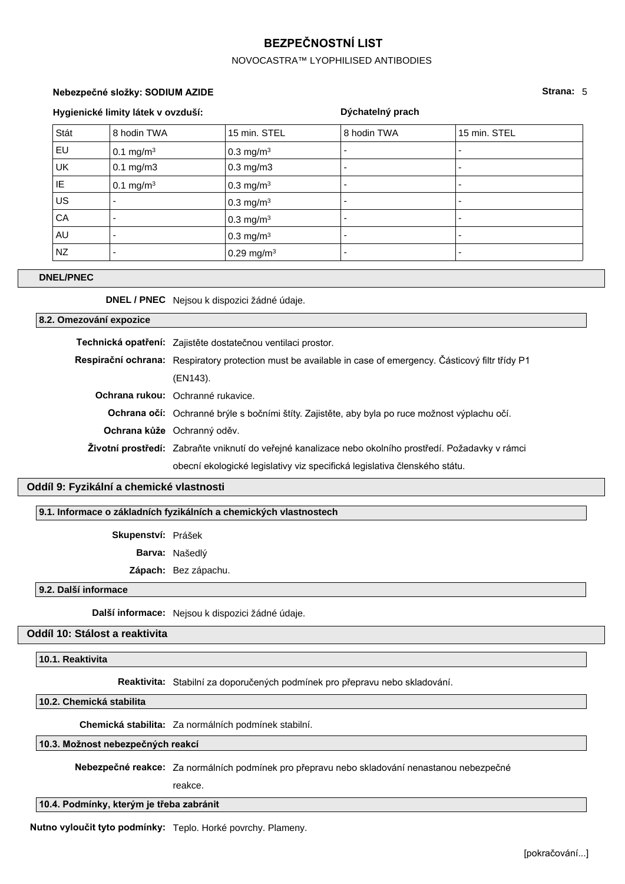## NOVOCASTRA™ LYOPHILISED ANTIBODIES

**Dýchatelný prach**

# **Nebezpečné složky: SODIUM AZIDE Strana:** 5

# **Hygienické limity látek v ovzduší:**

| Stát      | 8 hodin TWA              | 15 min. STEL           | 8 hodin TWA              | 15 min. STEL             |
|-----------|--------------------------|------------------------|--------------------------|--------------------------|
| EU        | $0.1 \text{ mg/m}^3$     | $0.3 \text{ mg/m}^3$   |                          | $\overline{\phantom{0}}$ |
| <b>UK</b> | $0.1$ mg/m $3$           | $0.3$ mg/m $3$         |                          | $\overline{\phantom{a}}$ |
| IE        | $0.1 \text{ mg/m}^3$     | $0.3 \text{ mg/m}^3$   |                          |                          |
| <b>US</b> | $\overline{\phantom{0}}$ | $0.3 \text{ mg/m}^3$   | $\overline{\phantom{0}}$ | $\overline{\phantom{0}}$ |
| CA        | $\overline{\phantom{0}}$ | $0.3 \text{ mg/m}^3$   | $\overline{\phantom{0}}$ | $\overline{\phantom{a}}$ |
| AU        | $\overline{\phantom{0}}$ | $0.3 \text{ mg/m}^3$   | -                        | $\overline{\phantom{a}}$ |
| NZ        |                          | 0.29 mg/m <sup>3</sup> |                          | $\overline{\phantom{a}}$ |

#### **DNEL/PNEC**

**DNEL / PNEC** Nejsou k dispozici žádné údaje.

## **8.2. Omezování expozice**

**Technická opatření:** Zajistěte dostatečnou ventilaci prostor. **Respirační ochrana:** Respiratory protection must be available in case of emergency. Částicový filtr třídy P1 (EN143). **Ochrana rukou:** Ochranné rukavice. **Ochrana očí:** Ochranné brýle s bočními štíty. Zajistěte, aby byla po ruce možnost výplachu očí. **Ochrana kůže** Ochranný oděv. **Životní prostředí:** Zabraňte vniknutí do veřejné kanalizace nebo okolního prostředí. Požadavky v rámci obecní ekologické legislativy viz specifická legislativa členského státu.

## **Oddíl 9: Fyzikální a chemické vlastnosti**

## **9.1. Informace o základních fyzikálních a chemických vlastnostech**

**Skupenství:** Prášek

**Barva:** Našedlý

**Zápach:** Bez zápachu.

#### **9.2. Další informace**

**Další informace:** Nejsou k dispozici žádné údaje.

## **Oddíl 10: Stálost a reaktivita**

**10.1. Reaktivita**

**Reaktivita:** Stabilní za doporučených podmínek pro přepravu nebo skladování.

## **10.2. Chemická stabilita**

**Chemická stabilita:** Za normálních podmínek stabilní.

## **10.3. Možnost nebezpečných reakcí**

**Nebezpečné reakce:** Za normálních podmínek pro přepravu nebo skladování nenastanou nebezpečné

reakce.

## **10.4. Podmínky, kterým je třeba zabránit**

**Nutno vyloučit tyto podmínky:** Teplo. Horké povrchy. Plameny.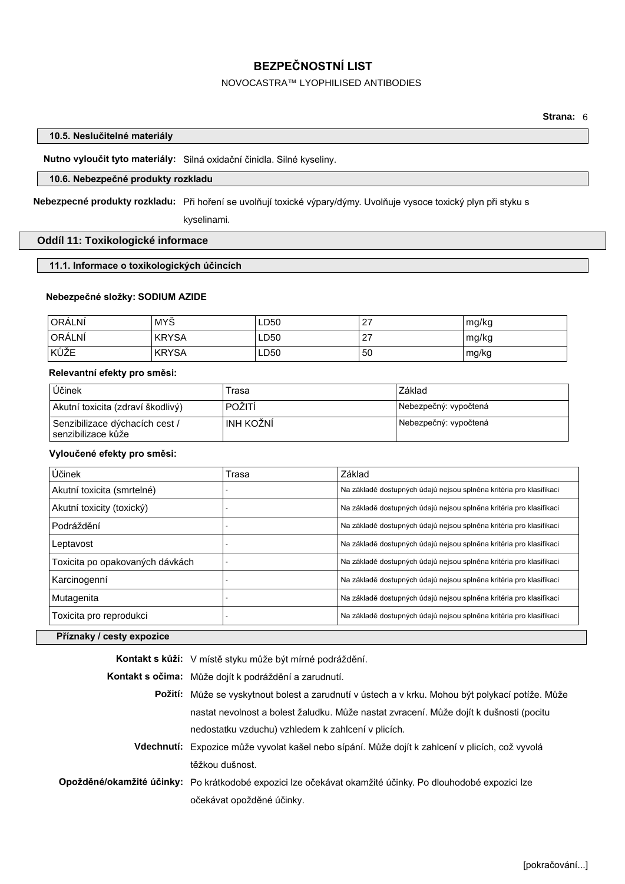## NOVOCASTRA™ LYOPHILISED ANTIBODIES

## **10.5. Neslučitelné materiály**

**Nutno vyloučit tyto materiály:** Silná oxidační činidla. Silné kyseliny.

# **10.6. Nebezpečné produkty rozkladu**

**Nebezpecné produkty rozkladu:** Při hoření se uvolňují toxické výpary/dýmy. Uvolňuje vysoce toxický plyn při styku s kyselinami.

# **Oddíl 11: Toxikologické informace**

## **11.1. Informace o toxikologických účincích**

# **Nebezpečné složky: SODIUM AZIDE**

| ORÁLNÍ | MYŠ          | LD50 | 27 | mg/kg |
|--------|--------------|------|----|-------|
| ORÁLNÍ | <b>KRYSA</b> | ∟D50 | 27 | mg/kg |
| KŮŽE   | <b>KRYSA</b> | LD50 | 50 | mg/kg |

## **Relevantní efekty pro směsi:**

| Účinek                                                            | Trasa      | Základ                |
|-------------------------------------------------------------------|------------|-----------------------|
| Akutní toxicita (zdraví škodlivý)                                 | POŽITÍ     | Nebezpečný: vypočtená |
| Senzibilizace dýchacích cest /<br><sup>i</sup> senzibilizace kůže | ∫INH KOŽNÍ | Nebezpečný: vypočtená |

## **Vyloučené efekty pro směsi:**

| Účinek                          | Trasa | Základ                                                              |
|---------------------------------|-------|---------------------------------------------------------------------|
| Akutní toxicita (smrtelné)      |       | Na základě dostupných údajů nejsou splněna kritéria pro klasifikaci |
| Akutní toxicity (toxický)       |       | Na základě dostupných údajů nejsou splněna kritéria pro klasifikaci |
| Podráždění                      |       | Na základě dostupných údajů nejsou splněna kritéria pro klasifikaci |
| Leptavost                       |       | Na základě dostupných údajů nejsou splněna kritéria pro klasifikaci |
| Toxicita po opakovaných dávkách |       | Na základě dostupných údajů nejsou splněna kritéria pro klasifikaci |
| Karcinogenní                    |       | Na základě dostupných údajů nejsou splněna kritéria pro klasifikaci |
| Mutagenita                      |       | Na základě dostupných údajů nejsou splněna kritéria pro klasifikaci |
| Toxicita pro reprodukci         |       | Na základě dostupných údajů nejsou splněna kritéria pro klasifikaci |
|                                 |       |                                                                     |

## **Příznaky / cesty expozice**

| <b>Kontakt s kůží:</b> V místě styku může být mírné podráždění.                                           |
|-----------------------------------------------------------------------------------------------------------|
| <b>Kontakt s očima:</b> Může dojít k podráždění a zarudnutí.                                              |
| Požití: Může se vyskytnout bolest a zarudnutí v ústech a v krku. Mohou být polykací potíže. Může          |
| nastat nevolnost a bolest žaludku. Může nastat zvracení. Může dojít k dušnosti (pocitu                    |
| nedostatku vzduchu) vzhledem k zahlcení v plicích.                                                        |
| Vdechnutí: Expozice může vyvolat kašel nebo sípání. Může dojít k zahlcení v plicích, což vyvolá           |
| těžkou dušnost.                                                                                           |
| Opožděné/okamžité účinky: Po krátkodobé expozici lze očekávat okamžité účinky. Po dlouhodobé expozici lze |
| očekávat opožděné účinky.                                                                                 |
|                                                                                                           |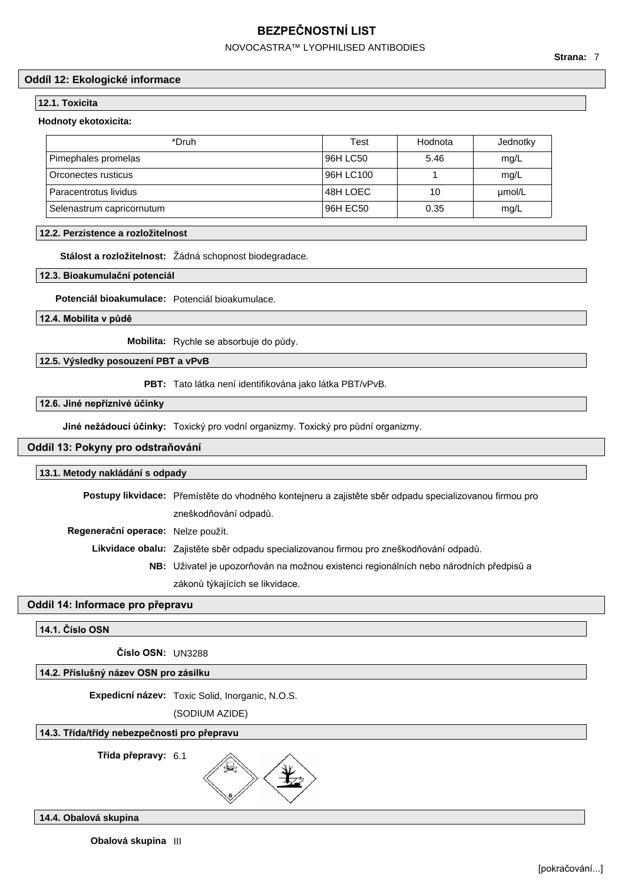# NOVOCASTRA™ LYOPHILISED ANTIBODIES

## **Oddíl 12: Ekologické informace**

### **12.1. Toxicita**

## **Hodnoty ekotoxicita:**

| *Druh                     | Test      | Hodnota | Jednotky |
|---------------------------|-----------|---------|----------|
| Pimephales promelas       | 96H LC50  | 5.46    | mg/L     |
| Orconectes rusticus       | 96H LC100 |         | mg/L     |
| Paracentrotus lividus     | 48H LOEC  | 10      | umol/L   |
| Selenastrum capricornutum | 96H EC50  | 0.35    | mg/L     |

## **12.2. Perzistence a rozložitelnost**

**Stálost a rozložitelnost:** Žádná schopnost biodegradace.

## **12.3. Bioakumulační potenciál**

**Potenciál bioakumulace:** Potenciál bioakumulace.

**12.4. Mobilita v půdě**

**Mobilita:** Rychle se absorbuje do půdy.

**12.5. Výsledky posouzení PBT a vPvB**

**PBT:** Tato látka není identifikována jako látka PBT/vPvB.

## **12.6. Jiné nepříznivé účinky**

**Jiné nežádoucí účinky:** Toxický pro vodní organizmy. Toxický pro půdní organizmy.

## **Oddíl 13: Pokyny pro odstraňování**

## **13.1. Metody nakládání s odpady**

**Postupy likvidace:** Přemístěte do vhodného kontejneru a zajistěte sběr odpadu specializovanou firmou pro zneškodňování odpadů.

**Regenerační operace:** Nelze použít.

**Likvidace obalu:** Zajistěte sběr odpadu specializovanou firmou pro zneškodňování odpadů.

**NB:** Uživatel je upozorňován na možnou existenci regionálních nebo národních předpisů a zákonů týkajících se likvidace.

# **Oddíl 14: Informace pro přepravu**

## **14.1. Číslo OSN**

**Číslo OSN:** UN3288

## **14.2. Příslušný název OSN pro zásilku**

**Expedicní název:** Toxic Solid, Inorganic, N.O.S.

(SODIUM AZIDE)

## **14.3. Třída/třídy nebezpečnosti pro přepravu**

**Třída přepravy:** 6.1

¥

## **14.4. Obalová skupina**

**Obalová skupina** III

**Strana:** 7